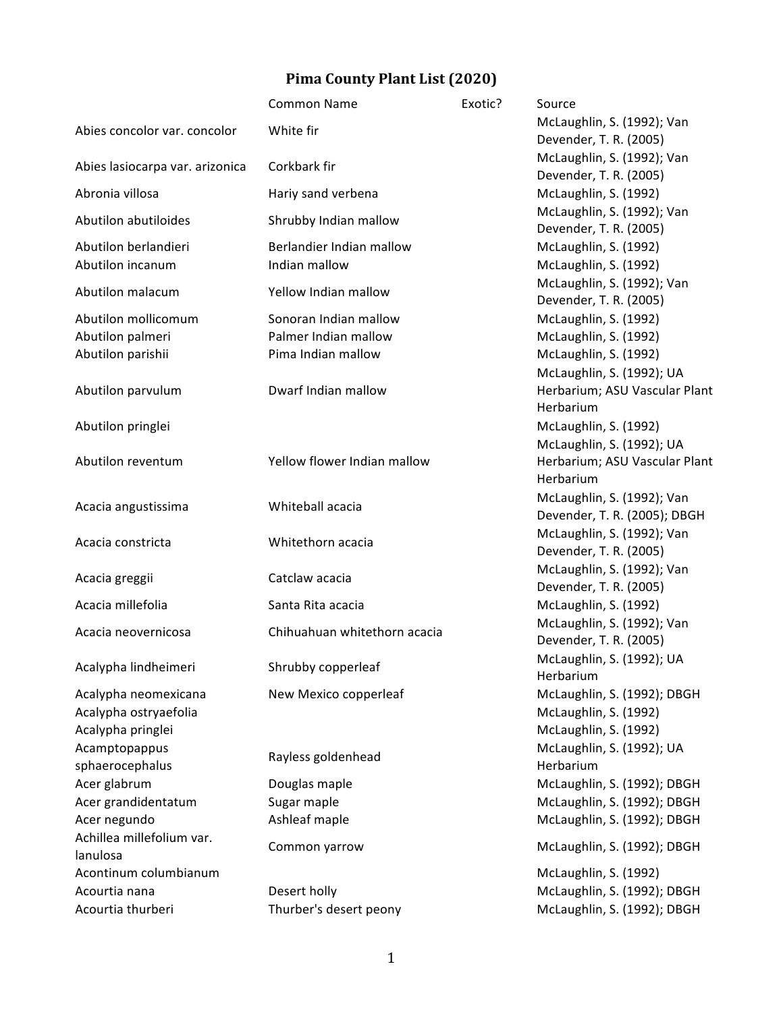## **Pima County Plant List (2020)**

|                                 | <b>Common Name</b>           | Exotic? | Source                                               |
|---------------------------------|------------------------------|---------|------------------------------------------------------|
| Abies concolor var. concolor    | White fir                    |         | McLaughlin, S. (1992); Van                           |
|                                 |                              |         | Devender, T. R. (2005)                               |
| Abies lasiocarpa var. arizonica | Corkbark fir                 |         | McLaughlin, S. (1992); Van                           |
|                                 |                              |         | Devender, T. R. (2005)                               |
| Abronia villosa                 | Hariy sand verbena           |         | McLaughlin, S. (1992)                                |
| Abutilon abutiloides            | Shrubby Indian mallow        |         | McLaughlin, S. (1992); Van                           |
| Abutilon berlandieri            | Berlandier Indian mallow     |         | Devender, T. R. (2005)<br>McLaughlin, S. (1992)      |
| Abutilon incanum                | Indian mallow                |         | McLaughlin, S. (1992)                                |
|                                 |                              |         | McLaughlin, S. (1992); Van                           |
| Abutilon malacum                | Yellow Indian mallow         |         | Devender, T. R. (2005)                               |
| Abutilon mollicomum             | Sonoran Indian mallow        |         | McLaughlin, S. (1992)                                |
| Abutilon palmeri                | Palmer Indian mallow         |         | McLaughlin, S. (1992)                                |
| Abutilon parishii               | Pima Indian mallow           |         | McLaughlin, S. (1992)                                |
|                                 |                              |         | McLaughlin, S. (1992); UA                            |
| Abutilon parvulum               | Dwarf Indian mallow          |         | Herbarium; ASU Vascular Plant                        |
|                                 |                              |         | Herbarium                                            |
| Abutilon pringlei               |                              |         | McLaughlin, S. (1992)                                |
|                                 |                              |         | McLaughlin, S. (1992); UA                            |
| Abutilon reventum               | Yellow flower Indian mallow  |         | Herbarium; ASU Vascular Plant                        |
|                                 |                              |         | Herbarium                                            |
| Acacia angustissima             | Whiteball acacia             |         | McLaughlin, S. (1992); Van                           |
|                                 |                              |         | Devender, T. R. (2005); DBGH                         |
| Acacia constricta               | Whitethorn acacia            |         | McLaughlin, S. (1992); Van<br>Devender, T. R. (2005) |
|                                 |                              |         | McLaughlin, S. (1992); Van                           |
| Acacia greggii                  | Catclaw acacia               |         | Devender, T. R. (2005)                               |
| Acacia millefolia               | Santa Rita acacia            |         | McLaughlin, S. (1992)                                |
|                                 |                              |         | McLaughlin, S. (1992); Van                           |
| Acacia neovernicosa             | Chihuahuan whitethorn acacia |         | Devender, T. R. (2005)                               |
|                                 |                              |         | McLaughlin, S. (1992); UA                            |
| Acalypha lindheimeri            | Shrubby copperleaf           |         | Herbarium                                            |
| Acalypha neomexicana            | New Mexico copperleaf        |         | McLaughlin, S. (1992); DBGH                          |
| Acalypha ostryaefolia           |                              |         | McLaughlin, S. (1992)                                |
| Acalypha pringlei               |                              |         | McLaughlin, S. (1992)                                |
| Acamptopappus                   | Rayless goldenhead           |         | McLaughlin, S. (1992); UA                            |
| sphaerocephalus                 |                              |         | Herbarium                                            |
| Acer glabrum                    | Douglas maple                |         | McLaughlin, S. (1992); DBGH                          |
| Acer grandidentatum             | Sugar maple                  |         | McLaughlin, S. (1992); DBGH                          |
| Acer negundo                    | Ashleaf maple                |         | McLaughlin, S. (1992); DBGH                          |
| Achillea millefolium var.       | Common yarrow                |         | McLaughlin, S. (1992); DBGH                          |
| lanulosa                        |                              |         |                                                      |
| Acontinum columbianum           |                              |         | McLaughlin, S. (1992)                                |
| Acourtia nana                   | Desert holly                 |         | McLaughlin, S. (1992); DBGH                          |
| Acourtia thurberi               | Thurber's desert peony       |         | McLaughlin, S. (1992); DBGH                          |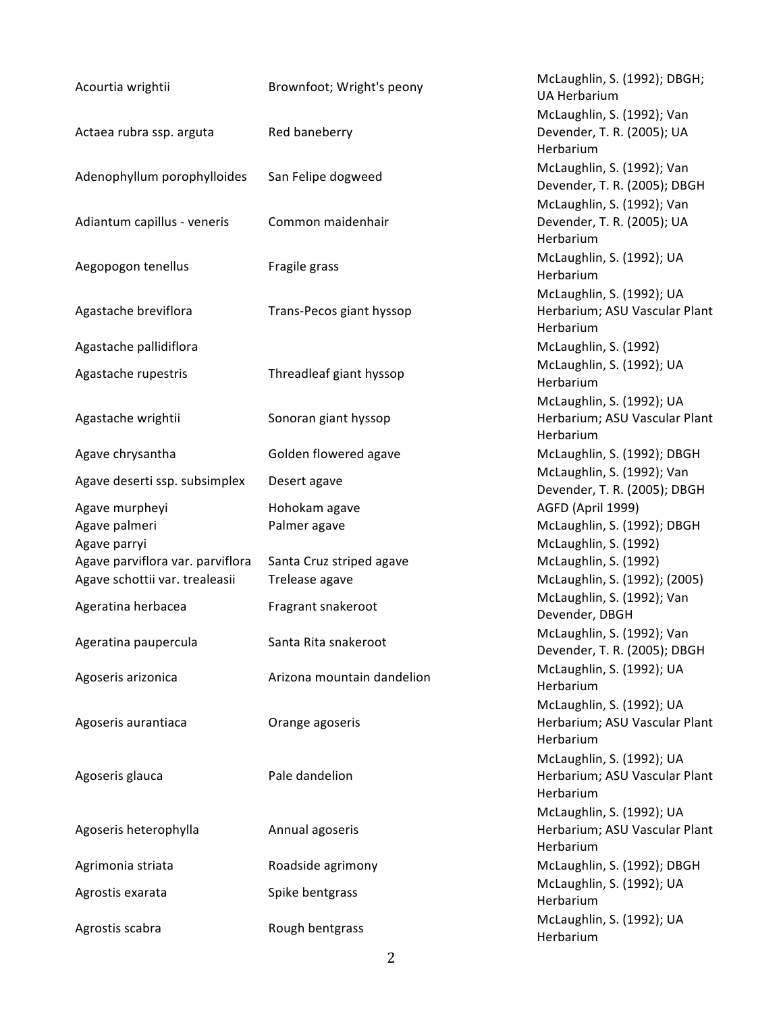| Acourtia wrightii                | Brownfoot; Wright's peony  | McLaughlin, S. (1992); DBGH;<br><b>UA Herbarium</b>                     |
|----------------------------------|----------------------------|-------------------------------------------------------------------------|
| Actaea rubra ssp. arguta         | Red baneberry              | McLaughlin, S. (1992); Van<br>Devender, T. R. (2005); UA<br>Herbarium   |
| Adenophyllum porophylloides      | San Felipe dogweed         | McLaughlin, S. (1992); Van<br>Devender, T. R. (2005); DBGH              |
| Adiantum capillus - veneris      | Common maidenhair          | McLaughlin, S. (1992); Van<br>Devender, T. R. (2005); UA<br>Herbarium   |
| Aegopogon tenellus               | Fragile grass              | McLaughlin, S. (1992); UA<br>Herbarium                                  |
| Agastache breviflora             | Trans-Pecos giant hyssop   | McLaughlin, S. (1992); UA<br>Herbarium; ASU Vascular Plant<br>Herbarium |
| Agastache pallidiflora           |                            | McLaughlin, S. (1992)                                                   |
| Agastache rupestris              | Threadleaf giant hyssop    | McLaughlin, S. (1992); UA<br>Herbarium                                  |
| Agastache wrightii               | Sonoran giant hyssop       | McLaughlin, S. (1992); UA<br>Herbarium; ASU Vascular Plant<br>Herbarium |
| Agave chrysantha                 | Golden flowered agave      | McLaughlin, S. (1992); DBGH                                             |
| Agave deserti ssp. subsimplex    | Desert agave               | McLaughlin, S. (1992); Van<br>Devender, T. R. (2005); DBGH              |
| Agave murpheyi                   | Hohokam agave              | AGFD (April 1999)                                                       |
| Agave palmeri<br>Agave parryi    | Palmer agave               | McLaughlin, S. (1992); DBGH<br>McLaughlin, S. (1992)                    |
| Agave parviflora var. parviflora | Santa Cruz striped agave   | McLaughlin, S. (1992)                                                   |
| Agave schottii var. trealeasii   | Trelease agave             | McLaughlin, S. (1992); (2005)                                           |
| Ageratina herbacea               | Fragrant snakeroot         | McLaughlin, S. (1992); Van<br>Devender, DBGH                            |
| Ageratina paupercula             | Santa Rita snakeroot       | McLaughlin, S. (1992); Van<br>Devender, T. R. (2005); DBGH              |
| Agoseris arizonica               | Arizona mountain dandelion | McLaughlin, S. (1992); UA<br>Herbarium                                  |
| Agoseris aurantiaca              | Orange agoseris            | McLaughlin, S. (1992); UA<br>Herbarium; ASU Vascular Plant<br>Herbarium |
| Agoseris glauca                  | Pale dandelion             | McLaughlin, S. (1992); UA<br>Herbarium; ASU Vascular Plant<br>Herbarium |
| Agoseris heterophylla            | Annual agoseris            | McLaughlin, S. (1992); UA<br>Herbarium; ASU Vascular Plant<br>Herbarium |
| Agrimonia striata                | Roadside agrimony          | McLaughlin, S. (1992); DBGH                                             |
| Agrostis exarata                 | Spike bentgrass            | McLaughlin, S. (1992); UA<br>Herbarium                                  |
| Agrostis scabra                  | Rough bentgrass            | McLaughlin, S. (1992); UA<br>Herbarium                                  |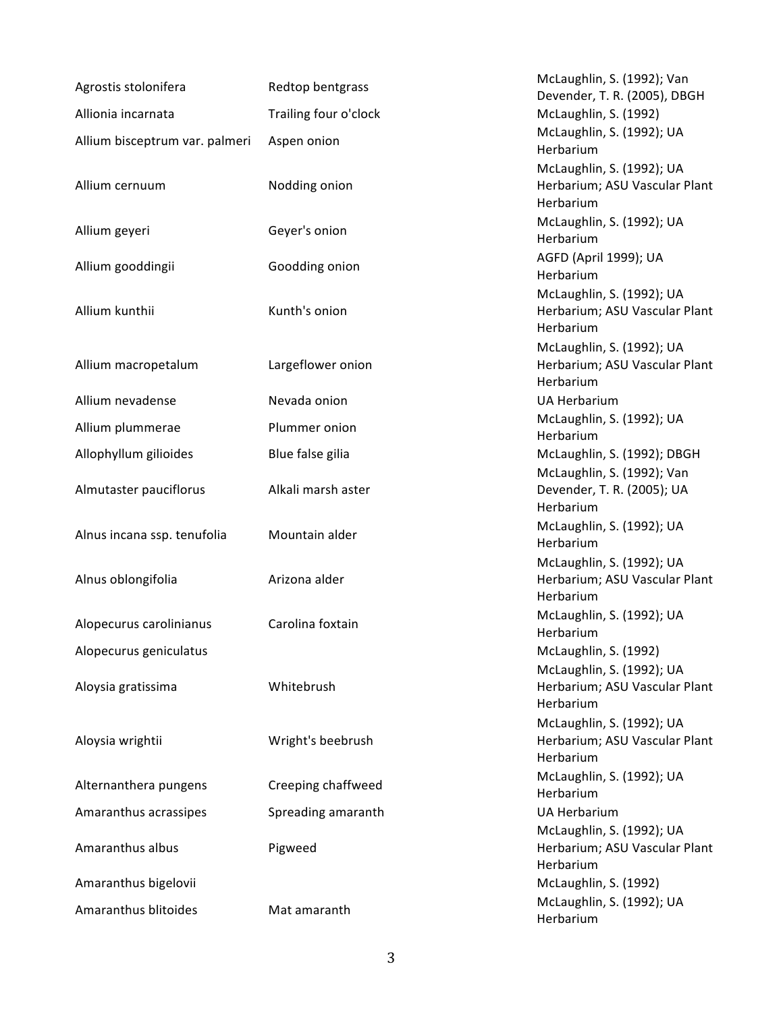| Agrostis stolonifera           | Redtop bentgrass      | McLaughlin, S. (1992); Van<br>Devender, T. R. (2005), DBGH              |
|--------------------------------|-----------------------|-------------------------------------------------------------------------|
| Allionia incarnata             | Trailing four o'clock | McLaughlin, S. (1992)                                                   |
| Allium bisceptrum var. palmeri | Aspen onion           | McLaughlin, S. (1992); UA<br>Herbarium                                  |
| Allium cernuum                 | Nodding onion         | McLaughlin, S. (1992); UA<br>Herbarium; ASU Vascular Plant<br>Herbarium |
| Allium geyeri                  | Geyer's onion         | McLaughlin, S. (1992); UA<br>Herbarium                                  |
| Allium gooddingii              | Goodding onion        | AGFD (April 1999); UA<br>Herbarium                                      |
| Allium kunthii                 | Kunth's onion         | McLaughlin, S. (1992); UA<br>Herbarium; ASU Vascular Plant<br>Herbarium |
| Allium macropetalum            | Largeflower onion     | McLaughlin, S. (1992); UA<br>Herbarium; ASU Vascular Plant<br>Herbarium |
| Allium nevadense               | Nevada onion          | <b>UA Herbarium</b>                                                     |
| Allium plummerae               | Plummer onion         | McLaughlin, S. (1992); UA<br>Herbarium                                  |
| Allophyllum gilioides          | Blue false gilia      | McLaughlin, S. (1992); DBGH                                             |
| Almutaster pauciflorus         | Alkali marsh aster    | McLaughlin, S. (1992); Van<br>Devender, T. R. (2005); UA<br>Herbarium   |
| Alnus incana ssp. tenufolia    | Mountain alder        | McLaughlin, S. (1992); UA<br>Herbarium                                  |
| Alnus oblongifolia             | Arizona alder         | McLaughlin, S. (1992); UA<br>Herbarium; ASU Vascular Plant<br>Herbarium |
| Alopecurus carolinianus        | Carolina foxtain      | McLaughlin, S. (1992); UA<br>Herbarium                                  |
| Alopecurus geniculatus         |                       | McLaughlin, S. (1992)                                                   |
| Aloysia gratissima             | Whitebrush            | McLaughlin, S. (1992); UA<br>Herbarium; ASU Vascular Plant<br>Herbarium |
| Aloysia wrightii               | Wright's beebrush     | McLaughlin, S. (1992); UA<br>Herbarium; ASU Vascular Plant<br>Herbarium |
| Alternanthera pungens          | Creeping chaffweed    | McLaughlin, S. (1992); UA<br>Herbarium                                  |
| Amaranthus acrassipes          | Spreading amaranth    | <b>UA Herbarium</b>                                                     |
| Amaranthus albus               | Pigweed               | McLaughlin, S. (1992); UA<br>Herbarium; ASU Vascular Plant<br>Herbarium |
| Amaranthus bigelovii           |                       | McLaughlin, S. (1992)                                                   |
| Amaranthus blitoides           | Mat amaranth          | McLaughlin, S. (1992); UA<br>Herbarium                                  |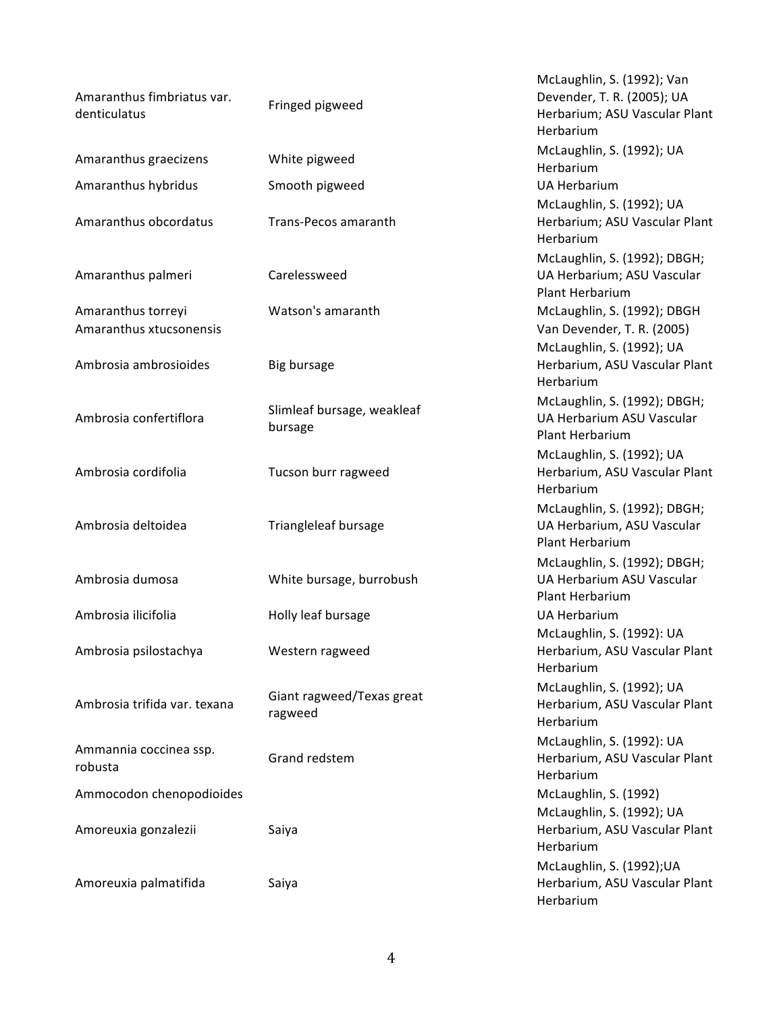| Amaranthus fimbriatus var.<br>denticulatus    | Fringed pigweed                       | McLaughlin, S. (1992); Van<br>Devender, T. R. (2005); UA<br>Herbarium; ASU Vascular Plant<br>Herbarium |
|-----------------------------------------------|---------------------------------------|--------------------------------------------------------------------------------------------------------|
| Amaranthus graecizens                         | White pigweed                         | McLaughlin, S. (1992); UA<br>Herbarium                                                                 |
| Amaranthus hybridus                           | Smooth pigweed                        | <b>UA Herbarium</b>                                                                                    |
| Amaranthus obcordatus                         | Trans-Pecos amaranth                  | McLaughlin, S. (1992); UA<br>Herbarium; ASU Vascular Plant<br>Herbarium                                |
| Amaranthus palmeri                            | Carelessweed                          | McLaughlin, S. (1992); DBGH;<br>UA Herbarium; ASU Vascular<br>Plant Herbarium                          |
| Amaranthus torreyi<br>Amaranthus xtucsonensis | Watson's amaranth                     | McLaughlin, S. (1992); DBGH<br>Van Devender, T. R. (2005)                                              |
| Ambrosia ambrosioides                         | Big bursage                           | McLaughlin, S. (1992); UA<br>Herbarium, ASU Vascular Plant<br>Herbarium                                |
| Ambrosia confertiflora                        | Slimleaf bursage, weakleaf<br>bursage | McLaughlin, S. (1992); DBGH;<br>UA Herbarium ASU Vascular<br>Plant Herbarium                           |
| Ambrosia cordifolia                           | Tucson burr ragweed                   | McLaughlin, S. (1992); UA<br>Herbarium, ASU Vascular Plant<br>Herbarium                                |
| Ambrosia deltoidea                            | Triangleleaf bursage                  | McLaughlin, S. (1992); DBGH;<br>UA Herbarium, ASU Vascular<br>Plant Herbarium                          |
| Ambrosia dumosa                               | White bursage, burrobush              | McLaughlin, S. (1992); DBGH;<br>UA Herbarium ASU Vascular<br>Plant Herbarium                           |
| Ambrosia ilicifolia                           | Holly leaf bursage                    | <b>UA Herbarium</b>                                                                                    |
| Ambrosia psilostachya                         | Western ragweed                       | McLaughlin, S. (1992): UA<br>Herbarium, ASU Vascular Plant<br>Herbarium                                |
| Ambrosia trifida var. texana                  | Giant ragweed/Texas great<br>ragweed  | McLaughlin, S. (1992); UA<br>Herbarium, ASU Vascular Plant<br>Herbarium                                |
| Ammannia coccinea ssp.<br>robusta             | Grand redstem                         | McLaughlin, S. (1992): UA<br>Herbarium, ASU Vascular Plant<br>Herbarium                                |
| Ammocodon chenopodioides                      |                                       | McLaughlin, S. (1992)                                                                                  |
| Amoreuxia gonzalezii                          | Saiya                                 | McLaughlin, S. (1992); UA<br>Herbarium, ASU Vascular Plant<br>Herbarium                                |
| Amoreuxia palmatifida                         | Saiya                                 | McLaughlin, S. (1992); UA<br>Herbarium, ASU Vascular Plant<br>Herbarium                                |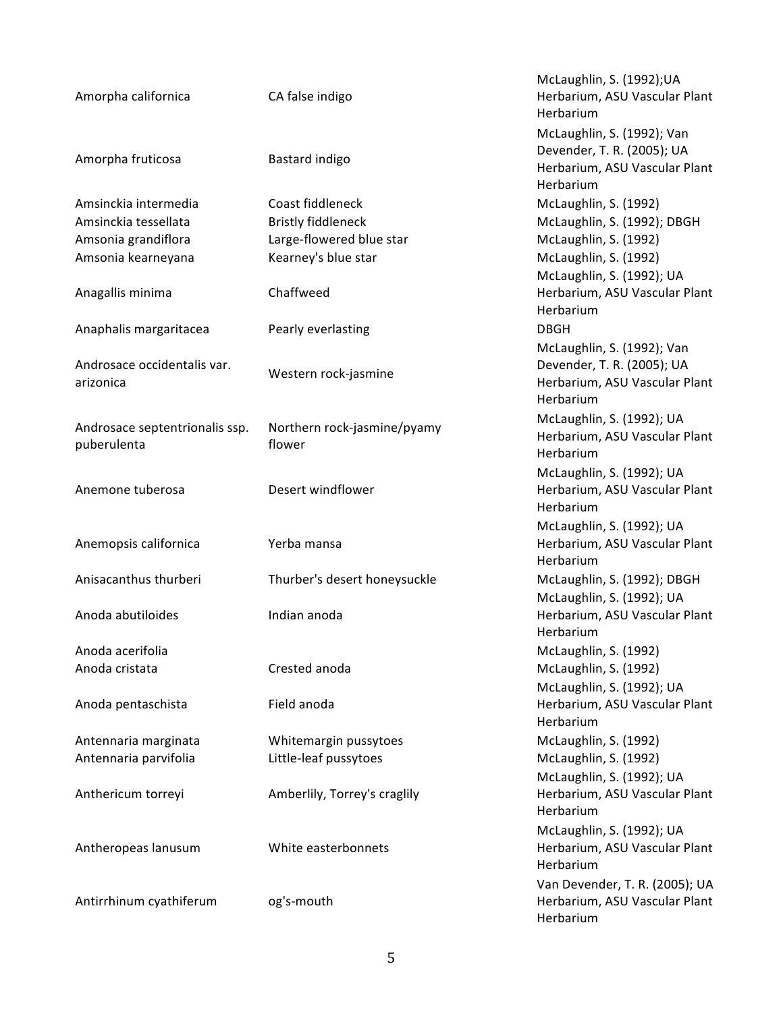| Amorpha californica                           | CA false indigo                       | McLaughlin, S. (1992); UA<br>Herbarium, ASU Vascular Plant<br>Herbarium                                |
|-----------------------------------------------|---------------------------------------|--------------------------------------------------------------------------------------------------------|
| Amorpha fruticosa                             | Bastard indigo                        | McLaughlin, S. (1992); Van<br>Devender, T. R. (2005); UA<br>Herbarium, ASU Vascular Plant<br>Herbarium |
| Amsinckia intermedia                          | Coast fiddleneck                      | McLaughlin, S. (1992)                                                                                  |
| Amsinckia tessellata                          | <b>Bristly fiddleneck</b>             | McLaughlin, S. (1992); DBGH                                                                            |
| Amsonia grandiflora                           | Large-flowered blue star              | McLaughlin, S. (1992)                                                                                  |
| Amsonia kearneyana                            | Kearney's blue star                   | McLaughlin, S. (1992)                                                                                  |
|                                               |                                       | McLaughlin, S. (1992); UA                                                                              |
| Anagallis minima                              | Chaffweed                             | Herbarium, ASU Vascular Plant<br>Herbarium                                                             |
| Anaphalis margaritacea                        | Pearly everlasting                    | <b>DBGH</b>                                                                                            |
|                                               |                                       | McLaughlin, S. (1992); Van                                                                             |
| Androsace occidentalis var.<br>arizonica      | Western rock-jasmine                  | Devender, T. R. (2005); UA<br>Herbarium, ASU Vascular Plant<br>Herbarium                               |
|                                               |                                       | McLaughlin, S. (1992); UA                                                                              |
| Androsace septentrionalis ssp.<br>puberulenta | Northern rock-jasmine/pyamy<br>flower | Herbarium, ASU Vascular Plant<br>Herbarium                                                             |
|                                               |                                       | McLaughlin, S. (1992); UA                                                                              |
| Anemone tuberosa                              | Desert windflower                     | Herbarium, ASU Vascular Plant<br>Herbarium                                                             |
|                                               |                                       | McLaughlin, S. (1992); UA                                                                              |
| Anemopsis californica                         | Yerba mansa                           | Herbarium, ASU Vascular Plant<br>Herbarium                                                             |
| Anisacanthus thurberi                         | Thurber's desert honeysuckle          | McLaughlin, S. (1992); DBGH<br>McLaughlin, S. (1992); UA                                               |
| Anoda abutiloides                             | Indian anoda                          | Herbarium, ASU Vascular Plant<br>Herbarium                                                             |
| Anoda acerifolia                              |                                       | McLaughlin, S. (1992)                                                                                  |
| Anoda cristata                                | Crested anoda                         | McLaughlin, S. (1992)                                                                                  |
|                                               |                                       | McLaughlin, S. (1992); UA                                                                              |
| Anoda pentaschista                            | Field anoda                           | Herbarium, ASU Vascular Plant<br>Herbarium                                                             |
| Antennaria marginata                          | Whitemargin pussytoes                 | McLaughlin, S. (1992)                                                                                  |
| Antennaria parvifolia                         | Little-leaf pussytoes                 | McLaughlin, S. (1992)                                                                                  |
|                                               |                                       | McLaughlin, S. (1992); UA                                                                              |
| Anthericum torreyi                            | Amberlily, Torrey's craglily          | Herbarium, ASU Vascular Plant<br>Herbarium                                                             |
| Antheropeas lanusum                           | White easterbonnets                   | McLaughlin, S. (1992); UA<br>Herbarium, ASU Vascular Plant<br>Herbarium                                |
| Antirrhinum cyathiferum                       | og's-mouth                            | Van Devender, T. R. (2005); UA<br>Herbarium, ASU Vascular Plant<br>Herbarium                           |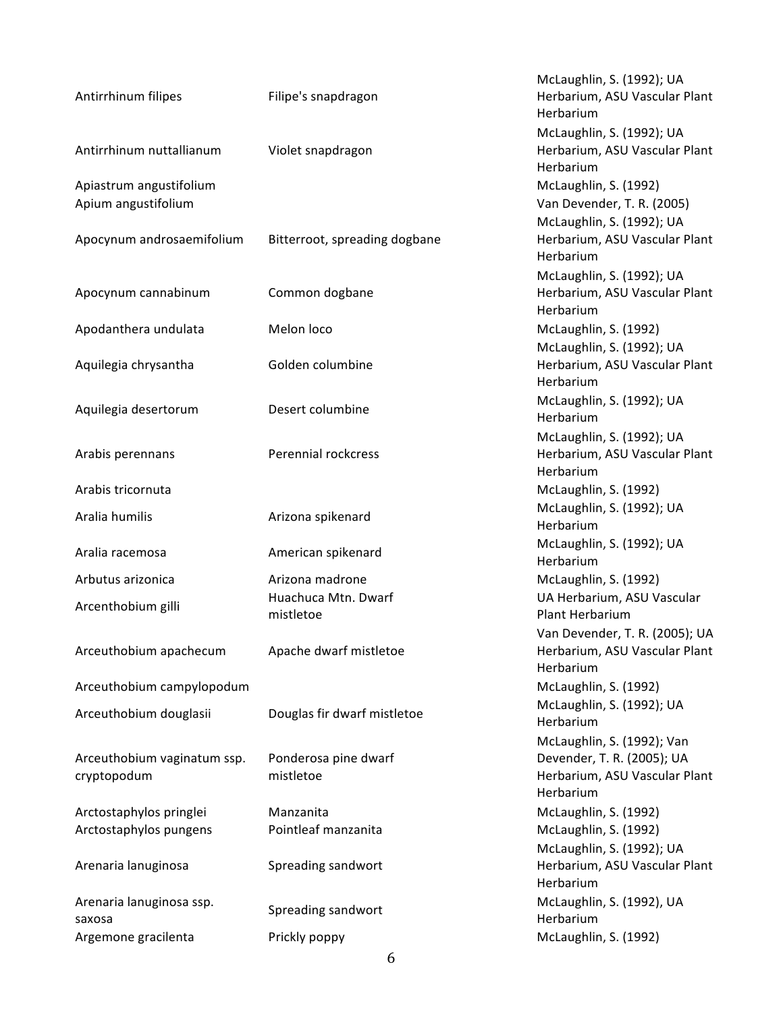| Antirrhinum filipes                            | Filipe's snapdragon               | McLaughlin, S. (1992); UA<br>Herbarium, ASU Vascular Plant<br>Herbarium                                |
|------------------------------------------------|-----------------------------------|--------------------------------------------------------------------------------------------------------|
| Antirrhinum nuttallianum                       | Violet snapdragon                 | McLaughlin, S. (1992); UA<br>Herbarium, ASU Vascular Plant<br>Herbarium                                |
| Apiastrum angustifolium<br>Apium angustifolium |                                   | McLaughlin, S. (1992)<br>Van Devender, T. R. (2005)<br>McLaughlin, S. (1992); UA                       |
| Apocynum androsaemifolium                      | Bitterroot, spreading dogbane     | Herbarium, ASU Vascular Plant<br>Herbarium                                                             |
| Apocynum cannabinum                            | Common dogbane                    | McLaughlin, S. (1992); UA<br>Herbarium, ASU Vascular Plant<br>Herbarium                                |
| Apodanthera undulata                           | Melon loco                        | McLaughlin, S. (1992)                                                                                  |
| Aquilegia chrysantha                           | Golden columbine                  | McLaughlin, S. (1992); UA<br>Herbarium, ASU Vascular Plant<br>Herbarium                                |
| Aquilegia desertorum                           | Desert columbine                  | McLaughlin, S. (1992); UA<br>Herbarium                                                                 |
| Arabis perennans                               | <b>Perennial rockcress</b>        | McLaughlin, S. (1992); UA<br>Herbarium, ASU Vascular Plant<br>Herbarium                                |
| Arabis tricornuta                              |                                   | McLaughlin, S. (1992)                                                                                  |
| Aralia humilis                                 | Arizona spikenard                 | McLaughlin, S. (1992); UA<br>Herbarium                                                                 |
| Aralia racemosa                                | American spikenard                | McLaughlin, S. (1992); UA<br>Herbarium                                                                 |
| Arbutus arizonica                              | Arizona madrone                   | McLaughlin, S. (1992)                                                                                  |
| Arcenthobium gilli                             | Huachuca Mtn. Dwarf<br>mistletoe  | UA Herbarium, ASU Vascular<br><b>Plant Herbarium</b>                                                   |
| Arceuthobium apachecum                         | Apache dwarf mistletoe            | Van Devender, T. R. (2005); UA<br>Herbarium, ASU Vascular Plant<br>Herbarium                           |
| Arceuthobium campylopodum                      |                                   | McLaughlin, S. (1992)                                                                                  |
| Arceuthobium douglasii                         | Douglas fir dwarf mistletoe       | McLaughlin, S. (1992); UA<br>Herbarium                                                                 |
| Arceuthobium vaginatum ssp.<br>cryptopodum     | Ponderosa pine dwarf<br>mistletoe | McLaughlin, S. (1992); Van<br>Devender, T. R. (2005); UA<br>Herbarium, ASU Vascular Plant<br>Herbarium |
| Arctostaphylos pringlei                        | Manzanita                         | McLaughlin, S. (1992)                                                                                  |
| Arctostaphylos pungens                         | Pointleaf manzanita               | McLaughlin, S. (1992)                                                                                  |
| Arenaria lanuginosa                            | Spreading sandwort                | McLaughlin, S. (1992); UA<br>Herbarium, ASU Vascular Plant<br>Herbarium                                |
| Arenaria lanuginosa ssp.<br>saxosa             | Spreading sandwort                | McLaughlin, S. (1992), UA<br>Herbarium                                                                 |
| Argemone gracilenta                            | Prickly poppy                     | McLaughlin, S. (1992)                                                                                  |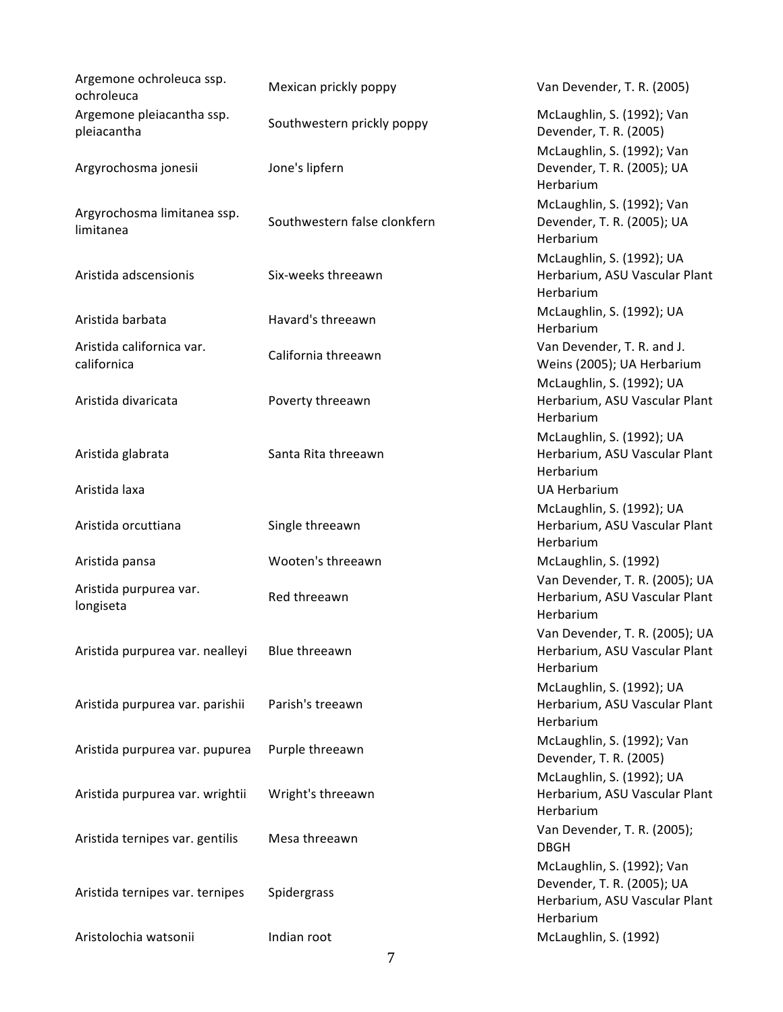| Argemone ochroleuca ssp.<br>ochroleuca   | Mexican prickly poppy        | Van Devender, T. R. (2005)                                                                             |
|------------------------------------------|------------------------------|--------------------------------------------------------------------------------------------------------|
| Argemone pleiacantha ssp.<br>pleiacantha | Southwestern prickly poppy   | McLaughlin, S. (1992); Van<br>Devender, T. R. (2005)                                                   |
| Argyrochosma jonesii                     | Jone's lipfern               | McLaughlin, S. (1992); Van<br>Devender, T. R. (2005); UA<br>Herbarium                                  |
| Argyrochosma limitanea ssp.<br>limitanea | Southwestern false clonkfern | McLaughlin, S. (1992); Van<br>Devender, T. R. (2005); UA<br>Herbarium                                  |
| Aristida adscensionis                    | Six-weeks threeawn           | McLaughlin, S. (1992); UA<br>Herbarium, ASU Vascular Plant<br>Herbarium                                |
| Aristida barbata                         | Havard's threeawn            | McLaughlin, S. (1992); UA<br>Herbarium                                                                 |
| Aristida californica var.<br>californica | California threeawn          | Van Devender, T. R. and J.<br>Weins (2005); UA Herbarium                                               |
| Aristida divaricata                      | Poverty threeawn             | McLaughlin, S. (1992); UA<br>Herbarium, ASU Vascular Plant<br>Herbarium                                |
| Aristida glabrata                        | Santa Rita threeawn          | McLaughlin, S. (1992); UA<br>Herbarium, ASU Vascular Plant<br>Herbarium                                |
| Aristida laxa                            |                              | <b>UA Herbarium</b>                                                                                    |
| Aristida orcuttiana                      | Single threeawn              | McLaughlin, S. (1992); UA<br>Herbarium, ASU Vascular Plant<br>Herbarium                                |
| Aristida pansa                           | Wooten's threeawn            | McLaughlin, S. (1992)                                                                                  |
| Aristida purpurea var.<br>longiseta      | Red threeawn                 | Van Devender, T. R. (2005); UA<br>Herbarium, ASU Vascular Plant<br>Herbarium                           |
| Aristida purpurea var. nealleyi          | Blue threeawn                | Van Devender, T. R. (2005); UA<br>Herbarium, ASU Vascular Plant<br>Herbarium                           |
| Aristida purpurea var. parishii          | Parish's treeawn             | McLaughlin, S. (1992); UA<br>Herbarium, ASU Vascular Plant<br>Herbarium                                |
| Aristida purpurea var. pupurea           | Purple threeawn              | McLaughlin, S. (1992); Van<br>Devender, T. R. (2005)                                                   |
| Aristida purpurea var. wrightii          | Wright's threeawn            | McLaughlin, S. (1992); UA<br>Herbarium, ASU Vascular Plant<br>Herbarium                                |
| Aristida ternipes var. gentilis          | Mesa threeawn                | Van Devender, T. R. (2005);<br><b>DBGH</b>                                                             |
| Aristida ternipes var. ternipes          | Spidergrass                  | McLaughlin, S. (1992); Van<br>Devender, T. R. (2005); UA<br>Herbarium, ASU Vascular Plant<br>Herbarium |
| Aristolochia watsonii                    | Indian root                  | McLaughlin, S. (1992)                                                                                  |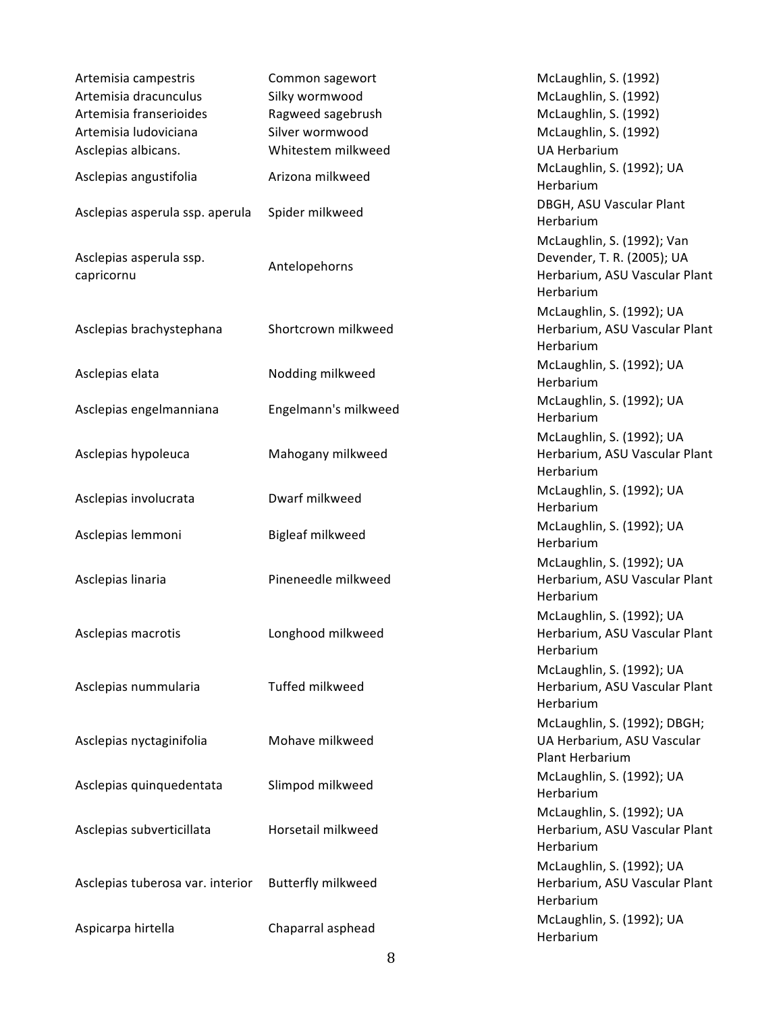| Artemisia campestris                  | Common sagewort      | McLaughlin, S. (1992)                                                         |
|---------------------------------------|----------------------|-------------------------------------------------------------------------------|
| Artemisia dracunculus                 | Silky wormwood       | McLaughlin, S. (1992)                                                         |
| Artemisia franserioides               | Ragweed sagebrush    | McLaughlin, S. (1992)                                                         |
| Artemisia ludoviciana                 | Silver wormwood      | McLaughlin, S. (1992)                                                         |
| Asclepias albicans.                   | Whitestem milkweed   | <b>UA Herbarium</b>                                                           |
| Asclepias angustifolia                | Arizona milkweed     | McLaughlin, S. (1992); UA<br>Herbarium                                        |
| Asclepias asperula ssp. aperula       | Spider milkweed      | DBGH, ASU Vascular Plant<br>Herbarium                                         |
|                                       |                      | McLaughlin, S. (1992); Van                                                    |
| Asclepias asperula ssp.<br>capricornu | Antelopehorns        | Devender, T. R. (2005); UA<br>Herbarium, ASU Vascular Plant<br>Herbarium      |
| Asclepias brachystephana              | Shortcrown milkweed  | McLaughlin, S. (1992); UA<br>Herbarium, ASU Vascular Plant<br>Herbarium       |
| Asclepias elata                       | Nodding milkweed     | McLaughlin, S. (1992); UA<br>Herbarium                                        |
| Asclepias engelmanniana               | Engelmann's milkweed | McLaughlin, S. (1992); UA<br>Herbarium                                        |
| Asclepias hypoleuca                   | Mahogany milkweed    | McLaughlin, S. (1992); UA<br>Herbarium, ASU Vascular Plant<br>Herbarium       |
| Asclepias involucrata                 | Dwarf milkweed       | McLaughlin, S. (1992); UA<br>Herbarium                                        |
| Asclepias lemmoni                     | Bigleaf milkweed     | McLaughlin, S. (1992); UA<br>Herbarium                                        |
| Asclepias linaria                     | Pineneedle milkweed  | McLaughlin, S. (1992); UA<br>Herbarium, ASU Vascular Plant<br>Herbarium       |
| Asclepias macrotis                    | Longhood milkweed    | McLaughlin, S. (1992); UA<br>Herbarium, ASU Vascular Plant<br>Herbarium       |
| Asclepias nummularia                  | Tuffed milkweed      | McLaughlin, S. (1992); UA<br>Herbarium, ASU Vascular Plant<br>Herbarium       |
| Asclepias nyctaginifolia              | Mohave milkweed      | McLaughlin, S. (1992); DBGH;<br>UA Herbarium, ASU Vascular<br>Plant Herbarium |
| Asclepias quinquedentata              | Slimpod milkweed     | McLaughlin, S. (1992); UA<br>Herbarium                                        |
| Asclepias subverticillata             | Horsetail milkweed   | McLaughlin, S. (1992); UA<br>Herbarium, ASU Vascular Plant<br>Herbarium       |
| Asclepias tuberosa var. interior      | Butterfly milkweed   | McLaughlin, S. (1992); UA<br>Herbarium, ASU Vascular Plant<br>Herbarium       |
| Aspicarpa hirtella                    | Chaparral asphead    | McLaughlin, S. (1992); UA<br>Herbarium                                        |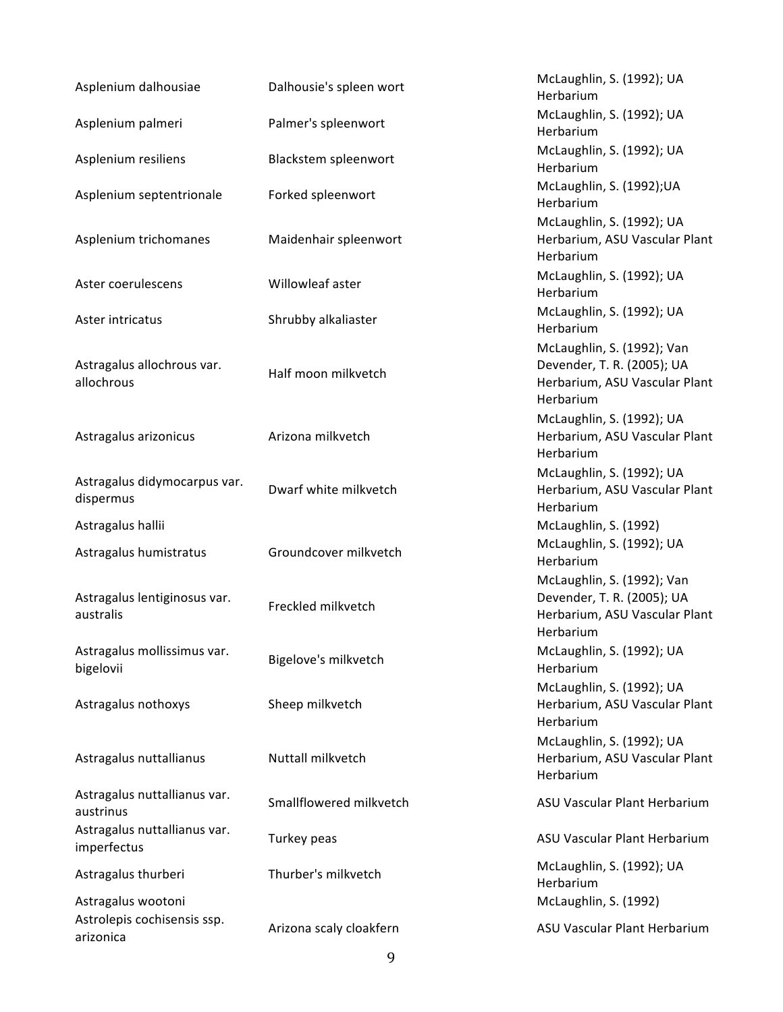| Asplenium dalhousiae                        | Dalhousie's spleen wort | McLaughlin, S. (1992); UA<br>Herbarium                                                                 |
|---------------------------------------------|-------------------------|--------------------------------------------------------------------------------------------------------|
| Asplenium palmeri                           | Palmer's spleenwort     | McLaughlin, S. (1992); UA<br>Herbarium                                                                 |
| Asplenium resiliens                         | Blackstem spleenwort    | McLaughlin, S. (1992); UA<br>Herbarium                                                                 |
| Asplenium septentrionale                    | Forked spleenwort       | McLaughlin, S. (1992); UA<br>Herbarium                                                                 |
| Asplenium trichomanes                       | Maidenhair spleenwort   | McLaughlin, S. (1992); UA<br>Herbarium, ASU Vascular Plant<br>Herbarium                                |
| Aster coerulescens                          | Willowleaf aster        | McLaughlin, S. (1992); UA<br>Herbarium                                                                 |
| Aster intricatus                            | Shrubby alkaliaster     | McLaughlin, S. (1992); UA<br>Herbarium                                                                 |
| Astragalus allochrous var.<br>allochrous    | Half moon milkvetch     | McLaughlin, S. (1992); Van<br>Devender, T. R. (2005); UA<br>Herbarium, ASU Vascular Plant<br>Herbarium |
| Astragalus arizonicus                       | Arizona milkvetch       | McLaughlin, S. (1992); UA<br>Herbarium, ASU Vascular Plant<br>Herbarium                                |
| Astragalus didymocarpus var.<br>dispermus   | Dwarf white milkvetch   | McLaughlin, S. (1992); UA<br>Herbarium, ASU Vascular Plant<br>Herbarium                                |
| Astragalus hallii                           |                         | McLaughlin, S. (1992)                                                                                  |
| Astragalus humistratus                      | Groundcover milkvetch   | McLaughlin, S. (1992); UA<br>Herbarium                                                                 |
| Astragalus lentiginosus var.<br>australis   | Freckled milkvetch      | McLaughlin, S. (1992); Van<br>Devender, T. R. (2005); UA<br>Herbarium, ASU Vascular Plant<br>Herbarium |
| Astragalus mollissimus var.<br>bigelovii    | Bigelove's milkvetch    | McLaughlin, S. (1992); UA<br>Herbarium                                                                 |
| Astragalus nothoxys                         | Sheep milkvetch         | McLaughlin, S. (1992); UA<br>Herbarium, ASU Vascular Plant<br>Herbarium                                |
| Astragalus nuttallianus                     | Nuttall milkvetch       | McLaughlin, S. (1992); UA<br>Herbarium, ASU Vascular Plant<br>Herbarium                                |
| Astragalus nuttallianus var.<br>austrinus   | Smallflowered milkvetch | ASU Vascular Plant Herbarium                                                                           |
| Astragalus nuttallianus var.<br>imperfectus | Turkey peas             | ASU Vascular Plant Herbarium                                                                           |
| Astragalus thurberi                         | Thurber's milkvetch     | McLaughlin, S. (1992); UA<br>Herbarium                                                                 |
| Astragalus wootoni                          |                         | McLaughlin, S. (1992)                                                                                  |
| Astrolepis cochisensis ssp.<br>arizonica    | Arizona scaly cloakfern | ASU Vascular Plant Herbarium                                                                           |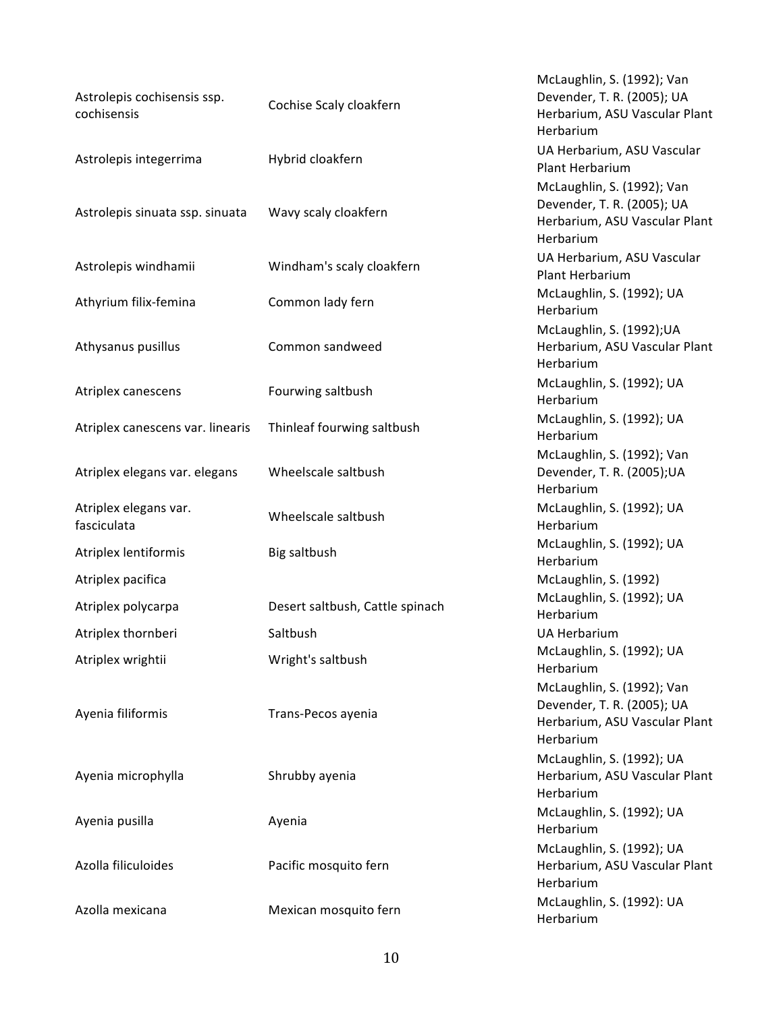| Astrolepis cochisensis ssp.<br>cochisensis | Cochise Scaly cloakfern         | McLaughlin, S. (1992); Van<br>Devender, T. R. (2005); UA<br>Herbarium, ASU Vascular Plant<br>Herbarium |
|--------------------------------------------|---------------------------------|--------------------------------------------------------------------------------------------------------|
| Astrolepis integerrima                     | Hybrid cloakfern                | UA Herbarium, ASU Vascular<br>Plant Herbarium                                                          |
| Astrolepis sinuata ssp. sinuata            | Wavy scaly cloakfern            | McLaughlin, S. (1992); Van<br>Devender, T. R. (2005); UA<br>Herbarium, ASU Vascular Plant<br>Herbarium |
| Astrolepis windhamii                       | Windham's scaly cloakfern       | UA Herbarium, ASU Vascular<br>Plant Herbarium                                                          |
| Athyrium filix-femina                      | Common lady fern                | McLaughlin, S. (1992); UA<br>Herbarium                                                                 |
| Athysanus pusillus                         | Common sandweed                 | McLaughlin, S. (1992); UA<br>Herbarium, ASU Vascular Plant<br>Herbarium                                |
| Atriplex canescens                         | Fourwing saltbush               | McLaughlin, S. (1992); UA<br>Herbarium                                                                 |
| Atriplex canescens var. linearis           | Thinleaf fourwing saltbush      | McLaughlin, S. (1992); UA<br>Herbarium                                                                 |
| Atriplex elegans var. elegans              | Wheelscale saltbush             | McLaughlin, S. (1992); Van<br>Devender, T. R. (2005); UA<br>Herbarium                                  |
| Atriplex elegans var.<br>fasciculata       | Wheelscale saltbush             | McLaughlin, S. (1992); UA<br>Herbarium                                                                 |
| Atriplex lentiformis                       | Big saltbush                    | McLaughlin, S. (1992); UA<br>Herbarium                                                                 |
| Atriplex pacifica                          |                                 | McLaughlin, S. (1992)                                                                                  |
| Atriplex polycarpa                         | Desert saltbush, Cattle spinach | McLaughlin, S. (1992); UA<br>Herbarium                                                                 |
| Atriplex thornberi                         | Saltbush                        | <b>UA Herbarium</b>                                                                                    |
| Atriplex wrightii                          | Wright's saltbush               | McLaughlin, S. (1992); UA<br>Herbarium                                                                 |
| Ayenia filiformis                          | Trans-Pecos ayenia              | McLaughlin, S. (1992); Van<br>Devender, T. R. (2005); UA<br>Herbarium, ASU Vascular Plant<br>Herbarium |
| Ayenia microphylla                         | Shrubby ayenia                  | McLaughlin, S. (1992); UA<br>Herbarium, ASU Vascular Plant<br>Herbarium                                |
| Ayenia pusilla                             | Ayenia                          | McLaughlin, S. (1992); UA<br>Herbarium                                                                 |
| Azolla filiculoides                        | Pacific mosquito fern           | McLaughlin, S. (1992); UA<br>Herbarium, ASU Vascular Plant<br>Herbarium                                |
| Azolla mexicana                            | Mexican mosquito fern           | McLaughlin, S. (1992): UA<br>Herbarium                                                                 |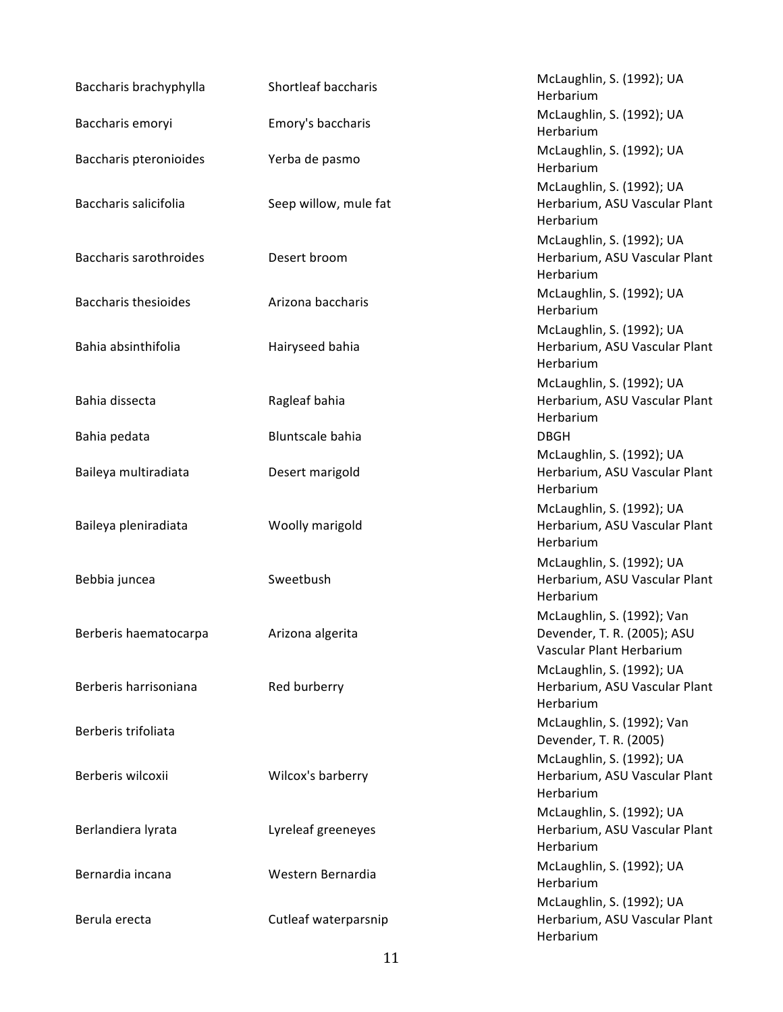| Baccharis brachyphylla        | Shortleaf baccharis   | McLaughlin, S. (1992); UA<br>Herbarium                                                |
|-------------------------------|-----------------------|---------------------------------------------------------------------------------------|
| Baccharis emoryi              | Emory's baccharis     | McLaughlin, S. (1992); UA<br>Herbarium                                                |
| Baccharis pteronioides        | Yerba de pasmo        | McLaughlin, S. (1992); UA<br>Herbarium                                                |
| Baccharis salicifolia         | Seep willow, mule fat | McLaughlin, S. (1992); UA<br>Herbarium, ASU Vascular Plant<br>Herbarium               |
| <b>Baccharis sarothroides</b> | Desert broom          | McLaughlin, S. (1992); UA<br>Herbarium, ASU Vascular Plant<br>Herbarium               |
| <b>Baccharis thesioides</b>   | Arizona baccharis     | McLaughlin, S. (1992); UA<br>Herbarium                                                |
| Bahia absinthifolia           | Hairyseed bahia       | McLaughlin, S. (1992); UA<br>Herbarium, ASU Vascular Plant<br>Herbarium               |
| Bahia dissecta                | Ragleaf bahia         | McLaughlin, S. (1992); UA<br>Herbarium, ASU Vascular Plant<br>Herbarium               |
| Bahia pedata                  | Bluntscale bahia      | <b>DBGH</b>                                                                           |
| Baileya multiradiata          | Desert marigold       | McLaughlin, S. (1992); UA<br>Herbarium, ASU Vascular Plant<br>Herbarium               |
| Baileya pleniradiata          | Woolly marigold       | McLaughlin, S. (1992); UA<br>Herbarium, ASU Vascular Plant<br>Herbarium               |
| Bebbia juncea                 | Sweetbush             | McLaughlin, S. (1992); UA<br>Herbarium, ASU Vascular Plant<br>Herbarium               |
| Berberis haematocarpa         | Arizona algerita      | McLaughlin, S. (1992); Van<br>Devender, T. R. (2005); ASU<br>Vascular Plant Herbarium |
| Berberis harrisoniana         | Red burberry          | McLaughlin, S. (1992); UA<br>Herbarium, ASU Vascular Plant<br>Herbarium               |
| Berberis trifoliata           |                       | McLaughlin, S. (1992); Van<br>Devender, T. R. (2005)                                  |
| Berberis wilcoxii             | Wilcox's barberry     | McLaughlin, S. (1992); UA<br>Herbarium, ASU Vascular Plant<br>Herbarium               |
| Berlandiera lyrata            | Lyreleaf greeneyes    | McLaughlin, S. (1992); UA<br>Herbarium, ASU Vascular Plant<br>Herbarium               |
| Bernardia incana              | Western Bernardia     | McLaughlin, S. (1992); UA<br>Herbarium                                                |
| Berula erecta                 | Cutleaf waterparsnip  | McLaughlin, S. (1992); UA<br>Herbarium, ASU Vascular Plant<br>Herbarium               |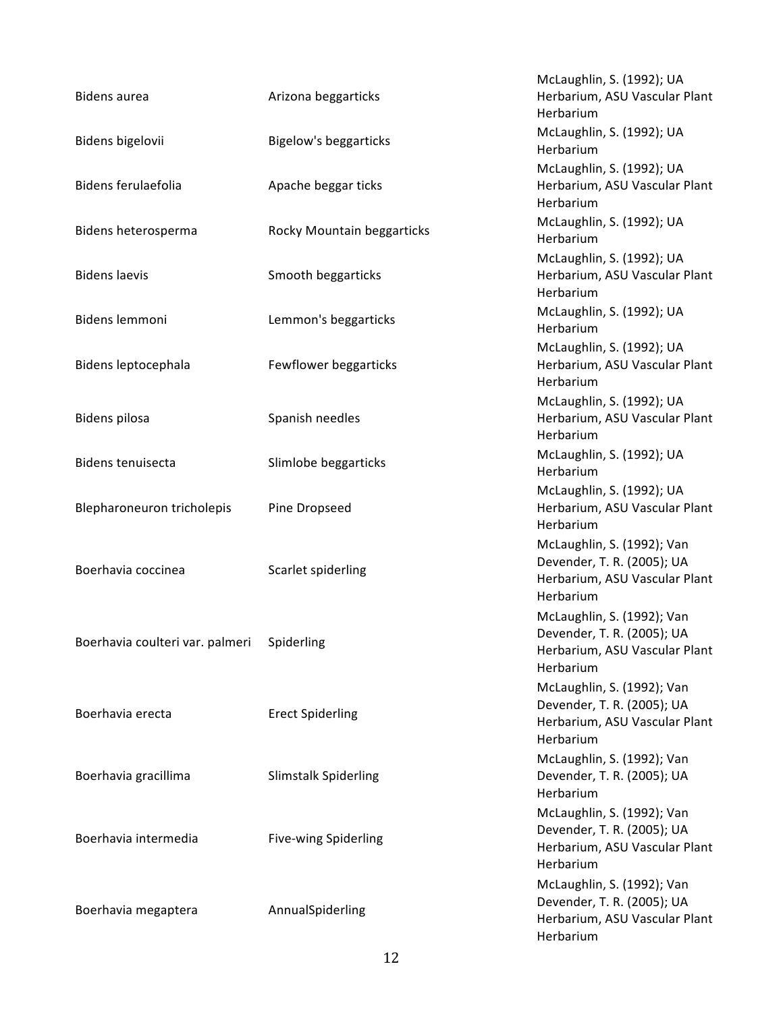| <b>Bidens aurea</b>             | Arizona beggarticks          | McLaughlin, S. (1992); UA<br>Herbarium, ASU Vascular Plant<br>Herbarium                                |
|---------------------------------|------------------------------|--------------------------------------------------------------------------------------------------------|
| Bidens bigelovii                | <b>Bigelow's beggarticks</b> | McLaughlin, S. (1992); UA<br>Herbarium                                                                 |
| <b>Bidens ferulaefolia</b>      | Apache beggar ticks          | McLaughlin, S. (1992); UA<br>Herbarium, ASU Vascular Plant<br>Herbarium                                |
| Bidens heterosperma             | Rocky Mountain beggarticks   | McLaughlin, S. (1992); UA<br>Herbarium                                                                 |
| <b>Bidens laevis</b>            | Smooth beggarticks           | McLaughlin, S. (1992); UA<br>Herbarium, ASU Vascular Plant<br>Herbarium                                |
| Bidens lemmoni                  | Lemmon's beggarticks         | McLaughlin, S. (1992); UA<br>Herbarium                                                                 |
| Bidens leptocephala             | Fewflower beggarticks        | McLaughlin, S. (1992); UA<br>Herbarium, ASU Vascular Plant<br>Herbarium                                |
| Bidens pilosa                   | Spanish needles              | McLaughlin, S. (1992); UA<br>Herbarium, ASU Vascular Plant<br>Herbarium                                |
| Bidens tenuisecta               | Slimlobe beggarticks         | McLaughlin, S. (1992); UA<br>Herbarium                                                                 |
| Blepharoneuron tricholepis      | Pine Dropseed                | McLaughlin, S. (1992); UA<br>Herbarium, ASU Vascular Plant<br>Herbarium                                |
| Boerhavia coccinea              | Scarlet spiderling           | McLaughlin, S. (1992); Van<br>Devender, T. R. (2005); UA<br>Herbarium, ASU Vascular Plant<br>Herbarium |
| Boerhavia coulteri var. palmeri | Spiderling                   | McLaughlin, S. (1992); Van<br>Devender, T. R. (2005); UA<br>Herbarium, ASU Vascular Plant<br>Herbarium |
| Boerhavia erecta                | <b>Erect Spiderling</b>      | McLaughlin, S. (1992); Van<br>Devender, T. R. (2005); UA<br>Herbarium, ASU Vascular Plant<br>Herbarium |
| Boerhavia gracillima            | <b>Slimstalk Spiderling</b>  | McLaughlin, S. (1992); Van<br>Devender, T. R. (2005); UA<br>Herbarium                                  |
| Boerhavia intermedia            | Five-wing Spiderling         | McLaughlin, S. (1992); Van<br>Devender, T. R. (2005); UA<br>Herbarium, ASU Vascular Plant<br>Herbarium |
| Boerhavia megaptera             | AnnualSpiderling             | McLaughlin, S. (1992); Van<br>Devender, T. R. (2005); UA<br>Herbarium, ASU Vascular Plant<br>Herbarium |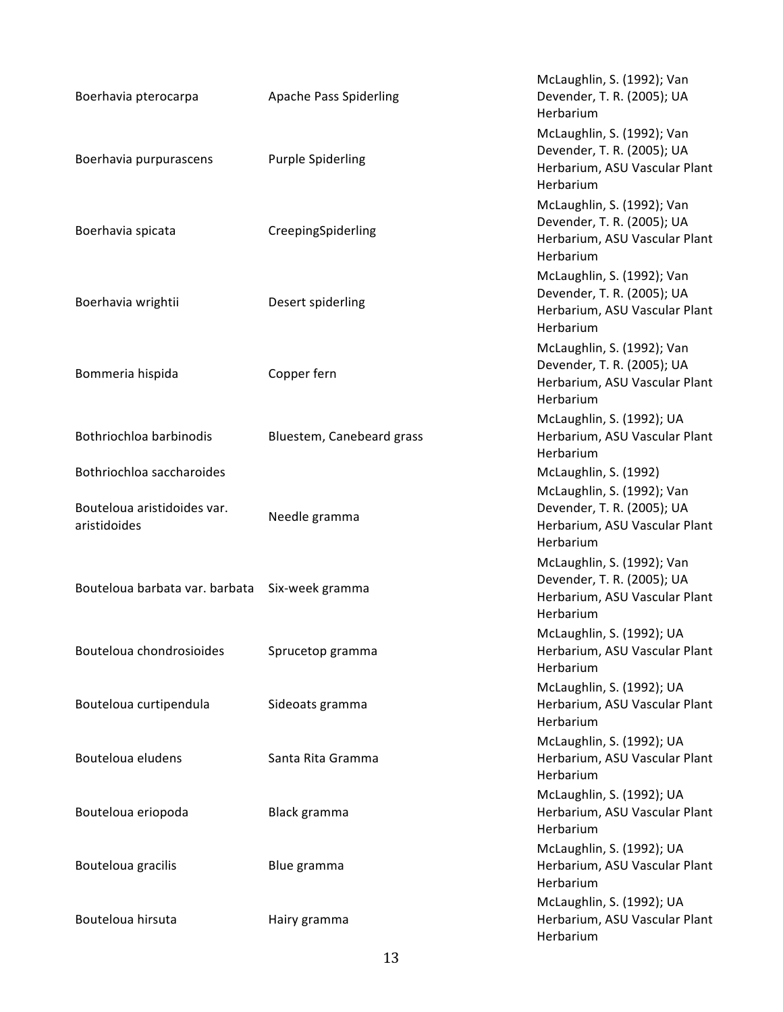| Boerhavia pterocarpa                        | <b>Apache Pass Spiderling</b> | McLaughlin, S. (1992); Van<br>Devender, T. R. (2005); UA<br>Herbarium                                  |
|---------------------------------------------|-------------------------------|--------------------------------------------------------------------------------------------------------|
| Boerhavia purpurascens                      | <b>Purple Spiderling</b>      | McLaughlin, S. (1992); Van<br>Devender, T. R. (2005); UA<br>Herbarium, ASU Vascular Plant<br>Herbarium |
| Boerhavia spicata                           | CreepingSpiderling            | McLaughlin, S. (1992); Van<br>Devender, T. R. (2005); UA<br>Herbarium, ASU Vascular Plant<br>Herbarium |
| Boerhavia wrightii                          | Desert spiderling             | McLaughlin, S. (1992); Van<br>Devender, T. R. (2005); UA<br>Herbarium, ASU Vascular Plant<br>Herbarium |
| Bommeria hispida                            | Copper fern                   | McLaughlin, S. (1992); Van<br>Devender, T. R. (2005); UA<br>Herbarium, ASU Vascular Plant<br>Herbarium |
| Bothriochloa barbinodis                     | Bluestem, Canebeard grass     | McLaughlin, S. (1992); UA<br>Herbarium, ASU Vascular Plant<br>Herbarium                                |
| Bothriochloa saccharoides                   |                               | McLaughlin, S. (1992)                                                                                  |
| Bouteloua aristidoides var.<br>aristidoides | Needle gramma                 | McLaughlin, S. (1992); Van<br>Devender, T. R. (2005); UA<br>Herbarium, ASU Vascular Plant<br>Herbarium |
| Bouteloua barbata var. barbata              | Six-week gramma               | McLaughlin, S. (1992); Van<br>Devender, T. R. (2005); UA<br>Herbarium, ASU Vascular Plant<br>Herbarium |
| Bouteloua chondrosioides                    | Sprucetop gramma              | McLaughlin, S. (1992); UA<br>Herbarium, ASU Vascular Plant<br>Herbarium                                |
| Bouteloua curtipendula                      | Sideoats gramma               | McLaughlin, S. (1992); UA<br>Herbarium, ASU Vascular Plant<br>Herbarium                                |
| Bouteloua eludens                           | Santa Rita Gramma             | McLaughlin, S. (1992); UA<br>Herbarium, ASU Vascular Plant<br>Herbarium                                |
| Bouteloua eriopoda                          | Black gramma                  | McLaughlin, S. (1992); UA<br>Herbarium, ASU Vascular Plant<br>Herbarium                                |
| Bouteloua gracilis                          | Blue gramma                   | McLaughlin, S. (1992); UA<br>Herbarium, ASU Vascular Plant<br>Herbarium                                |
| Bouteloua hirsuta                           | Hairy gramma                  | McLaughlin, S. (1992); UA<br>Herbarium, ASU Vascular Plant<br>Herbarium                                |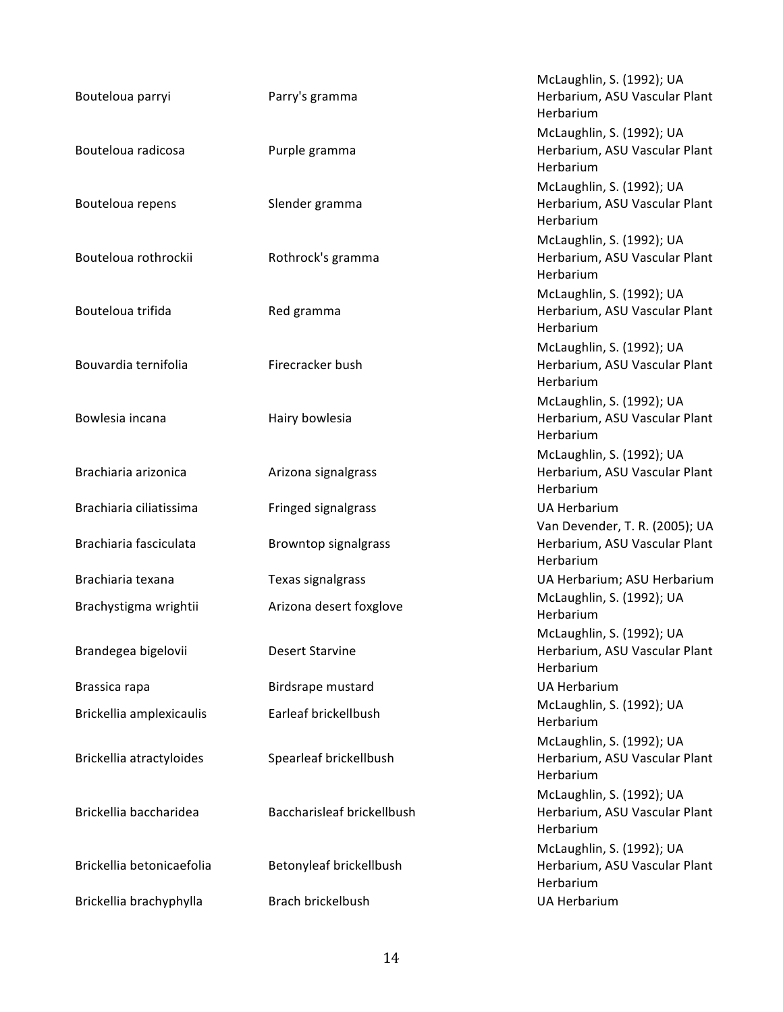| Bouteloua parryi          | Parry's gramma             | McLaughlin, S. (1992); UA<br>Herbarium, ASU Vascular Plant<br>Herbarium      |
|---------------------------|----------------------------|------------------------------------------------------------------------------|
| Bouteloua radicosa        | Purple gramma              | McLaughlin, S. (1992); UA<br>Herbarium, ASU Vascular Plant<br>Herbarium      |
| Bouteloua repens          | Slender gramma             | McLaughlin, S. (1992); UA<br>Herbarium, ASU Vascular Plant<br>Herbarium      |
| Bouteloua rothrockii      | Rothrock's gramma          | McLaughlin, S. (1992); UA<br>Herbarium, ASU Vascular Plant<br>Herbarium      |
| Bouteloua trifida         | Red gramma                 | McLaughlin, S. (1992); UA<br>Herbarium, ASU Vascular Plant<br>Herbarium      |
| Bouvardia ternifolia      | Firecracker bush           | McLaughlin, S. (1992); UA<br>Herbarium, ASU Vascular Plant<br>Herbarium      |
| Bowlesia incana           | Hairy bowlesia             | McLaughlin, S. (1992); UA<br>Herbarium, ASU Vascular Plant<br>Herbarium      |
| Brachiaria arizonica      | Arizona signalgrass        | McLaughlin, S. (1992); UA<br>Herbarium, ASU Vascular Plant<br>Herbarium      |
| Brachiaria ciliatissima   | Fringed signalgrass        | <b>UA Herbarium</b>                                                          |
| Brachiaria fasciculata    | Browntop signalgrass       | Van Devender, T. R. (2005); UA<br>Herbarium, ASU Vascular Plant<br>Herbarium |
| Brachiaria texana         | Texas signalgrass          | UA Herbarium; ASU Herbarium                                                  |
| Brachystigma wrightii     | Arizona desert foxglove    | McLaughlin, S. (1992); UA<br>Herbarium                                       |
| Brandegea bigelovii       | <b>Desert Starvine</b>     | McLaughlin, S. (1992); UA<br>Herbarium, ASU Vascular Plant<br>Herbarium      |
| Brassica rapa             | Birdsrape mustard          | <b>UA Herbarium</b>                                                          |
| Brickellia amplexicaulis  | Earleaf brickellbush       | McLaughlin, S. (1992); UA<br>Herbarium                                       |
| Brickellia atractyloides  | Spearleaf brickellbush     | McLaughlin, S. (1992); UA<br>Herbarium, ASU Vascular Plant<br>Herbarium      |
| Brickellia baccharidea    | Baccharisleaf brickellbush | McLaughlin, S. (1992); UA<br>Herbarium, ASU Vascular Plant<br>Herbarium      |
| Brickellia betonicaefolia | Betonyleaf brickellbush    | McLaughlin, S. (1992); UA<br>Herbarium, ASU Vascular Plant<br>Herbarium      |
| Brickellia brachyphylla   | Brach brickelbush          | <b>UA Herbarium</b>                                                          |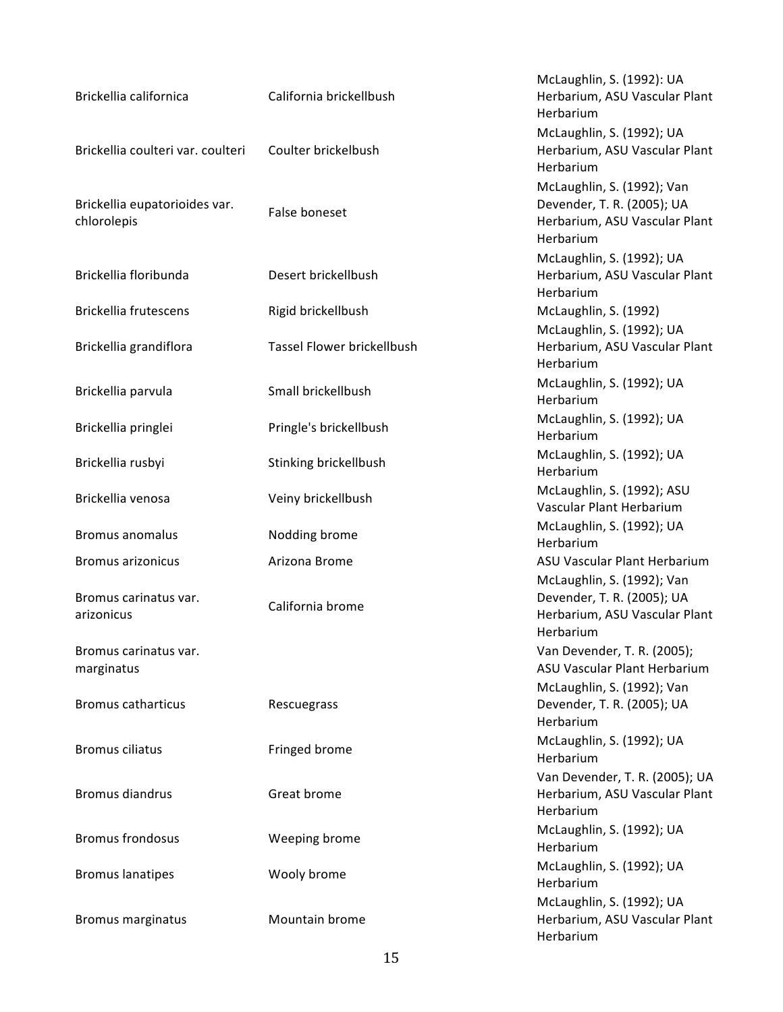| Brickellia californica                       | California brickellbush    | McLaughlin, S. (1992): UA<br>Herbarium, ASU Vascular Plant<br>Herbarium                                |
|----------------------------------------------|----------------------------|--------------------------------------------------------------------------------------------------------|
| Brickellia coulteri var. coulteri            | Coulter brickelbush        | McLaughlin, S. (1992); UA<br>Herbarium, ASU Vascular Plant<br>Herbarium                                |
| Brickellia eupatorioides var.<br>chlorolepis | False boneset              | McLaughlin, S. (1992); Van<br>Devender, T. R. (2005); UA<br>Herbarium, ASU Vascular Plant<br>Herbarium |
| Brickellia floribunda                        | Desert brickellbush        | McLaughlin, S. (1992); UA<br>Herbarium, ASU Vascular Plant<br>Herbarium                                |
| Brickellia frutescens                        | Rigid brickellbush         | McLaughlin, S. (1992)<br>McLaughlin, S. (1992); UA                                                     |
| Brickellia grandiflora                       | Tassel Flower brickellbush | Herbarium, ASU Vascular Plant<br>Herbarium                                                             |
| Brickellia parvula                           | Small brickellbush         | McLaughlin, S. (1992); UA<br>Herbarium                                                                 |
| Brickellia pringlei                          | Pringle's brickellbush     | McLaughlin, S. (1992); UA<br>Herbarium                                                                 |
| Brickellia rusbyi                            | Stinking brickellbush      | McLaughlin, S. (1992); UA<br>Herbarium                                                                 |
| Brickellia venosa                            | Veiny brickellbush         | McLaughlin, S. (1992); ASU<br>Vascular Plant Herbarium                                                 |
| <b>Bromus anomalus</b>                       | Nodding brome              | McLaughlin, S. (1992); UA<br>Herbarium                                                                 |
| <b>Bromus arizonicus</b>                     | Arizona Brome              | ASU Vascular Plant Herbarium                                                                           |
| Bromus carinatus var.<br>arizonicus          | California brome           | McLaughlin, S. (1992); Van<br>Devender, T. R. (2005); UA<br>Herbarium, ASU Vascular Plant<br>Herbarium |
| Bromus carinatus var.<br>marginatus          |                            | Van Devender, T. R. (2005);<br>ASU Vascular Plant Herbarium                                            |
| <b>Bromus catharticus</b>                    | Rescuegrass                | McLaughlin, S. (1992); Van<br>Devender, T. R. (2005); UA<br>Herbarium                                  |
| <b>Bromus ciliatus</b>                       | Fringed brome              | McLaughlin, S. (1992); UA<br>Herbarium                                                                 |
| <b>Bromus diandrus</b>                       | Great brome                | Van Devender, T. R. (2005); UA<br>Herbarium, ASU Vascular Plant<br>Herbarium                           |
| <b>Bromus frondosus</b>                      | Weeping brome              | McLaughlin, S. (1992); UA<br>Herbarium                                                                 |
| <b>Bromus lanatipes</b>                      | Wooly brome                | McLaughlin, S. (1992); UA<br>Herbarium                                                                 |
| <b>Bromus marginatus</b>                     | Mountain brome             | McLaughlin, S. (1992); UA<br>Herbarium, ASU Vascular Plant<br>Herbarium                                |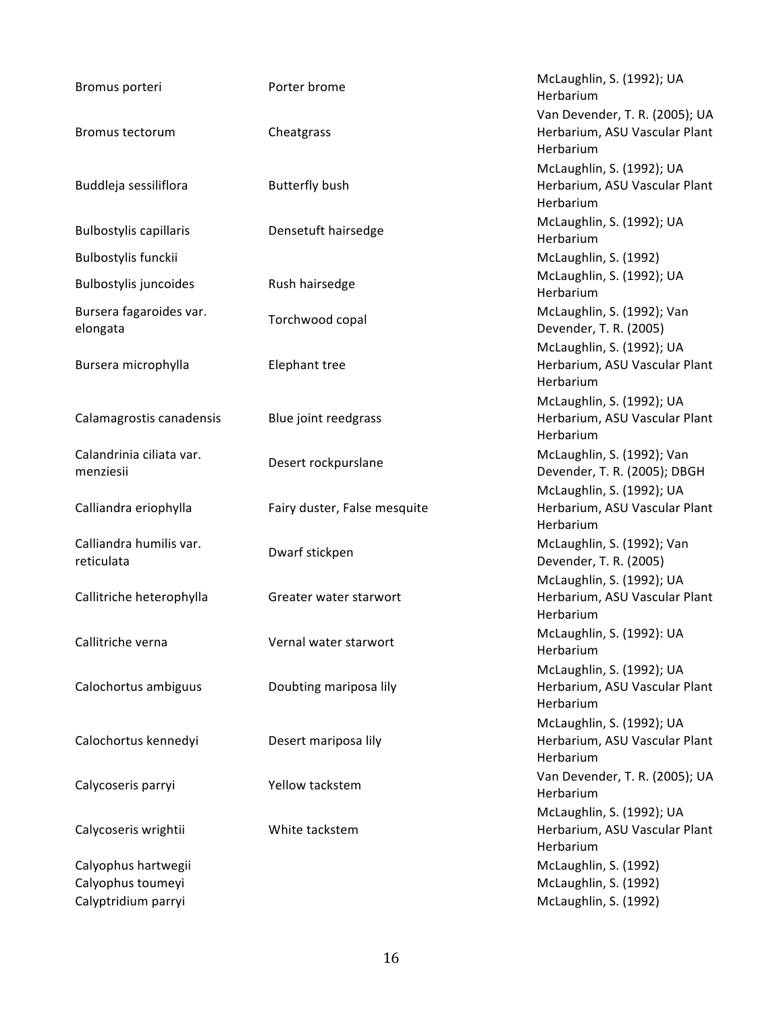| Bromus porteri                        | Porter brome                 | McLaughlin, S. (1992); UA<br>Herbarium                                  |
|---------------------------------------|------------------------------|-------------------------------------------------------------------------|
|                                       |                              | Van Devender, T. R. (2005); UA                                          |
| Bromus tectorum                       | Cheatgrass                   | Herbarium, ASU Vascular Plant<br>Herbarium                              |
|                                       |                              | McLaughlin, S. (1992); UA                                               |
| Buddleja sessiliflora                 | <b>Butterfly bush</b>        | Herbarium, ASU Vascular Plant<br>Herbarium                              |
| <b>Bulbostylis capillaris</b>         | Densetuft hairsedge          | McLaughlin, S. (1992); UA<br>Herbarium                                  |
| Bulbostylis funckii                   |                              | McLaughlin, S. (1992)                                                   |
| Bulbostylis juncoides                 | Rush hairsedge               | McLaughlin, S. (1992); UA<br>Herbarium                                  |
| Bursera fagaroides var.<br>elongata   | Torchwood copal              | McLaughlin, S. (1992); Van<br>Devender, T. R. (2005)                    |
| Bursera microphylla                   | <b>Elephant tree</b>         | McLaughlin, S. (1992); UA<br>Herbarium, ASU Vascular Plant<br>Herbarium |
|                                       |                              | McLaughlin, S. (1992); UA<br>Herbarium, ASU Vascular Plant              |
| Calamagrostis canadensis              | Blue joint reedgrass         | Herbarium                                                               |
| Calandrinia ciliata var.<br>menziesii | Desert rockpurslane          | McLaughlin, S. (1992); Van<br>Devender, T. R. (2005); DBGH              |
| Calliandra eriophylla                 | Fairy duster, False mesquite | McLaughlin, S. (1992); UA<br>Herbarium, ASU Vascular Plant<br>Herbarium |
| Calliandra humilis var.<br>reticulata | Dwarf stickpen               | McLaughlin, S. (1992); Van<br>Devender, T. R. (2005)                    |
| Callitriche heterophylla              | Greater water starwort       | McLaughlin, S. (1992); UA<br>Herbarium, ASU Vascular Plant<br>Herbarium |
| Callitriche verna                     | Vernal water starwort        | McLaughlin, S. (1992): UA<br>Herbarium                                  |
| Calochortus ambiguus                  | Doubting mariposa lily       | McLaughlin, S. (1992); UA<br>Herbarium, ASU Vascular Plant<br>Herbarium |
| Calochortus kennedyi                  | Desert mariposa lily         | McLaughlin, S. (1992); UA<br>Herbarium, ASU Vascular Plant<br>Herbarium |
| Calycoseris parryi                    | Yellow tackstem              | Van Devender, T. R. (2005); UA<br>Herbarium                             |
| Calycoseris wrightii                  | White tackstem               | McLaughlin, S. (1992); UA<br>Herbarium, ASU Vascular Plant<br>Herbarium |
| Calyophus hartwegii                   |                              | McLaughlin, S. (1992)                                                   |
| Calyophus toumeyi                     |                              | McLaughlin, S. (1992)                                                   |
| Calyptridium parryi                   |                              | McLaughlin, S. (1992)                                                   |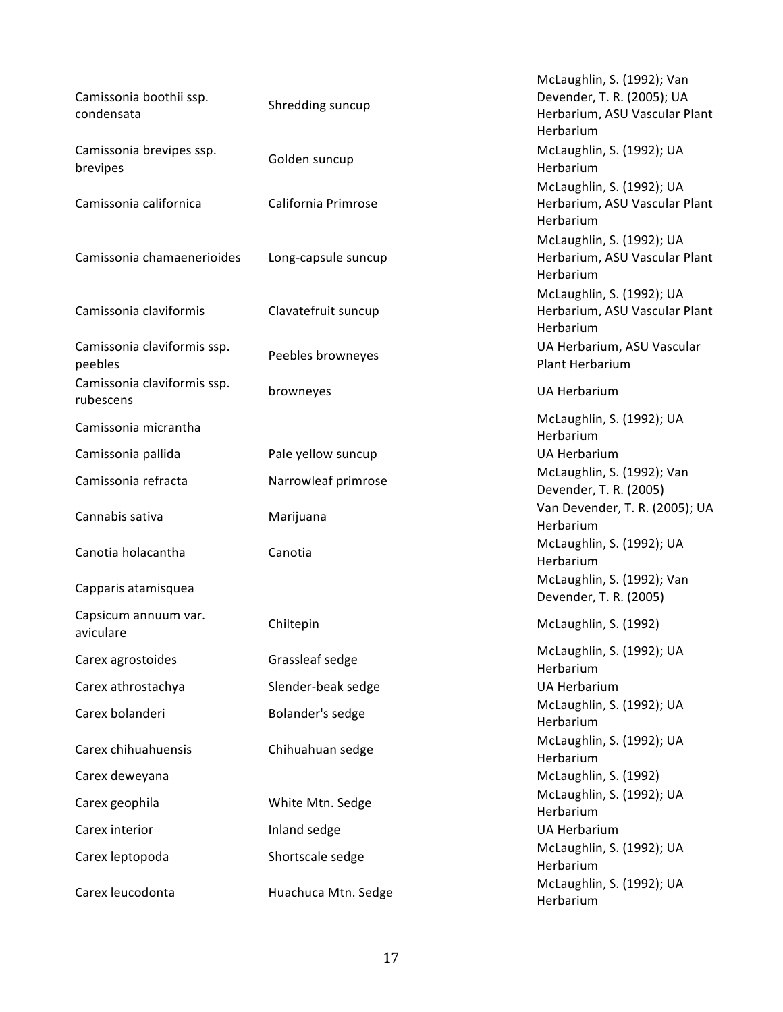| Camissonia boothii ssp.<br>condensata    | Shredding suncup    | McLaughlin, S. (1992); Van<br>Devender, T. R. (2005); UA<br>Herbarium, ASU Vascular Plant<br>Herbarium |
|------------------------------------------|---------------------|--------------------------------------------------------------------------------------------------------|
| Camissonia brevipes ssp.<br>brevipes     | Golden suncup       | McLaughlin, S. (1992); UA<br>Herbarium                                                                 |
| Camissonia californica                   | California Primrose | McLaughlin, S. (1992); UA<br>Herbarium, ASU Vascular Plant<br>Herbarium                                |
| Camissonia chamaenerioides               | Long-capsule suncup | McLaughlin, S. (1992); UA<br>Herbarium, ASU Vascular Plant<br>Herbarium                                |
| Camissonia claviformis                   | Clavatefruit suncup | McLaughlin, S. (1992); UA<br>Herbarium, ASU Vascular Plant<br>Herbarium                                |
| Camissonia claviformis ssp.<br>peebles   | Peebles browneyes   | UA Herbarium, ASU Vascular<br>Plant Herbarium                                                          |
| Camissonia claviformis ssp.<br>rubescens | browneyes           | <b>UA Herbarium</b>                                                                                    |
| Camissonia micrantha                     |                     | McLaughlin, S. (1992); UA<br>Herbarium                                                                 |
| Camissonia pallida                       | Pale yellow suncup  | <b>UA Herbarium</b>                                                                                    |
| Camissonia refracta                      | Narrowleaf primrose | McLaughlin, S. (1992); Van<br>Devender, T. R. (2005)                                                   |
| Cannabis sativa                          | Marijuana           | Van Devender, T. R. (2005); UA<br>Herbarium                                                            |
| Canotia holacantha                       | Canotia             | McLaughlin, S. (1992); UA<br>Herbarium                                                                 |
| Capparis atamisquea                      |                     | McLaughlin, S. (1992); Van<br>Devender, T. R. (2005)                                                   |
| Capsicum annuum var.<br>aviculare        | Chiltepin           | McLaughlin, S. (1992)                                                                                  |
| Carex agrostoides                        | Grassleaf sedge     | McLaughlin, S. (1992); UA<br>Herbarium                                                                 |
| Carex athrostachya                       | Slender-beak sedge  | <b>UA Herbarium</b>                                                                                    |
| Carex bolanderi                          | Bolander's sedge    | McLaughlin, S. (1992); UA<br>Herbarium                                                                 |
| Carex chihuahuensis                      | Chihuahuan sedge    | McLaughlin, S. (1992); UA<br>Herbarium                                                                 |
| Carex deweyana                           |                     | McLaughlin, S. (1992)                                                                                  |
| Carex geophila                           | White Mtn. Sedge    | McLaughlin, S. (1992); UA<br>Herbarium                                                                 |
| Carex interior                           | Inland sedge        | <b>UA Herbarium</b>                                                                                    |
| Carex leptopoda                          | Shortscale sedge    | McLaughlin, S. (1992); UA<br>Herbarium                                                                 |
| Carex leucodonta                         | Huachuca Mtn. Sedge | McLaughlin, S. (1992); UA<br>Herbarium                                                                 |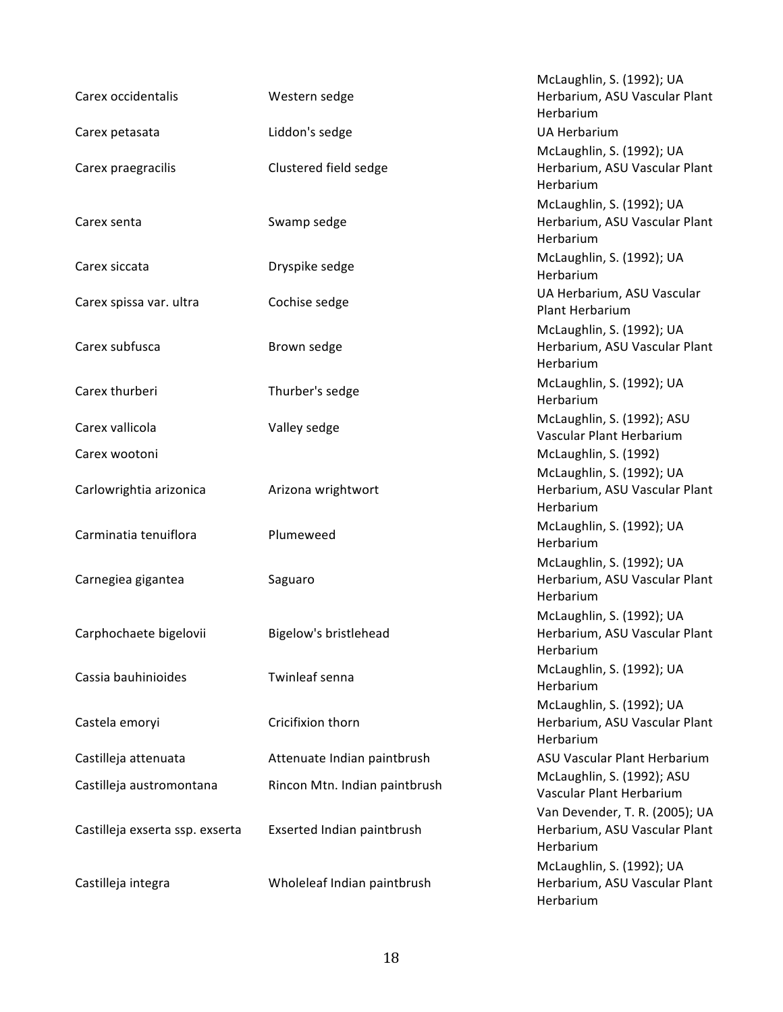|                                 |                               | McLaughlin, S. (1992); UA                                                    |
|---------------------------------|-------------------------------|------------------------------------------------------------------------------|
| Carex occidentalis              | Western sedge                 | Herbarium, ASU Vascular Plant<br>Herbarium                                   |
| Carex petasata                  | Liddon's sedge                | <b>UA Herbarium</b>                                                          |
| Carex praegracilis              | Clustered field sedge         | McLaughlin, S. (1992); UA<br>Herbarium, ASU Vascular Plant<br>Herbarium      |
| Carex senta                     | Swamp sedge                   | McLaughlin, S. (1992); UA<br>Herbarium, ASU Vascular Plant<br>Herbarium      |
| Carex siccata                   | Dryspike sedge                | McLaughlin, S. (1992); UA<br>Herbarium                                       |
| Carex spissa var. ultra         | Cochise sedge                 | UA Herbarium, ASU Vascular<br>Plant Herbarium                                |
| Carex subfusca                  | Brown sedge                   | McLaughlin, S. (1992); UA<br>Herbarium, ASU Vascular Plant<br>Herbarium      |
| Carex thurberi                  | Thurber's sedge               | McLaughlin, S. (1992); UA<br>Herbarium                                       |
| Carex vallicola                 | Valley sedge                  | McLaughlin, S. (1992); ASU<br>Vascular Plant Herbarium                       |
| Carex wootoni                   |                               | McLaughlin, S. (1992)                                                        |
| Carlowrightia arizonica         | Arizona wrightwort            | McLaughlin, S. (1992); UA<br>Herbarium, ASU Vascular Plant<br>Herbarium      |
| Carminatia tenuiflora           | Plumeweed                     | McLaughlin, S. (1992); UA<br>Herbarium                                       |
| Carnegiea gigantea              | Saguaro                       | McLaughlin, S. (1992); UA<br>Herbarium, ASU Vascular Plant<br>Herbarium      |
| Carphochaete bigelovii          | Bigelow's bristlehead         | McLaughlin, S. (1992); UA<br>Herbarium, ASU Vascular Plant<br>Herbarium      |
| Cassia bauhinioides             | Twinleaf senna                | McLaughlin, S. (1992); UA<br>Herbarium                                       |
| Castela emoryi                  | Cricifixion thorn             | McLaughlin, S. (1992); UA<br>Herbarium, ASU Vascular Plant<br>Herbarium      |
| Castilleja attenuata            | Attenuate Indian paintbrush   | ASU Vascular Plant Herbarium                                                 |
| Castilleja austromontana        | Rincon Mtn. Indian paintbrush | McLaughlin, S. (1992); ASU<br>Vascular Plant Herbarium                       |
| Castilleja exserta ssp. exserta | Exserted Indian paintbrush    | Van Devender, T. R. (2005); UA<br>Herbarium, ASU Vascular Plant<br>Herbarium |
| Castilleja integra              | Wholeleaf Indian paintbrush   | McLaughlin, S. (1992); UA<br>Herbarium, ASU Vascular Plant<br>Herbarium      |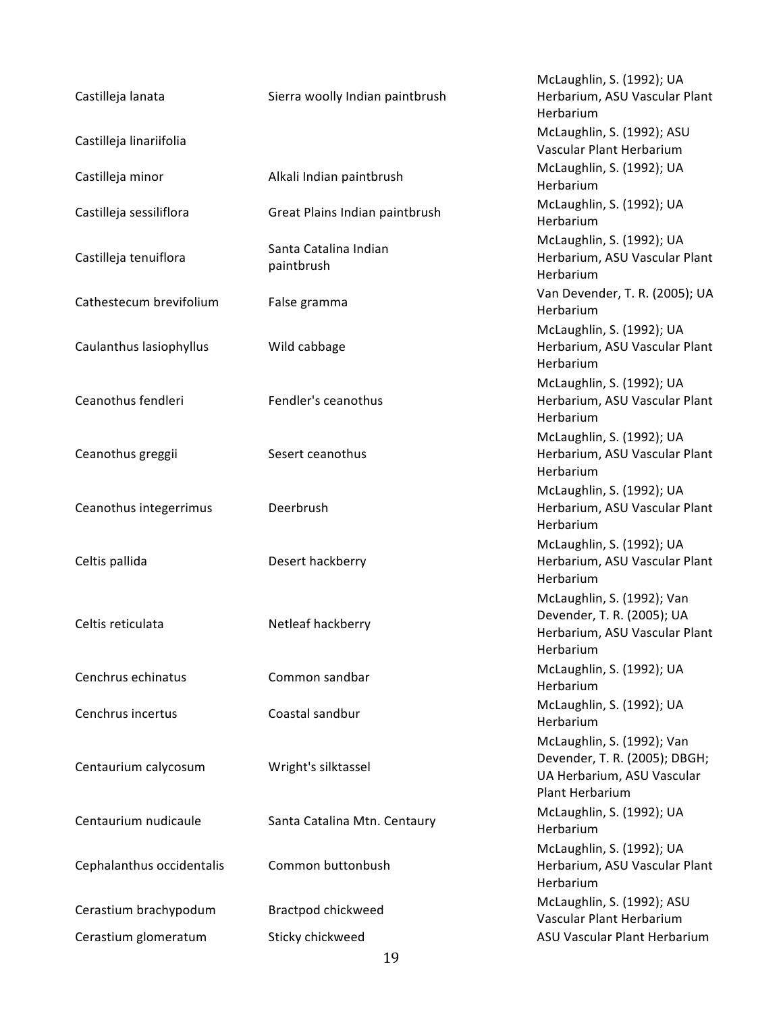| Castilleja lanata         | Sierra woolly Indian paintbrush     | McLaughlin, S. (1992); UA<br>Herbarium, ASU Vascular Plant<br>Herbarium                                      |
|---------------------------|-------------------------------------|--------------------------------------------------------------------------------------------------------------|
| Castilleja linariifolia   |                                     | McLaughlin, S. (1992); ASU<br>Vascular Plant Herbarium                                                       |
| Castilleja minor          | Alkali Indian paintbrush            | McLaughlin, S. (1992); UA<br>Herbarium                                                                       |
| Castilleja sessiliflora   | Great Plains Indian paintbrush      | McLaughlin, S. (1992); UA<br>Herbarium                                                                       |
| Castilleja tenuiflora     | Santa Catalina Indian<br>paintbrush | McLaughlin, S. (1992); UA<br>Herbarium, ASU Vascular Plant<br>Herbarium                                      |
| Cathestecum brevifolium   | False gramma                        | Van Devender, T. R. (2005); UA<br>Herbarium                                                                  |
| Caulanthus lasiophyllus   | Wild cabbage                        | McLaughlin, S. (1992); UA<br>Herbarium, ASU Vascular Plant<br>Herbarium                                      |
| Ceanothus fendleri        | Fendler's ceanothus                 | McLaughlin, S. (1992); UA<br>Herbarium, ASU Vascular Plant<br>Herbarium                                      |
| Ceanothus greggii         | Sesert ceanothus                    | McLaughlin, S. (1992); UA<br>Herbarium, ASU Vascular Plant<br>Herbarium                                      |
| Ceanothus integerrimus    | Deerbrush                           | McLaughlin, S. (1992); UA<br>Herbarium, ASU Vascular Plant<br>Herbarium                                      |
| Celtis pallida            | Desert hackberry                    | McLaughlin, S. (1992); UA<br>Herbarium, ASU Vascular Plant<br>Herbarium                                      |
| Celtis reticulata         | Netleaf hackberry                   | McLaughlin, S. (1992); Van<br>Devender, T. R. (2005); UA<br>Herbarium, ASU Vascular Plant<br>Herbarium       |
| Cenchrus echinatus        | Common sandbar                      | McLaughlin, S. (1992); UA<br>Herbarium                                                                       |
| Cenchrus incertus         | Coastal sandbur                     | McLaughlin, S. (1992); UA<br>Herbarium                                                                       |
| Centaurium calycosum      | Wright's silktassel                 | McLaughlin, S. (1992); Van<br>Devender, T. R. (2005); DBGH;<br>UA Herbarium, ASU Vascular<br>Plant Herbarium |
| Centaurium nudicaule      | Santa Catalina Mtn. Centaury        | McLaughlin, S. (1992); UA<br>Herbarium                                                                       |
| Cephalanthus occidentalis | Common buttonbush                   | McLaughlin, S. (1992); UA<br>Herbarium, ASU Vascular Plant<br>Herbarium                                      |
| Cerastium brachypodum     | Bractpod chickweed                  | McLaughlin, S. (1992); ASU<br>Vascular Plant Herbarium                                                       |
| Cerastium glomeratum      | Sticky chickweed                    | ASU Vascular Plant Herbarium                                                                                 |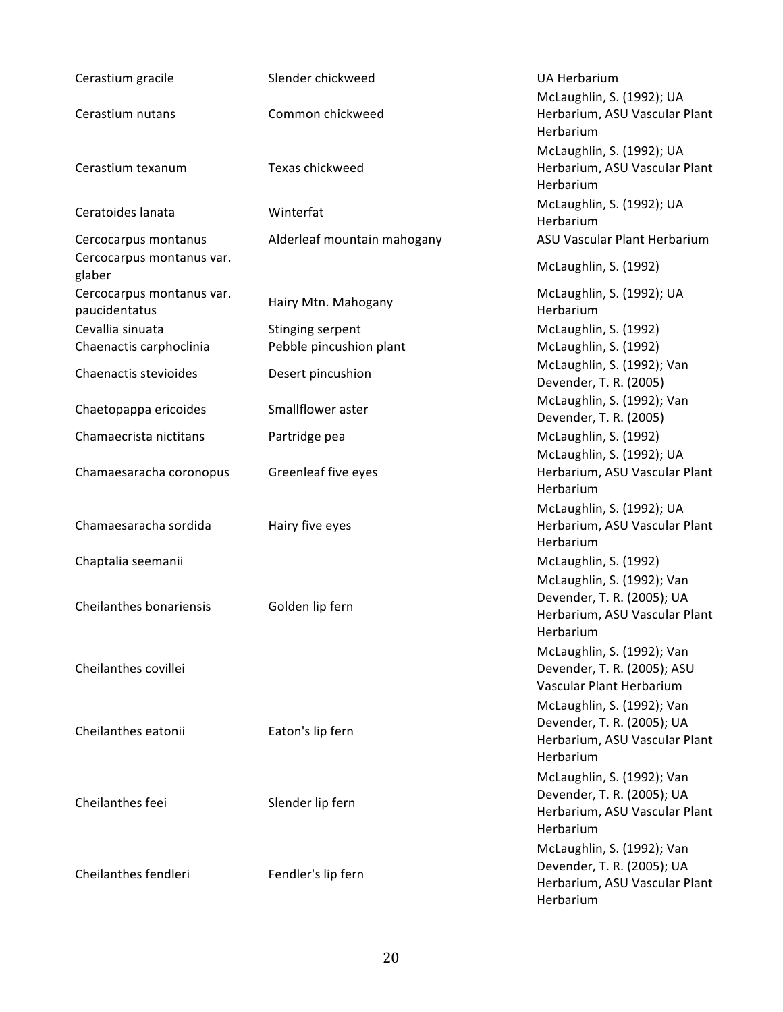| Cerastium gracile                                 | Slender chickweed           | <b>UA Herbarium</b><br>McLaughlin, S. (1992); UA                                                       |
|---------------------------------------------------|-----------------------------|--------------------------------------------------------------------------------------------------------|
| Cerastium nutans                                  | Common chickweed            | Herbarium, ASU Vascular Plant<br>Herbarium                                                             |
| Cerastium texanum                                 | Texas chickweed             | McLaughlin, S. (1992); UA<br>Herbarium, ASU Vascular Plant<br>Herbarium                                |
| Ceratoides lanata                                 | Winterfat                   | McLaughlin, S. (1992); UA<br>Herbarium                                                                 |
| Cercocarpus montanus<br>Cercocarpus montanus var. | Alderleaf mountain mahogany | ASU Vascular Plant Herbarium                                                                           |
| glaber                                            |                             | McLaughlin, S. (1992)                                                                                  |
| Cercocarpus montanus var.<br>paucidentatus        | Hairy Mtn. Mahogany         | McLaughlin, S. (1992); UA<br>Herbarium                                                                 |
| Cevallia sinuata                                  | Stinging serpent            | McLaughlin, S. (1992)                                                                                  |
| Chaenactis carphoclinia                           | Pebble pincushion plant     | McLaughlin, S. (1992)                                                                                  |
| Chaenactis stevioides                             | Desert pincushion           | McLaughlin, S. (1992); Van<br>Devender, T. R. (2005)                                                   |
| Chaetopappa ericoides                             | Smallflower aster           | McLaughlin, S. (1992); Van<br>Devender, T. R. (2005)                                                   |
| Chamaecrista nictitans                            | Partridge pea               | McLaughlin, S. (1992)                                                                                  |
| Chamaesaracha coronopus                           | Greenleaf five eyes         | McLaughlin, S. (1992); UA<br>Herbarium, ASU Vascular Plant<br>Herbarium                                |
| Chamaesaracha sordida                             | Hairy five eyes             | McLaughlin, S. (1992); UA<br>Herbarium, ASU Vascular Plant<br>Herbarium                                |
| Chaptalia seemanii                                |                             | McLaughlin, S. (1992)                                                                                  |
| Cheilanthes bonariensis                           | Golden lip fern             | McLaughlin, S. (1992); Van<br>Devender, T. R. (2005); UA<br>Herbarium, ASU Vascular Plant<br>Herbarium |
| Cheilanthes covillei                              |                             | McLaughlin, S. (1992); Van<br>Devender, T. R. (2005); ASU<br>Vascular Plant Herbarium                  |
| Cheilanthes eatonii                               | Eaton's lip fern            | McLaughlin, S. (1992); Van<br>Devender, T. R. (2005); UA<br>Herbarium, ASU Vascular Plant<br>Herbarium |
| Cheilanthes feei                                  | Slender lip fern            | McLaughlin, S. (1992); Van<br>Devender, T. R. (2005); UA<br>Herbarium, ASU Vascular Plant<br>Herbarium |
| Cheilanthes fendleri                              | Fendler's lip fern          | McLaughlin, S. (1992); Van<br>Devender, T. R. (2005); UA<br>Herbarium, ASU Vascular Plant<br>Herbarium |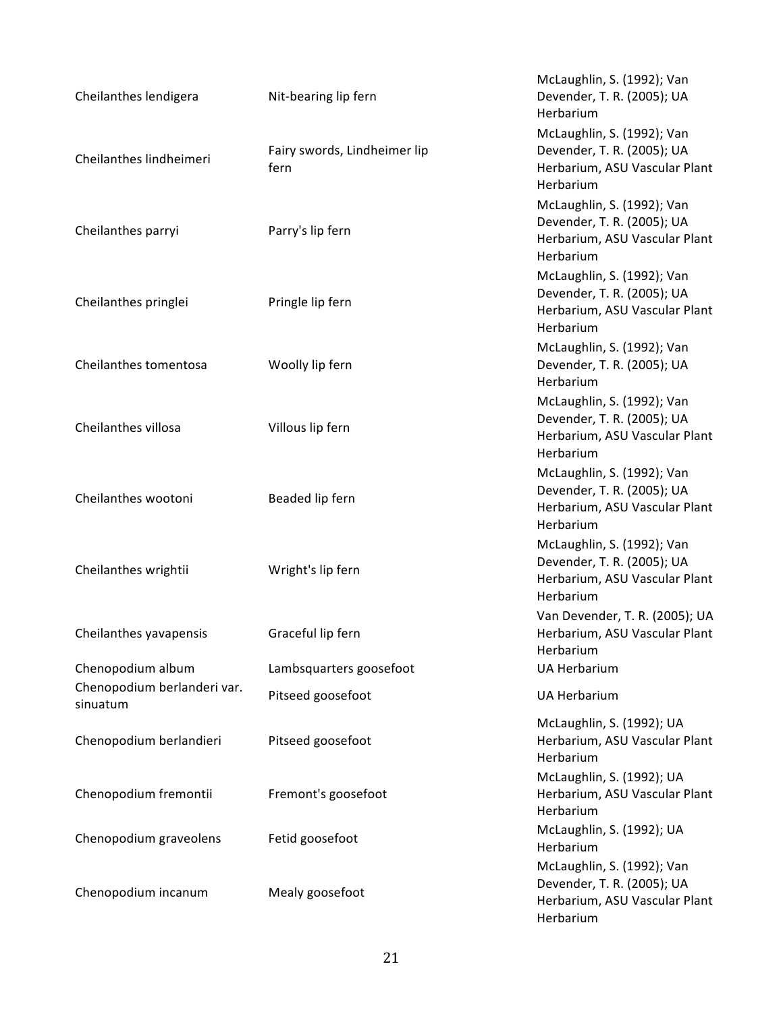| Cheilanthes lendigera                   | Nit-bearing lip fern                 | McLaughlin, S. (1992); Van<br>Devender, T. R. (2005); UA<br>Herbarium                                  |
|-----------------------------------------|--------------------------------------|--------------------------------------------------------------------------------------------------------|
| Cheilanthes lindheimeri                 | Fairy swords, Lindheimer lip<br>fern | McLaughlin, S. (1992); Van<br>Devender, T. R. (2005); UA<br>Herbarium, ASU Vascular Plant<br>Herbarium |
| Cheilanthes parryi                      | Parry's lip fern                     | McLaughlin, S. (1992); Van<br>Devender, T. R. (2005); UA<br>Herbarium, ASU Vascular Plant<br>Herbarium |
| Cheilanthes pringlei                    | Pringle lip fern                     | McLaughlin, S. (1992); Van<br>Devender, T. R. (2005); UA<br>Herbarium, ASU Vascular Plant<br>Herbarium |
| Cheilanthes tomentosa                   | Woolly lip fern                      | McLaughlin, S. (1992); Van<br>Devender, T. R. (2005); UA<br>Herbarium                                  |
| Cheilanthes villosa                     | Villous lip fern                     | McLaughlin, S. (1992); Van<br>Devender, T. R. (2005); UA<br>Herbarium, ASU Vascular Plant<br>Herbarium |
| Cheilanthes wootoni                     | Beaded lip fern                      | McLaughlin, S. (1992); Van<br>Devender, T. R. (2005); UA<br>Herbarium, ASU Vascular Plant<br>Herbarium |
| Cheilanthes wrightii                    | Wright's lip fern                    | McLaughlin, S. (1992); Van<br>Devender, T. R. (2005); UA<br>Herbarium, ASU Vascular Plant<br>Herbarium |
| Cheilanthes yavapensis                  | Graceful lip fern                    | Van Devender, T. R. (2005); UA<br>Herbarium, ASU Vascular Plant<br>Herbarium                           |
| Chenopodium album                       | Lambsquarters goosefoot              | <b>UA Herbarium</b>                                                                                    |
| Chenopodium berlanderi var.<br>sinuatum | Pitseed goosefoot                    | <b>UA Herbarium</b>                                                                                    |
| Chenopodium berlandieri                 | Pitseed goosefoot                    | McLaughlin, S. (1992); UA<br>Herbarium, ASU Vascular Plant<br>Herbarium                                |
| Chenopodium fremontii                   | Fremont's goosefoot                  | McLaughlin, S. (1992); UA<br>Herbarium, ASU Vascular Plant<br>Herbarium                                |
| Chenopodium graveolens                  | Fetid goosefoot                      | McLaughlin, S. (1992); UA<br>Herbarium                                                                 |
| Chenopodium incanum                     | Mealy goosefoot                      | McLaughlin, S. (1992); Van<br>Devender, T. R. (2005); UA<br>Herbarium, ASU Vascular Plant<br>Herbarium |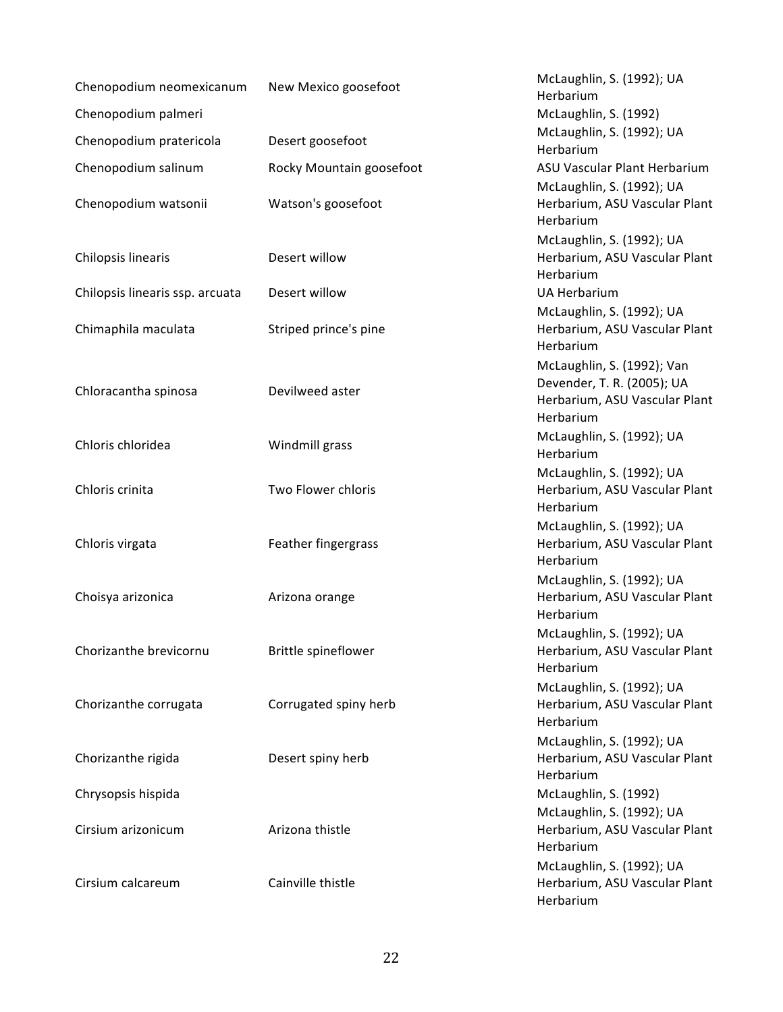| Chenopodium neomexicanum        | New Mexico goosefoot     | McLaughlin, S. (1992); UA<br>Herbarium                                                                 |
|---------------------------------|--------------------------|--------------------------------------------------------------------------------------------------------|
| Chenopodium palmeri             |                          | McLaughlin, S. (1992)                                                                                  |
| Chenopodium pratericola         | Desert goosefoot         | McLaughlin, S. (1992); UA<br>Herbarium                                                                 |
| Chenopodium salinum             | Rocky Mountain goosefoot | ASU Vascular Plant Herbarium<br>McLaughlin, S. (1992); UA                                              |
| Chenopodium watsonii            | Watson's goosefoot       | Herbarium, ASU Vascular Plant<br>Herbarium                                                             |
|                                 |                          | McLaughlin, S. (1992); UA                                                                              |
| Chilopsis linearis              | Desert willow            | Herbarium, ASU Vascular Plant<br>Herbarium                                                             |
| Chilopsis linearis ssp. arcuata | Desert willow            | <b>UA Herbarium</b>                                                                                    |
| Chimaphila maculata             | Striped prince's pine    | McLaughlin, S. (1992); UA<br>Herbarium, ASU Vascular Plant<br>Herbarium                                |
| Chloracantha spinosa            | Devilweed aster          | McLaughlin, S. (1992); Van<br>Devender, T. R. (2005); UA<br>Herbarium, ASU Vascular Plant<br>Herbarium |
| Chloris chloridea               | Windmill grass           | McLaughlin, S. (1992); UA<br>Herbarium                                                                 |
| Chloris crinita                 | Two Flower chloris       | McLaughlin, S. (1992); UA<br>Herbarium, ASU Vascular Plant<br>Herbarium                                |
| Chloris virgata                 | Feather fingergrass      | McLaughlin, S. (1992); UA<br>Herbarium, ASU Vascular Plant<br>Herbarium                                |
| Choisya arizonica               | Arizona orange           | McLaughlin, S. (1992); UA<br>Herbarium, ASU Vascular Plant<br>Herbarium                                |
| Chorizanthe brevicornu          | Brittle spineflower      | McLaughlin, S. (1992); UA<br>Herbarium, ASU Vascular Plant<br>Herbarium                                |
| Chorizanthe corrugata           | Corrugated spiny herb    | McLaughlin, S. (1992); UA<br>Herbarium, ASU Vascular Plant<br>Herbarium                                |
| Chorizanthe rigida              | Desert spiny herb        | McLaughlin, S. (1992); UA<br>Herbarium, ASU Vascular Plant<br>Herbarium                                |
| Chrysopsis hispida              |                          | McLaughlin, S. (1992)                                                                                  |
| Cirsium arizonicum              | Arizona thistle          | McLaughlin, S. (1992); UA<br>Herbarium, ASU Vascular Plant<br>Herbarium                                |
| Cirsium calcareum               | Cainville thistle        | McLaughlin, S. (1992); UA<br>Herbarium, ASU Vascular Plant<br>Herbarium                                |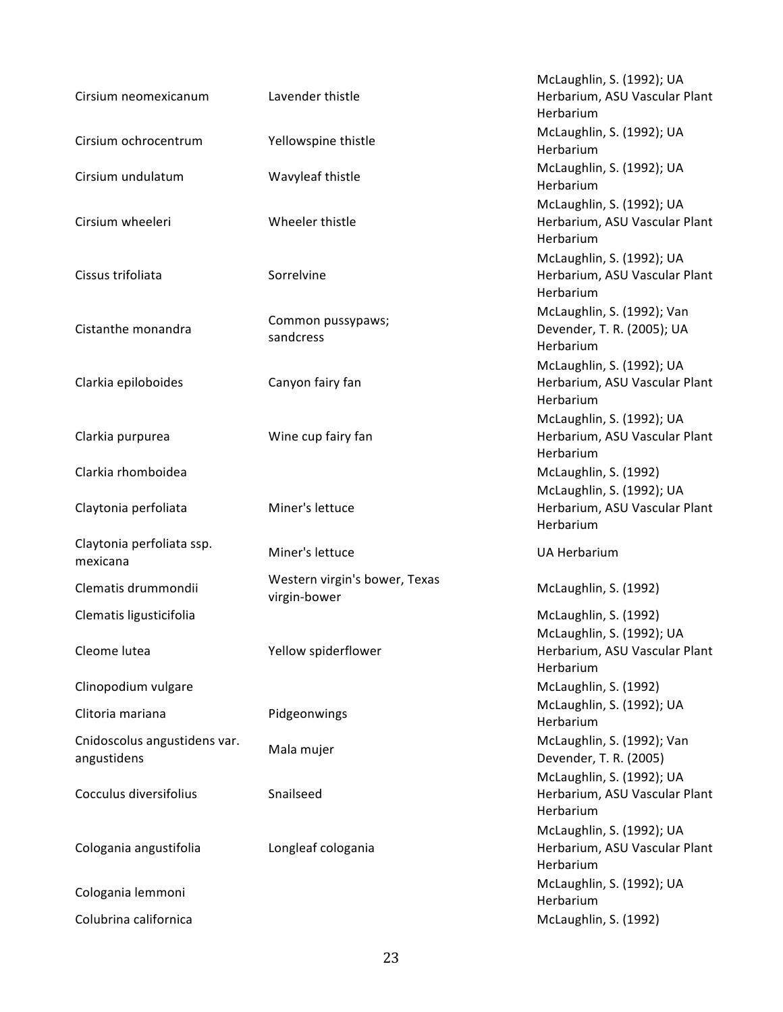| Cirsium neomexicanum                        | Lavender thistle                              | McLaughlin, S. (1992); UA<br>Herbarium, ASU Vascular Plant<br>Herbarium |
|---------------------------------------------|-----------------------------------------------|-------------------------------------------------------------------------|
| Cirsium ochrocentrum                        | Yellowspine thistle                           | McLaughlin, S. (1992); UA<br>Herbarium                                  |
| Cirsium undulatum                           | Wavyleaf thistle                              | McLaughlin, S. (1992); UA<br>Herbarium                                  |
| Cirsium wheeleri                            | Wheeler thistle                               | McLaughlin, S. (1992); UA<br>Herbarium, ASU Vascular Plant<br>Herbarium |
| Cissus trifoliata                           | Sorrelvine                                    | McLaughlin, S. (1992); UA<br>Herbarium, ASU Vascular Plant<br>Herbarium |
| Cistanthe monandra                          | Common pussypaws;<br>sandcress                | McLaughlin, S. (1992); Van<br>Devender, T. R. (2005); UA<br>Herbarium   |
| Clarkia epiloboides                         | Canyon fairy fan                              | McLaughlin, S. (1992); UA<br>Herbarium, ASU Vascular Plant<br>Herbarium |
| Clarkia purpurea                            | Wine cup fairy fan                            | McLaughlin, S. (1992); UA<br>Herbarium, ASU Vascular Plant<br>Herbarium |
| Clarkia rhomboidea                          |                                               | McLaughlin, S. (1992)                                                   |
| Claytonia perfoliata                        | Miner's lettuce                               | McLaughlin, S. (1992); UA<br>Herbarium, ASU Vascular Plant<br>Herbarium |
| Claytonia perfoliata ssp.<br>mexicana       | Miner's lettuce                               | <b>UA Herbarium</b>                                                     |
| Clematis drummondii                         | Western virgin's bower, Texas<br>virgin-bower | McLaughlin, S. (1992)                                                   |
| Clematis ligusticifolia                     |                                               | McLaughlin, S. (1992)                                                   |
| Cleome lutea                                | Yellow spiderflower                           | McLaughlin, S. (1992); UA<br>Herbarium, ASU Vascular Plant<br>Herbarium |
| Clinopodium vulgare                         |                                               | McLaughlin, S. (1992)                                                   |
| Clitoria mariana                            | Pidgeonwings                                  | McLaughlin, S. (1992); UA<br>Herbarium                                  |
| Cnidoscolus angustidens var.<br>angustidens |                                               |                                                                         |
|                                             | Mala mujer                                    | McLaughlin, S. (1992); Van<br>Devender, T. R. (2005)                    |
| Cocculus diversifolius                      | Snailseed                                     | McLaughlin, S. (1992); UA<br>Herbarium, ASU Vascular Plant<br>Herbarium |
| Cologania angustifolia                      | Longleaf cologania                            | McLaughlin, S. (1992); UA<br>Herbarium, ASU Vascular Plant<br>Herbarium |
| Cologania lemmoni                           |                                               | McLaughlin, S. (1992); UA<br>Herbarium                                  |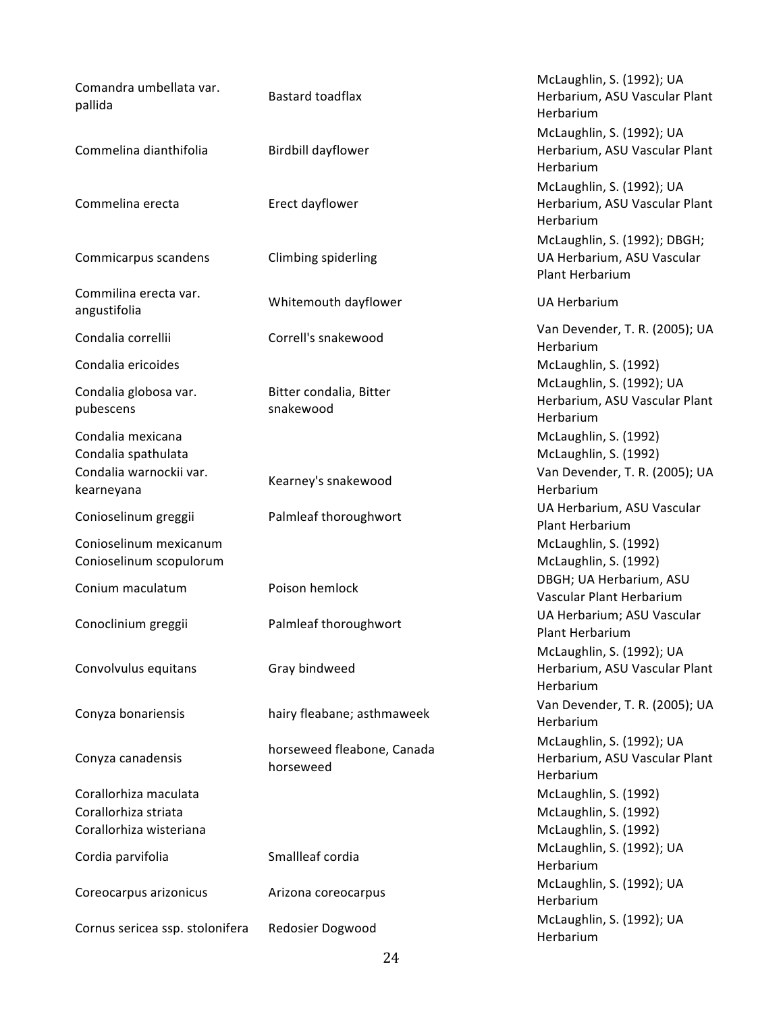| Comandra umbellata var.<br>pallida                                       | Bastard toadflax                        | McLaughlin, S. (1992); UA<br>Herbarium, ASU Vascular Plant<br>Herbarium          |
|--------------------------------------------------------------------------|-----------------------------------------|----------------------------------------------------------------------------------|
| Commelina dianthifolia                                                   | Birdbill dayflower                      | McLaughlin, S. (1992); UA<br>Herbarium, ASU Vascular Plant<br>Herbarium          |
| Commelina erecta                                                         | Erect dayflower                         | McLaughlin, S. (1992); UA<br>Herbarium, ASU Vascular Plant<br>Herbarium          |
| Commicarpus scandens                                                     | Climbing spiderling                     | McLaughlin, S. (1992); DBGH;<br>UA Herbarium, ASU Vascular<br>Plant Herbarium    |
| Commilina erecta var.<br>angustifolia                                    | Whitemouth dayflower                    | <b>UA Herbarium</b>                                                              |
| Condalia correllii                                                       | Correll's snakewood                     | Van Devender, T. R. (2005); UA<br>Herbarium                                      |
| Condalia ericoides                                                       |                                         | McLaughlin, S. (1992)                                                            |
| Condalia globosa var.<br>pubescens                                       | Bitter condalia, Bitter<br>snakewood    | McLaughlin, S. (1992); UA<br>Herbarium, ASU Vascular Plant<br>Herbarium          |
| Condalia mexicana<br>Condalia spathulata<br>Condalia warnockii var.      |                                         | McLaughlin, S. (1992)<br>McLaughlin, S. (1992)<br>Van Devender, T. R. (2005); UA |
| kearneyana                                                               | Kearney's snakewood                     | Herbarium                                                                        |
| Conioselinum greggii                                                     | Palmleaf thoroughwort                   | UA Herbarium, ASU Vascular<br>Plant Herbarium                                    |
| Conioselinum mexicanum<br>Conioselinum scopulorum                        |                                         | McLaughlin, S. (1992)<br>McLaughlin, S. (1992)                                   |
| Conium maculatum                                                         | Poison hemlock                          | DBGH; UA Herbarium, ASU<br>Vascular Plant Herbarium                              |
| Conoclinium greggii                                                      | Palmleaf thoroughwort                   | UA Herbarium; ASU Vascular<br>Plant Herbarium                                    |
| Convolvulus equitans                                                     | Gray bindweed                           | McLaughlin, S. (1992); UA<br>Herbarium, ASU Vascular Plant<br>Herbarium          |
| Conyza bonariensis                                                       | hairy fleabane; asthmaweek              | Van Devender, T. R. (2005); UA<br>Herbarium                                      |
| Conyza canadensis                                                        | horseweed fleabone, Canada<br>horseweed | McLaughlin, S. (1992); UA<br>Herbarium, ASU Vascular Plant<br>Herbarium          |
| Corallorhiza maculata<br>Corallorhiza striata<br>Corallorhiza wisteriana |                                         | McLaughlin, S. (1992)<br>McLaughlin, S. (1992)<br>McLaughlin, S. (1992)          |
| Cordia parvifolia                                                        | Smallleaf cordia                        | McLaughlin, S. (1992); UA<br>Herbarium                                           |
| Coreocarpus arizonicus                                                   | Arizona coreocarpus                     | McLaughlin, S. (1992); UA<br>Herbarium                                           |
| Cornus sericea ssp. stolonifera                                          | Redosier Dogwood                        | McLaughlin, S. (1992); UA<br>Herbarium                                           |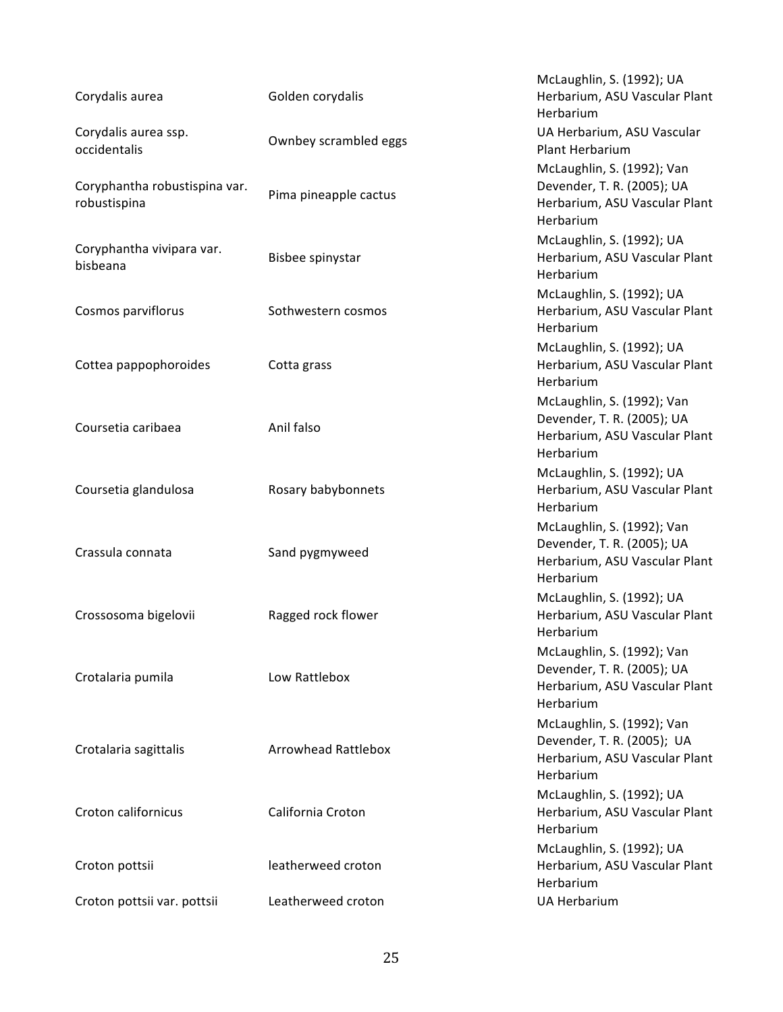| Corydalis aurea                               | Golden corydalis           | McLaughlin, S. (1992); UA<br>Herbarium, ASU Vascular Plant<br>Herbarium                                |
|-----------------------------------------------|----------------------------|--------------------------------------------------------------------------------------------------------|
| Corydalis aurea ssp.<br>occidentalis          | Ownbey scrambled eggs      | UA Herbarium, ASU Vascular<br><b>Plant Herbarium</b>                                                   |
| Coryphantha robustispina var.<br>robustispina | Pima pineapple cactus      | McLaughlin, S. (1992); Van<br>Devender, T. R. (2005); UA<br>Herbarium, ASU Vascular Plant<br>Herbarium |
| Coryphantha vivipara var.<br>bisbeana         | Bisbee spinystar           | McLaughlin, S. (1992); UA<br>Herbarium, ASU Vascular Plant<br>Herbarium                                |
| Cosmos parviflorus                            | Sothwestern cosmos         | McLaughlin, S. (1992); UA<br>Herbarium, ASU Vascular Plant<br>Herbarium                                |
| Cottea pappophoroides                         | Cotta grass                | McLaughlin, S. (1992); UA<br>Herbarium, ASU Vascular Plant<br>Herbarium                                |
| Coursetia caribaea                            | Anil falso                 | McLaughlin, S. (1992); Van<br>Devender, T. R. (2005); UA<br>Herbarium, ASU Vascular Plant<br>Herbarium |
| Coursetia glandulosa                          | Rosary babybonnets         | McLaughlin, S. (1992); UA<br>Herbarium, ASU Vascular Plant<br>Herbarium                                |
| Crassula connata                              | Sand pygmyweed             | McLaughlin, S. (1992); Van<br>Devender, T. R. (2005); UA<br>Herbarium, ASU Vascular Plant<br>Herbarium |
| Crossosoma bigelovii                          | Ragged rock flower         | McLaughlin, S. (1992); UA<br>Herbarium, ASU Vascular Plant<br>Herbarium                                |
| Crotalaria pumila                             | Low Rattlebox              | McLaughlin, S. (1992); Van<br>Devender, T. R. (2005); UA<br>Herbarium, ASU Vascular Plant<br>Herbarium |
| Crotalaria sagittalis                         | <b>Arrowhead Rattlebox</b> | McLaughlin, S. (1992); Van<br>Devender, T. R. (2005); UA<br>Herbarium, ASU Vascular Plant<br>Herbarium |
| Croton californicus                           | California Croton          | McLaughlin, S. (1992); UA<br>Herbarium, ASU Vascular Plant<br>Herbarium                                |
| Croton pottsii                                | leatherweed croton         | McLaughlin, S. (1992); UA<br>Herbarium, ASU Vascular Plant<br>Herbarium                                |
| Croton pottsii var. pottsii                   | Leatherweed croton         | <b>UA Herbarium</b>                                                                                    |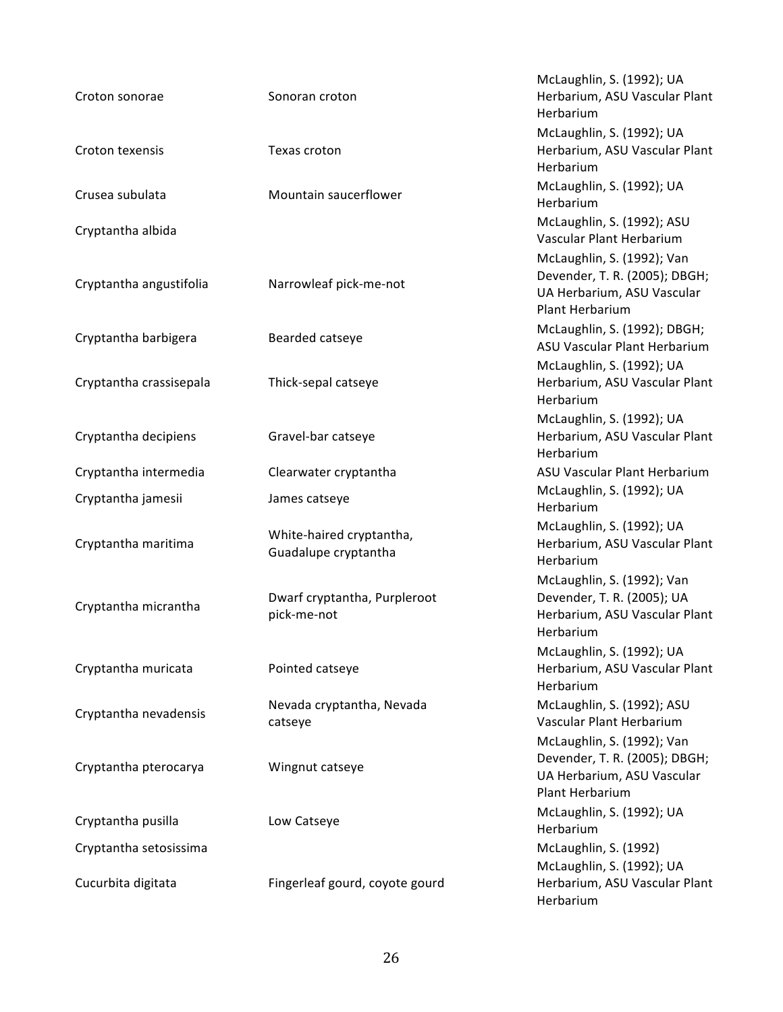| Croton sonorae          | Sonoran croton                                   | McLaughlin, S. (1992); UA<br>Herbarium, ASU Vascular Plant<br>Herbarium                                      |
|-------------------------|--------------------------------------------------|--------------------------------------------------------------------------------------------------------------|
| Croton texensis         | Texas croton                                     | McLaughlin, S. (1992); UA<br>Herbarium, ASU Vascular Plant<br>Herbarium                                      |
| Crusea subulata         | Mountain saucerflower                            | McLaughlin, S. (1992); UA<br>Herbarium                                                                       |
| Cryptantha albida       |                                                  | McLaughlin, S. (1992); ASU<br>Vascular Plant Herbarium                                                       |
| Cryptantha angustifolia | Narrowleaf pick-me-not                           | McLaughlin, S. (1992); Van<br>Devender, T. R. (2005); DBGH;<br>UA Herbarium, ASU Vascular<br>Plant Herbarium |
| Cryptantha barbigera    | Bearded catseye                                  | McLaughlin, S. (1992); DBGH;<br>ASU Vascular Plant Herbarium                                                 |
| Cryptantha crassisepala | Thick-sepal catseye                              | McLaughlin, S. (1992); UA<br>Herbarium, ASU Vascular Plant<br>Herbarium                                      |
| Cryptantha decipiens    | Gravel-bar catseye                               | McLaughlin, S. (1992); UA<br>Herbarium, ASU Vascular Plant<br>Herbarium                                      |
| Cryptantha intermedia   | Clearwater cryptantha                            | ASU Vascular Plant Herbarium                                                                                 |
| Cryptantha jamesii      | James catseye                                    | McLaughlin, S. (1992); UA<br>Herbarium                                                                       |
| Cryptantha maritima     | White-haired cryptantha,<br>Guadalupe cryptantha | McLaughlin, S. (1992); UA<br>Herbarium, ASU Vascular Plant<br>Herbarium                                      |
| Cryptantha micrantha    | Dwarf cryptantha, Purpleroot<br>pick-me-not      | McLaughlin, S. (1992); Van<br>Devender, T. R. (2005); UA<br>Herbarium, ASU Vascular Plant<br>Herbarium       |
| Cryptantha muricata     | Pointed catseye                                  | McLaughlin, S. (1992); UA<br>Herbarium, ASU Vascular Plant<br>Herbarium                                      |
| Cryptantha nevadensis   | Nevada cryptantha, Nevada<br>catseye             | McLaughlin, S. (1992); ASU<br>Vascular Plant Herbarium                                                       |
| Cryptantha pterocarya   | Wingnut catseye                                  | McLaughlin, S. (1992); Van<br>Devender, T. R. (2005); DBGH;<br>UA Herbarium, ASU Vascular<br>Plant Herbarium |
| Cryptantha pusilla      | Low Catseye                                      | McLaughlin, S. (1992); UA<br>Herbarium                                                                       |
| Cryptantha setosissima  |                                                  | McLaughlin, S. (1992)                                                                                        |
| Cucurbita digitata      | Fingerleaf gourd, coyote gourd                   | McLaughlin, S. (1992); UA<br>Herbarium, ASU Vascular Plant<br>Herbarium                                      |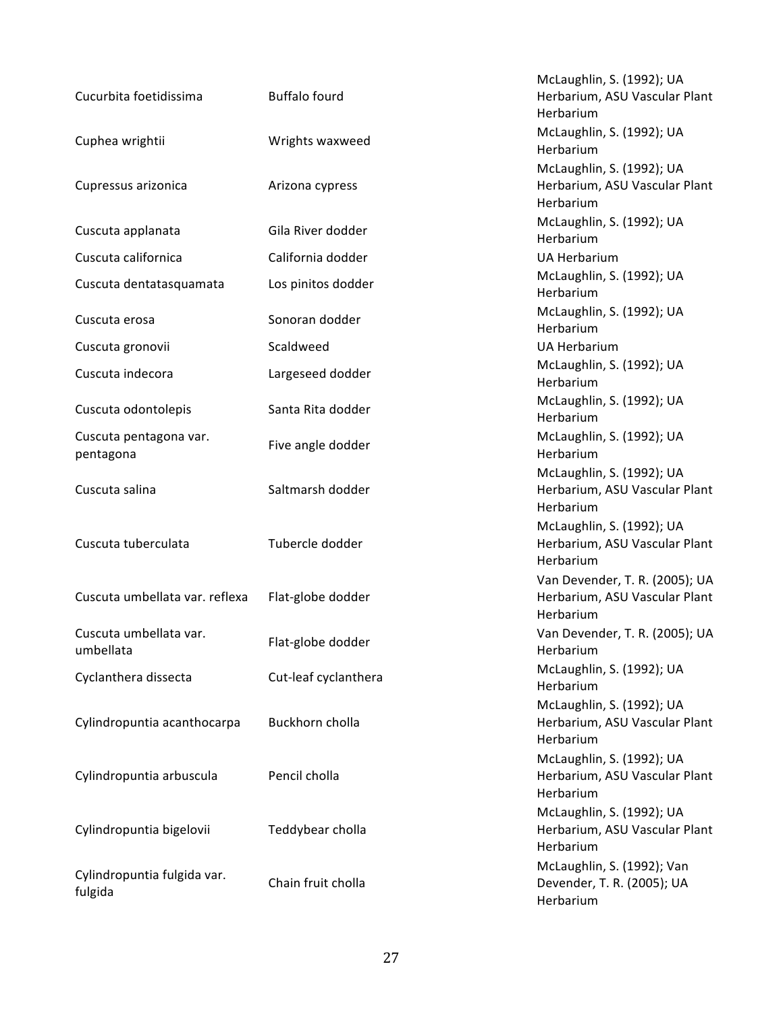| Cucurbita foetidissima                 | <b>Buffalo fourd</b> | McLaughlin, S. (1992); UA<br>Herbarium, ASU Vascular Plant<br>Herbarium      |
|----------------------------------------|----------------------|------------------------------------------------------------------------------|
| Cuphea wrightii                        | Wrights waxweed      | McLaughlin, S. (1992); UA<br>Herbarium                                       |
| Cupressus arizonica                    | Arizona cypress      | McLaughlin, S. (1992); UA<br>Herbarium, ASU Vascular Plant<br>Herbarium      |
| Cuscuta applanata                      | Gila River dodder    | McLaughlin, S. (1992); UA<br>Herbarium                                       |
| Cuscuta californica                    | California dodder    | <b>UA Herbarium</b>                                                          |
| Cuscuta dentatasquamata                | Los pinitos dodder   | McLaughlin, S. (1992); UA<br>Herbarium                                       |
| Cuscuta erosa                          | Sonoran dodder       | McLaughlin, S. (1992); UA<br>Herbarium                                       |
| Cuscuta gronovii                       | Scaldweed            | <b>UA Herbarium</b>                                                          |
| Cuscuta indecora                       | Largeseed dodder     | McLaughlin, S. (1992); UA<br>Herbarium                                       |
| Cuscuta odontolepis                    | Santa Rita dodder    | McLaughlin, S. (1992); UA<br>Herbarium                                       |
| Cuscuta pentagona var.<br>pentagona    | Five angle dodder    | McLaughlin, S. (1992); UA<br>Herbarium                                       |
| Cuscuta salina                         | Saltmarsh dodder     | McLaughlin, S. (1992); UA<br>Herbarium, ASU Vascular Plant<br>Herbarium      |
| Cuscuta tuberculata                    | Tubercle dodder      | McLaughlin, S. (1992); UA<br>Herbarium, ASU Vascular Plant<br>Herbarium      |
| Cuscuta umbellata var. reflexa         | Flat-globe dodder    | Van Devender, T. R. (2005); UA<br>Herbarium, ASU Vascular Plant<br>Herbarium |
| Cuscuta umbellata var.<br>umbellata    | Flat-globe dodder    | Van Devender, T. R. (2005); UA<br>Herbarium                                  |
| Cyclanthera dissecta                   | Cut-leaf cyclanthera | McLaughlin, S. (1992); UA<br>Herbarium                                       |
| Cylindropuntia acanthocarpa            | Buckhorn cholla      | McLaughlin, S. (1992); UA<br>Herbarium, ASU Vascular Plant<br>Herbarium      |
| Cylindropuntia arbuscula               | Pencil cholla        | McLaughlin, S. (1992); UA<br>Herbarium, ASU Vascular Plant<br>Herbarium      |
| Cylindropuntia bigelovii               | Teddybear cholla     | McLaughlin, S. (1992); UA<br>Herbarium, ASU Vascular Plant<br>Herbarium      |
| Cylindropuntia fulgida var.<br>fulgida | Chain fruit cholla   | McLaughlin, S. (1992); Van<br>Devender, T. R. (2005); UA<br>Herbarium        |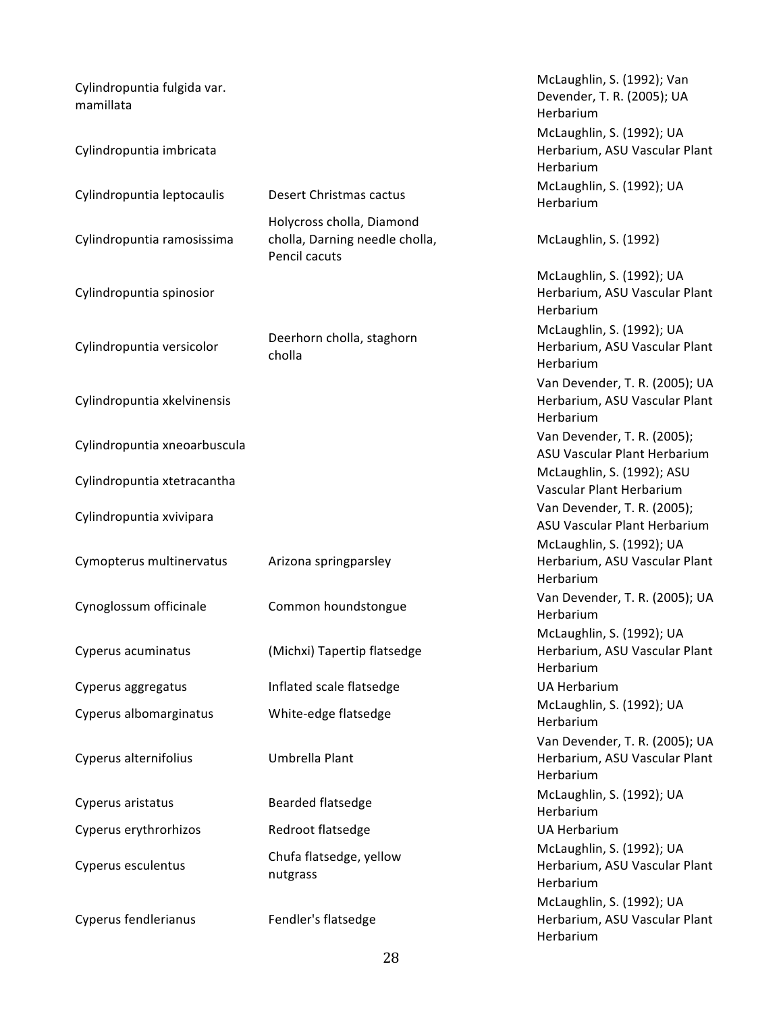| Cylindropuntia fulgida var.<br>mamillata |                                                                              | McLaughlin, S. (1992); Van<br>Devender, T. R. (2005); UA<br>Herbarium        |
|------------------------------------------|------------------------------------------------------------------------------|------------------------------------------------------------------------------|
| Cylindropuntia imbricata                 |                                                                              | McLaughlin, S. (1992); UA<br>Herbarium, ASU Vascular Plant<br>Herbarium      |
| Cylindropuntia leptocaulis               | Desert Christmas cactus                                                      | McLaughlin, S. (1992); UA<br>Herbarium                                       |
| Cylindropuntia ramosissima               | Holycross cholla, Diamond<br>cholla, Darning needle cholla,<br>Pencil cacuts | McLaughlin, S. (1992)                                                        |
| Cylindropuntia spinosior                 |                                                                              | McLaughlin, S. (1992); UA<br>Herbarium, ASU Vascular Plant<br>Herbarium      |
| Cylindropuntia versicolor                | Deerhorn cholla, staghorn<br>cholla                                          | McLaughlin, S. (1992); UA<br>Herbarium, ASU Vascular Plant<br>Herbarium      |
| Cylindropuntia xkelvinensis              |                                                                              | Van Devender, T. R. (2005); UA<br>Herbarium, ASU Vascular Plant<br>Herbarium |
| Cylindropuntia xneoarbuscula             |                                                                              | Van Devender, T. R. (2005);<br>ASU Vascular Plant Herbarium                  |
| Cylindropuntia xtetracantha              |                                                                              | McLaughlin, S. (1992); ASU<br>Vascular Plant Herbarium                       |
| Cylindropuntia xvivipara                 |                                                                              | Van Devender, T. R. (2005);<br>ASU Vascular Plant Herbarium                  |
| Cymopterus multinervatus                 | Arizona springparsley                                                        | McLaughlin, S. (1992); UA<br>Herbarium, ASU Vascular Plant<br>Herbarium      |
| Cynoglossum officinale                   | Common houndstongue                                                          | Van Devender, T. R. (2005); UA<br>Herbarium                                  |
| Cyperus acuminatus                       | (Michxi) Tapertip flatsedge                                                  | McLaughlin, S. (1992); UA<br>Herbarium, ASU Vascular Plant<br>Herbarium      |
| Cyperus aggregatus                       | Inflated scale flatsedge                                                     | <b>UA Herbarium</b>                                                          |
| Cyperus albomarginatus                   | White-edge flatsedge                                                         | McLaughlin, S. (1992); UA<br>Herbarium                                       |
| Cyperus alternifolius                    | Umbrella Plant                                                               | Van Devender, T. R. (2005); UA<br>Herbarium, ASU Vascular Plant<br>Herbarium |
| Cyperus aristatus                        | Bearded flatsedge                                                            | McLaughlin, S. (1992); UA<br>Herbarium                                       |
| Cyperus erythrorhizos                    | Redroot flatsedge                                                            | <b>UA Herbarium</b>                                                          |
| Cyperus esculentus                       | Chufa flatsedge, yellow<br>nutgrass                                          | McLaughlin, S. (1992); UA<br>Herbarium, ASU Vascular Plant<br>Herbarium      |
| Cyperus fendlerianus                     | Fendler's flatsedge                                                          | McLaughlin, S. (1992); UA<br>Herbarium, ASU Vascular Plant<br>Herbarium      |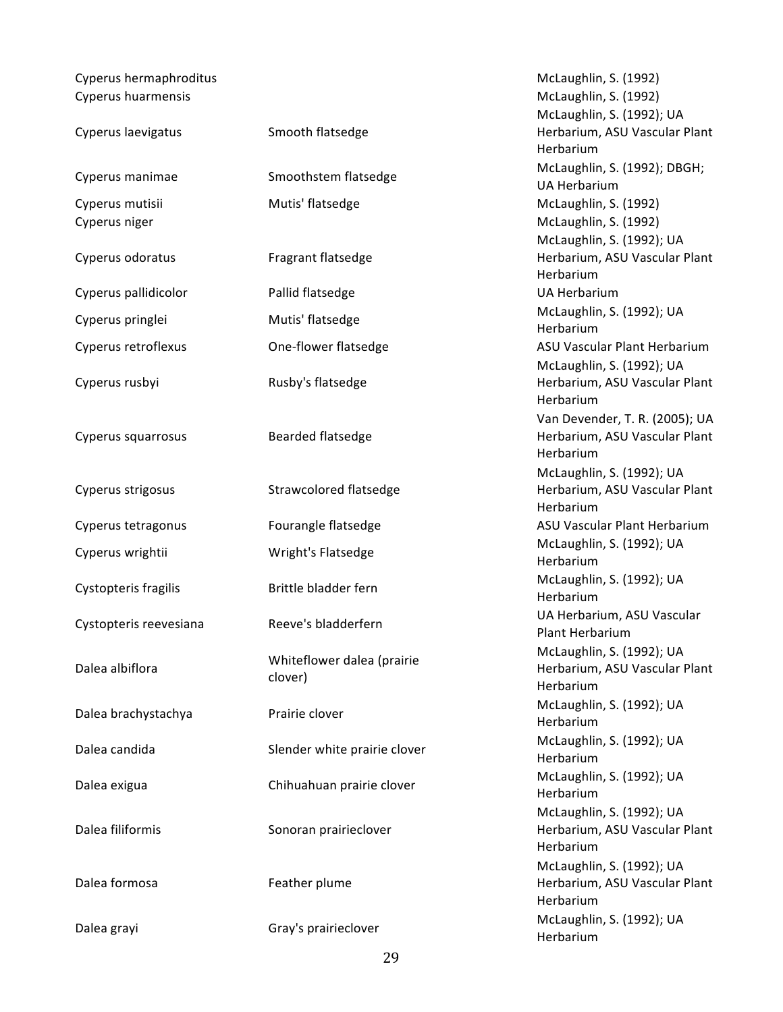Cyperus hermaphroditus **McLaughlin, S. (1992)** McLaughlin, S. (1992) Cyperus huarmensis **McLaughlin, S. (1992)** McLaughlin, S. (1992)

| Cyperus laevigatus               | Smooth flatsedge                      | MCLAUGNIIN, S. (1992); UA<br>Herbarium, ASU Vascular I<br>Herbarium |
|----------------------------------|---------------------------------------|---------------------------------------------------------------------|
| Cyperus manimae                  | Smoothstem flatsedge                  | McLaughlin, S. (1992); DB<br><b>UA Herbarium</b>                    |
| Cyperus mutisii<br>Cyperus niger | Mutis' flatsedge                      | McLaughlin, S. (1992)<br>McLaughlin, S. (1992)                      |
| Cyperus odoratus                 | Fragrant flatsedge                    | McLaughlin, S. (1992); UA<br>Herbarium, ASU Vascular I<br>Herbarium |
| Cyperus pallidicolor             | Pallid flatsedge                      | <b>UA Herbarium</b>                                                 |
| Cyperus pringlei                 | Mutis' flatsedge                      | McLaughlin, S. (1992); UA<br>Herbarium                              |
| Cyperus retroflexus              | One-flower flatsedge                  | <b>ASU Vascular Plant Herbar</b>                                    |
| Cyperus rusbyi                   | Rusby's flatsedge                     | McLaughlin, S. (1992); UA<br>Herbarium, ASU Vascular I<br>Herbarium |
| Cyperus squarrosus               | Bearded flatsedge                     | Van Devender, T. R. (2005<br>Herbarium, ASU Vascular I<br>Herbarium |
| Cyperus strigosus                | Strawcolored flatsedge                | McLaughlin, S. (1992); UA<br>Herbarium, ASU Vascular I<br>Herbarium |
| Cyperus tetragonus               | Fourangle flatsedge                   | ASU Vascular Plant Herbar                                           |
| Cyperus wrightii                 | Wright's Flatsedge                    | McLaughlin, S. (1992); UA<br>Herbarium                              |
| Cystopteris fragilis             | Brittle bladder fern                  | McLaughlin, S. (1992); UA<br>Herbarium                              |
| Cystopteris reevesiana           | Reeve's bladderfern                   | UA Herbarium, ASU Vascu<br>Plant Herbarium                          |
| Dalea albiflora                  | Whiteflower dalea (prairie<br>clover) | McLaughlin, S. (1992); UA<br>Herbarium, ASU Vascular I<br>Herbarium |
| Dalea brachystachya              | Prairie clover                        | McLaughlin, S. (1992); UA<br>Herbarium                              |
| Dalea candida                    | Slender white prairie clover          | McLaughlin, S. (1992); UA<br>Herbarium                              |
| Dalea exigua                     | Chihuahuan prairie clover             | McLaughlin, S. (1992); UA<br>Herbarium                              |
| Dalea filiformis                 | Sonoran prairieclover                 | McLaughlin, S. (1992); UA<br>Herbarium, ASU Vascular I<br>Herbarium |
| Dalea formosa                    | Feather plume                         | McLaughlin, S. (1992); UA<br>Herbarium, ASU Vascular I<br>Herbarium |
| Dalea grayi                      | Gray's prairieclover                  | McLaughlin, S. (1992); UA                                           |

McLaughlin, S. (1992); UA Herbarium, ASU Vascular Plant Herbarium McLaughlin, S. (1992); DBGH; UA Herbarium McLaughlin, S. (1992) McLaughlin, S. (1992) McLaughlin, S. (1992); UA Herbarium, ASU Vascular Plant Herbarium UA Herbarium McLaughlin, S. (1992); UA Herbarium ASU Vascular Plant Herbarium McLaughlin, S. (1992); UA Herbarium, ASU Vascular Plant Herbarium Van Devender, T. R. (2005); UA Herbarium, ASU Vascular Plant Herbarium McLaughlin, S. (1992); UA Herbarium, ASU Vascular Plant Herbarium ASU Vascular Plant Herbarium McLaughlin, S. (1992); UA Herbarium McLaughlin, S. (1992); UA Herbarium UA Herbarium, ASU Vascular Plant Herbarium McLaughlin, S. (1992); UA Herbarium, ASU Vascular Plant Herbarium McLaughlin, S. (1992); UA Herbarium McLaughlin, S. (1992); UA Herbarium McLaughlin, S. (1992); UA Herbarium McLaughlin, S. (1992); UA Herbarium, ASU Vascular Plant Herbarium McLaughlin, S. (1992); UA Herbarium, ASU Vascular Plant Herbarium Herbarium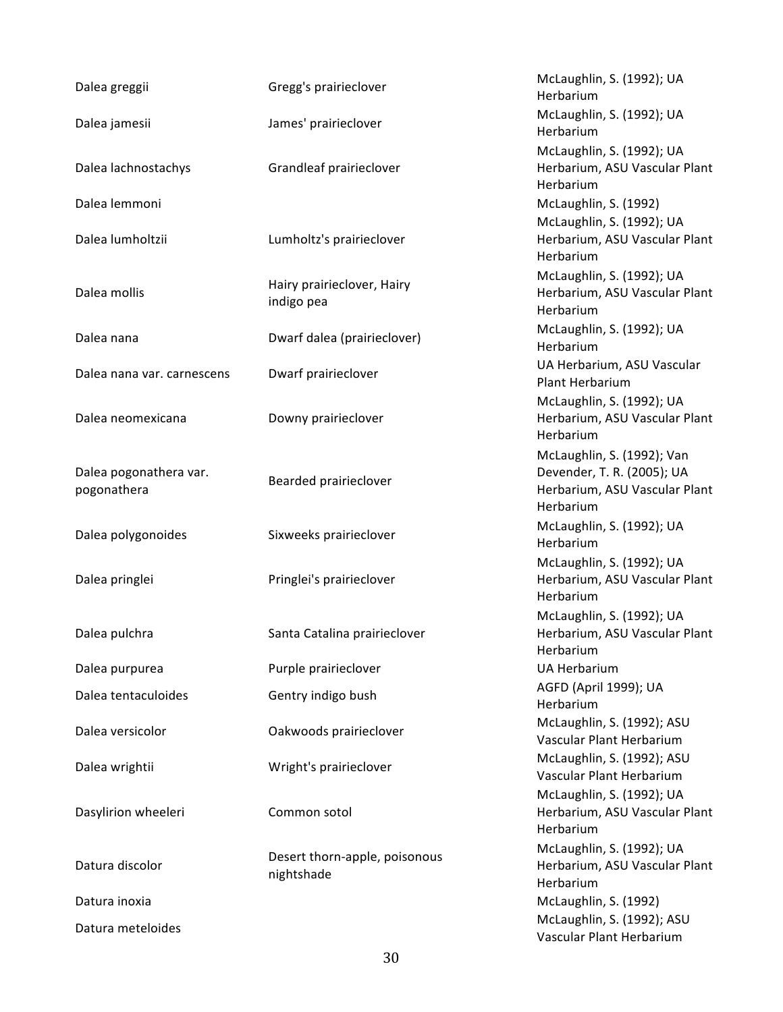| Dalea greggii                         | Gregg's prairieclover                       | McLaughlin, S. (1992); UA<br>Herbarium                                                                 |
|---------------------------------------|---------------------------------------------|--------------------------------------------------------------------------------------------------------|
| Dalea jamesii                         | James' prairieclover                        | McLaughlin, S. (1992); UA<br>Herbarium                                                                 |
| Dalea lachnostachys                   | Grandleaf prairieclover                     | McLaughlin, S. (1992); UA<br>Herbarium, ASU Vascular Plant<br>Herbarium                                |
| Dalea lemmoni                         |                                             | McLaughlin, S. (1992)                                                                                  |
| Dalea lumholtzii                      | Lumholtz's prairieclover                    | McLaughlin, S. (1992); UA<br>Herbarium, ASU Vascular Plant<br>Herbarium                                |
| Dalea mollis                          | Hairy prairieclover, Hairy<br>indigo pea    | McLaughlin, S. (1992); UA<br>Herbarium, ASU Vascular Plant<br>Herbarium                                |
| Dalea nana                            | Dwarf dalea (prairieclover)                 | McLaughlin, S. (1992); UA<br>Herbarium                                                                 |
| Dalea nana var. carnescens            | Dwarf prairieclover                         | UA Herbarium, ASU Vascular<br>Plant Herbarium                                                          |
| Dalea neomexicana                     | Downy prairieclover                         | McLaughlin, S. (1992); UA<br>Herbarium, ASU Vascular Plant<br>Herbarium                                |
| Dalea pogonathera var.<br>pogonathera | Bearded prairieclover                       | McLaughlin, S. (1992); Van<br>Devender, T. R. (2005); UA<br>Herbarium, ASU Vascular Plant<br>Herbarium |
| Dalea polygonoides                    | Sixweeks prairieclover                      | McLaughlin, S. (1992); UA<br>Herbarium                                                                 |
| Dalea pringlei                        | Pringlei's prairieclover                    | McLaughlin, S. (1992); UA<br>Herbarium, ASU Vascular Plant<br>Herbarium                                |
| Dalea pulchra                         | Santa Catalina prairieclover                | McLaughlin, S. (1992); UA<br>Herbarium, ASU Vascular Plant<br>Herbarium                                |
| Dalea purpurea                        | Purple prairieclover                        | <b>UA Herbarium</b>                                                                                    |
| Dalea tentaculoides                   | Gentry indigo bush                          | AGFD (April 1999); UA<br>Herbarium                                                                     |
| Dalea versicolor                      | Oakwoods prairieclover                      | McLaughlin, S. (1992); ASU<br>Vascular Plant Herbarium                                                 |
| Dalea wrightii                        | Wright's prairieclover                      | McLaughlin, S. (1992); ASU<br>Vascular Plant Herbarium                                                 |
| Dasylirion wheeleri                   | Common sotol                                | McLaughlin, S. (1992); UA<br>Herbarium, ASU Vascular Plant<br>Herbarium                                |
| Datura discolor                       | Desert thorn-apple, poisonous<br>nightshade | McLaughlin, S. (1992); UA<br>Herbarium, ASU Vascular Plant<br>Herbarium                                |
| Datura inoxia                         |                                             | McLaughlin, S. (1992)                                                                                  |
| Datura meteloides                     |                                             | McLaughlin, S. (1992); ASU<br>Vascular Plant Herbarium                                                 |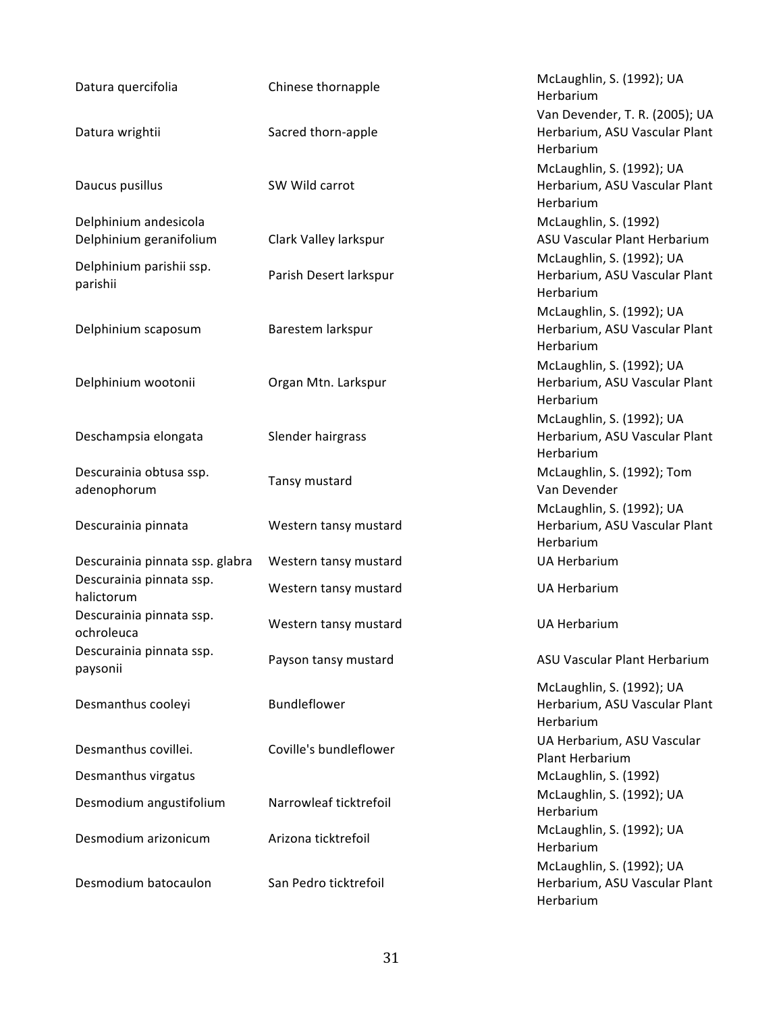| Datura quercifolia                     | Chinese thornapple     | McLaughlin, S. (1992); UA<br>Herbarium     |
|----------------------------------------|------------------------|--------------------------------------------|
|                                        |                        | Van Devender, T. R. (2005); UA             |
| Datura wrightii                        | Sacred thorn-apple     | Herbarium, ASU Vascular Plant<br>Herbarium |
|                                        |                        | McLaughlin, S. (1992); UA                  |
| Daucus pusillus                        | SW Wild carrot         | Herbarium, ASU Vascular Plant<br>Herbarium |
| Delphinium andesicola                  |                        | McLaughlin, S. (1992)                      |
| Delphinium geranifolium                | Clark Valley larkspur  | ASU Vascular Plant Herbarium               |
|                                        |                        | McLaughlin, S. (1992); UA                  |
| Delphinium parishii ssp.<br>parishii   | Parish Desert larkspur | Herbarium, ASU Vascular Plant<br>Herbarium |
|                                        |                        | McLaughlin, S. (1992); UA                  |
| Delphinium scaposum                    | Barestem larkspur      | Herbarium, ASU Vascular Plant<br>Herbarium |
|                                        |                        | McLaughlin, S. (1992); UA                  |
| Delphinium wootonii                    | Organ Mtn. Larkspur    | Herbarium, ASU Vascular Plant<br>Herbarium |
|                                        |                        | McLaughlin, S. (1992); UA                  |
| Deschampsia elongata                   | Slender hairgrass      | Herbarium, ASU Vascular Plant<br>Herbarium |
| Descurainia obtusa ssp.<br>adenophorum | Tansy mustard          | McLaughlin, S. (1992); Tom<br>Van Devender |
|                                        |                        | McLaughlin, S. (1992); UA                  |
| Descurainia pinnata                    | Western tansy mustard  | Herbarium, ASU Vascular Plant<br>Herbarium |
| Descurainia pinnata ssp. glabra        | Western tansy mustard  | <b>UA Herbarium</b>                        |
| Descurainia pinnata ssp.<br>halictorum | Western tansy mustard  | <b>UA Herbarium</b>                        |
| Descurainia pinnata ssp.<br>ochroleuca | Western tansy mustard  | <b>UA Herbarium</b>                        |
| Descurainia pinnata ssp.<br>paysonii   | Payson tansy mustard   | ASU Vascular Plant Herbarium               |
|                                        |                        | McLaughlin, S. (1992); UA                  |
| Desmanthus cooleyi                     | Bundleflower           | Herbarium, ASU Vascular Plant<br>Herbarium |
|                                        |                        | UA Herbarium, ASU Vascular                 |
| Desmanthus covillei.                   | Coville's bundleflower | Plant Herbarium                            |
| Desmanthus virgatus                    |                        | McLaughlin, S. (1992)                      |
| Desmodium angustifolium                | Narrowleaf ticktrefoil | McLaughlin, S. (1992); UA<br>Herbarium     |
| Desmodium arizonicum                   | Arizona ticktrefoil    | McLaughlin, S. (1992); UA<br>Herbarium     |
|                                        |                        | McLaughlin, S. (1992); UA                  |
| Desmodium batocaulon                   | San Pedro ticktrefoil  | Herbarium, ASU Vascular Plant<br>Herbarium |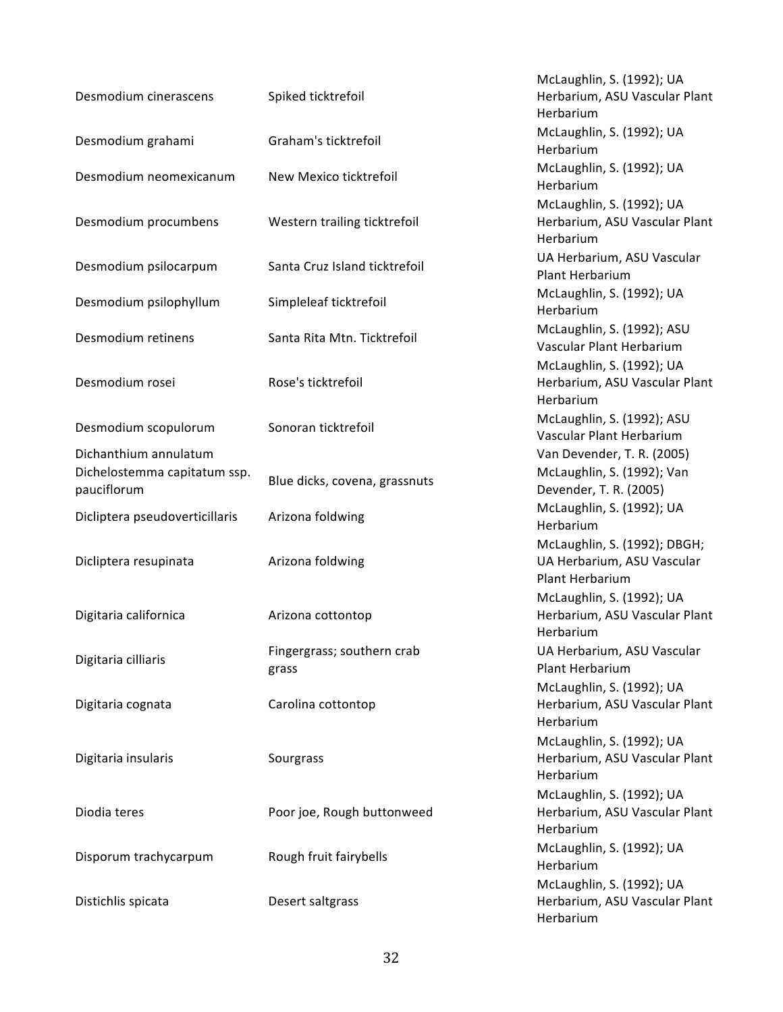| Desmodium cinerascens                                                | Spiked ticktrefoil                  | McLaughlin, S. (1992); UA<br>Herbarium, ASU Vascular Plant<br>Herbarium              |
|----------------------------------------------------------------------|-------------------------------------|--------------------------------------------------------------------------------------|
| Desmodium grahami                                                    | Graham's ticktrefoil                | McLaughlin, S. (1992); UA<br>Herbarium                                               |
| Desmodium neomexicanum                                               | New Mexico ticktrefoil              | McLaughlin, S. (1992); UA<br>Herbarium                                               |
| Desmodium procumbens                                                 | Western trailing ticktrefoil        | McLaughlin, S. (1992); UA<br>Herbarium, ASU Vascular Plant<br>Herbarium              |
| Desmodium psilocarpum                                                | Santa Cruz Island ticktrefoil       | UA Herbarium, ASU Vascular<br>Plant Herbarium                                        |
| Desmodium psilophyllum                                               | Simpleleaf ticktrefoil              | McLaughlin, S. (1992); UA<br>Herbarium                                               |
| Desmodium retinens                                                   | Santa Rita Mtn. Ticktrefoil         | McLaughlin, S. (1992); ASU<br>Vascular Plant Herbarium                               |
| Desmodium rosei                                                      | Rose's ticktrefoil                  | McLaughlin, S. (1992); UA<br>Herbarium, ASU Vascular Plant<br>Herbarium              |
| Desmodium scopulorum                                                 | Sonoran ticktrefoil                 | McLaughlin, S. (1992); ASU<br>Vascular Plant Herbarium                               |
| Dichanthium annulatum<br>Dichelostemma capitatum ssp.<br>pauciflorum | Blue dicks, covena, grassnuts       | Van Devender, T. R. (2005)<br>McLaughlin, S. (1992); Van<br>Devender, T. R. (2005)   |
| Dicliptera pseudoverticillaris                                       | Arizona foldwing                    | McLaughlin, S. (1992); UA<br>Herbarium                                               |
| Dicliptera resupinata                                                | Arizona foldwing                    | McLaughlin, S. (1992); DBGH;<br>UA Herbarium, ASU Vascular<br><b>Plant Herbarium</b> |
| Digitaria californica                                                | Arizona cottontop                   | McLaughlin, S. (1992); UA<br>Herbarium, ASU Vascular Plant<br>Herbarium              |
| Digitaria cilliaris                                                  | Fingergrass; southern crab<br>grass | UA Herbarium, ASU Vascular<br>Plant Herbarium                                        |
| Digitaria cognata                                                    | Carolina cottontop                  | McLaughlin, S. (1992); UA<br>Herbarium, ASU Vascular Plant<br>Herbarium              |
| Digitaria insularis                                                  | Sourgrass                           | McLaughlin, S. (1992); UA<br>Herbarium, ASU Vascular Plant<br>Herbarium              |
| Diodia teres                                                         | Poor joe, Rough buttonweed          | McLaughlin, S. (1992); UA<br>Herbarium, ASU Vascular Plant<br>Herbarium              |
| Disporum trachycarpum                                                | Rough fruit fairybells              | McLaughlin, S. (1992); UA<br>Herbarium                                               |
| Distichlis spicata                                                   | Desert saltgrass                    | McLaughlin, S. (1992); UA<br>Herbarium, ASU Vascular Plant<br>Herbarium              |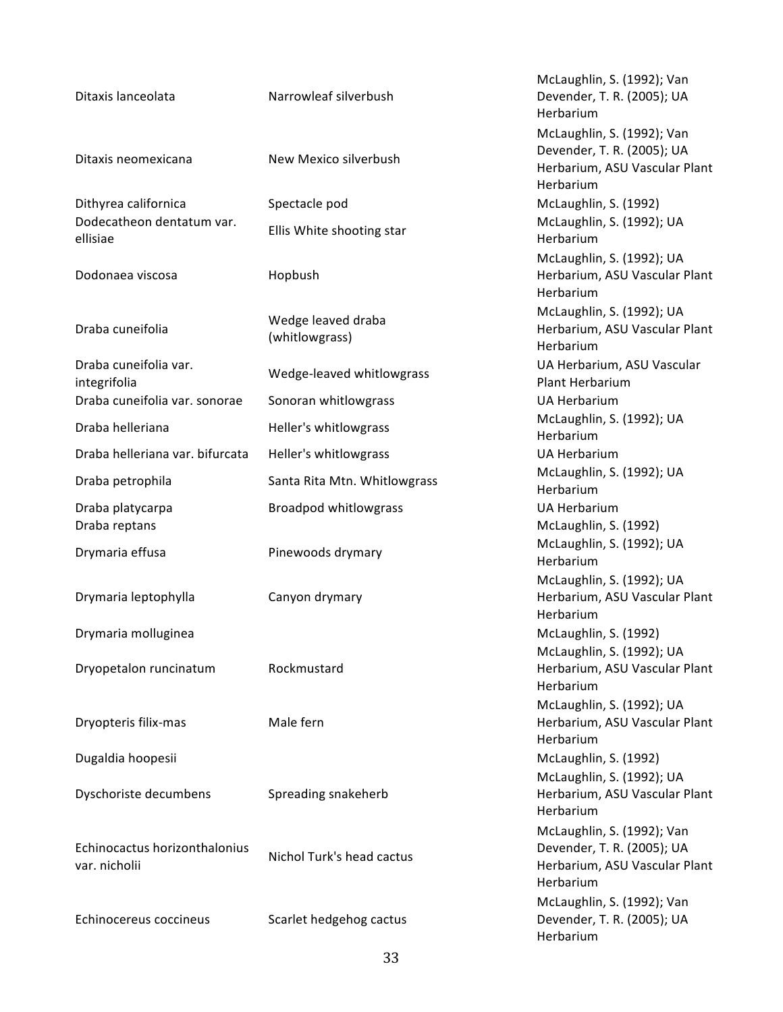## Ditaxis lanceolata Narrowleaf silverbush McLaughlin, S. (1992); Van Devender, T. R. (2005); UA Herbarium Ditaxis neomexicana New Mexico silverbush McLaughlin, S. (1992); Van Devender, T. R. (2005); UA Herbarium, ASU Vascular Plant Herbarium Dithyrea californica Spectacle pod McLaughlin, S. (1992) Dodecatheon dentatum var. Dodecatheon dentatum var. [Ilis White shooting star [1992]; UA<br>ellisiae Merbarium Herbarium Dodonaea viscosa Mopbush McLaughlin, S. (1992); UA Herbarium, ASU Vascular Plant Herbarium Draba cuneifolia eta alternativo de Wedge leaved draba (whitlowgrass) McLaughlin, S. (1992); UA Herbarium, ASU Vascular Plant Herbarium Draba cuneifolia var. integrifolia Wedge-leaved whitlowgrass UA Herbarium, ASU Vascular Plant Herbarium Draba cuneifolia var. sonorae Sonoran whitlowgrass Summan Herbarium Draba helleriana **McLaughlin, S. (1992)**; UA Herbarium Draba helleriana var. bifurcata Heller's whitlowgrass Shang and Muslem UA Herbarium Draba petrophila Santa Rita Mtn. Whitlowgrass McLaughlin, S. (1992); UA Herbarium Draba platycarpa **Broadpod** whitlowgrass **Broadpod** Whitlowgrass **UA** Herbarium Draba reptans McLaughlin, S. (1992) Drymaria effusa **Pinewoods** drymary McLaughlin, S. (1992); UA Herbarium Drymaria leptophylla Canyon drymary McLaughlin, S. (1992); UA Herbarium, ASU Vascular Plant Herbarium Drymaria molluginea McLaughlin, S. (1992) Dryopetalon runcinatum Rockmustard McLaughlin, S. (1992); UA Herbarium, ASU Vascular Plant Herbarium Dryopteris filix-mas Male fern McLaughlin, S. (1992); UA Herbarium, ASU Vascular Plant Herbarium Dugaldia hoopesii **McLaughlin, S. (1992)** McLaughlin, S. (1992) Dyschoriste decumbens Spreading snakeherb McLaughlin, S. (1992); UA Herbarium, ASU Vascular Plant Herbarium Echinocactus horizonthalonius var. nicholii Nichol Turk's head cactus<br>var. nicholii McLaughlin, S. (1992); Van Devender, T. R. (2005); UA Herbarium, ASU Vascular Plant Herbarium McLaughlin, S. (1992); Van

Devender, T. R. (2005); UA

Herbarium

Echinocereus coccineus Scarlet hedgehog cactus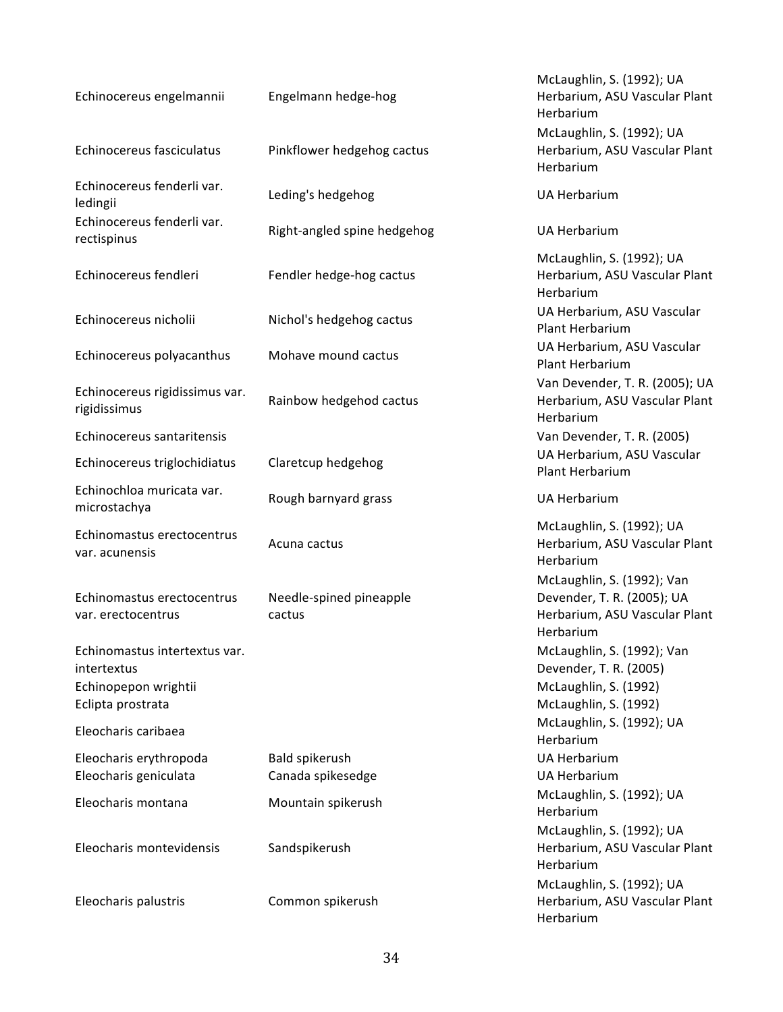| Echinocereus engelmannii                                                                  | Engelmann hedge-hog                 | McLaughlin, S. (1992); UA<br>Herbarium, ASU Vascular Plant<br>Herbarium<br>McLaughlin, S. (1992); UA   |
|-------------------------------------------------------------------------------------------|-------------------------------------|--------------------------------------------------------------------------------------------------------|
| Echinocereus fasciculatus                                                                 | Pinkflower hedgehog cactus          | Herbarium, ASU Vascular Plant<br>Herbarium                                                             |
| Echinocereus fenderli var.<br>ledingii                                                    | Leding's hedgehog                   | <b>UA Herbarium</b>                                                                                    |
| Echinocereus fenderli var.<br>rectispinus                                                 | Right-angled spine hedgehog         | <b>UA Herbarium</b>                                                                                    |
| Echinocereus fendleri                                                                     | Fendler hedge-hog cactus            | McLaughlin, S. (1992); UA<br>Herbarium, ASU Vascular Plant<br>Herbarium                                |
| Echinocereus nicholii                                                                     | Nichol's hedgehog cactus            | UA Herbarium, ASU Vascular<br>Plant Herbarium                                                          |
| Echinocereus polyacanthus                                                                 | Mohave mound cactus                 | UA Herbarium, ASU Vascular<br><b>Plant Herbarium</b>                                                   |
| Echinocereus rigidissimus var.<br>rigidissimus                                            | Rainbow hedgehod cactus             | Van Devender, T. R. (2005); UA<br>Herbarium, ASU Vascular Plant<br>Herbarium                           |
| Echinocereus santaritensis                                                                |                                     | Van Devender, T. R. (2005)                                                                             |
| Echinocereus triglochidiatus                                                              | Claretcup hedgehog                  | UA Herbarium, ASU Vascular<br>Plant Herbarium                                                          |
| Echinochloa muricata var.<br>microstachya                                                 | Rough barnyard grass                | <b>UA Herbarium</b>                                                                                    |
| Echinomastus erectocentrus<br>var. acunensis                                              | Acuna cactus                        | McLaughlin, S. (1992); UA<br>Herbarium, ASU Vascular Plant<br>Herbarium                                |
| Echinomastus erectocentrus<br>var. erectocentrus                                          | Needle-spined pineapple<br>cactus   | McLaughlin, S. (1992); Van<br>Devender, T. R. (2005); UA<br>Herbarium, ASU Vascular Plant<br>Herbarium |
| Echinomastus intertextus var.<br>intertextus<br>Echinopepon wrightii<br>Eclipta prostrata |                                     | McLaughlin, S. (1992); Van<br>Devender, T. R. (2005)<br>McLaughlin, S. (1992)<br>McLaughlin, S. (1992) |
| Eleocharis caribaea                                                                       |                                     | McLaughlin, S. (1992); UA<br>Herbarium                                                                 |
| Eleocharis erythropoda<br>Eleocharis geniculata                                           | Bald spikerush<br>Canada spikesedge | <b>UA Herbarium</b><br><b>UA Herbarium</b>                                                             |
| Eleocharis montana                                                                        | Mountain spikerush                  | McLaughlin, S. (1992); UA<br>Herbarium                                                                 |
| Eleocharis montevidensis                                                                  | Sandspikerush                       | McLaughlin, S. (1992); UA<br>Herbarium, ASU Vascular Plant<br>Herbarium                                |
| Eleocharis palustris                                                                      | Common spikerush                    | McLaughlin, S. (1992); UA<br>Herbarium, ASU Vascular Plant<br>Herbarium                                |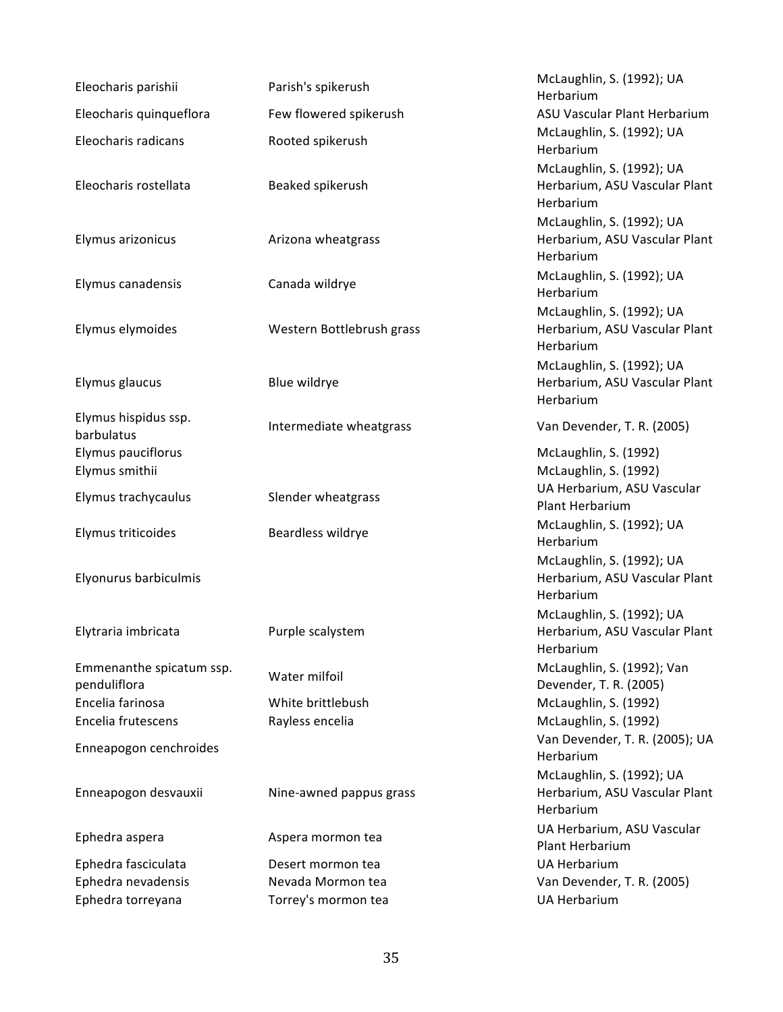| Eleocharis parishii                      | Parish's spikerush        | McLaughlin, S. (1992); UA<br>Herbarium                                  |
|------------------------------------------|---------------------------|-------------------------------------------------------------------------|
| Eleocharis quinqueflora                  | Few flowered spikerush    | ASU Vascular Plant Herbarium                                            |
| Eleocharis radicans                      | Rooted spikerush          | McLaughlin, S. (1992); UA<br>Herbarium                                  |
| Eleocharis rostellata                    | Beaked spikerush          | McLaughlin, S. (1992); UA<br>Herbarium, ASU Vascular Plant<br>Herbarium |
| Elymus arizonicus                        | Arizona wheatgrass        | McLaughlin, S. (1992); UA<br>Herbarium, ASU Vascular Plant<br>Herbarium |
| Elymus canadensis                        | Canada wildrye            | McLaughlin, S. (1992); UA<br>Herbarium                                  |
| Elymus elymoides                         | Western Bottlebrush grass | McLaughlin, S. (1992); UA<br>Herbarium, ASU Vascular Plant<br>Herbarium |
| Elymus glaucus                           | Blue wildrye              | McLaughlin, S. (1992); UA<br>Herbarium, ASU Vascular Plant<br>Herbarium |
| Elymus hispidus ssp.<br>barbulatus       | Intermediate wheatgrass   | Van Devender, T. R. (2005)                                              |
| Elymus pauciflorus<br>Elymus smithii     |                           | McLaughlin, S. (1992)<br>McLaughlin, S. (1992)                          |
| Elymus trachycaulus                      | Slender wheatgrass        | UA Herbarium, ASU Vascular<br>Plant Herbarium                           |
| Elymus triticoides                       | Beardless wildrye         | McLaughlin, S. (1992); UA<br>Herbarium                                  |
| Elyonurus barbiculmis                    |                           | McLaughlin, S. (1992); UA<br>Herbarium, ASU Vascular Plant<br>Herbarium |
| Elytraria imbricata                      | Purple scalystem          | McLaughlin, S. (1992); UA<br>Herbarium, ASU Vascular Plant<br>Herbarium |
| Emmenanthe spicatum ssp.<br>penduliflora | Water milfoil             | McLaughlin, S. (1992); Van<br>Devender, T. R. (2005)                    |
| Encelia farinosa                         | White brittlebush         | McLaughlin, S. (1992)                                                   |
| Encelia frutescens                       | Rayless encelia           | McLaughlin, S. (1992)                                                   |
| Enneapogon cenchroides                   |                           | Van Devender, T. R. (2005); UA<br>Herbarium                             |
| Enneapogon desvauxii                     | Nine-awned pappus grass   | McLaughlin, S. (1992); UA<br>Herbarium, ASU Vascular Plant<br>Herbarium |
| Ephedra aspera                           | Aspera mormon tea         | UA Herbarium, ASU Vascular<br>Plant Herbarium                           |
| Ephedra fasciculata                      | Desert mormon tea         | <b>UA Herbarium</b>                                                     |
| Ephedra nevadensis                       | Nevada Mormon tea         | Van Devender, T. R. (2005)                                              |
| Ephedra torreyana                        | Torrey's mormon tea       | <b>UA Herbarium</b>                                                     |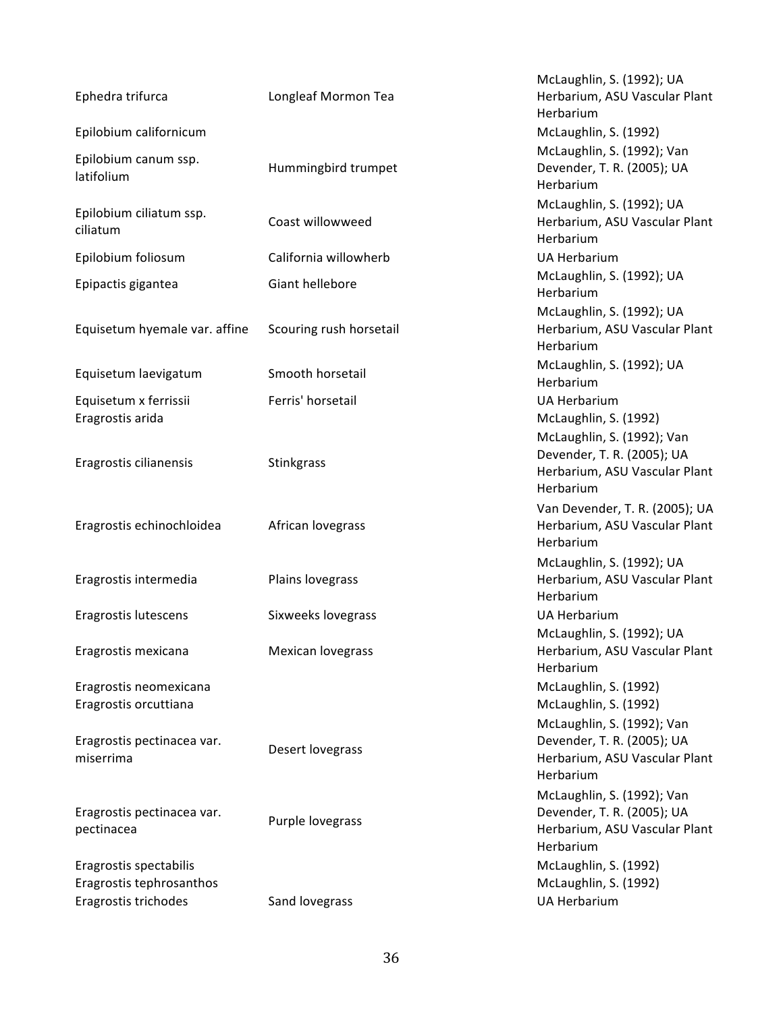| Ephedra trifurca                                                           | Longleaf Mormon Tea     | McLaughlin, S. (1992); UA<br>Herbarium, ASU Vascular Plant<br>Herbarium                                |
|----------------------------------------------------------------------------|-------------------------|--------------------------------------------------------------------------------------------------------|
| Epilobium californicum                                                     |                         | McLaughlin, S. (1992)                                                                                  |
| Epilobium canum ssp.<br>latifolium                                         | Hummingbird trumpet     | McLaughlin, S. (1992); Van<br>Devender, T. R. (2005); UA<br>Herbarium                                  |
| Epilobium ciliatum ssp.<br>ciliatum                                        | Coast willowweed        | McLaughlin, S. (1992); UA<br>Herbarium, ASU Vascular Plant<br>Herbarium                                |
| Epilobium foliosum                                                         | California willowherb   | <b>UA Herbarium</b>                                                                                    |
| Epipactis gigantea                                                         | Giant hellebore         | McLaughlin, S. (1992); UA<br>Herbarium                                                                 |
| Equisetum hyemale var. affine                                              | Scouring rush horsetail | McLaughlin, S. (1992); UA<br>Herbarium, ASU Vascular Plant<br>Herbarium                                |
| Equisetum laevigatum                                                       | Smooth horsetail        | McLaughlin, S. (1992); UA<br>Herbarium                                                                 |
| Equisetum x ferrissii<br>Eragrostis arida                                  | Ferris' horsetail       | <b>UA Herbarium</b><br>McLaughlin, S. (1992)<br>McLaughlin, S. (1992); Van                             |
| Eragrostis cilianensis                                                     | Stinkgrass              | Devender, T. R. (2005); UA<br>Herbarium, ASU Vascular Plant<br>Herbarium                               |
| Eragrostis echinochloidea                                                  | African lovegrass       | Van Devender, T. R. (2005); UA<br>Herbarium, ASU Vascular Plant<br>Herbarium                           |
| Eragrostis intermedia                                                      | Plains lovegrass        | McLaughlin, S. (1992); UA<br>Herbarium, ASU Vascular Plant<br>Herbarium                                |
| Eragrostis lutescens                                                       | Sixweeks lovegrass      | <b>UA Herbarium</b>                                                                                    |
| Eragrostis mexicana                                                        | Mexican lovegrass       | McLaughlin, S. (1992); UA<br>Herbarium, ASU Vascular Plant<br>Herbarium                                |
| Eragrostis neomexicana<br>Eragrostis orcuttiana                            |                         | McLaughlin, S. (1992)<br>McLaughlin, S. (1992)<br>McLaughlin, S. (1992); Van                           |
| Eragrostis pectinacea var.<br>miserrima                                    | Desert lovegrass        | Devender, T. R. (2005); UA<br>Herbarium, ASU Vascular Plant<br>Herbarium                               |
| Eragrostis pectinacea var.<br>pectinacea                                   | Purple lovegrass        | McLaughlin, S. (1992); Van<br>Devender, T. R. (2005); UA<br>Herbarium, ASU Vascular Plant<br>Herbarium |
| Eragrostis spectabilis<br>Eragrostis tephrosanthos<br>Eragrostis trichodes | Sand lovegrass          | McLaughlin, S. (1992)<br>McLaughlin, S. (1992)<br><b>UA Herbarium</b>                                  |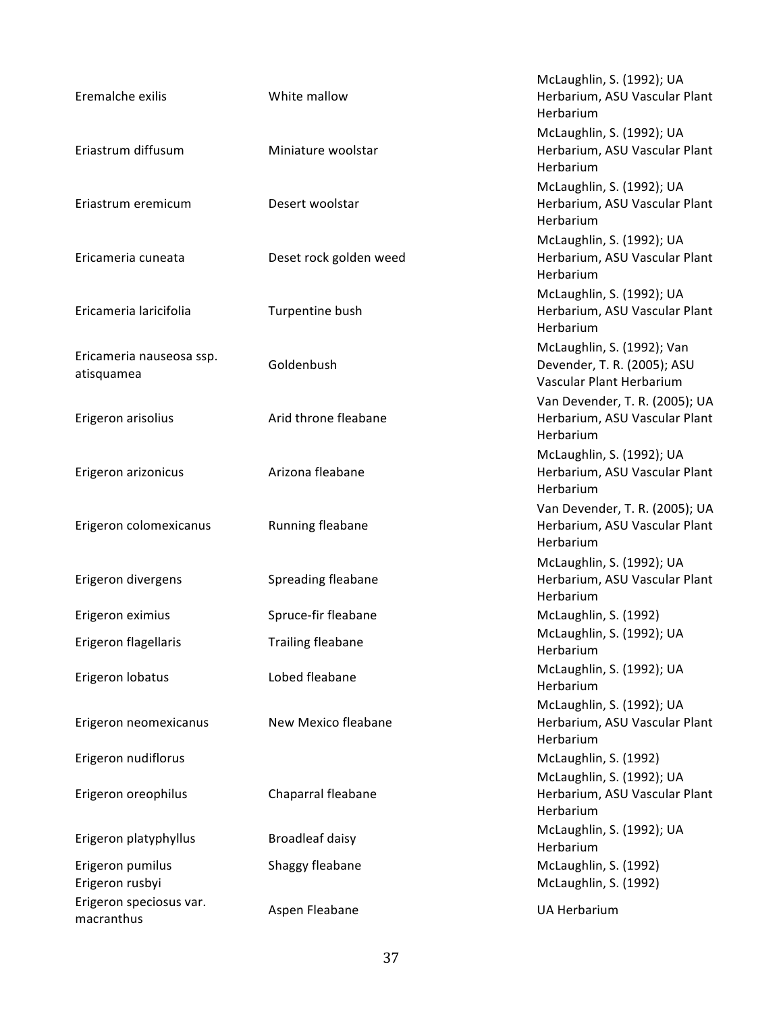| Eremalche exilis                       | White mallow             | McLaughlin, S. (1992); UA<br>Herbarium, ASU Vascular Plant<br>Herbarium               |
|----------------------------------------|--------------------------|---------------------------------------------------------------------------------------|
| Eriastrum diffusum                     | Miniature woolstar       | McLaughlin, S. (1992); UA<br>Herbarium, ASU Vascular Plant<br>Herbarium               |
| Eriastrum eremicum                     | Desert woolstar          | McLaughlin, S. (1992); UA<br>Herbarium, ASU Vascular Plant<br>Herbarium               |
| Ericameria cuneata                     | Deset rock golden weed   | McLaughlin, S. (1992); UA<br>Herbarium, ASU Vascular Plant<br>Herbarium               |
| Ericameria laricifolia                 | Turpentine bush          | McLaughlin, S. (1992); UA<br>Herbarium, ASU Vascular Plant<br>Herbarium               |
| Ericameria nauseosa ssp.<br>atisquamea | Goldenbush               | McLaughlin, S. (1992); Van<br>Devender, T. R. (2005); ASU<br>Vascular Plant Herbarium |
| Erigeron arisolius                     | Arid throne fleabane     | Van Devender, T. R. (2005); UA<br>Herbarium, ASU Vascular Plant<br>Herbarium          |
| Erigeron arizonicus                    | Arizona fleabane         | McLaughlin, S. (1992); UA<br>Herbarium, ASU Vascular Plant<br>Herbarium               |
| Erigeron colomexicanus                 | Running fleabane         | Van Devender, T. R. (2005); UA<br>Herbarium, ASU Vascular Plant<br>Herbarium          |
| Erigeron divergens                     | Spreading fleabane       | McLaughlin, S. (1992); UA<br>Herbarium, ASU Vascular Plant<br>Herbarium               |
| Erigeron eximius                       | Spruce-fir fleabane      | McLaughlin, S. (1992)                                                                 |
| Erigeron flagellaris                   | <b>Trailing fleabane</b> | McLaughlin, S. (1992); UA<br>Herbarium                                                |
| Erigeron lobatus                       | Lobed fleabane           | McLaughlin, S. (1992); UA<br>Herbarium                                                |
| Erigeron neomexicanus                  | New Mexico fleabane      | McLaughlin, S. (1992); UA<br>Herbarium, ASU Vascular Plant<br>Herbarium               |
| Erigeron nudiflorus                    |                          | McLaughlin, S. (1992)                                                                 |
| Erigeron oreophilus                    | Chaparral fleabane       | McLaughlin, S. (1992); UA<br>Herbarium, ASU Vascular Plant<br>Herbarium               |
| Erigeron platyphyllus                  | <b>Broadleaf daisy</b>   | McLaughlin, S. (1992); UA<br>Herbarium                                                |
| Erigeron pumilus<br>Erigeron rusbyi    | Shaggy fleabane          | McLaughlin, S. (1992)<br>McLaughlin, S. (1992)                                        |
| Erigeron speciosus var.<br>macranthus  | Aspen Fleabane           | <b>UA Herbarium</b>                                                                   |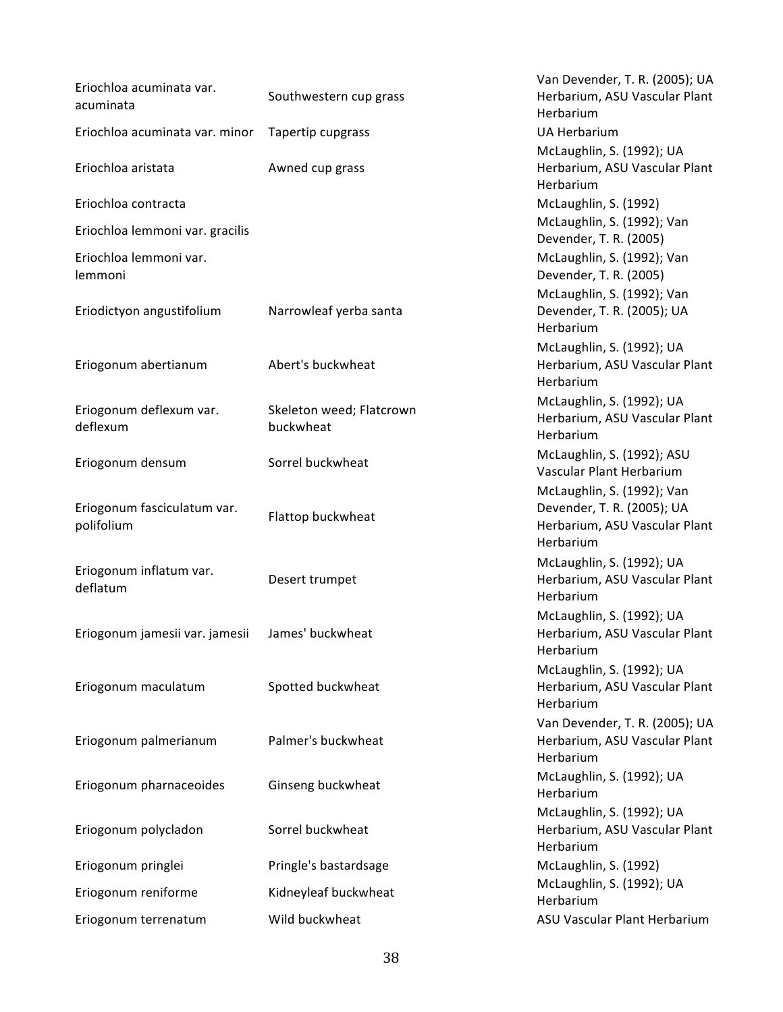| Eriochloa acuminata var.<br>acuminata     | Southwestern cup grass                | Van Devender, T. R. (2005); UA<br>Herbarium, ASU Vascular Plant<br>Herbarium                           |
|-------------------------------------------|---------------------------------------|--------------------------------------------------------------------------------------------------------|
| Eriochloa acuminata var. minor            | Tapertip cupgrass                     | <b>UA Herbarium</b>                                                                                    |
|                                           |                                       | McLaughlin, S. (1992); UA                                                                              |
| Eriochloa aristata                        | Awned cup grass                       | Herbarium, ASU Vascular Plant<br>Herbarium                                                             |
| Eriochloa contracta                       |                                       | McLaughlin, S. (1992)                                                                                  |
| Eriochloa lemmoni var. gracilis           |                                       | McLaughlin, S. (1992); Van<br>Devender, T. R. (2005)                                                   |
| Eriochloa lemmoni var.<br>lemmoni         |                                       | McLaughlin, S. (1992); Van<br>Devender, T. R. (2005)                                                   |
| Eriodictyon angustifolium                 | Narrowleaf yerba santa                | McLaughlin, S. (1992); Van<br>Devender, T. R. (2005); UA<br>Herbarium                                  |
| Eriogonum abertianum                      | Abert's buckwheat                     | McLaughlin, S. (1992); UA<br>Herbarium, ASU Vascular Plant<br>Herbarium                                |
| Eriogonum deflexum var.<br>deflexum       | Skeleton weed; Flatcrown<br>buckwheat | McLaughlin, S. (1992); UA<br>Herbarium, ASU Vascular Plant<br>Herbarium                                |
| Eriogonum densum                          | Sorrel buckwheat                      | McLaughlin, S. (1992); ASU<br>Vascular Plant Herbarium                                                 |
| Eriogonum fasciculatum var.<br>polifolium | Flattop buckwheat                     | McLaughlin, S. (1992); Van<br>Devender, T. R. (2005); UA<br>Herbarium, ASU Vascular Plant<br>Herbarium |
| Eriogonum inflatum var.<br>deflatum       | Desert trumpet                        | McLaughlin, S. (1992); UA<br>Herbarium, ASU Vascular Plant<br>Herbarium                                |
| Eriogonum jamesii var. jamesii            | James' buckwheat                      | McLaughlin, S. (1992); UA<br>Herbarium, ASU Vascular Plant<br>Herbarium                                |
| Eriogonum maculatum                       | Spotted buckwheat                     | McLaughlin, S. (1992); UA<br>Herbarium, ASU Vascular Plant<br>Herbarium                                |
| Eriogonum palmerianum                     | Palmer's buckwheat                    | Van Devender, T. R. (2005); UA<br>Herbarium, ASU Vascular Plant<br>Herbarium                           |
| Eriogonum pharnaceoides                   | Ginseng buckwheat                     | McLaughlin, S. (1992); UA<br>Herbarium                                                                 |
| Eriogonum polycladon                      | Sorrel buckwheat                      | McLaughlin, S. (1992); UA<br>Herbarium, ASU Vascular Plant<br>Herbarium                                |
| Eriogonum pringlei                        | Pringle's bastardsage                 | McLaughlin, S. (1992)                                                                                  |
| Eriogonum reniforme                       | Kidneyleaf buckwheat                  | McLaughlin, S. (1992); UA<br>Herbarium                                                                 |
| Eriogonum terrenatum                      | Wild buckwheat                        | ASU Vascular Plant Herbarium                                                                           |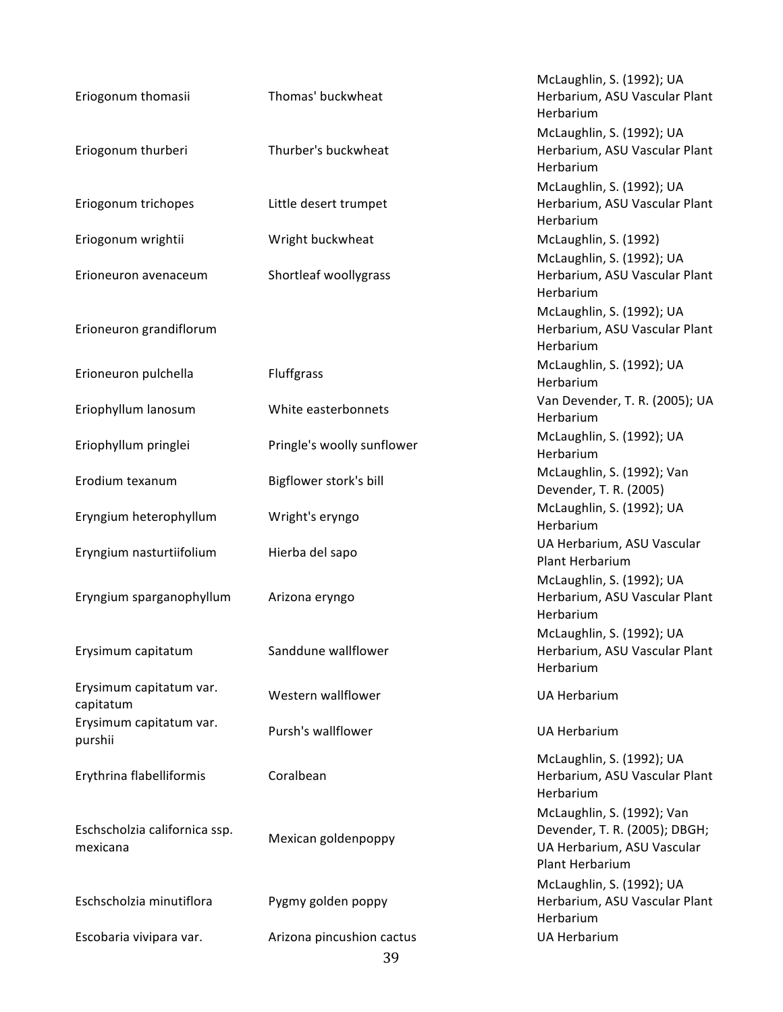| Eriogonum thomasii                        | Thomas' buckwheat          | McLaughlin, S. (1992); UA<br>Herbarium, ASU Vascular Plant<br>Herbarium                                      |
|-------------------------------------------|----------------------------|--------------------------------------------------------------------------------------------------------------|
| Eriogonum thurberi                        | Thurber's buckwheat        | McLaughlin, S. (1992); UA<br>Herbarium, ASU Vascular Plant<br>Herbarium                                      |
| Eriogonum trichopes                       | Little desert trumpet      | McLaughlin, S. (1992); UA<br>Herbarium, ASU Vascular Plant<br>Herbarium                                      |
| Eriogonum wrightii                        | Wright buckwheat           | McLaughlin, S. (1992)                                                                                        |
| Erioneuron avenaceum                      | Shortleaf woollygrass      | McLaughlin, S. (1992); UA<br>Herbarium, ASU Vascular Plant<br>Herbarium                                      |
| Erioneuron grandiflorum                   |                            | McLaughlin, S. (1992); UA<br>Herbarium, ASU Vascular Plant<br>Herbarium                                      |
| Erioneuron pulchella                      | Fluffgrass                 | McLaughlin, S. (1992); UA<br>Herbarium                                                                       |
| Eriophyllum lanosum                       | White easterbonnets        | Van Devender, T. R. (2005); UA<br>Herbarium                                                                  |
| Eriophyllum pringlei                      | Pringle's woolly sunflower | McLaughlin, S. (1992); UA<br>Herbarium                                                                       |
| Erodium texanum                           | Bigflower stork's bill     | McLaughlin, S. (1992); Van<br>Devender, T. R. (2005)                                                         |
| Eryngium heterophyllum                    | Wright's eryngo            | McLaughlin, S. (1992); UA<br>Herbarium                                                                       |
| Eryngium nasturtiifolium                  | Hierba del sapo            | UA Herbarium, ASU Vascular<br><b>Plant Herbarium</b>                                                         |
| Eryngium sparganophyllum                  | Arizona eryngo             | McLaughlin, S. (1992); UA<br>Herbarium, ASU Vascular Plant<br>Herbarium                                      |
| Erysimum capitatum                        | Sanddune wallflower        | McLaughlin, S. (1992); UA<br>Herbarium, ASU Vascular Plant<br>Herbarium                                      |
| Erysimum capitatum var.<br>capitatum      | Western wallflower         | <b>UA Herbarium</b>                                                                                          |
| Erysimum capitatum var.<br>purshii        | Pursh's wallflower         | <b>UA Herbarium</b>                                                                                          |
| Erythrina flabelliformis                  | Coralbean                  | McLaughlin, S. (1992); UA<br>Herbarium, ASU Vascular Plant<br>Herbarium                                      |
| Eschscholzia californica ssp.<br>mexicana | Mexican goldenpoppy        | McLaughlin, S. (1992); Van<br>Devender, T. R. (2005); DBGH;<br>UA Herbarium, ASU Vascular<br>Plant Herbarium |
| Eschscholzia minutiflora                  | Pygmy golden poppy         | McLaughlin, S. (1992); UA<br>Herbarium, ASU Vascular Plant<br>Herbarium                                      |
| Escobaria vivipara var.                   | Arizona pincushion cactus  | <b>UA Herbarium</b>                                                                                          |
|                                           | 39                         |                                                                                                              |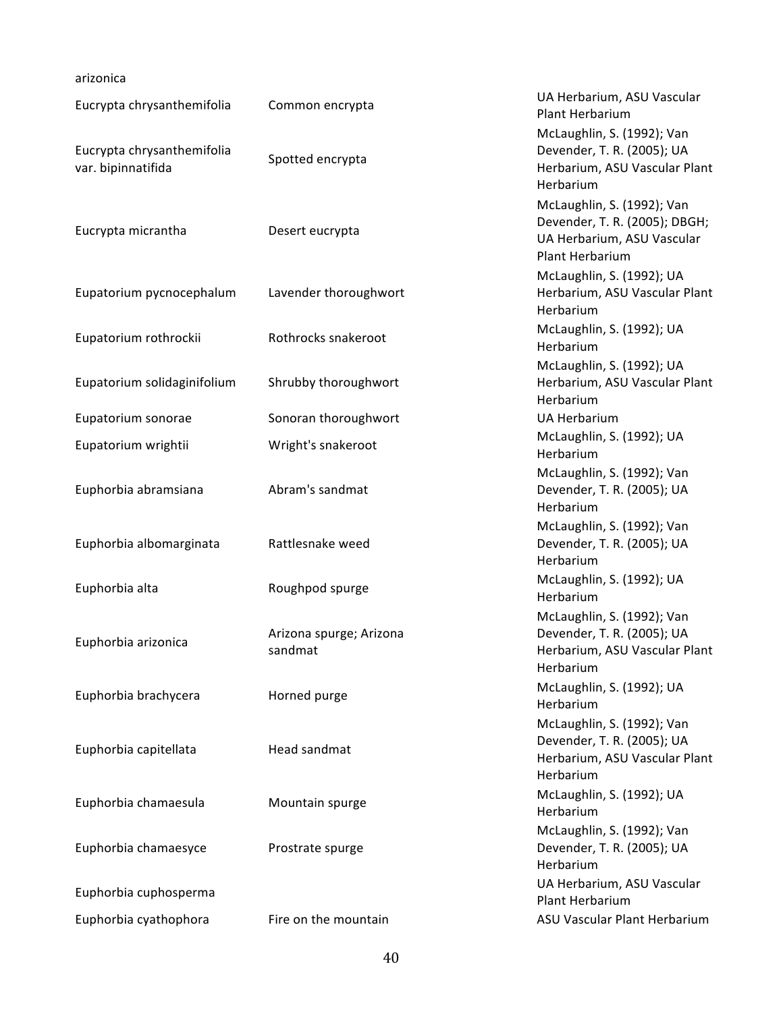## arizonica

| Eucrypta chrysanthemifolia                       | Common encrypta                    | UA Herbarium, ASU Vascular<br>Plant Herbarium                                                                |
|--------------------------------------------------|------------------------------------|--------------------------------------------------------------------------------------------------------------|
| Eucrypta chrysanthemifolia<br>var. bipinnatifida | Spotted encrypta                   | McLaughlin, S. (1992); Van<br>Devender, T. R. (2005); UA<br>Herbarium, ASU Vascular Plant<br>Herbarium       |
| Eucrypta micrantha                               | Desert eucrypta                    | McLaughlin, S. (1992); Van<br>Devender, T. R. (2005); DBGH;<br>UA Herbarium, ASU Vascular<br>Plant Herbarium |
| Eupatorium pycnocephalum                         | Lavender thoroughwort              | McLaughlin, S. (1992); UA<br>Herbarium, ASU Vascular Plant<br>Herbarium                                      |
| Eupatorium rothrockii                            | Rothrocks snakeroot                | McLaughlin, S. (1992); UA<br>Herbarium                                                                       |
| Eupatorium solidaginifolium                      | Shrubby thoroughwort               | McLaughlin, S. (1992); UA<br>Herbarium, ASU Vascular Plant<br>Herbarium                                      |
| Eupatorium sonorae                               | Sonoran thoroughwort               | <b>UA Herbarium</b>                                                                                          |
| Eupatorium wrightii                              | Wright's snakeroot                 | McLaughlin, S. (1992); UA<br>Herbarium                                                                       |
| Euphorbia abramsiana                             | Abram's sandmat                    | McLaughlin, S. (1992); Van<br>Devender, T. R. (2005); UA<br>Herbarium                                        |
| Euphorbia albomarginata                          | Rattlesnake weed                   | McLaughlin, S. (1992); Van<br>Devender, T. R. (2005); UA<br>Herbarium                                        |
| Euphorbia alta                                   | Roughpod spurge                    | McLaughlin, S. (1992); UA<br>Herbarium                                                                       |
| Euphorbia arizonica                              | Arizona spurge; Arizona<br>sandmat | McLaughlin, S. (1992); Van<br>Devender, T. R. (2005); UA<br>Herbarium, ASU Vascular Plant<br>Herbarium       |
| Euphorbia brachycera                             | Horned purge                       | McLaughlin, S. (1992); UA<br>Herbarium                                                                       |
| Euphorbia capitellata                            | Head sandmat                       | McLaughlin, S. (1992); Van<br>Devender, T. R. (2005); UA<br>Herbarium, ASU Vascular Plant<br>Herbarium       |
| Euphorbia chamaesula                             | Mountain spurge                    | McLaughlin, S. (1992); UA<br>Herbarium                                                                       |
| Euphorbia chamaesyce                             | Prostrate spurge                   | McLaughlin, S. (1992); Van<br>Devender, T. R. (2005); UA<br>Herbarium                                        |
| Euphorbia cuphosperma                            |                                    | UA Herbarium, ASU Vascular<br>Plant Herbarium                                                                |
| Euphorbia cyathophora                            | Fire on the mountain               | ASU Vascular Plant Herbarium                                                                                 |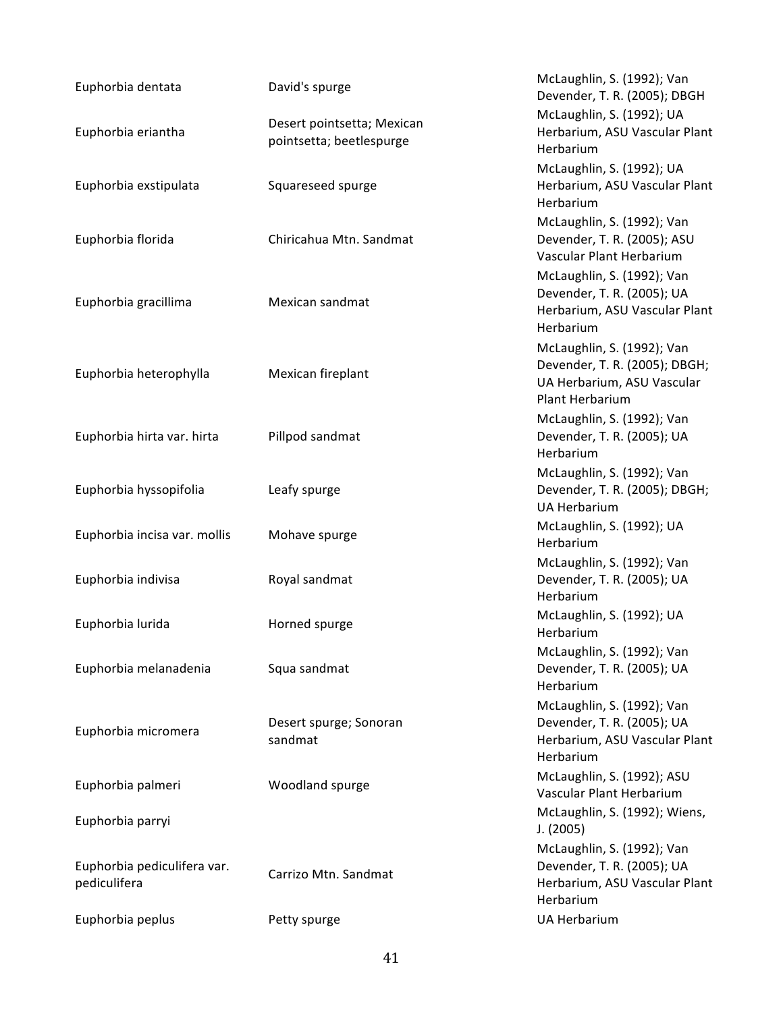| Euphorbia dentata                           | David's spurge                                         | McLaughlin, S. (1992); Van<br>Devender, T. R. (2005); DBGH                                                   |
|---------------------------------------------|--------------------------------------------------------|--------------------------------------------------------------------------------------------------------------|
| Euphorbia eriantha                          | Desert pointsetta; Mexican<br>pointsetta; beetlespurge | McLaughlin, S. (1992); UA<br>Herbarium, ASU Vascular Plant<br>Herbarium                                      |
| Euphorbia exstipulata                       | Squareseed spurge                                      | McLaughlin, S. (1992); UA<br>Herbarium, ASU Vascular Plant<br>Herbarium                                      |
| Euphorbia florida                           | Chiricahua Mtn. Sandmat                                | McLaughlin, S. (1992); Van<br>Devender, T. R. (2005); ASU<br>Vascular Plant Herbarium                        |
| Euphorbia gracillima                        | Mexican sandmat                                        | McLaughlin, S. (1992); Van<br>Devender, T. R. (2005); UA<br>Herbarium, ASU Vascular Plant<br>Herbarium       |
| Euphorbia heterophylla                      | Mexican fireplant                                      | McLaughlin, S. (1992); Van<br>Devender, T. R. (2005); DBGH;<br>UA Herbarium, ASU Vascular<br>Plant Herbarium |
| Euphorbia hirta var. hirta                  | Pillpod sandmat                                        | McLaughlin, S. (1992); Van<br>Devender, T. R. (2005); UA<br>Herbarium                                        |
| Euphorbia hyssopifolia                      | Leafy spurge                                           | McLaughlin, S. (1992); Van<br>Devender, T. R. (2005); DBGH;<br><b>UA Herbarium</b>                           |
| Euphorbia incisa var. mollis                | Mohave spurge                                          | McLaughlin, S. (1992); UA<br>Herbarium                                                                       |
| Euphorbia indivisa                          | Royal sandmat                                          | McLaughlin, S. (1992); Van<br>Devender, T. R. (2005); UA<br>Herbarium                                        |
| Euphorbia lurida                            | Horned spurge                                          | McLaughlin, S. (1992); UA<br>Herbarium                                                                       |
| Euphorbia melanadenia                       | Squa sandmat                                           | McLaughlin, S. (1992); Van<br>Devender, T. R. (2005); UA<br>Herbarium                                        |
| Euphorbia micromera                         | Desert spurge; Sonoran<br>sandmat                      | McLaughlin, S. (1992); Van<br>Devender, T. R. (2005); UA<br>Herbarium, ASU Vascular Plant<br>Herbarium       |
| Euphorbia palmeri                           | Woodland spurge                                        | McLaughlin, S. (1992); ASU<br>Vascular Plant Herbarium                                                       |
| Euphorbia parryi                            |                                                        | McLaughlin, S. (1992); Wiens,<br>J. (2005)                                                                   |
| Euphorbia pediculifera var.<br>pediculifera | Carrizo Mtn. Sandmat                                   | McLaughlin, S. (1992); Van<br>Devender, T. R. (2005); UA<br>Herbarium, ASU Vascular Plant<br>Herbarium       |
| Euphorbia peplus                            | Petty spurge                                           | <b>UA Herbarium</b>                                                                                          |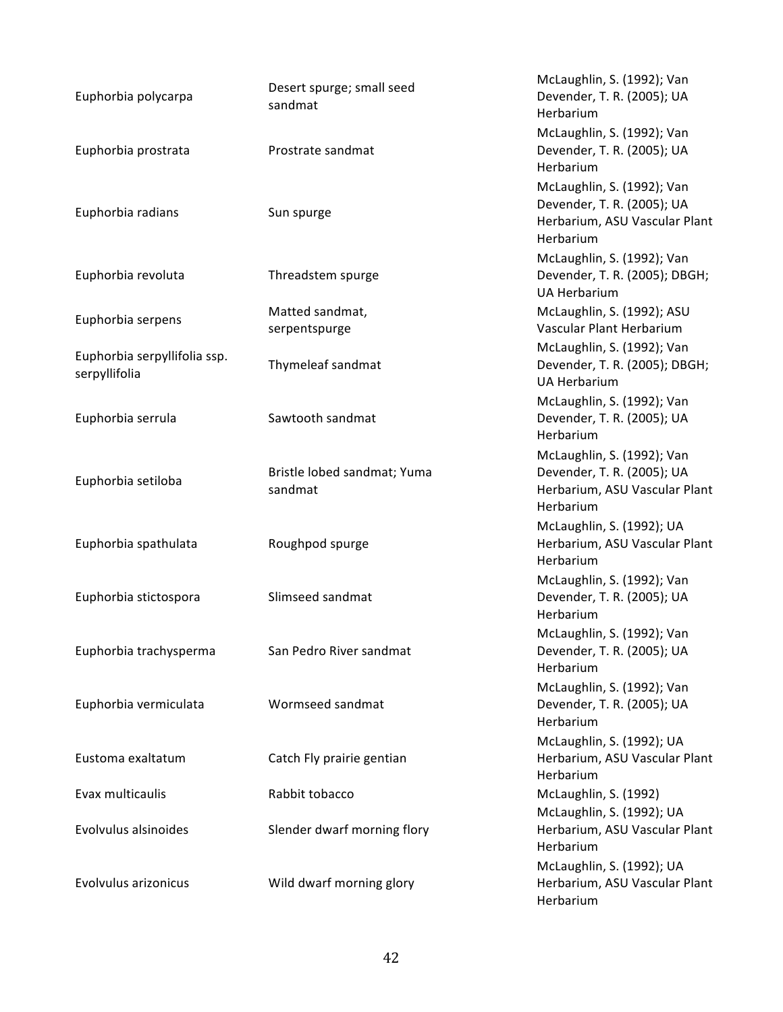| Euphorbia polycarpa                           | Desert spurge; small seed<br>sandmat   | McLaughlin, S. (1992); Van<br>Devender, T. R. (2005); UA<br>Herbarium                                  |
|-----------------------------------------------|----------------------------------------|--------------------------------------------------------------------------------------------------------|
| Euphorbia prostrata                           | Prostrate sandmat                      | McLaughlin, S. (1992); Van<br>Devender, T. R. (2005); UA<br>Herbarium                                  |
| Euphorbia radians                             | Sun spurge                             | McLaughlin, S. (1992); Van<br>Devender, T. R. (2005); UA<br>Herbarium, ASU Vascular Plant<br>Herbarium |
| Euphorbia revoluta                            | Threadstem spurge                      | McLaughlin, S. (1992); Van<br>Devender, T. R. (2005); DBGH;<br><b>UA Herbarium</b>                     |
|                                               | Matted sandmat,                        | McLaughlin, S. (1992); ASU                                                                             |
| Euphorbia serpens                             | serpentspurge                          | Vascular Plant Herbarium                                                                               |
| Euphorbia serpyllifolia ssp.<br>serpyllifolia | Thymeleaf sandmat                      | McLaughlin, S. (1992); Van<br>Devender, T. R. (2005); DBGH;<br><b>UA Herbarium</b>                     |
| Euphorbia serrula                             | Sawtooth sandmat                       | McLaughlin, S. (1992); Van<br>Devender, T. R. (2005); UA<br>Herbarium                                  |
| Euphorbia setiloba                            | Bristle lobed sandmat; Yuma<br>sandmat | McLaughlin, S. (1992); Van<br>Devender, T. R. (2005); UA<br>Herbarium, ASU Vascular Plant<br>Herbarium |
| Euphorbia spathulata                          | Roughpod spurge                        | McLaughlin, S. (1992); UA<br>Herbarium, ASU Vascular Plant<br>Herbarium                                |
| Euphorbia stictospora                         | Slimseed sandmat                       | McLaughlin, S. (1992); Van<br>Devender, T. R. (2005); UA<br>Herbarium                                  |
| Euphorbia trachysperma                        | San Pedro River sandmat                | McLaughlin, S. (1992); Van<br>Devender, T. R. (2005); UA<br>Herbarium                                  |
| Euphorbia vermiculata                         | Wormseed sandmat                       | McLaughlin, S. (1992); Van<br>Devender, T. R. (2005); UA<br>Herbarium                                  |
| Eustoma exaltatum                             | Catch Fly prairie gentian              | McLaughlin, S. (1992); UA<br>Herbarium, ASU Vascular Plant<br>Herbarium                                |
| Evax multicaulis                              | Rabbit tobacco                         | McLaughlin, S. (1992)                                                                                  |
| Evolvulus alsinoides                          | Slender dwarf morning flory            | McLaughlin, S. (1992); UA<br>Herbarium, ASU Vascular Plant<br>Herbarium                                |
| Evolvulus arizonicus                          | Wild dwarf morning glory               | McLaughlin, S. (1992); UA<br>Herbarium, ASU Vascular Plant<br>Herbarium                                |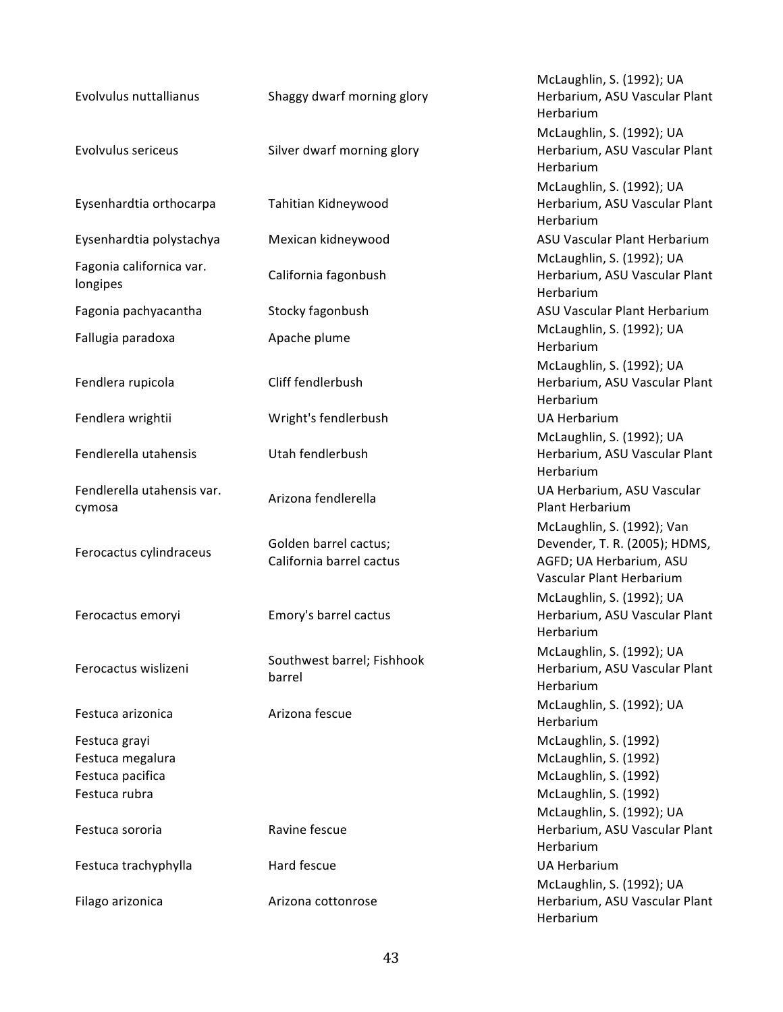| Evolvulus nuttallianus                                                 | Shaggy dwarf morning glory                        | McLaughlin, S. (1992); UA<br>Herbarium, ASU Vascular Plant<br>Herbarium                                            |
|------------------------------------------------------------------------|---------------------------------------------------|--------------------------------------------------------------------------------------------------------------------|
| <b>Evolvulus sericeus</b>                                              | Silver dwarf morning glory                        | McLaughlin, S. (1992); UA<br>Herbarium, ASU Vascular Plant<br>Herbarium                                            |
| Eysenhardtia orthocarpa                                                | Tahitian Kidneywood                               | McLaughlin, S. (1992); UA<br>Herbarium, ASU Vascular Plant<br>Herbarium                                            |
| Eysenhardtia polystachya                                               | Mexican kidneywood                                | ASU Vascular Plant Herbarium                                                                                       |
| Fagonia californica var.<br>longipes                                   | California fagonbush                              | McLaughlin, S. (1992); UA<br>Herbarium, ASU Vascular Plant<br>Herbarium                                            |
| Fagonia pachyacantha                                                   | Stocky fagonbush                                  | ASU Vascular Plant Herbarium                                                                                       |
| Fallugia paradoxa                                                      | Apache plume                                      | McLaughlin, S. (1992); UA<br>Herbarium                                                                             |
| Fendlera rupicola                                                      | Cliff fendlerbush                                 | McLaughlin, S. (1992); UA<br>Herbarium, ASU Vascular Plant<br>Herbarium                                            |
| Fendlera wrightii                                                      | Wright's fendlerbush                              | <b>UA Herbarium</b>                                                                                                |
| Fendlerella utahensis                                                  | Utah fendlerbush                                  | McLaughlin, S. (1992); UA<br>Herbarium, ASU Vascular Plant<br>Herbarium                                            |
| Fendlerella utahensis var.<br>cymosa                                   | Arizona fendlerella                               | UA Herbarium, ASU Vascular<br>Plant Herbarium                                                                      |
| Ferocactus cylindraceus                                                | Golden barrel cactus;<br>California barrel cactus | McLaughlin, S. (1992); Van<br>Devender, T. R. (2005); HDMS,<br>AGFD; UA Herbarium, ASU<br>Vascular Plant Herbarium |
| Ferocactus emoryi                                                      | Emory's barrel cactus                             | McLaughlin, S. (1992); UA<br>Herbarium, ASU Vascular Plant<br>Herbarium                                            |
| Ferocactus wislizeni                                                   | Southwest barrel; Fishhook<br>barrel              | McLaughlin, S. (1992); UA<br>Herbarium, ASU Vascular Plant<br>Herbarium                                            |
| Festuca arizonica                                                      | Arizona fescue                                    | McLaughlin, S. (1992); UA<br>Herbarium                                                                             |
| Festuca grayi<br>Festuca megalura<br>Festuca pacifica<br>Festuca rubra |                                                   | McLaughlin, S. (1992)<br>McLaughlin, S. (1992)<br>McLaughlin, S. (1992)<br>McLaughlin, S. (1992)                   |
| Festuca sororia                                                        | Ravine fescue                                     | McLaughlin, S. (1992); UA<br>Herbarium, ASU Vascular Plant<br>Herbarium                                            |
| Festuca trachyphylla                                                   | Hard fescue                                       | <b>UA Herbarium</b><br>McLaughlin, S. (1992); UA                                                                   |
| Filago arizonica                                                       | Arizona cottonrose                                | Herbarium, ASU Vascular Plant<br>Herbarium                                                                         |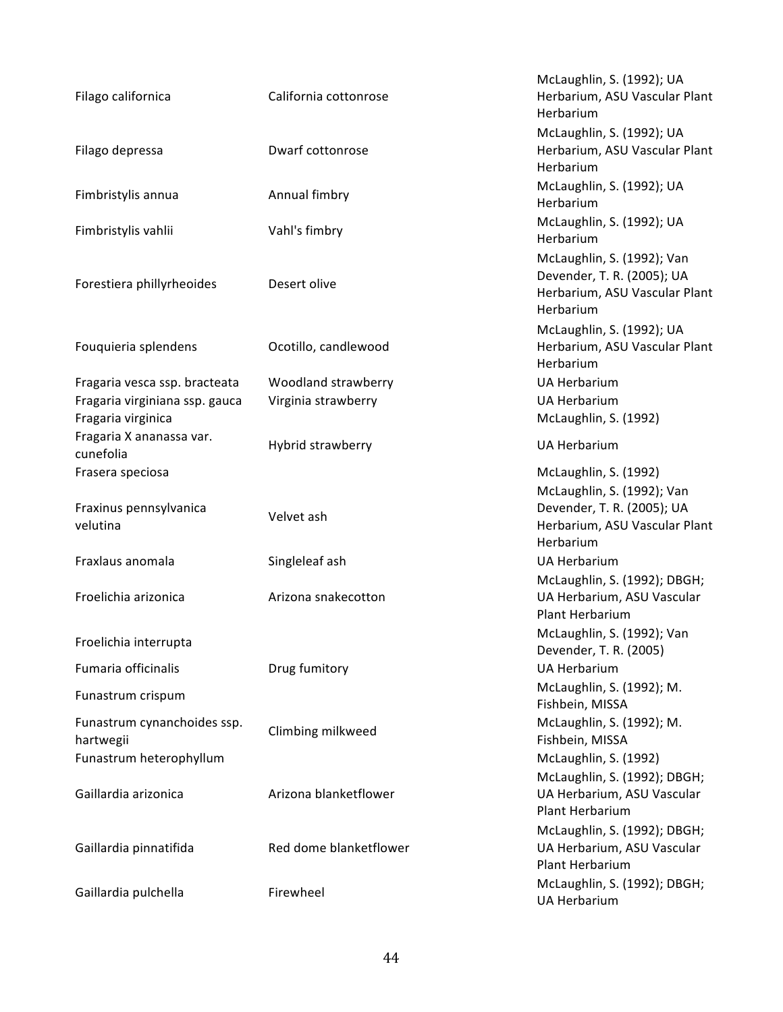| Filago californica                                   | California cottonrose  | McLaughlin, S. (1992); UA<br>Herbarium, ASU Vascular Plant<br>Herbarium                                |
|------------------------------------------------------|------------------------|--------------------------------------------------------------------------------------------------------|
| Filago depressa                                      | Dwarf cottonrose       | McLaughlin, S. (1992); UA<br>Herbarium, ASU Vascular Plant<br>Herbarium                                |
| Fimbristylis annua                                   | Annual fimbry          | McLaughlin, S. (1992); UA<br>Herbarium                                                                 |
| Fimbristylis vahlii                                  | Vahl's fimbry          | McLaughlin, S. (1992); UA<br>Herbarium                                                                 |
| Forestiera phillyrheoides                            | Desert olive           | McLaughlin, S. (1992); Van<br>Devender, T. R. (2005); UA<br>Herbarium, ASU Vascular Plant<br>Herbarium |
| Fouquieria splendens                                 | Ocotillo, candlewood   | McLaughlin, S. (1992); UA<br>Herbarium, ASU Vascular Plant<br>Herbarium                                |
| Fragaria vesca ssp. bracteata                        | Woodland strawberry    | <b>UA Herbarium</b>                                                                                    |
| Fragaria virginiana ssp. gauca<br>Fragaria virginica | Virginia strawberry    | <b>UA Herbarium</b><br>McLaughlin, S. (1992)                                                           |
| Fragaria X ananassa var.<br>cunefolia                | Hybrid strawberry      | <b>UA Herbarium</b>                                                                                    |
| Frasera speciosa                                     |                        | McLaughlin, S. (1992)                                                                                  |
| Fraxinus pennsylvanica<br>velutina                   | Velvet ash             | McLaughlin, S. (1992); Van<br>Devender, T. R. (2005); UA<br>Herbarium, ASU Vascular Plant<br>Herbarium |
| Fraxlaus anomala                                     | Singleleaf ash         | <b>UA Herbarium</b>                                                                                    |
| Froelichia arizonica                                 | Arizona snakecotton    | McLaughlin, S. (1992); DBGH;<br>UA Herbarium, ASU Vascular<br>Plant Herbarium                          |
| Froelichia interrupta                                |                        | McLaughlin, S. (1992); Van                                                                             |
| Fumaria officinalis                                  | Drug fumitory          | Devender, T. R. (2005)<br><b>UA Herbarium</b>                                                          |
| Funastrum crispum                                    |                        | McLaughlin, S. (1992); M.<br>Fishbein, MISSA                                                           |
| Funastrum cynanchoides ssp.<br>hartwegii             | Climbing milkweed      | McLaughlin, S. (1992); M.<br>Fishbein, MISSA                                                           |
| Funastrum heterophyllum                              |                        | McLaughlin, S. (1992)                                                                                  |
| Gaillardia arizonica                                 | Arizona blanketflower  | McLaughlin, S. (1992); DBGH;<br>UA Herbarium, ASU Vascular<br>Plant Herbarium                          |
| Gaillardia pinnatifida                               | Red dome blanketflower | McLaughlin, S. (1992); DBGH;<br>UA Herbarium, ASU Vascular<br>Plant Herbarium                          |
| Gaillardia pulchella                                 | Firewheel              | McLaughlin, S. (1992); DBGH;<br><b>UA Herbarium</b>                                                    |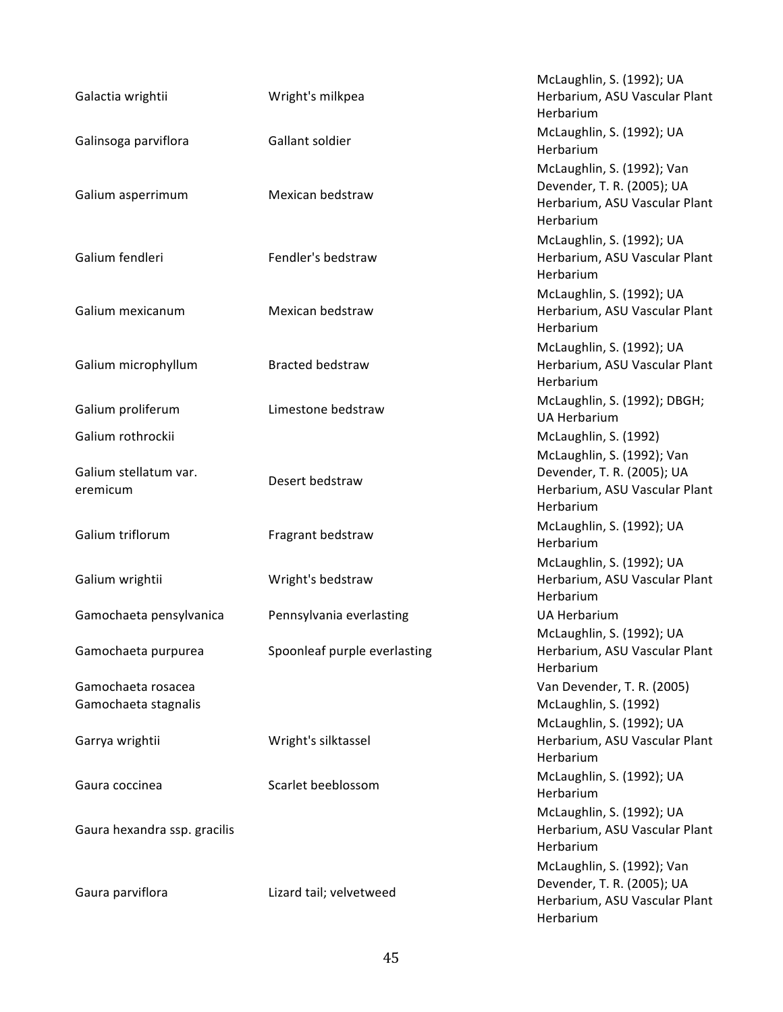| Galactia wrightii                          | Wright's milkpea             | McLaughlin, S. (1992); UA<br>Herbarium, ASU Vascular Plant<br>Herbarium                                |
|--------------------------------------------|------------------------------|--------------------------------------------------------------------------------------------------------|
| Galinsoga parviflora                       | Gallant soldier              | McLaughlin, S. (1992); UA<br>Herbarium                                                                 |
| Galium asperrimum                          | Mexican bedstraw             | McLaughlin, S. (1992); Van<br>Devender, T. R. (2005); UA<br>Herbarium, ASU Vascular Plant<br>Herbarium |
| Galium fendleri                            | Fendler's bedstraw           | McLaughlin, S. (1992); UA<br>Herbarium, ASU Vascular Plant<br>Herbarium                                |
| Galium mexicanum                           | Mexican bedstraw             | McLaughlin, S. (1992); UA<br>Herbarium, ASU Vascular Plant<br>Herbarium                                |
| Galium microphyllum                        | <b>Bracted bedstraw</b>      | McLaughlin, S. (1992); UA<br>Herbarium, ASU Vascular Plant<br>Herbarium                                |
| Galium proliferum                          | Limestone bedstraw           | McLaughlin, S. (1992); DBGH;<br><b>UA Herbarium</b>                                                    |
| Galium rothrockii                          |                              | McLaughlin, S. (1992)                                                                                  |
| Galium stellatum var.<br>eremicum          | Desert bedstraw              | McLaughlin, S. (1992); Van<br>Devender, T. R. (2005); UA<br>Herbarium, ASU Vascular Plant<br>Herbarium |
| Galium triflorum                           | Fragrant bedstraw            | McLaughlin, S. (1992); UA<br>Herbarium                                                                 |
| Galium wrightii                            | Wright's bedstraw            | McLaughlin, S. (1992); UA<br>Herbarium, ASU Vascular Plant<br>Herbarium                                |
| Gamochaeta pensylvanica                    | Pennsylvania everlasting     | <b>UA Herbarium</b>                                                                                    |
| Gamochaeta purpurea                        | Spoonleaf purple everlasting | McLaughlin, S. (1992); UA<br>Herbarium, ASU Vascular Plant<br>Herbarium                                |
| Gamochaeta rosacea<br>Gamochaeta stagnalis |                              | Van Devender, T. R. (2005)<br>McLaughlin, S. (1992)                                                    |
| Garrya wrightii                            | Wright's silktassel          | McLaughlin, S. (1992); UA<br>Herbarium, ASU Vascular Plant<br>Herbarium                                |
| Gaura coccinea                             | Scarlet beeblossom           | McLaughlin, S. (1992); UA<br>Herbarium                                                                 |
| Gaura hexandra ssp. gracilis               |                              | McLaughlin, S. (1992); UA<br>Herbarium, ASU Vascular Plant<br>Herbarium                                |
| Gaura parviflora                           | Lizard tail; velvetweed      | McLaughlin, S. (1992); Van<br>Devender, T. R. (2005); UA<br>Herbarium, ASU Vascular Plant<br>Herbarium |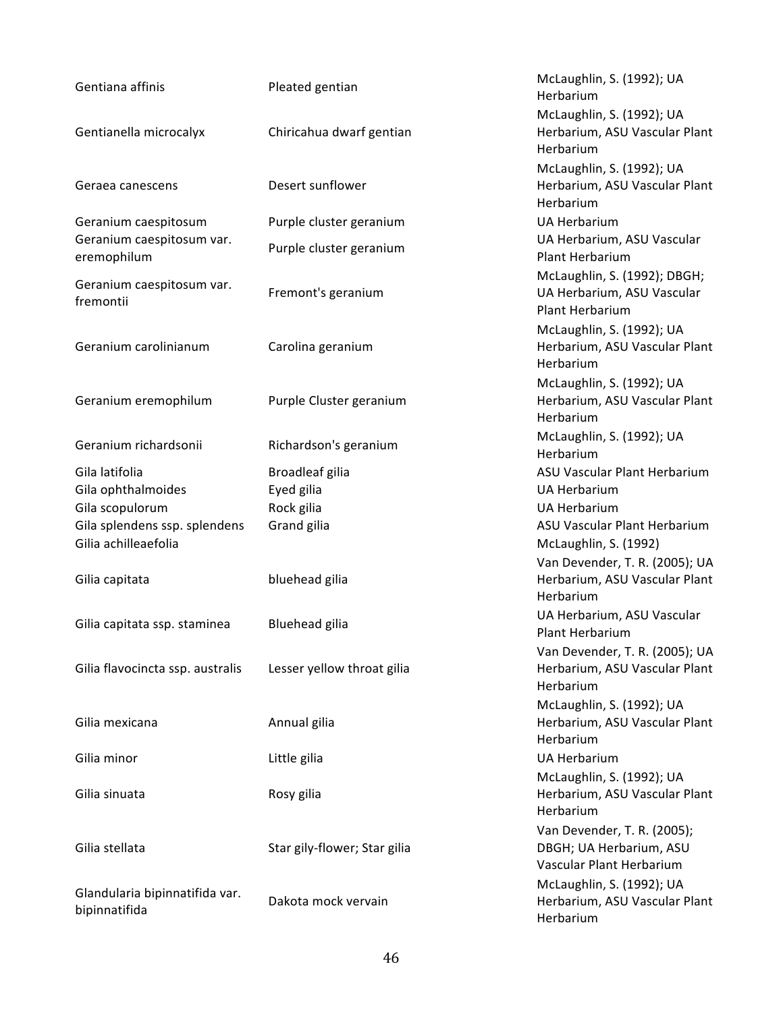| Gentiana affinis                         | Pleated gentian              | McLaughlin, S. (1992); UA<br>Herbarium              |
|------------------------------------------|------------------------------|-----------------------------------------------------|
|                                          |                              | McLaughlin, S. (1992); UA                           |
| Gentianella microcalyx                   | Chiricahua dwarf gentian     | Herbarium, ASU Vascular Plant<br>Herbarium          |
|                                          |                              | McLaughlin, S. (1992); UA                           |
| Geraea canescens                         | Desert sunflower             | Herbarium, ASU Vascular Plant<br>Herbarium          |
| Geranium caespitosum                     | Purple cluster geranium      | <b>UA Herbarium</b>                                 |
| Geranium caespitosum var.<br>eremophilum | Purple cluster geranium      | UA Herbarium, ASU Vascular<br>Plant Herbarium       |
|                                          |                              | McLaughlin, S. (1992); DBGH;                        |
| Geranium caespitosum var.<br>fremontii   | Fremont's geranium           | UA Herbarium, ASU Vascular<br>Plant Herbarium       |
|                                          |                              | McLaughlin, S. (1992); UA                           |
| Geranium carolinianum                    | Carolina geranium            | Herbarium, ASU Vascular Plant<br>Herbarium          |
|                                          |                              | McLaughlin, S. (1992); UA                           |
| Geranium eremophilum                     | Purple Cluster geranium      | Herbarium, ASU Vascular Plant<br>Herbarium          |
| Geranium richardsonii                    | Richardson's geranium        | McLaughlin, S. (1992); UA                           |
|                                          |                              | Herbarium                                           |
| Gila latifolia                           | Broadleaf gilia              | ASU Vascular Plant Herbarium                        |
| Gila ophthalmoides                       | Eyed gilia                   | <b>UA Herbarium</b>                                 |
| Gila scopulorum                          | Rock gilia                   | <b>UA Herbarium</b>                                 |
| Gila splendens ssp. splendens            | Grand gilia                  | ASU Vascular Plant Herbarium                        |
| Gilia achilleaefolia                     |                              | McLaughlin, S. (1992)                               |
|                                          |                              | Van Devender, T. R. (2005); UA                      |
| Gilia capitata                           | bluehead gilia               | Herbarium, ASU Vascular Plant<br>Herbarium          |
| Gilia capitata ssp. staminea             | Bluehead gilia               | UA Herbarium, ASU Vascular<br>Plant Herbarium       |
|                                          |                              | Van Devender, T. R. (2005); UA                      |
| Gilia flavocincta ssp. australis         | Lesser yellow throat gilia   | Herbarium, ASU Vascular Plant<br>Herbarium          |
|                                          |                              | McLaughlin, S. (1992); UA                           |
| Gilia mexicana                           | Annual gilia                 | Herbarium, ASU Vascular Plant<br>Herbarium          |
| Gilia minor                              | Little gilia                 | <b>UA Herbarium</b>                                 |
|                                          |                              | McLaughlin, S. (1992); UA                           |
| Gilia sinuata                            | Rosy gilia                   | Herbarium, ASU Vascular Plant<br>Herbarium          |
|                                          |                              | Van Devender, T. R. (2005);                         |
| Gilia stellata                           | Star gily-flower; Star gilia | DBGH; UA Herbarium, ASU<br>Vascular Plant Herbarium |
| Glandularia bipinnatifida var.           |                              | McLaughlin, S. (1992); UA                           |
| bipinnatifida                            | Dakota mock vervain          | Herbarium, ASU Vascular Plant<br>Herbarium          |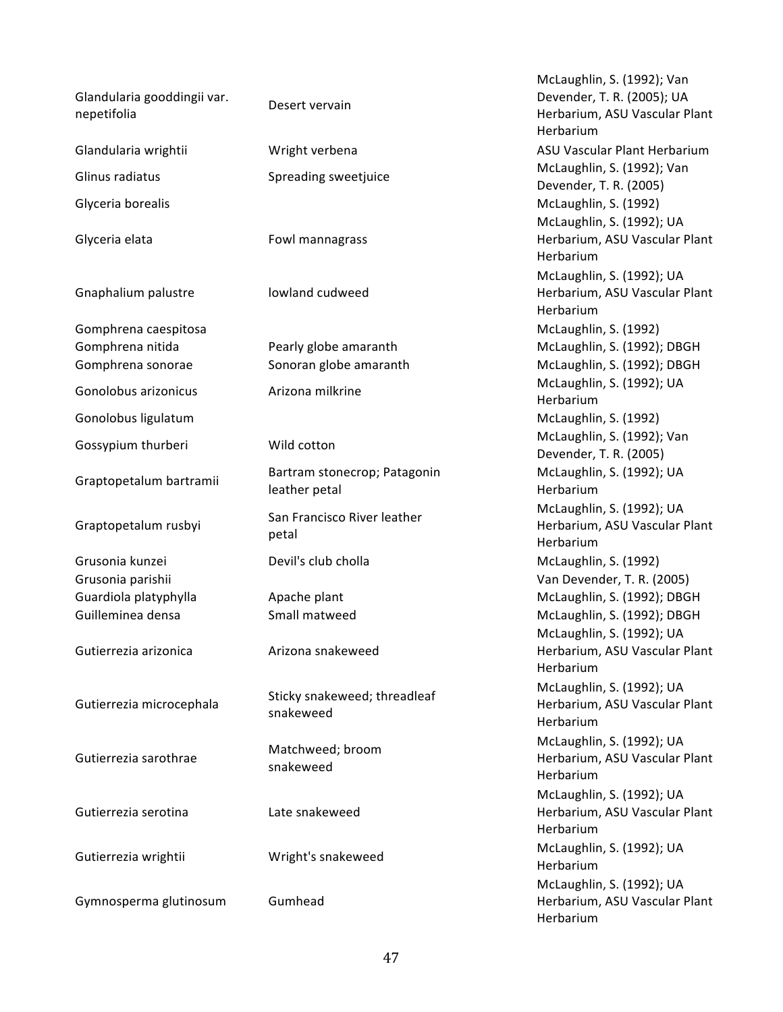| Glandularia gooddingii var.<br>nepetifolia                    | Desert vervain                                  |
|---------------------------------------------------------------|-------------------------------------------------|
| Glandularia wrightii                                          | Wright verbena                                  |
| Glinus radiatus                                               | Spreading sweetjuice                            |
| Glyceria borealis                                             |                                                 |
| Glyceria elata                                                | Fowl mannagrass                                 |
| Gnaphalium palustre                                           | lowland cudweed                                 |
| Gomphrena caespitosa<br>Gomphrena nitida<br>Gomphrena sonorae | Pearly globe amaranth<br>Sonoran globe amaranth |
| Gonolobus arizonicus                                          | Arizona milkrine                                |
| Gonolobus ligulatum                                           |                                                 |
| Gossypium thurberi                                            | Wild cotton                                     |
| Graptopetalum bartramii                                       | Bartram stonecrop; Patagonin<br>leather petal   |
| Graptopetalum rusbyi                                          | San Francisco River leather<br>petal            |
| Grusonia kunzei                                               | Devil's club cholla                             |
| Grusonia parishii<br>Guardiola platyphylla                    | Apache plant                                    |
| Guilleminea densa                                             | Small matweed                                   |
| Gutierrezia arizonica                                         | Arizona snakeweed                               |
| Gutierrezia microcephala                                      | Sticky snakeweed; threadleaf<br>snakeweed       |
| Gutierrezia sarothrae                                         | Matchweed; broom<br>snakeweed                   |
| Gutierrezia serotina                                          | Late snakeweed                                  |
| Gutierrezia wrightii                                          | Wright's snakeweed                              |
| Gymnosperma glutinosum                                        | Gumhead                                         |

McLaughlin, S. (1992); Van Devender, T. R. (2005); UA Herbarium, ASU Vascular Plant Herbarium ASU Vascular Plant Herbarium McLaughlin, S. (1992); Van Devender, T. R. (2005) McLaughlin, S. (1992) McLaughlin, S. (1992); UA Herbarium, ASU Vascular Plant Herbarium McLaughlin, S. (1992); UA Herbarium, ASU Vascular Plant Herbarium McLaughlin, S. (1992) McLaughlin, S. (1992); DBGH McLaughlin, S. (1992); DBGH McLaughlin, S. (1992); UA Herbarium McLaughlin, S. (1992) McLaughlin, S. (1992); Van Devender, T. R. (2005) McLaughlin, S. (1992); UA Herbarium McLaughlin, S. (1992); UA Herbarium, ASU Vascular Plant Herbarium McLaughlin, S. (1992) Van Devender, T. R. (2005) McLaughlin, S. (1992); DBGH McLaughlin, S. (1992); DBGH McLaughlin, S. (1992); UA Herbarium, ASU Vascular Plant Herbarium McLaughlin, S. (1992); UA Herbarium, ASU Vascular Plant Herbarium McLaughlin, S. (1992); UA Herbarium, ASU Vascular Plant Herbarium McLaughlin, S. (1992); UA Herbarium, ASU Vascular Plant Herbarium McLaughlin, S. (1992); UA Herbarium McLaughlin, S. (1992); UA Herbarium, ASU Vascular Plant Herbarium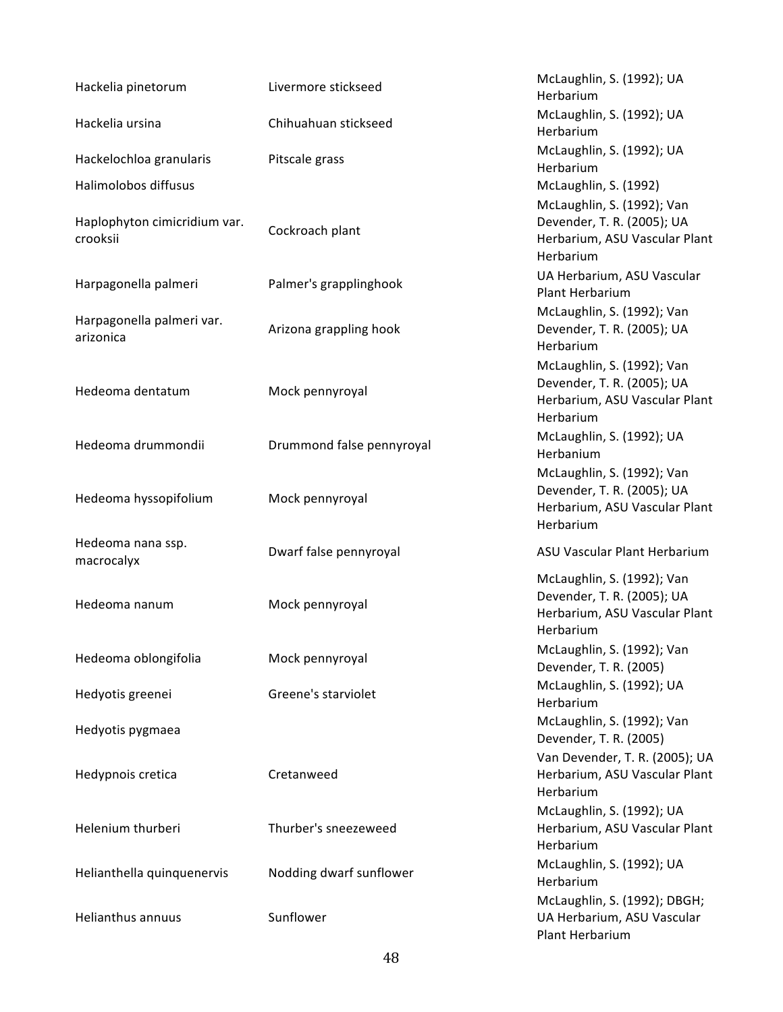| Hackelia pinetorum                       | Livermore stickseed       | McLaughlin, S. (1992); UA<br>Herbarium                                                                 |
|------------------------------------------|---------------------------|--------------------------------------------------------------------------------------------------------|
| Hackelia ursina                          | Chihuahuan stickseed      | McLaughlin, S. (1992); UA<br>Herbarium                                                                 |
| Hackelochloa granularis                  | Pitscale grass            | McLaughlin, S. (1992); UA<br>Herbarium                                                                 |
| Halimolobos diffusus                     |                           | McLaughlin, S. (1992)                                                                                  |
| Haplophyton cimicridium var.<br>crooksii | Cockroach plant           | McLaughlin, S. (1992); Van<br>Devender, T. R. (2005); UA<br>Herbarium, ASU Vascular Plant<br>Herbarium |
| Harpagonella palmeri                     | Palmer's grapplinghook    | UA Herbarium, ASU Vascular<br>Plant Herbarium                                                          |
| Harpagonella palmeri var.<br>arizonica   | Arizona grappling hook    | McLaughlin, S. (1992); Van<br>Devender, T. R. (2005); UA<br>Herbarium                                  |
| Hedeoma dentatum                         | Mock pennyroyal           | McLaughlin, S. (1992); Van<br>Devender, T. R. (2005); UA<br>Herbarium, ASU Vascular Plant<br>Herbarium |
| Hedeoma drummondii                       | Drummond false pennyroyal | McLaughlin, S. (1992); UA<br>Herbanium                                                                 |
| Hedeoma hyssopifolium                    | Mock pennyroyal           | McLaughlin, S. (1992); Van<br>Devender, T. R. (2005); UA<br>Herbarium, ASU Vascular Plant              |
|                                          |                           | Herbarium                                                                                              |
| Hedeoma nana ssp.<br>macrocalyx          | Dwarf false pennyroyal    | ASU Vascular Plant Herbarium                                                                           |
| Hedeoma nanum                            | Mock pennyroyal           | McLaughlin, S. (1992); Van<br>Devender, T. R. (2005); UA<br>Herbarium, ASU Vascular Plant<br>Herbarium |
| Hedeoma oblongifolia                     | Mock pennyroyal           | McLaughlin, S. (1992); Van<br>Devender, T. R. (2005)                                                   |
| Hedyotis greenei                         | Greene's starviolet       | McLaughlin, S. (1992); UA<br>Herbarium                                                                 |
| Hedyotis pygmaea                         |                           | McLaughlin, S. (1992); Van<br>Devender, T. R. (2005)                                                   |
| Hedypnois cretica                        | Cretanweed                | Van Devender, T. R. (2005); UA<br>Herbarium, ASU Vascular Plant<br>Herbarium                           |
| Helenium thurberi                        | Thurber's sneezeweed      | McLaughlin, S. (1992); UA<br>Herbarium, ASU Vascular Plant<br>Herbarium                                |
| Helianthella quinquenervis               | Nodding dwarf sunflower   | McLaughlin, S. (1992); UA<br>Herbarium                                                                 |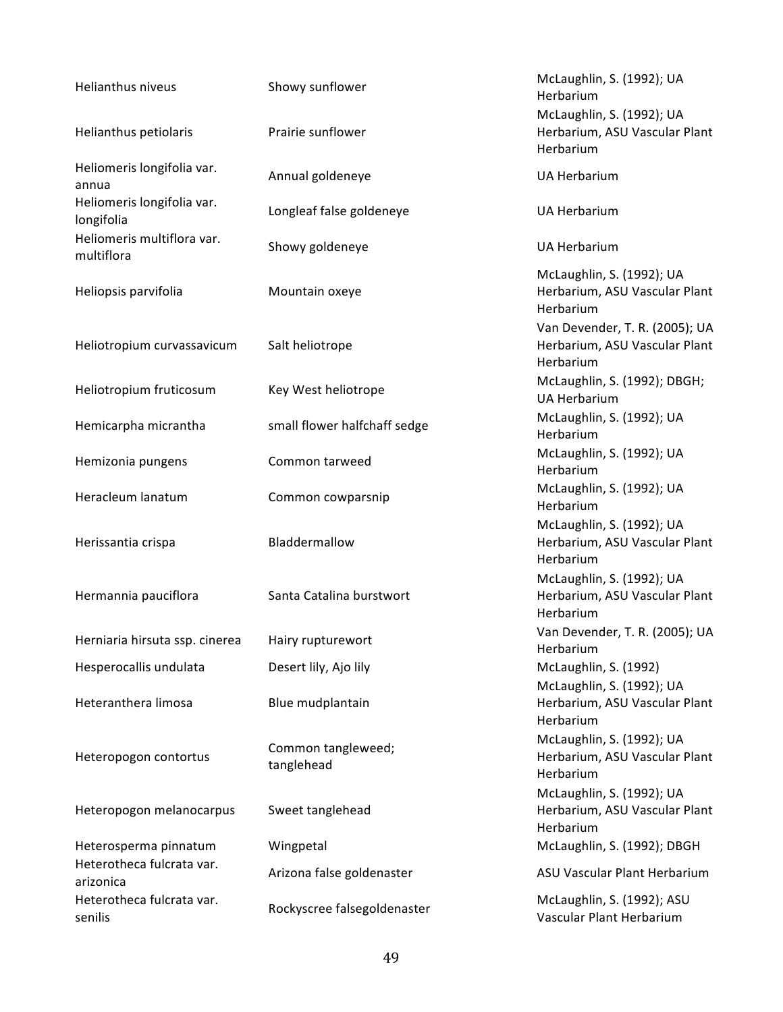| Helianthus niveus                        | Showy sunflower                  | McLaughlin, S. (1992); UA<br>Herbarium                                       |
|------------------------------------------|----------------------------------|------------------------------------------------------------------------------|
| Helianthus petiolaris                    | Prairie sunflower                | McLaughlin, S. (1992); UA<br>Herbarium, ASU Vascular Plant<br>Herbarium      |
| Heliomeris longifolia var.<br>annua      | Annual goldeneye                 | <b>UA Herbarium</b>                                                          |
| Heliomeris longifolia var.<br>longifolia | Longleaf false goldeneye         | <b>UA Herbarium</b>                                                          |
| Heliomeris multiflora var.<br>multiflora | Showy goldeneye                  | <b>UA Herbarium</b>                                                          |
| Heliopsis parvifolia                     | Mountain oxeye                   | McLaughlin, S. (1992); UA<br>Herbarium, ASU Vascular Plant<br>Herbarium      |
| Heliotropium curvassavicum               | Salt heliotrope                  | Van Devender, T. R. (2005); UA<br>Herbarium, ASU Vascular Plant<br>Herbarium |
| Heliotropium fruticosum                  | Key West heliotrope              | McLaughlin, S. (1992); DBGH;<br><b>UA Herbarium</b>                          |
| Hemicarpha micrantha                     | small flower halfchaff sedge     | McLaughlin, S. (1992); UA<br>Herbarium                                       |
| Hemizonia pungens                        | Common tarweed                   | McLaughlin, S. (1992); UA<br>Herbarium                                       |
| Heracleum lanatum                        | Common cowparsnip                | McLaughlin, S. (1992); UA<br>Herbarium                                       |
| Herissantia crispa                       | Bladdermallow                    | McLaughlin, S. (1992); UA<br>Herbarium, ASU Vascular Plant<br>Herbarium      |
| Hermannia pauciflora                     | Santa Catalina burstwort         | McLaughlin, S. (1992); UA<br>Herbarium, ASU Vascular Plant<br>Herbarium      |
| Herniaria hirsuta ssp. cinerea           | Hairy rupturewort                | Van Devender, T. R. (2005); UA<br>Herbarium                                  |
| Hesperocallis undulata                   | Desert lily, Ajo lily            | McLaughlin, S. (1992)<br>McLaughlin, S. (1992); UA                           |
| Heteranthera limosa                      | Blue mudplantain                 | Herbarium, ASU Vascular Plant<br>Herbarium                                   |
| Heteropogon contortus                    | Common tangleweed;<br>tanglehead | McLaughlin, S. (1992); UA<br>Herbarium, ASU Vascular Plant<br>Herbarium      |
| Heteropogon melanocarpus                 | Sweet tanglehead                 | McLaughlin, S. (1992); UA<br>Herbarium, ASU Vascular Plant<br>Herbarium      |
| Heterosperma pinnatum                    | Wingpetal                        | McLaughlin, S. (1992); DBGH                                                  |
| Heterotheca fulcrata var.<br>arizonica   | Arizona false goldenaster        | ASU Vascular Plant Herbarium                                                 |
| Heterotheca fulcrata var.<br>senilis     | Rockyscree falsegoldenaster      | McLaughlin, S. (1992); ASU<br>Vascular Plant Herbarium                       |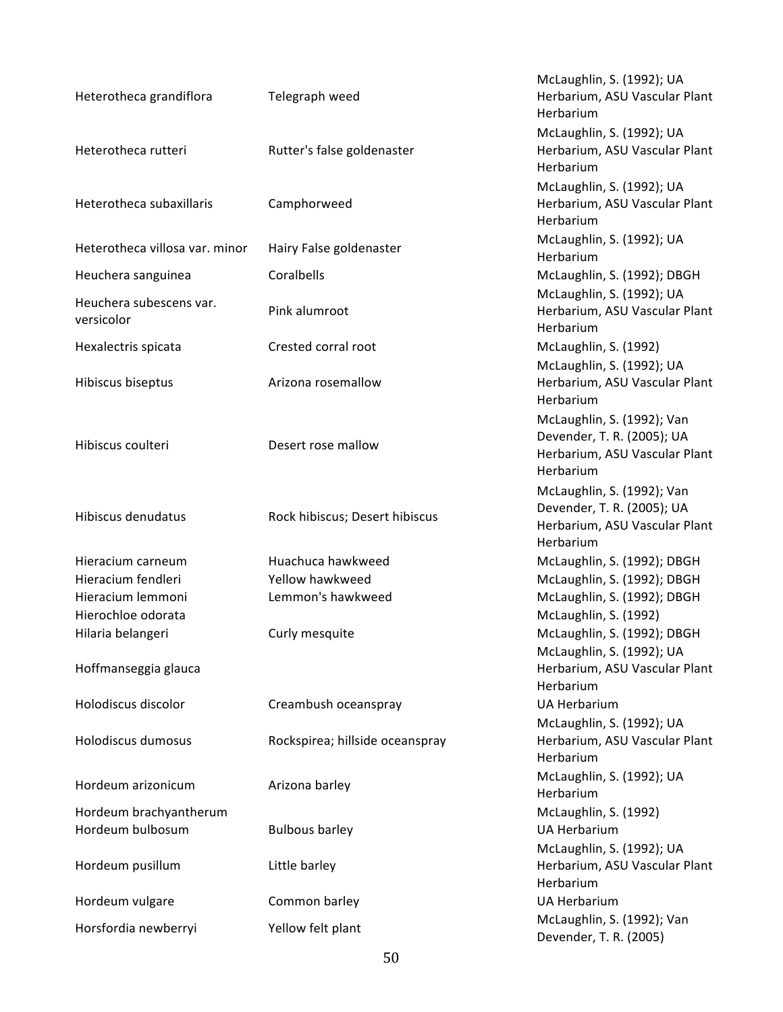| Heterotheca grandiflora                    | Telegraph weed                  | McLaughlin, S. (1992); UA<br>Herbarium, ASU Vascular Plant<br>Herbarium                                |
|--------------------------------------------|---------------------------------|--------------------------------------------------------------------------------------------------------|
| Heterotheca rutteri                        | Rutter's false goldenaster      | McLaughlin, S. (1992); UA<br>Herbarium, ASU Vascular Plant<br>Herbarium                                |
| Heterotheca subaxillaris                   | Camphorweed                     | McLaughlin, S. (1992); UA<br>Herbarium, ASU Vascular Plant<br>Herbarium                                |
| Heterotheca villosa var. minor             | Hairy False goldenaster         | McLaughlin, S. (1992); UA<br>Herbarium                                                                 |
| Heuchera sanguinea                         | Coralbells                      | McLaughlin, S. (1992); DBGH                                                                            |
| Heuchera subescens var.<br>versicolor      | Pink alumroot                   | McLaughlin, S. (1992); UA<br>Herbarium, ASU Vascular Plant<br>Herbarium                                |
| Hexalectris spicata                        | Crested corral root             | McLaughlin, S. (1992)                                                                                  |
| Hibiscus biseptus                          | Arizona rosemallow              | McLaughlin, S. (1992); UA<br>Herbarium, ASU Vascular Plant<br>Herbarium                                |
| Hibiscus coulteri                          | Desert rose mallow              | McLaughlin, S. (1992); Van<br>Devender, T. R. (2005); UA<br>Herbarium, ASU Vascular Plant<br>Herbarium |
| Hibiscus denudatus                         | Rock hibiscus; Desert hibiscus  | McLaughlin, S. (1992); Van<br>Devender, T. R. (2005); UA<br>Herbarium, ASU Vascular Plant<br>Herbarium |
| Hieracium carneum                          | Huachuca hawkweed               | McLaughlin, S. (1992); DBGH                                                                            |
| Hieracium fendleri                         | Yellow hawkweed                 | McLaughlin, S. (1992); DBGH                                                                            |
| Hieracium lemmoni                          | Lemmon's hawkweed               | McLaughlin, S. (1992); DBGH                                                                            |
| Hierochloe odorata                         |                                 | McLaughlin, S. (1992)                                                                                  |
| Hilaria belangeri                          | Curly mesquite                  | McLaughlin, S. (1992); DBGH                                                                            |
| Hoffmanseggia glauca                       |                                 | McLaughlin, S. (1992); UA<br>Herbarium, ASU Vascular Plant<br>Herbarium                                |
| Holodiscus discolor                        | Creambush oceanspray            | <b>UA Herbarium</b>                                                                                    |
| Holodiscus dumosus                         | Rockspirea; hillside oceanspray | McLaughlin, S. (1992); UA<br>Herbarium, ASU Vascular Plant<br>Herbarium                                |
| Hordeum arizonicum                         | Arizona barley                  | McLaughlin, S. (1992); UA<br>Herbarium                                                                 |
| Hordeum brachyantherum<br>Hordeum bulbosum | <b>Bulbous barley</b>           | McLaughlin, S. (1992)<br><b>UA Herbarium</b>                                                           |
| Hordeum pusillum                           | Little barley                   | McLaughlin, S. (1992); UA<br>Herbarium, ASU Vascular Plant<br>Herbarium                                |
| Hordeum vulgare                            | Common barley                   | <b>UA Herbarium</b>                                                                                    |
| Horsfordia newberryi                       | Yellow felt plant               | McLaughlin, S. (1992); Van<br>Devender, T. R. (2005)                                                   |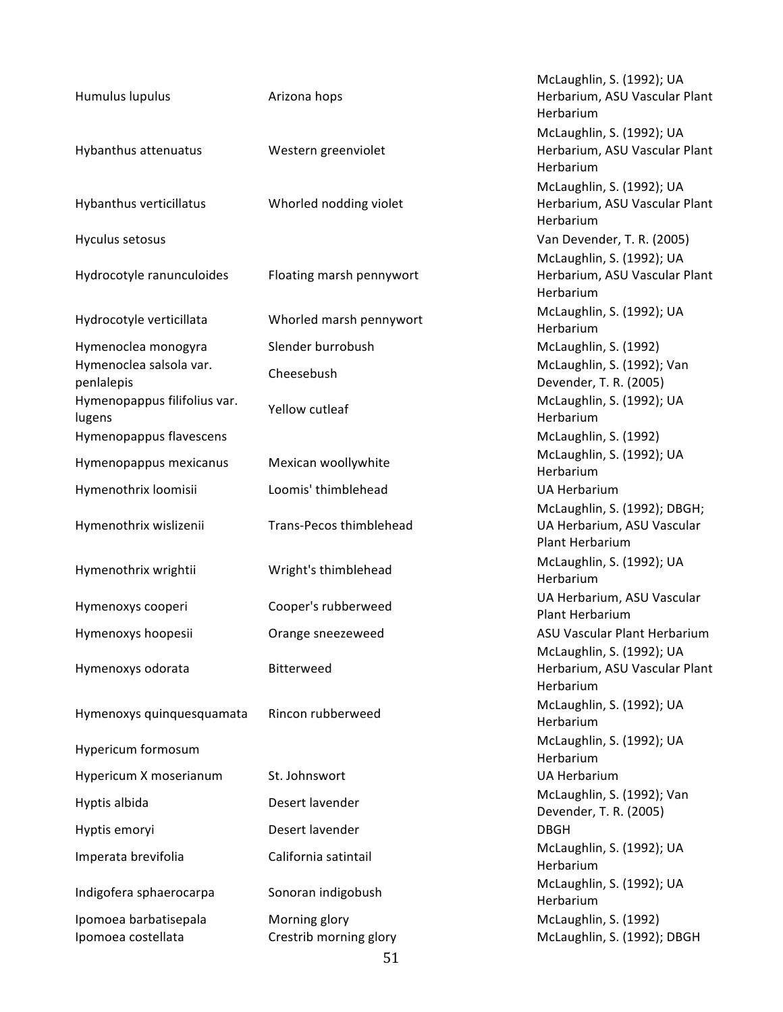| Humulus lupulus                        | Arizona hops             | McLaughlin, S. (1992); UA<br>Herbarium, ASU Vascular Plant<br>Herbarium       |
|----------------------------------------|--------------------------|-------------------------------------------------------------------------------|
| Hybanthus attenuatus                   | Western greenviolet      | McLaughlin, S. (1992); UA<br>Herbarium, ASU Vascular Plant<br>Herbarium       |
| Hybanthus verticillatus                | Whorled nodding violet   | McLaughlin, S. (1992); UA<br>Herbarium, ASU Vascular Plant<br>Herbarium       |
| Hyculus setosus                        |                          | Van Devender, T. R. (2005)                                                    |
| Hydrocotyle ranunculoides              | Floating marsh pennywort | McLaughlin, S. (1992); UA<br>Herbarium, ASU Vascular Plant<br>Herbarium       |
| Hydrocotyle verticillata               | Whorled marsh pennywort  | McLaughlin, S. (1992); UA<br>Herbarium                                        |
| Hymenoclea monogyra                    | Slender burrobush        | McLaughlin, S. (1992)                                                         |
| Hymenoclea salsola var.<br>penlalepis  | Cheesebush               | McLaughlin, S. (1992); Van<br>Devender, T. R. (2005)                          |
| Hymenopappus filifolius var.<br>lugens | Yellow cutleaf           | McLaughlin, S. (1992); UA<br>Herbarium                                        |
| Hymenopappus flavescens                |                          | McLaughlin, S. (1992)                                                         |
| Hymenopappus mexicanus                 | Mexican woollywhite      | McLaughlin, S. (1992); UA<br>Herbarium                                        |
| Hymenothrix loomisii                   | Loomis' thimblehead      | <b>UA Herbarium</b>                                                           |
| Hymenothrix wislizenii                 | Trans-Pecos thimblehead  | McLaughlin, S. (1992); DBGH;<br>UA Herbarium, ASU Vascular<br>Plant Herbarium |
| Hymenothrix wrightii                   | Wright's thimblehead     | McLaughlin, S. (1992); UA<br>Herbarium                                        |
| Hymenoxys cooperi                      | Cooper's rubberweed      | UA Herbarium, ASU Vascular<br>Plant Herbarium                                 |
| Hymenoxys hoopesii                     | Orange sneezeweed        | ASU Vascular Plant Herbarium                                                  |
| Hymenoxys odorata                      | Bitterweed               | McLaughlin, S. (1992); UA<br>Herbarium, ASU Vascular Plant<br>Herbarium       |
| Hymenoxys quinquesquamata              | Rincon rubberweed        | McLaughlin, S. (1992); UA<br>Herbarium                                        |
| Hypericum formosum                     |                          | McLaughlin, S. (1992); UA<br>Herbarium                                        |
| Hypericum X moserianum                 | St. Johnswort            | <b>UA Herbarium</b>                                                           |
| Hyptis albida                          | Desert lavender          | McLaughlin, S. (1992); Van<br>Devender, T. R. (2005)                          |
| Hyptis emoryi                          | Desert lavender          | <b>DBGH</b>                                                                   |
| Imperata brevifolia                    | California satintail     | McLaughlin, S. (1992); UA<br>Herbarium                                        |
| Indigofera sphaerocarpa                | Sonoran indigobush       | McLaughlin, S. (1992); UA<br>Herbarium                                        |
| Ipomoea barbatisepala                  | Morning glory            | McLaughlin, S. (1992)                                                         |
| Ipomoea costellata                     | Crestrib morning glory   | McLaughlin, S. (1992); DBGH                                                   |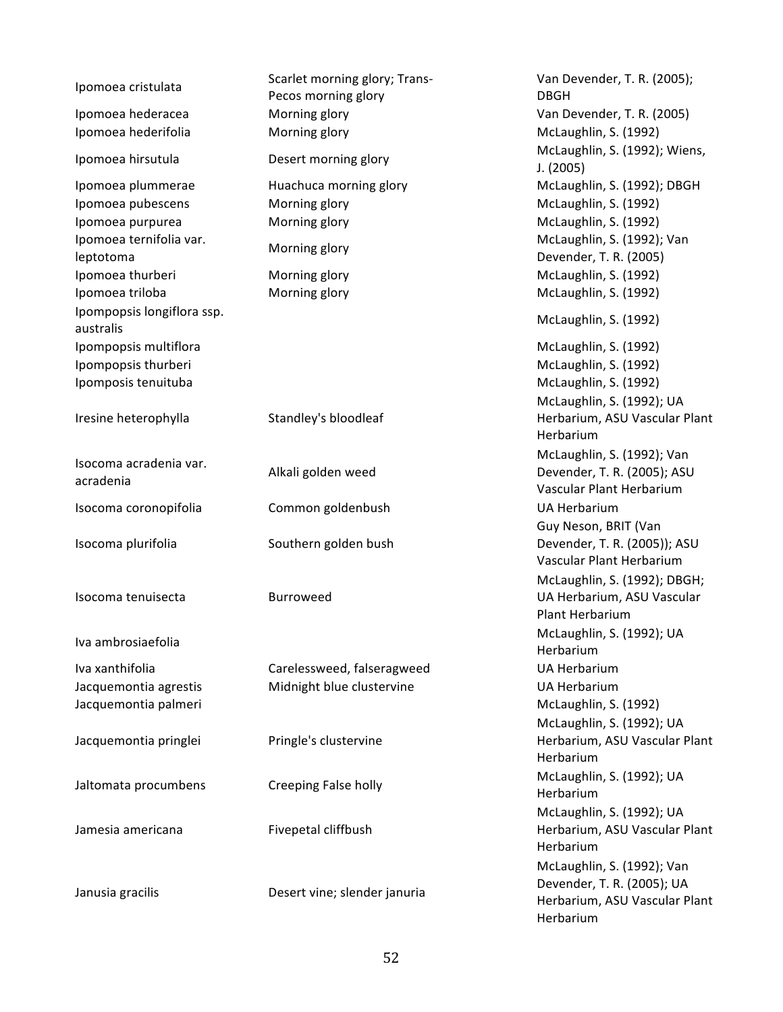| Ipomoea cristulata                      | Scarlet morning glory; Trans- | Van Devender, T. R. (2005);                |
|-----------------------------------------|-------------------------------|--------------------------------------------|
|                                         | Pecos morning glory           | <b>DBGH</b>                                |
| Ipomoea hederacea                       | Morning glory                 | Van Devender, T. R. (2005)                 |
| Ipomoea hederifolia                     | Morning glory                 | McLaughlin, S. (1992)                      |
| Ipomoea hirsutula                       | Desert morning glory          | McLaughlin, S. (1992); Wiens,<br>J. (2005) |
| Ipomoea plummerae                       | Huachuca morning glory        | McLaughlin, S. (1992); DBGH                |
| Ipomoea pubescens                       | Morning glory                 | McLaughlin, S. (1992)                      |
| Ipomoea purpurea                        | Morning glory                 | McLaughlin, S. (1992)                      |
| Ipomoea ternifolia var.                 |                               | McLaughlin, S. (1992); Van                 |
| leptotoma                               | Morning glory                 | Devender, T. R. (2005)                     |
| Ipomoea thurberi                        | Morning glory                 | McLaughlin, S. (1992)                      |
| Ipomoea triloba                         | Morning glory                 | McLaughlin, S. (1992)                      |
| Ipompopsis longiflora ssp.<br>australis |                               | McLaughlin, S. (1992)                      |
| Ipompopsis multiflora                   |                               | McLaughlin, S. (1992)                      |
| Ipompopsis thurberi                     |                               | McLaughlin, S. (1992)                      |
| Ipomposis tenuituba                     |                               | McLaughlin, S. (1992)                      |
|                                         |                               | McLaughlin, S. (1992); UA                  |
| Iresine heterophylla                    | Standley's bloodleaf          | Herbarium, ASU Vascular Plant              |
|                                         |                               | Herbarium                                  |
|                                         |                               | McLaughlin, S. (1992); Van                 |
| Isocoma acradenia var.                  | Alkali golden weed            | Devender, T. R. (2005); ASU                |
| acradenia                               |                               | Vascular Plant Herbarium                   |
| Isocoma coronopifolia                   | Common goldenbush             | <b>UA Herbarium</b>                        |
|                                         |                               | Guy Neson, BRIT (Van                       |
| Isocoma plurifolia                      | Southern golden bush          | Devender, T. R. (2005)); ASU               |
|                                         |                               | Vascular Plant Herbarium                   |
|                                         |                               | McLaughlin, S. (1992); DBGH;               |
| Isocoma tenuisecta                      | <b>Burroweed</b>              | UA Herbarium, ASU Vascular                 |
|                                         |                               |                                            |
|                                         |                               |                                            |
|                                         |                               | Plant Herbarium                            |
| Iva ambrosiaefolia                      |                               | McLaughlin, S. (1992); UA                  |
|                                         |                               | Herbarium                                  |
| Iva xanthifolia                         | Carelessweed, falseragweed    | <b>UA Herbarium</b>                        |
| Jacquemontia agrestis                   | Midnight blue clustervine     | <b>UA Herbarium</b>                        |
| Jacquemontia palmeri                    |                               | McLaughlin, S. (1992)                      |
|                                         |                               | McLaughlin, S. (1992); UA                  |
| Jacquemontia pringlei                   | Pringle's clustervine         | Herbarium, ASU Vascular Plant              |
|                                         |                               | Herbarium                                  |
|                                         |                               | McLaughlin, S. (1992); UA                  |
| Jaltomata procumbens                    | Creeping False holly          | Herbarium                                  |
|                                         |                               | McLaughlin, S. (1992); UA                  |
| Jamesia americana                       | Fivepetal cliffbush           | Herbarium, ASU Vascular Plant              |
|                                         |                               | Herbarium                                  |
|                                         |                               | McLaughlin, S. (1992); Van                 |
|                                         |                               | Devender, T. R. (2005); UA                 |
| Janusia gracilis                        | Desert vine; slender januria  | Herbarium, ASU Vascular Plant<br>Herbarium |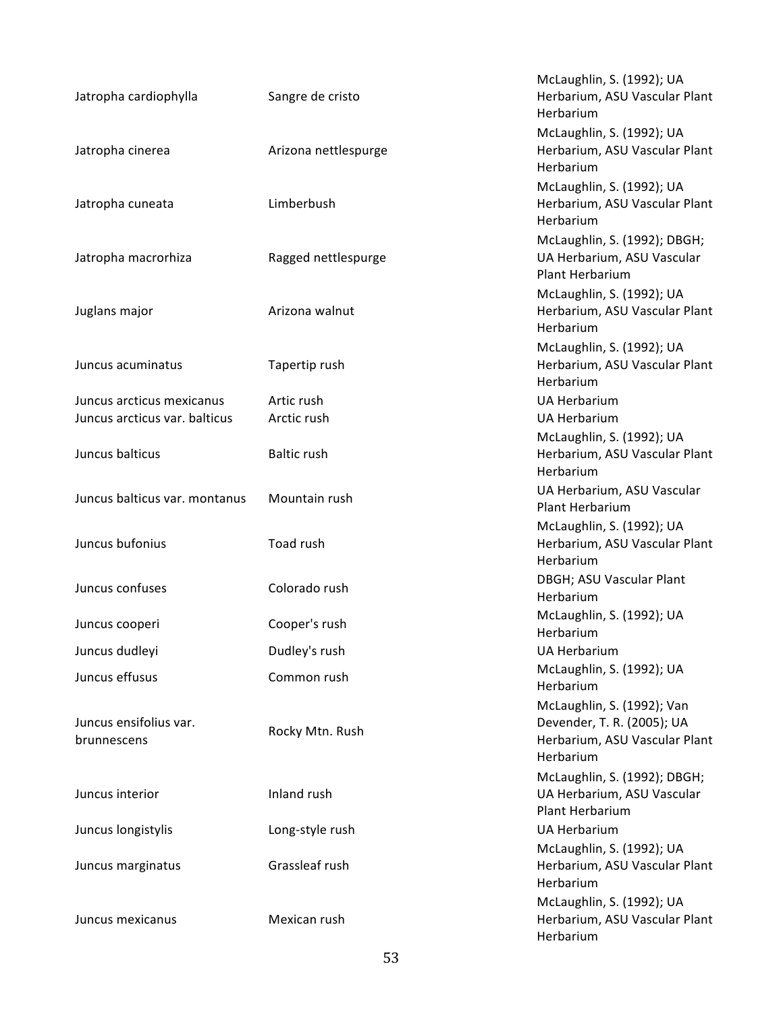| Jatropha cardiophylla                 | Sangre de cristo     | McLaughlin, S. (1992); UA<br>Herbarium, ASU Vascular Plant<br>Herbarium                                |
|---------------------------------------|----------------------|--------------------------------------------------------------------------------------------------------|
| Jatropha cinerea                      | Arizona nettlespurge | McLaughlin, S. (1992); UA<br>Herbarium, ASU Vascular Plant<br>Herbarium                                |
| Jatropha cuneata                      | Limberbush           | McLaughlin, S. (1992); UA<br>Herbarium, ASU Vascular Plant<br>Herbarium                                |
| Jatropha macrorhiza                   | Ragged nettlespurge  | McLaughlin, S. (1992); DBGH;<br>UA Herbarium, ASU Vascular<br>Plant Herbarium                          |
| Juglans major                         | Arizona walnut       | McLaughlin, S. (1992); UA<br>Herbarium, ASU Vascular Plant<br>Herbarium                                |
| Juncus acuminatus                     | Tapertip rush        | McLaughlin, S. (1992); UA<br>Herbarium, ASU Vascular Plant<br>Herbarium                                |
| Juncus arcticus mexicanus             | Artic rush           | <b>UA Herbarium</b>                                                                                    |
| Juncus arcticus var. balticus         | Arctic rush          | <b>UA Herbarium</b>                                                                                    |
| Juncus balticus                       | <b>Baltic rush</b>   | McLaughlin, S. (1992); UA<br>Herbarium, ASU Vascular Plant<br>Herbarium                                |
| Juncus balticus var. montanus         | Mountain rush        | UA Herbarium, ASU Vascular<br>Plant Herbarium                                                          |
| Juncus bufonius                       | Toad rush            | McLaughlin, S. (1992); UA<br>Herbarium, ASU Vascular Plant<br>Herbarium                                |
| Juncus confuses                       | Colorado rush        | DBGH; ASU Vascular Plant<br>Herbarium                                                                  |
| Juncus cooperi                        | Cooper's rush        | McLaughlin, S. (1992); UA<br>Herbarium                                                                 |
| Juncus dudleyi                        | Dudley's rush        | <b>UA Herbarium</b>                                                                                    |
| Juncus effusus                        | Common rush          | McLaughlin, S. (1992); UA<br>Herbarium                                                                 |
| Juncus ensifolius var.<br>brunnescens | Rocky Mtn. Rush      | McLaughlin, S. (1992); Van<br>Devender, T. R. (2005); UA<br>Herbarium, ASU Vascular Plant<br>Herbarium |
| Juncus interior                       | Inland rush          | McLaughlin, S. (1992); DBGH;<br>UA Herbarium, ASU Vascular<br>Plant Herbarium                          |
| Juncus longistylis                    | Long-style rush      | <b>UA Herbarium</b>                                                                                    |
| Juncus marginatus                     | Grassleaf rush       | McLaughlin, S. (1992); UA<br>Herbarium, ASU Vascular Plant<br>Herbarium                                |
| Juncus mexicanus                      | Mexican rush         | McLaughlin, S. (1992); UA<br>Herbarium, ASU Vascular Plant<br>Herbarium                                |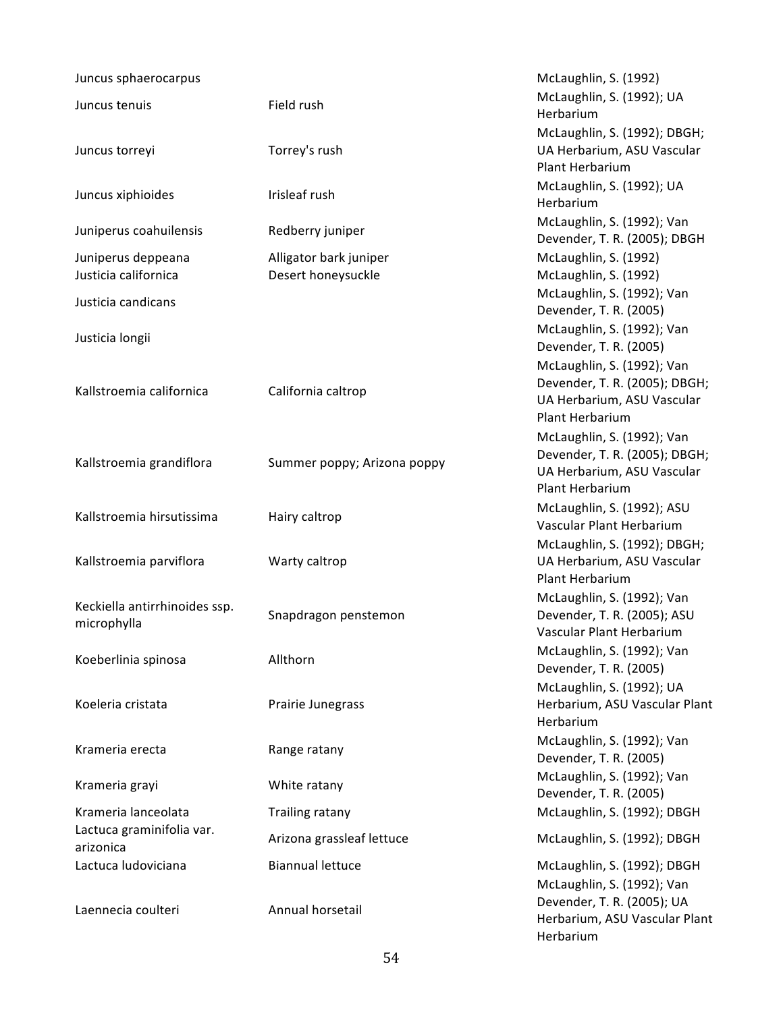| Juncus sphaerocarpus                   |                             | McLaughlin, S. (1992)                                       |
|----------------------------------------|-----------------------------|-------------------------------------------------------------|
| Juncus tenuis                          | Field rush                  | McLaughlin, S. (1992); UA                                   |
|                                        |                             | Herbarium<br>McLaughlin, S. (1992); DBGH;                   |
| Juncus torreyi                         | Torrey's rush               | UA Herbarium, ASU Vascular                                  |
|                                        |                             | Plant Herbarium                                             |
| Juncus xiphioides                      | Irisleaf rush               | McLaughlin, S. (1992); UA<br>Herbarium                      |
| Juniperus coahuilensis                 | Redberry juniper            | McLaughlin, S. (1992); Van<br>Devender, T. R. (2005); DBGH  |
| Juniperus deppeana                     | Alligator bark juniper      | McLaughlin, S. (1992)                                       |
| Justicia californica                   | Desert honeysuckle          | McLaughlin, S. (1992)                                       |
| Justicia candicans                     |                             | McLaughlin, S. (1992); Van<br>Devender, T. R. (2005)        |
| Justicia longii                        |                             | McLaughlin, S. (1992); Van<br>Devender, T. R. (2005)        |
|                                        |                             | McLaughlin, S. (1992); Van                                  |
| Kallstroemia californica               | California caltrop          | Devender, T. R. (2005); DBGH;<br>UA Herbarium, ASU Vascular |
|                                        |                             | Plant Herbarium                                             |
|                                        |                             | McLaughlin, S. (1992); Van                                  |
| Kallstroemia grandiflora               | Summer poppy; Arizona poppy | Devender, T. R. (2005); DBGH;                               |
|                                        |                             | UA Herbarium, ASU Vascular<br>Plant Herbarium               |
|                                        |                             | McLaughlin, S. (1992); ASU                                  |
| Kallstroemia hirsutissima              | Hairy caltrop               | Vascular Plant Herbarium                                    |
|                                        |                             | McLaughlin, S. (1992); DBGH;                                |
| Kallstroemia parviflora                | Warty caltrop               | UA Herbarium, ASU Vascular                                  |
|                                        |                             | Plant Herbarium                                             |
| Keckiella antirrhinoides ssp.          | Snapdragon penstemon        | McLaughlin, S. (1992); Van<br>Devender, T. R. (2005); ASU   |
| microphylla                            |                             | Vascular Plant Herbarium                                    |
|                                        |                             | McLaughlin, S. (1992); Van                                  |
| Koeberlinia spinosa                    | Allthorn                    | Devender, T. R. (2005)                                      |
|                                        |                             | McLaughlin, S. (1992); UA                                   |
| Koeleria cristata                      | Prairie Junegrass           | Herbarium, ASU Vascular Plant                               |
|                                        |                             | Herbarium<br>McLaughlin, S. (1992); Van                     |
| Krameria erecta                        | Range ratany                | Devender, T. R. (2005)                                      |
|                                        |                             | McLaughlin, S. (1992); Van                                  |
| Krameria grayi                         | White ratany                | Devender, T. R. (2005)                                      |
| Krameria lanceolata                    | Trailing ratany             | McLaughlin, S. (1992); DBGH                                 |
| Lactuca graminifolia var.<br>arizonica | Arizona grassleaf lettuce   | McLaughlin, S. (1992); DBGH                                 |
| Lactuca ludoviciana                    | <b>Biannual lettuce</b>     | McLaughlin, S. (1992); DBGH                                 |
|                                        |                             | McLaughlin, S. (1992); Van                                  |
| Laennecia coulteri                     | Annual horsetail            | Devender, T. R. (2005); UA<br>Herbarium, ASU Vascular Plant |
|                                        |                             | Herbarium                                                   |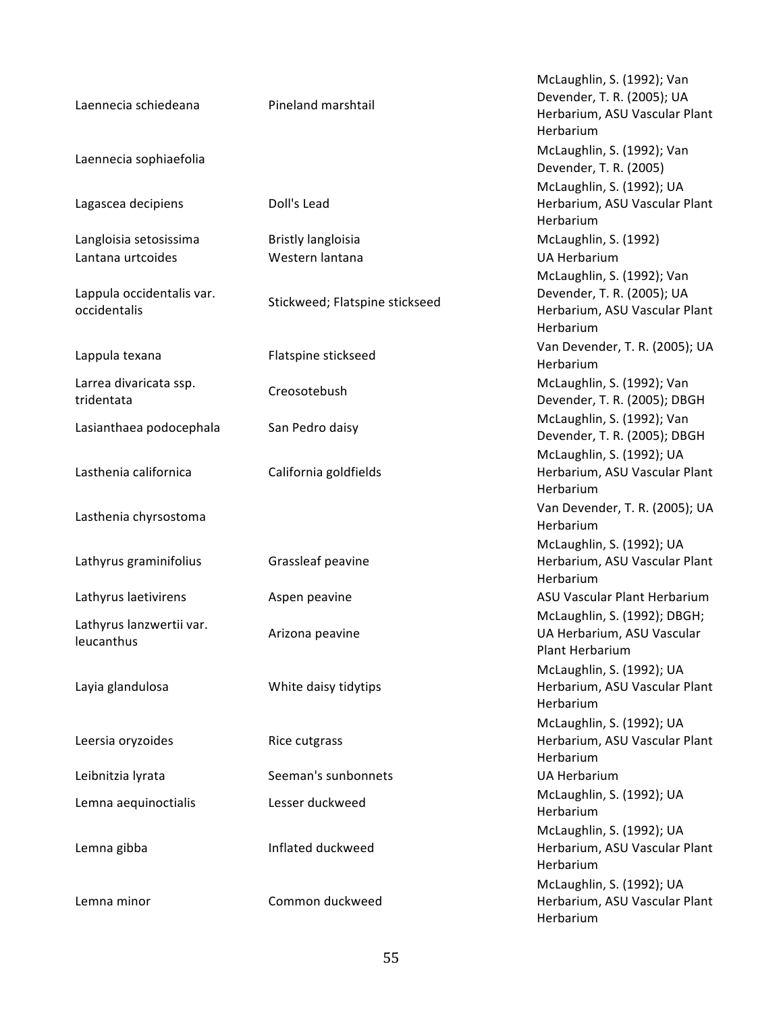| Laennecia schiedeana                      | Pineland marshtail             | McLaughlin, S. (1992); Van<br>Devender, T. R. (2005); UA<br>Herbarium, ASU Vascular Plant<br>Herbarium |
|-------------------------------------------|--------------------------------|--------------------------------------------------------------------------------------------------------|
| Laennecia sophiaefolia                    |                                | McLaughlin, S. (1992); Van<br>Devender, T. R. (2005)                                                   |
| Lagascea decipiens                        | Doll's Lead                    | McLaughlin, S. (1992); UA<br>Herbarium, ASU Vascular Plant<br>Herbarium                                |
| Langloisia setosissima                    | <b>Bristly langloisia</b>      | McLaughlin, S. (1992)                                                                                  |
| Lantana urtcoides                         | Western lantana                | <b>UA Herbarium</b>                                                                                    |
| Lappula occidentalis var.<br>occidentalis | Stickweed; Flatspine stickseed | McLaughlin, S. (1992); Van<br>Devender, T. R. (2005); UA<br>Herbarium, ASU Vascular Plant<br>Herbarium |
| Lappula texana                            | Flatspine stickseed            | Van Devender, T. R. (2005); UA<br>Herbarium                                                            |
| Larrea divaricata ssp.<br>tridentata      | Creosotebush                   | McLaughlin, S. (1992); Van<br>Devender, T. R. (2005); DBGH                                             |
| Lasianthaea podocephala                   | San Pedro daisy                | McLaughlin, S. (1992); Van<br>Devender, T. R. (2005); DBGH                                             |
| Lasthenia californica                     | California goldfields          | McLaughlin, S. (1992); UA<br>Herbarium, ASU Vascular Plant<br>Herbarium                                |
| Lasthenia chyrsostoma                     |                                | Van Devender, T. R. (2005); UA<br>Herbarium                                                            |
| Lathyrus graminifolius                    | Grassleaf peavine              | McLaughlin, S. (1992); UA<br>Herbarium, ASU Vascular Plant<br>Herbarium                                |
| Lathyrus laetivirens                      | Aspen peavine                  | ASU Vascular Plant Herbarium                                                                           |
| Lathyrus lanzwertii var.<br>leucanthus    | Arizona peavine                | McLaughlin, S. (1992); DBGH;<br>UA Herbarium, ASU Vascular<br>Plant Herbarium                          |
| Layia glandulosa                          | White daisy tidytips           | McLaughlin, S. (1992); UA<br>Herbarium, ASU Vascular Plant<br>Herbarium                                |
| Leersia oryzoides                         | Rice cutgrass                  | McLaughlin, S. (1992); UA<br>Herbarium, ASU Vascular Plant<br>Herbarium                                |
| Leibnitzia lyrata                         | Seeman's sunbonnets            | <b>UA Herbarium</b>                                                                                    |
| Lemna aequinoctialis                      | Lesser duckweed                | McLaughlin, S. (1992); UA<br>Herbarium                                                                 |
| Lemna gibba                               | Inflated duckweed              | McLaughlin, S. (1992); UA<br>Herbarium, ASU Vascular Plant<br>Herbarium                                |
| Lemna minor                               | Common duckweed                | McLaughlin, S. (1992); UA<br>Herbarium, ASU Vascular Plant<br>Herbarium                                |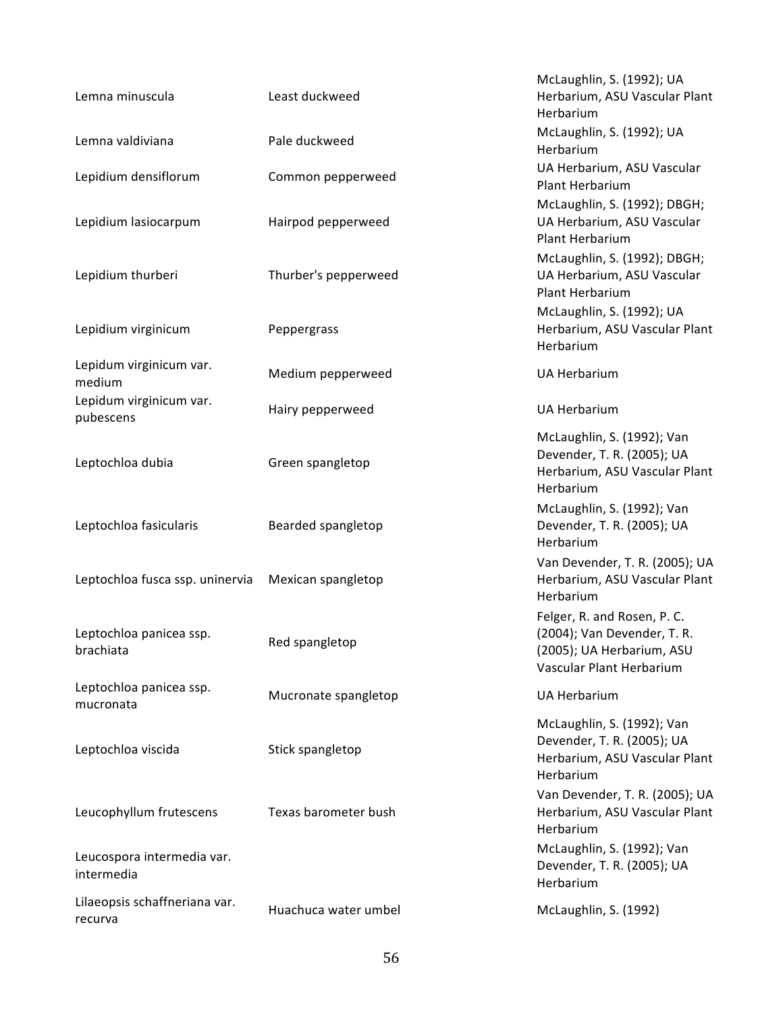| Lemna minuscula                          | Least duckweed       | McLaughlin, S. (1992); UA<br>Herbarium, ASU Vascular Plant<br>Herbarium                                             |
|------------------------------------------|----------------------|---------------------------------------------------------------------------------------------------------------------|
| Lemna valdiviana                         | Pale duckweed        | McLaughlin, S. (1992); UA<br>Herbarium                                                                              |
| Lepidium densiflorum                     | Common pepperweed    | UA Herbarium, ASU Vascular<br>Plant Herbarium                                                                       |
| Lepidium lasiocarpum                     | Hairpod pepperweed   | McLaughlin, S. (1992); DBGH;<br>UA Herbarium, ASU Vascular<br>Plant Herbarium                                       |
| Lepidium thurberi                        | Thurber's pepperweed | McLaughlin, S. (1992); DBGH;<br>UA Herbarium, ASU Vascular<br>Plant Herbarium                                       |
| Lepidium virginicum                      | Peppergrass          | McLaughlin, S. (1992); UA<br>Herbarium, ASU Vascular Plant<br>Herbarium                                             |
| Lepidum virginicum var.<br>medium        | Medium pepperweed    | <b>UA Herbarium</b>                                                                                                 |
| Lepidum virginicum var.<br>pubescens     | Hairy pepperweed     | <b>UA Herbarium</b>                                                                                                 |
| Leptochloa dubia                         | Green spangletop     | McLaughlin, S. (1992); Van<br>Devender, T. R. (2005); UA<br>Herbarium, ASU Vascular Plant<br>Herbarium              |
| Leptochloa fasicularis                   | Bearded spangletop   | McLaughlin, S. (1992); Van<br>Devender, T. R. (2005); UA<br>Herbarium                                               |
| Leptochloa fusca ssp. uninervia          | Mexican spangletop   | Van Devender, T. R. (2005); UA<br>Herbarium, ASU Vascular Plant<br>Herbarium                                        |
| Leptochloa panicea ssp.<br>brachiata     | Red spangletop       | Felger, R. and Rosen, P. C.<br>(2004); Van Devender, T. R.<br>(2005); UA Herbarium, ASU<br>Vascular Plant Herbarium |
| Leptochloa panicea ssp.<br>mucronata     | Mucronate spangletop | <b>UA Herbarium</b>                                                                                                 |
| Leptochloa viscida                       | Stick spangletop     | McLaughlin, S. (1992); Van<br>Devender, T. R. (2005); UA<br>Herbarium, ASU Vascular Plant<br>Herbarium              |
| Leucophyllum frutescens                  | Texas barometer bush | Van Devender, T. R. (2005); UA<br>Herbarium, ASU Vascular Plant<br>Herbarium                                        |
| Leucospora intermedia var.<br>intermedia |                      | McLaughlin, S. (1992); Van<br>Devender, T. R. (2005); UA<br>Herbarium                                               |
| Lilaeopsis schaffneriana var.<br>recurva | Huachuca water umbel | McLaughlin, S. (1992)                                                                                               |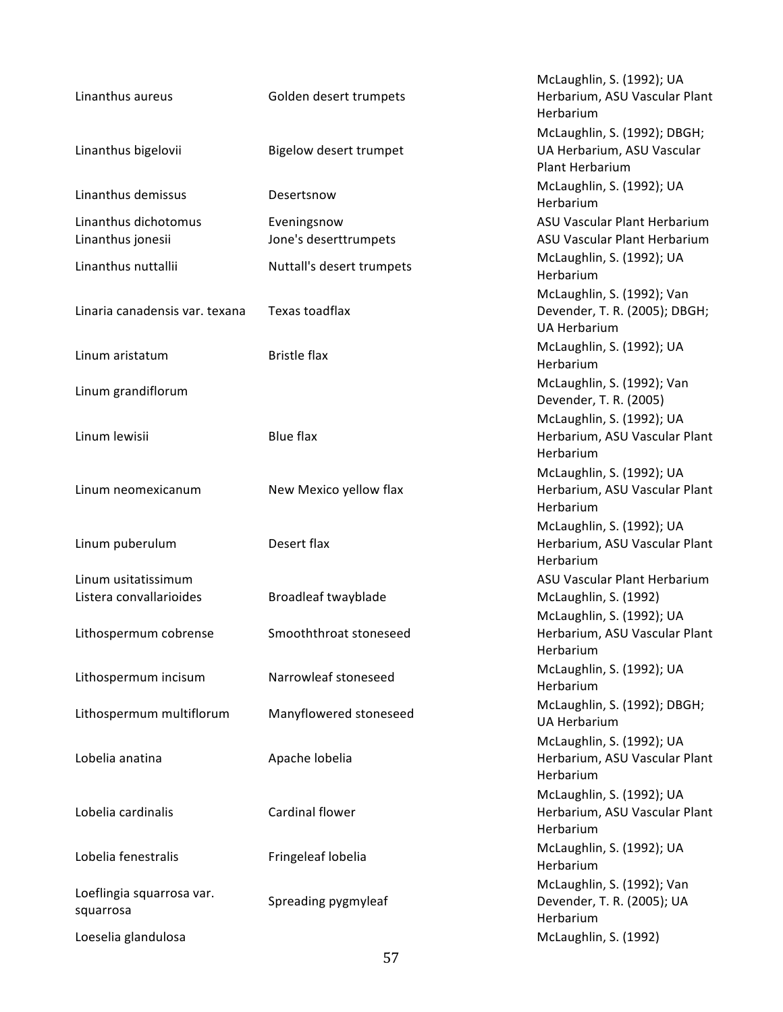| Linanthus aureus                               | Golden desert trumpets               | McLaughlin, S. (1992); UA<br>Herbarium, ASU Vascular Plant<br>Herbarium            |
|------------------------------------------------|--------------------------------------|------------------------------------------------------------------------------------|
| Linanthus bigelovii                            | Bigelow desert trumpet               | McLaughlin, S. (1992); DBGH;<br>UA Herbarium, ASU Vascular<br>Plant Herbarium      |
| Linanthus demissus                             | Desertsnow                           | McLaughlin, S. (1992); UA<br>Herbarium                                             |
| Linanthus dichotomus<br>Linanthus jonesii      | Eveningsnow<br>Jone's deserttrumpets | ASU Vascular Plant Herbarium<br>ASU Vascular Plant Herbarium                       |
| Linanthus nuttallii                            | Nuttall's desert trumpets            | McLaughlin, S. (1992); UA<br>Herbarium                                             |
| Linaria canadensis var. texana                 | Texas toadflax                       | McLaughlin, S. (1992); Van<br>Devender, T. R. (2005); DBGH;<br><b>UA Herbarium</b> |
| Linum aristatum                                | <b>Bristle flax</b>                  | McLaughlin, S. (1992); UA<br>Herbarium                                             |
| Linum grandiflorum                             |                                      | McLaughlin, S. (1992); Van<br>Devender, T. R. (2005)                               |
| Linum lewisii                                  | <b>Blue flax</b>                     | McLaughlin, S. (1992); UA<br>Herbarium, ASU Vascular Plant<br>Herbarium            |
| Linum neomexicanum                             | New Mexico yellow flax               | McLaughlin, S. (1992); UA<br>Herbarium, ASU Vascular Plant<br>Herbarium            |
| Linum puberulum                                | Desert flax                          | McLaughlin, S. (1992); UA<br>Herbarium, ASU Vascular Plant<br>Herbarium            |
| Linum usitatissimum<br>Listera convallarioides | Broadleaf twayblade                  | ASU Vascular Plant Herbarium<br>McLaughlin, S. (1992)<br>McLaughlin, S. (1992); UA |
| Lithospermum cobrense                          | Smooththroat stoneseed               | Herbarium, ASU Vascular Plant<br>Herbarium                                         |
| Lithospermum incisum                           | Narrowleaf stoneseed                 | McLaughlin, S. (1992); UA<br>Herbarium                                             |
| Lithospermum multiflorum                       | Manyflowered stoneseed               | McLaughlin, S. (1992); DBGH;<br><b>UA Herbarium</b>                                |
| Lobelia anatina                                | Apache lobelia                       | McLaughlin, S. (1992); UA<br>Herbarium, ASU Vascular Plant<br>Herbarium            |
| Lobelia cardinalis                             | Cardinal flower                      | McLaughlin, S. (1992); UA<br>Herbarium, ASU Vascular Plant<br>Herbarium            |
| Lobelia fenestralis                            | Fringeleaf lobelia                   | McLaughlin, S. (1992); UA<br>Herbarium                                             |
| Loeflingia squarrosa var.<br>squarrosa         | Spreading pygmyleaf                  | McLaughlin, S. (1992); Van<br>Devender, T. R. (2005); UA<br>Herbarium              |
| Loeselia glandulosa                            |                                      | McLaughlin, S. (1992)                                                              |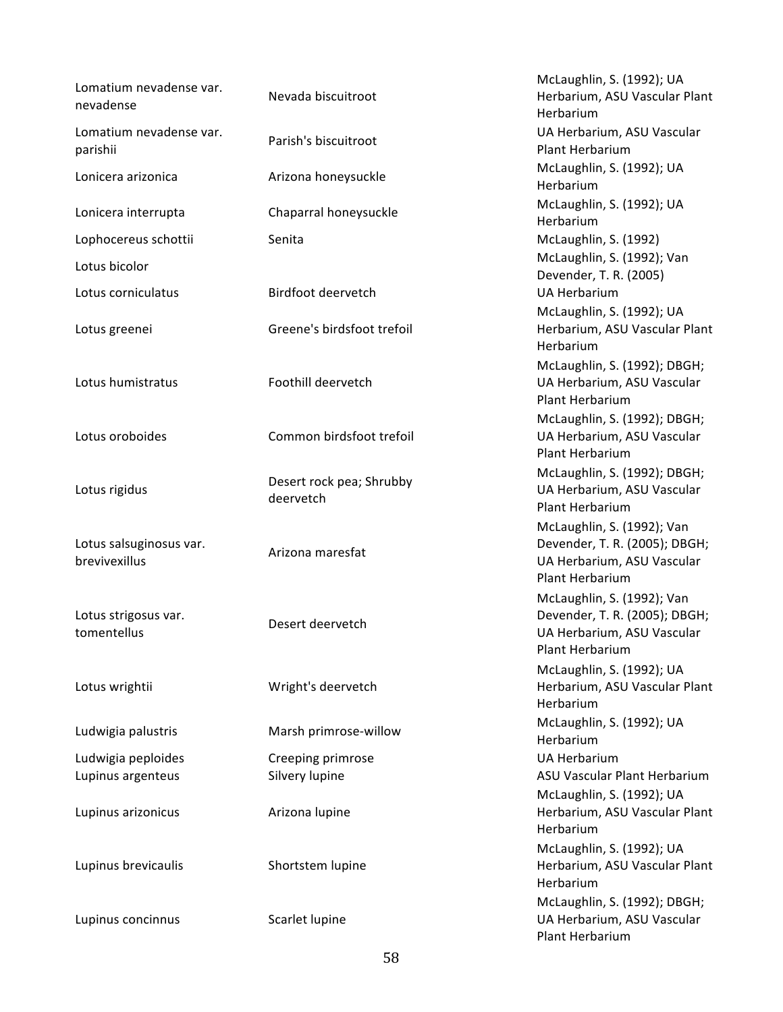| Lomatium nevadense var.<br>nevadense     | Nevada biscuitroot                    | McLaughlin, S. (1992); UA<br>Herbarium, ASU Vascular Plant<br>Herbarium                                      |
|------------------------------------------|---------------------------------------|--------------------------------------------------------------------------------------------------------------|
| Lomatium nevadense var.<br>parishii      | Parish's biscuitroot                  | UA Herbarium, ASU Vascular<br>Plant Herbarium                                                                |
| Lonicera arizonica                       | Arizona honeysuckle                   | McLaughlin, S. (1992); UA<br>Herbarium                                                                       |
| Lonicera interrupta                      | Chaparral honeysuckle                 | McLaughlin, S. (1992); UA<br>Herbarium                                                                       |
| Lophocereus schottii                     | Senita                                | McLaughlin, S. (1992)                                                                                        |
| Lotus bicolor                            |                                       | McLaughlin, S. (1992); Van<br>Devender, T. R. (2005)                                                         |
| Lotus corniculatus                       | Birdfoot deervetch                    | <b>UA Herbarium</b>                                                                                          |
| Lotus greenei                            | Greene's birdsfoot trefoil            | McLaughlin, S. (1992); UA<br>Herbarium, ASU Vascular Plant<br>Herbarium                                      |
| Lotus humistratus                        | Foothill deervetch                    | McLaughlin, S. (1992); DBGH;<br>UA Herbarium, ASU Vascular<br>Plant Herbarium                                |
| Lotus oroboides                          | Common birdsfoot trefoil              | McLaughlin, S. (1992); DBGH;<br>UA Herbarium, ASU Vascular<br>Plant Herbarium                                |
| Lotus rigidus                            | Desert rock pea; Shrubby<br>deervetch | McLaughlin, S. (1992); DBGH;<br>UA Herbarium, ASU Vascular<br>Plant Herbarium                                |
| Lotus salsuginosus var.<br>brevivexillus | Arizona maresfat                      | McLaughlin, S. (1992); Van<br>Devender, T. R. (2005); DBGH;<br>UA Herbarium, ASU Vascular<br>Plant Herbarium |
| Lotus strigosus var.<br>tomentellus      | Desert deervetch                      | McLaughlin, S. (1992); Van<br>Devender, T. R. (2005); DBGH;<br>UA Herbarium, ASU Vascular<br>Plant Herbarium |
| Lotus wrightii                           | Wright's deervetch                    | McLaughlin, S. (1992); UA<br>Herbarium, ASU Vascular Plant<br>Herbarium                                      |
| Ludwigia palustris                       | Marsh primrose-willow                 | McLaughlin, S. (1992); UA<br>Herbarium                                                                       |
| Ludwigia peploides                       | Creeping primrose                     | <b>UA Herbarium</b>                                                                                          |
| Lupinus argenteus                        | Silvery lupine                        | ASU Vascular Plant Herbarium                                                                                 |
| Lupinus arizonicus                       | Arizona lupine                        | McLaughlin, S. (1992); UA<br>Herbarium, ASU Vascular Plant<br>Herbarium                                      |
| Lupinus brevicaulis                      | Shortstem lupine                      | McLaughlin, S. (1992); UA<br>Herbarium, ASU Vascular Plant<br>Herbarium                                      |
| Lupinus concinnus                        | Scarlet lupine                        | McLaughlin, S. (1992); DBGH;<br>UA Herbarium, ASU Vascular<br>Plant Herbarium                                |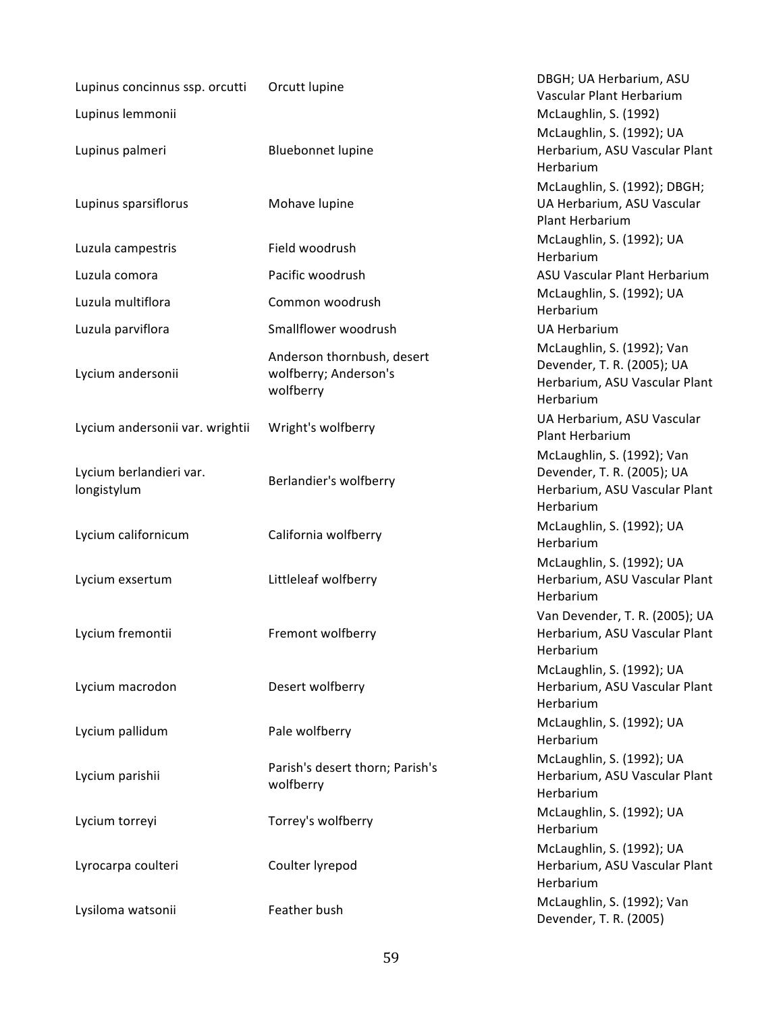| Lupinus concinnus ssp. orcutti         | Orcutt lupine                                                    | DBGH; UA Herbarium, ASU<br>Vascular Plant Herbarium                                                    |
|----------------------------------------|------------------------------------------------------------------|--------------------------------------------------------------------------------------------------------|
| Lupinus lemmonii                       |                                                                  | McLaughlin, S. (1992)                                                                                  |
|                                        |                                                                  | McLaughlin, S. (1992); UA                                                                              |
| Lupinus palmeri                        | <b>Bluebonnet lupine</b>                                         | Herbarium, ASU Vascular Plant<br>Herbarium                                                             |
| Lupinus sparsiflorus                   | Mohave lupine                                                    | McLaughlin, S. (1992); DBGH;<br>UA Herbarium, ASU Vascular<br>Plant Herbarium                          |
| Luzula campestris                      | Field woodrush                                                   | McLaughlin, S. (1992); UA<br>Herbarium                                                                 |
| Luzula comora                          | Pacific woodrush                                                 | ASU Vascular Plant Herbarium                                                                           |
| Luzula multiflora                      | Common woodrush                                                  | McLaughlin, S. (1992); UA<br>Herbarium                                                                 |
| Luzula parviflora                      | Smallflower woodrush                                             | <b>UA Herbarium</b>                                                                                    |
| Lycium andersonii                      | Anderson thornbush, desert<br>wolfberry; Anderson's<br>wolfberry | McLaughlin, S. (1992); Van<br>Devender, T. R. (2005); UA<br>Herbarium, ASU Vascular Plant<br>Herbarium |
| Lycium andersonii var. wrightii        | Wright's wolfberry                                               | UA Herbarium, ASU Vascular<br><b>Plant Herbarium</b>                                                   |
| Lycium berlandieri var.<br>longistylum | Berlandier's wolfberry                                           | McLaughlin, S. (1992); Van<br>Devender, T. R. (2005); UA<br>Herbarium, ASU Vascular Plant<br>Herbarium |
| Lycium californicum                    | California wolfberry                                             | McLaughlin, S. (1992); UA<br>Herbarium                                                                 |
| Lycium exsertum                        | Littleleaf wolfberry                                             | McLaughlin, S. (1992); UA<br>Herbarium, ASU Vascular Plant<br>Herbarium                                |
| Lycium fremontii                       | Fremont wolfberry                                                | Van Devender, T. R. (2005); UA<br>Herbarium, ASU Vascular Plant<br>Herbarium                           |
| Lycium macrodon                        | Desert wolfberry                                                 | McLaughlin, S. (1992); UA<br>Herbarium, ASU Vascular Plant<br>Herbarium                                |
| Lycium pallidum                        | Pale wolfberry                                                   | McLaughlin, S. (1992); UA<br>Herbarium                                                                 |
| Lycium parishii                        | Parish's desert thorn; Parish's<br>wolfberry                     | McLaughlin, S. (1992); UA<br>Herbarium, ASU Vascular Plant<br>Herbarium                                |
| Lycium torreyi                         | Torrey's wolfberry                                               | McLaughlin, S. (1992); UA<br>Herbarium                                                                 |
| Lyrocarpa coulteri                     | Coulter lyrepod                                                  | McLaughlin, S. (1992); UA<br>Herbarium, ASU Vascular Plant<br>Herbarium                                |
| Lysiloma watsonii                      | Feather bush                                                     | McLaughlin, S. (1992); Van<br>Devender, T. R. (2005)                                                   |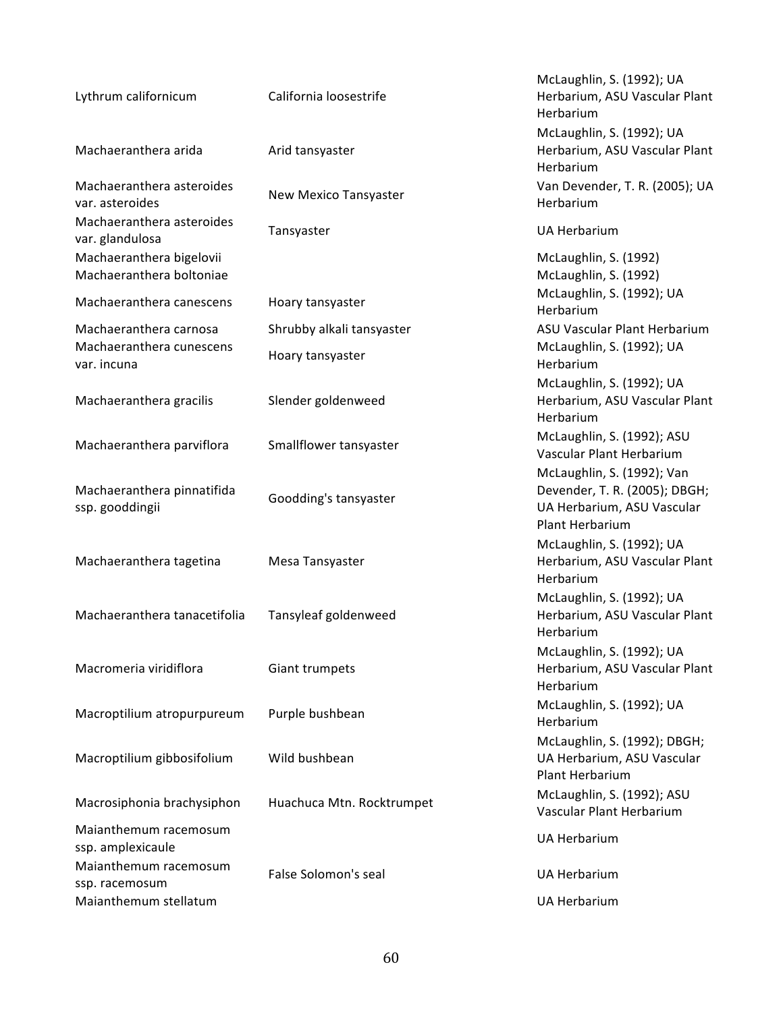| Lythrum californicum                                              | California loosestrife                        | McLaughlin, S. (1992); UA<br>Herbarium, ASU Vascular Plant<br>Herbarium                                      |
|-------------------------------------------------------------------|-----------------------------------------------|--------------------------------------------------------------------------------------------------------------|
| Machaeranthera arida                                              | Arid tansyaster                               | McLaughlin, S. (1992); UA<br>Herbarium, ASU Vascular Plant<br>Herbarium                                      |
| Machaeranthera asteroides<br>var. asteroides                      | New Mexico Tansyaster                         | Van Devender, T. R. (2005); UA<br>Herbarium                                                                  |
| Machaeranthera asteroides<br>var. glandulosa                      | Tansyaster                                    | <b>UA Herbarium</b>                                                                                          |
| Machaeranthera bigelovii<br>Machaeranthera boltoniae              |                                               | McLaughlin, S. (1992)<br>McLaughlin, S. (1992)                                                               |
| Machaeranthera canescens                                          | Hoary tansyaster                              | McLaughlin, S. (1992); UA<br>Herbarium                                                                       |
| Machaeranthera carnosa<br>Machaeranthera cunescens<br>var. incuna | Shrubby alkali tansyaster<br>Hoary tansyaster | ASU Vascular Plant Herbarium<br>McLaughlin, S. (1992); UA<br>Herbarium                                       |
| Machaeranthera gracilis                                           | Slender goldenweed                            | McLaughlin, S. (1992); UA<br>Herbarium, ASU Vascular Plant<br>Herbarium                                      |
| Machaeranthera parviflora                                         | Smallflower tansyaster                        | McLaughlin, S. (1992); ASU<br>Vascular Plant Herbarium                                                       |
| Machaeranthera pinnatifida<br>ssp. gooddingii                     | Goodding's tansyaster                         | McLaughlin, S. (1992); Van<br>Devender, T. R. (2005); DBGH;<br>UA Herbarium, ASU Vascular<br>Plant Herbarium |
| Machaeranthera tagetina                                           | Mesa Tansyaster                               | McLaughlin, S. (1992); UA<br>Herbarium, ASU Vascular Plant<br>Herbarium                                      |
| Machaeranthera tanacetifolia                                      | Tansyleaf goldenweed                          | McLaughlin, S. (1992); UA<br>Herbarium, ASU Vascular Plant<br>Herbarium                                      |
| Macromeria viridiflora                                            | Giant trumpets                                | McLaughlin, S. (1992); UA<br>Herbarium, ASU Vascular Plant<br>Herbarium                                      |
| Macroptilium atropurpureum                                        | Purple bushbean                               | McLaughlin, S. (1992); UA<br>Herbarium                                                                       |
| Macroptilium gibbosifolium                                        | Wild bushbean                                 | McLaughlin, S. (1992); DBGH;<br>UA Herbarium, ASU Vascular<br>Plant Herbarium                                |
| Macrosiphonia brachysiphon                                        | Huachuca Mtn. Rocktrumpet                     | McLaughlin, S. (1992); ASU<br>Vascular Plant Herbarium                                                       |
| Maianthemum racemosum<br>ssp. amplexicaule                        |                                               | <b>UA Herbarium</b>                                                                                          |
| Maianthemum racemosum<br>ssp. racemosum                           | False Solomon's seal                          | <b>UA Herbarium</b>                                                                                          |
| Maianthemum stellatum                                             |                                               | <b>UA Herbarium</b>                                                                                          |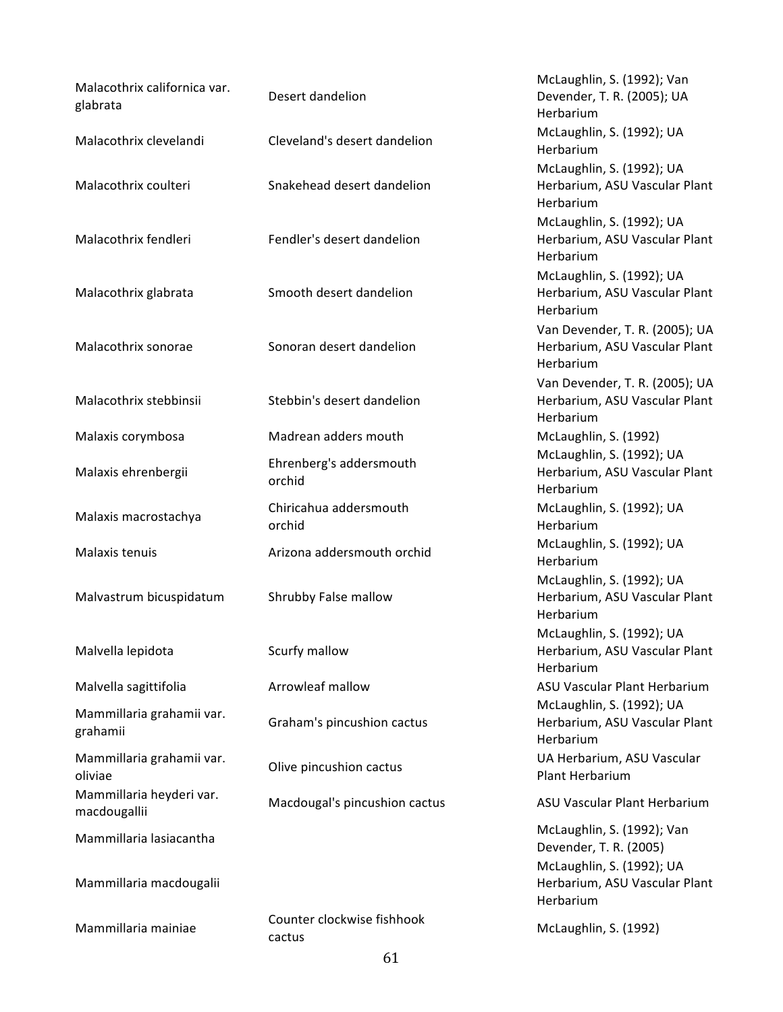| Malacothrix californica var.<br>glabrata | Desert dandelion                     | McLaughlin, S. (1992); Van<br>Devender, T. R. (2005); UA<br>Herbarium             |
|------------------------------------------|--------------------------------------|-----------------------------------------------------------------------------------|
| Malacothrix clevelandi                   | Cleveland's desert dandelion         | McLaughlin, S. (1992); UA<br>Herbarium                                            |
| Malacothrix coulteri                     | Snakehead desert dandelion           | McLaughlin, S. (1992); UA<br>Herbarium, ASU Vascular Plant<br>Herbarium           |
| Malacothrix fendleri                     | Fendler's desert dandelion           | McLaughlin, S. (1992); UA<br>Herbarium, ASU Vascular Plant<br>Herbarium           |
| Malacothrix glabrata                     | Smooth desert dandelion              | McLaughlin, S. (1992); UA<br>Herbarium, ASU Vascular Plant<br>Herbarium           |
| Malacothrix sonorae                      | Sonoran desert dandelion             | Van Devender, T. R. (2005); UA<br>Herbarium, ASU Vascular Plant<br>Herbarium      |
| Malacothrix stebbinsii                   | Stebbin's desert dandelion           | Van Devender, T. R. (2005); UA<br>Herbarium, ASU Vascular Plant<br>Herbarium      |
| Malaxis corymbosa                        | Madrean adders mouth                 | McLaughlin, S. (1992)                                                             |
| Malaxis ehrenbergii                      | Ehrenberg's addersmouth<br>orchid    | McLaughlin, S. (1992); UA<br>Herbarium, ASU Vascular Plant<br>Herbarium           |
| Malaxis macrostachya                     | Chiricahua addersmouth<br>orchid     | McLaughlin, S. (1992); UA<br>Herbarium                                            |
| Malaxis tenuis                           | Arizona addersmouth orchid           | McLaughlin, S. (1992); UA<br>Herbarium                                            |
| Malvastrum bicuspidatum                  | Shrubby False mallow                 | McLaughlin, S. (1992); UA<br>Herbarium, ASU Vascular Plant<br>Herbarium           |
| Malvella lepidota                        | Scurfy mallow                        | McLaughlin, S. (1992); UA<br>Herbarium, ASU Vascular Plant<br>Herbarium           |
| Malvella sagittifolia                    | Arrowleaf mallow                     | ASU Vascular Plant Herbarium                                                      |
| Mammillaria grahamii var.<br>grahamii    | Graham's pincushion cactus           | McLaughlin, S. (1992); UA<br>Herbarium, ASU Vascular Plant<br>Herbarium           |
| Mammillaria grahamii var.<br>oliviae     | Olive pincushion cactus              | UA Herbarium, ASU Vascular<br>Plant Herbarium                                     |
| Mammillaria heyderi var.<br>macdougallii | Macdougal's pincushion cactus        | ASU Vascular Plant Herbarium                                                      |
| Mammillaria lasiacantha                  |                                      | McLaughlin, S. (1992); Van<br>Devender, T. R. (2005)<br>McLaughlin, S. (1992); UA |
| Mammillaria macdougalii                  |                                      | Herbarium, ASU Vascular Plant<br>Herbarium                                        |
| Mammillaria mainiae                      | Counter clockwise fishhook<br>cactus | McLaughlin, S. (1992)                                                             |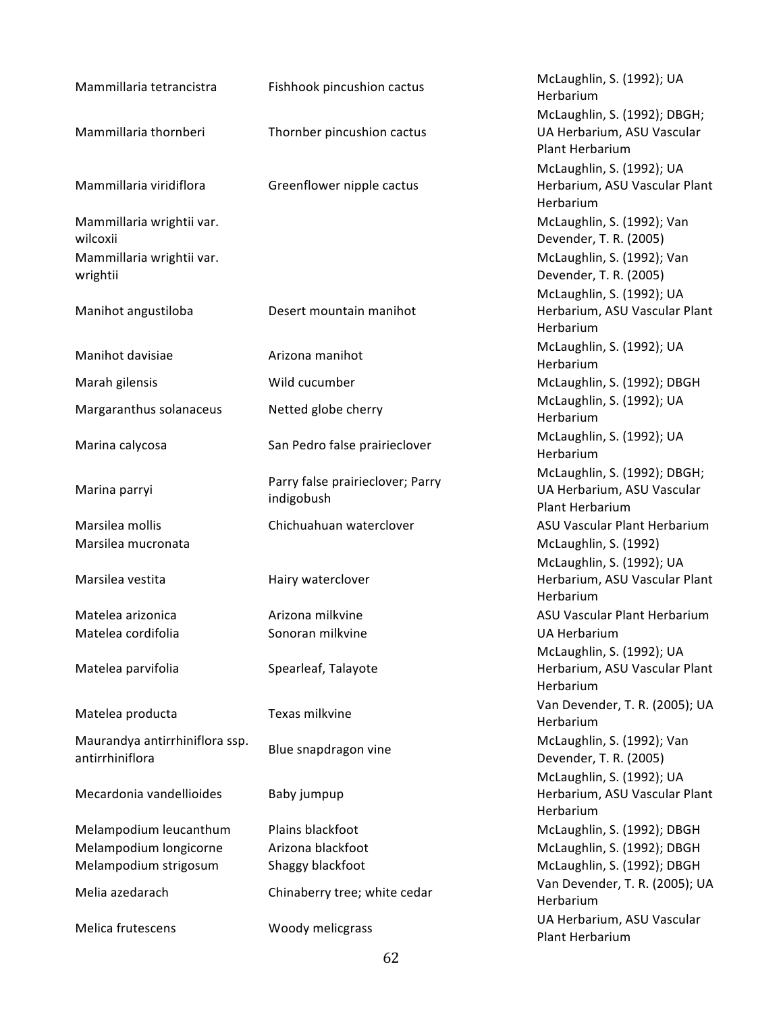| Mammillaria tetrancistra                          | Fishhook pincushion cactus                     | McLaughlin, S. (1992); UA<br>Herbarium                                     |
|---------------------------------------------------|------------------------------------------------|----------------------------------------------------------------------------|
|                                                   |                                                | McLaughlin, S. (1992); DBG                                                 |
| Mammillaria thornberi                             | Thornber pincushion cactus                     | UA Herbarium, ASU Vascula<br>Plant Herbarium                               |
|                                                   |                                                | McLaughlin, S. (1992); UA                                                  |
| Mammillaria viridiflora                           | Greenflower nipple cactus                      | Herbarium, ASU Vascular P<br>Herbarium                                     |
| Mammillaria wrightii var.<br>wilcoxii             |                                                | McLaughlin, S. (1992); Van<br>Devender, T. R. (2005)                       |
| Mammillaria wrightii var.<br>wrightii             |                                                | McLaughlin, S. (1992); Van<br>Devender, T. R. (2005)                       |
| Manihot angustiloba                               | Desert mountain manihot                        | McLaughlin, S. (1992); UA<br>Herbarium, ASU Vascular P<br>Herbarium        |
| Manihot davisiae                                  | Arizona manihot                                | McLaughlin, S. (1992); UA<br>Herbarium                                     |
| Marah gilensis                                    | Wild cucumber                                  | McLaughlin, S. (1992); DBG                                                 |
| Margaranthus solanaceus                           | Netted globe cherry                            | McLaughlin, S. (1992); UA<br>Herbarium                                     |
| Marina calycosa                                   | San Pedro false prairieclover                  | McLaughlin, S. (1992); UA<br>Herbarium                                     |
| Marina parryi                                     | Parry false prairieclover; Parry<br>indigobush | McLaughlin, S. (1992); DBG<br>UA Herbarium, ASU Vascula<br>Plant Herbarium |
| Marsilea mollis<br>Marsilea mucronata             | Chichuahuan waterclover                        | ASU Vascular Plant Herbari<br>McLaughlin, S. (1992)                        |
| Marsilea vestita                                  | Hairy waterclover                              | McLaughlin, S. (1992); UA<br>Herbarium, ASU Vascular P<br>Herbarium        |
| Matelea arizonica                                 | Arizona milkvine                               | ASU Vascular Plant Herbari                                                 |
| Matelea cordifolia                                | Sonoran milkvine                               | <b>UA Herbarium</b>                                                        |
| Matelea parvifolia                                | Spearleaf, Talayote                            | McLaughlin, S. (1992); UA<br>Herbarium, ASU Vascular P<br>Herbarium        |
| Matelea producta                                  | Texas milkvine                                 | Van Devender, T. R. (2005);<br>Herbarium                                   |
| Maurandya antirrhiniflora ssp.<br>antirrhiniflora | Blue snapdragon vine                           | McLaughlin, S. (1992); Van<br>Devender, T. R. (2005)                       |
| Mecardonia vandellioides                          | Baby jumpup                                    | McLaughlin, S. (1992); UA<br>Herbarium, ASU Vascular P<br>Herbarium        |
| Melampodium leucanthum                            | Plains blackfoot                               | McLaughlin, S. (1992); DBG                                                 |
| Melampodium longicorne                            | Arizona blackfoot                              | McLaughlin, S. (1992); DBG                                                 |
| Melampodium strigosum                             | Shaggy blackfoot                               | McLaughlin, S. (1992); DBG                                                 |
| Melia azedarach                                   | Chinaberry tree; white cedar                   | Van Devender, T. R. (2005);<br>Herbarium                                   |
| Melica frutescens                                 | Woody melicgrass                               | UA Herbarium, ASU Vascula<br>Plant Herbarium                               |

McLaughlin, S. (1992); UA Herbarium McLaughlin, S. (1992); DBGH; UA Herbarium, ASU Vascular Plant Herbarium McLaughlin, S. (1992); UA Herbarium, ASU Vascular Plant Herbarium McLaughlin, S. (1992); Van Devender, T. R. (2005) McLaughlin, S. (1992); Van Devender, T. R. (2005) McLaughlin, S. (1992); UA Herbarium, ASU Vascular Plant Herbarium McLaughlin, S. (1992); UA Herbarium McLaughlin, S. (1992); DBGH McLaughlin, S. (1992); UA Herbarium McLaughlin, S. (1992); UA Herbarium McLaughlin, S. (1992); DBGH; UA Herbarium, ASU Vascular Plant Herbarium ASU Vascular Plant Herbarium McLaughlin, S. (1992) McLaughlin, S. (1992); UA Herbarium, ASU Vascular Plant Herbarium ASU Vascular Plant Herbarium UA Herbarium McLaughlin, S. (1992); UA Herbarium, ASU Vascular Plant Herbarium Van Devender, T. R. (2005); UA Herbarium Devender, T. R. (2005) McLaughlin, S. (1992); UA Herbarium, ASU Vascular Plant Herbarium McLaughlin, S. (1992); DBGH McLaughlin, S. (1992); DBGH McLaughlin, S. (1992); DBGH Van Devender, T. R. (2005); UA Herbarium UA Herbarium, ASU Vascular Plant Herbarium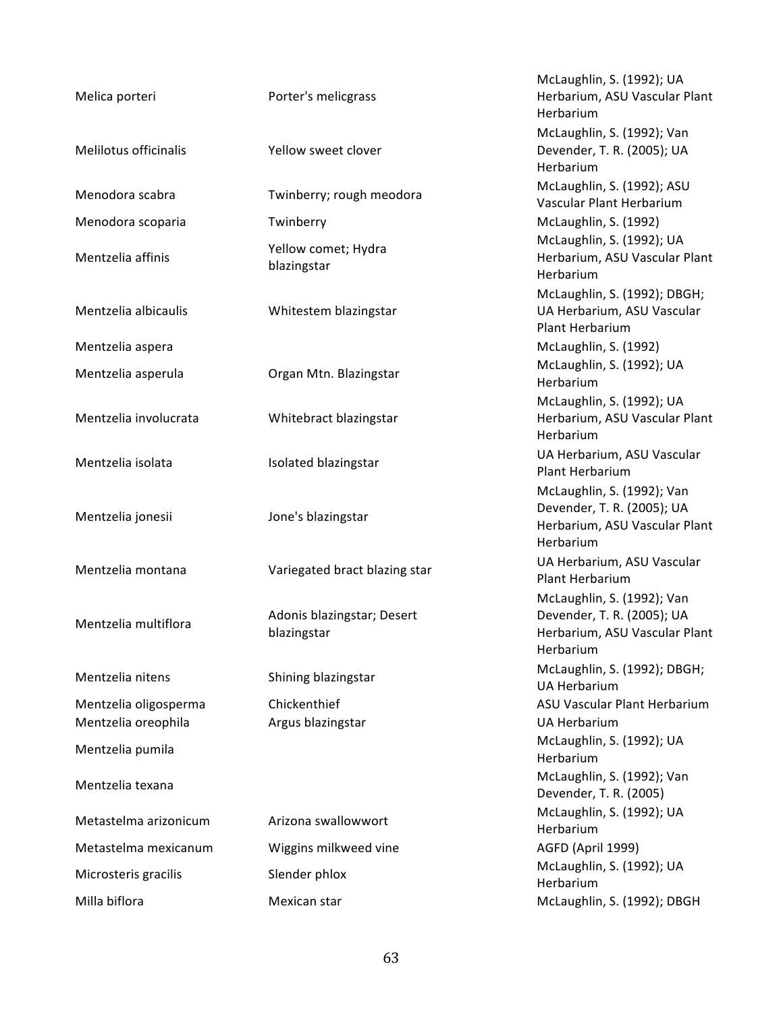| Melica porteri        | Porter's melicgrass                       | McLaughlin, S. (1992); UA<br>Herbarium, ASU Vascular Plant<br>Herbarium                                |
|-----------------------|-------------------------------------------|--------------------------------------------------------------------------------------------------------|
| Melilotus officinalis | Yellow sweet clover                       | McLaughlin, S. (1992); Van<br>Devender, T. R. (2005); UA<br>Herbarium                                  |
| Menodora scabra       | Twinberry; rough meodora                  | McLaughlin, S. (1992); ASU<br>Vascular Plant Herbarium                                                 |
| Menodora scoparia     | Twinberry                                 | McLaughlin, S. (1992)                                                                                  |
| Mentzelia affinis     | Yellow comet; Hydra<br>blazingstar        | McLaughlin, S. (1992); UA<br>Herbarium, ASU Vascular Plant<br>Herbarium                                |
| Mentzelia albicaulis  | Whitestem blazingstar                     | McLaughlin, S. (1992); DBGH;<br>UA Herbarium, ASU Vascular<br>Plant Herbarium                          |
| Mentzelia aspera      |                                           | McLaughlin, S. (1992)                                                                                  |
| Mentzelia asperula    | Organ Mtn. Blazingstar                    | McLaughlin, S. (1992); UA<br>Herbarium                                                                 |
| Mentzelia involucrata | Whitebract blazingstar                    | McLaughlin, S. (1992); UA<br>Herbarium, ASU Vascular Plant<br>Herbarium                                |
| Mentzelia isolata     | Isolated blazingstar                      | UA Herbarium, ASU Vascular<br>Plant Herbarium                                                          |
| Mentzelia jonesii     | Jone's blazingstar                        | McLaughlin, S. (1992); Van<br>Devender, T. R. (2005); UA<br>Herbarium, ASU Vascular Plant<br>Herbarium |
| Mentzelia montana     | Variegated bract blazing star             | UA Herbarium, ASU Vascular<br>Plant Herbarium                                                          |
| Mentzelia multiflora  | Adonis blazingstar; Desert<br>blazingstar | McLaughlin, S. (1992); Van<br>Devender, T. R. (2005); UA<br>Herbarium, ASU Vascular Plant<br>Herbarium |
| Mentzelia nitens      | Shining blazingstar                       | McLaughlin, S. (1992); DBGH;<br><b>UA Herbarium</b>                                                    |
| Mentzelia oligosperma | Chickenthief                              | ASU Vascular Plant Herbarium                                                                           |
| Mentzelia oreophila   | Argus blazingstar                         | <b>UA Herbarium</b>                                                                                    |
| Mentzelia pumila      |                                           | McLaughlin, S. (1992); UA<br>Herbarium                                                                 |
| Mentzelia texana      |                                           | McLaughlin, S. (1992); Van<br>Devender, T. R. (2005)                                                   |
| Metastelma arizonicum | Arizona swallowwort                       | McLaughlin, S. (1992); UA<br>Herbarium                                                                 |
| Metastelma mexicanum  | Wiggins milkweed vine                     | AGFD (April 1999)                                                                                      |
| Microsteris gracilis  | Slender phlox                             | McLaughlin, S. (1992); UA<br>Herbarium                                                                 |
| Milla biflora         | Mexican star                              | McLaughlin, S. (1992); DBGH                                                                            |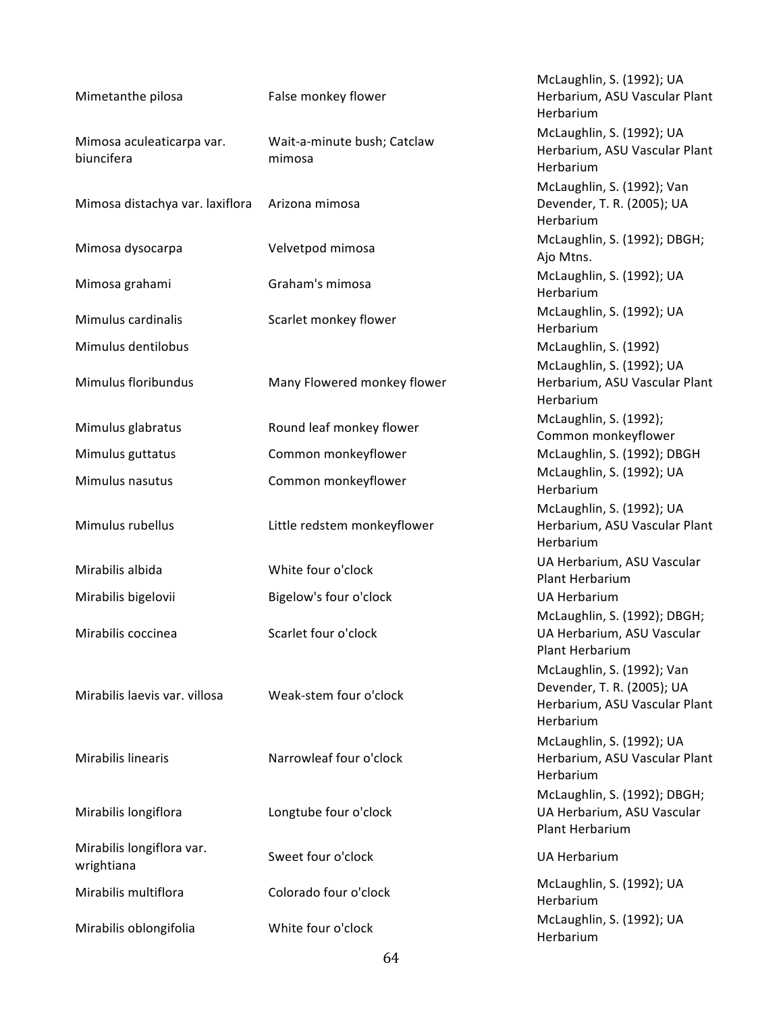| Mimetanthe pilosa                       | False monkey flower                   | McLaughlin, S. (1992); UA<br>Herbarium, ASU Vascular Plant<br>Herbarium                                |
|-----------------------------------------|---------------------------------------|--------------------------------------------------------------------------------------------------------|
| Mimosa aculeaticarpa var.<br>biuncifera | Wait-a-minute bush; Catclaw<br>mimosa | McLaughlin, S. (1992); UA<br>Herbarium, ASU Vascular Plant<br>Herbarium                                |
| Mimosa distachya var. laxiflora         | Arizona mimosa                        | McLaughlin, S. (1992); Van<br>Devender, T. R. (2005); UA<br>Herbarium                                  |
| Mimosa dysocarpa                        | Velvetpod mimosa                      | McLaughlin, S. (1992); DBGH;<br>Ajo Mtns.                                                              |
| Mimosa grahami                          | Graham's mimosa                       | McLaughlin, S. (1992); UA<br>Herbarium                                                                 |
| Mimulus cardinalis                      | Scarlet monkey flower                 | McLaughlin, S. (1992); UA<br>Herbarium                                                                 |
| Mimulus dentilobus                      |                                       | McLaughlin, S. (1992)                                                                                  |
| Mimulus floribundus                     | Many Flowered monkey flower           | McLaughlin, S. (1992); UA<br>Herbarium, ASU Vascular Plant<br>Herbarium                                |
| Mimulus glabratus                       | Round leaf monkey flower              | McLaughlin, S. (1992);<br>Common monkeyflower                                                          |
| Mimulus guttatus                        | Common monkeyflower                   | McLaughlin, S. (1992); DBGH                                                                            |
| Mimulus nasutus                         | Common monkeyflower                   | McLaughlin, S. (1992); UA<br>Herbarium                                                                 |
| Mimulus rubellus                        | Little redstem monkeyflower           | McLaughlin, S. (1992); UA<br>Herbarium, ASU Vascular Plant<br>Herbarium                                |
| Mirabilis albida                        | White four o'clock                    | UA Herbarium, ASU Vascular<br>Plant Herbarium                                                          |
| Mirabilis bigelovii                     | Bigelow's four o'clock                | <b>UA Herbarium</b>                                                                                    |
| Mirabilis coccinea                      | Scarlet four o'clock                  | McLaughlin, S. (1992); DBGH;<br>UA Herbarium, ASU Vascular<br>Plant Herbarium                          |
| Mirabilis laevis var. villosa           | Weak-stem four o'clock                | McLaughlin, S. (1992); Van<br>Devender, T. R. (2005); UA<br>Herbarium, ASU Vascular Plant<br>Herbarium |
| Mirabilis linearis                      | Narrowleaf four o'clock               | McLaughlin, S. (1992); UA<br>Herbarium, ASU Vascular Plant<br>Herbarium                                |
| Mirabilis longiflora                    | Longtube four o'clock                 | McLaughlin, S. (1992); DBGH;<br>UA Herbarium, ASU Vascular<br>Plant Herbarium                          |
| Mirabilis longiflora var.<br>wrightiana | Sweet four o'clock                    | <b>UA Herbarium</b>                                                                                    |
| Mirabilis multiflora                    | Colorado four o'clock                 | McLaughlin, S. (1992); UA<br>Herbarium                                                                 |
| Mirabilis oblongifolia                  | White four o'clock                    | McLaughlin, S. (1992); UA<br>Herbarium                                                                 |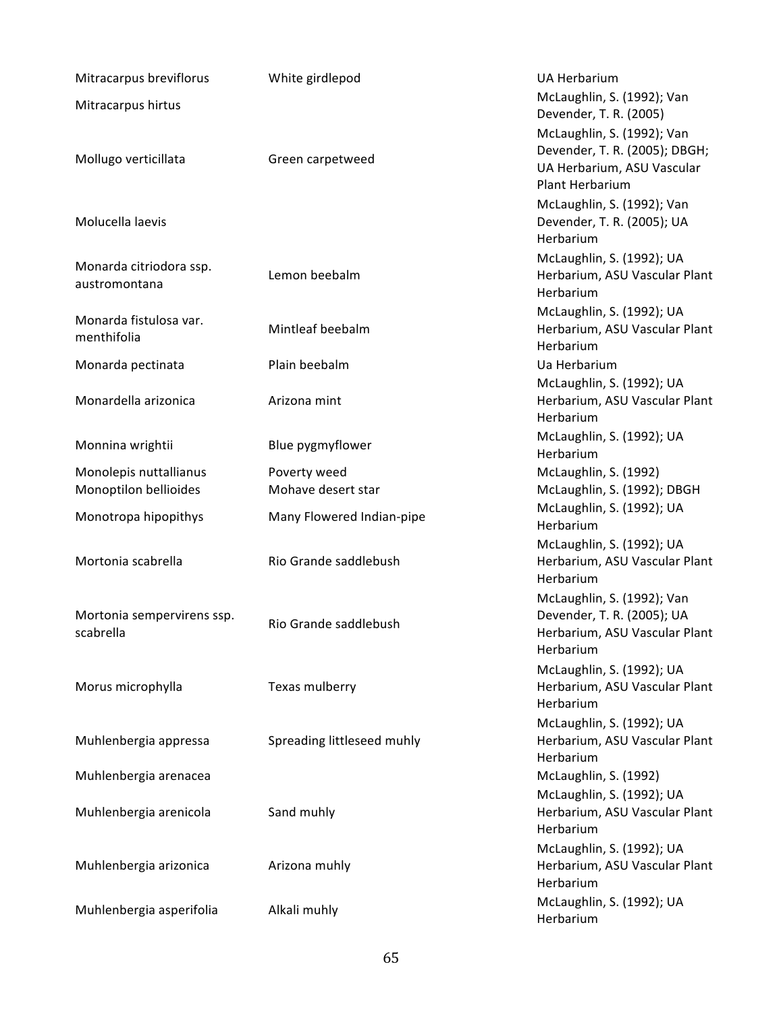| Mitracarpus breviflorus                  | White girdlepod            | <b>UA Herbarium</b>                                         |
|------------------------------------------|----------------------------|-------------------------------------------------------------|
| Mitracarpus hirtus                       |                            | McLaughlin, S. (1992); Van                                  |
|                                          |                            | Devender, T. R. (2005)                                      |
|                                          |                            | McLaughlin, S. (1992); Van                                  |
| Mollugo verticillata                     | Green carpetweed           | Devender, T. R. (2005); DBGH;<br>UA Herbarium, ASU Vascular |
|                                          |                            | Plant Herbarium                                             |
|                                          |                            | McLaughlin, S. (1992); Van                                  |
| Molucella laevis                         |                            | Devender, T. R. (2005); UA                                  |
|                                          |                            | Herbarium                                                   |
|                                          |                            | McLaughlin, S. (1992); UA                                   |
| Monarda citriodora ssp.<br>austromontana | Lemon beebalm              | Herbarium, ASU Vascular Plant                               |
|                                          |                            | Herbarium                                                   |
| Monarda fistulosa var.                   |                            | McLaughlin, S. (1992); UA                                   |
| menthifolia                              | Mintleaf beebalm           | Herbarium, ASU Vascular Plant                               |
|                                          |                            | Herbarium                                                   |
| Monarda pectinata                        | Plain beebalm              | Ua Herbarium<br>McLaughlin, S. (1992); UA                   |
| Monardella arizonica                     | Arizona mint               | Herbarium, ASU Vascular Plant                               |
|                                          |                            | Herbarium                                                   |
|                                          |                            | McLaughlin, S. (1992); UA                                   |
| Monnina wrightii                         | Blue pygmyflower           | Herbarium                                                   |
| Monolepis nuttallianus                   | Poverty weed               | McLaughlin, S. (1992)                                       |
| Monoptilon bellioides                    | Mohave desert star         | McLaughlin, S. (1992); DBGH                                 |
| Monotropa hipopithys                     | Many Flowered Indian-pipe  | McLaughlin, S. (1992); UA                                   |
|                                          |                            | Herbarium                                                   |
| Mortonia scabrella                       | Rio Grande saddlebush      | McLaughlin, S. (1992); UA<br>Herbarium, ASU Vascular Plant  |
|                                          |                            | Herbarium                                                   |
|                                          |                            | McLaughlin, S. (1992); Van                                  |
| Mortonia sempervirens ssp.               |                            | Devender, T. R. (2005); UA                                  |
| scabrella                                | Rio Grande saddlebush      | Herbarium, ASU Vascular Plant                               |
|                                          |                            | Herbarium                                                   |
|                                          |                            | McLaughlin, S. (1992); UA                                   |
| Morus microphylla                        | Texas mulberry             | Herbarium, ASU Vascular Plant                               |
|                                          |                            | Herbarium                                                   |
| Muhlenbergia appressa                    | Spreading littleseed muhly | McLaughlin, S. (1992); UA<br>Herbarium, ASU Vascular Plant  |
|                                          |                            | Herbarium                                                   |
| Muhlenbergia arenacea                    |                            | McLaughlin, S. (1992)                                       |
|                                          |                            | McLaughlin, S. (1992); UA                                   |
| Muhlenbergia arenicola                   | Sand muhly                 | Herbarium, ASU Vascular Plant                               |
|                                          |                            | Herbarium                                                   |
|                                          |                            | McLaughlin, S. (1992); UA                                   |
| Muhlenbergia arizonica                   | Arizona muhly              | Herbarium, ASU Vascular Plant                               |
|                                          |                            | Herbarium<br>McLaughlin, S. (1992); UA                      |
| Muhlenbergia asperifolia                 | Alkali muhly               | Herbarium                                                   |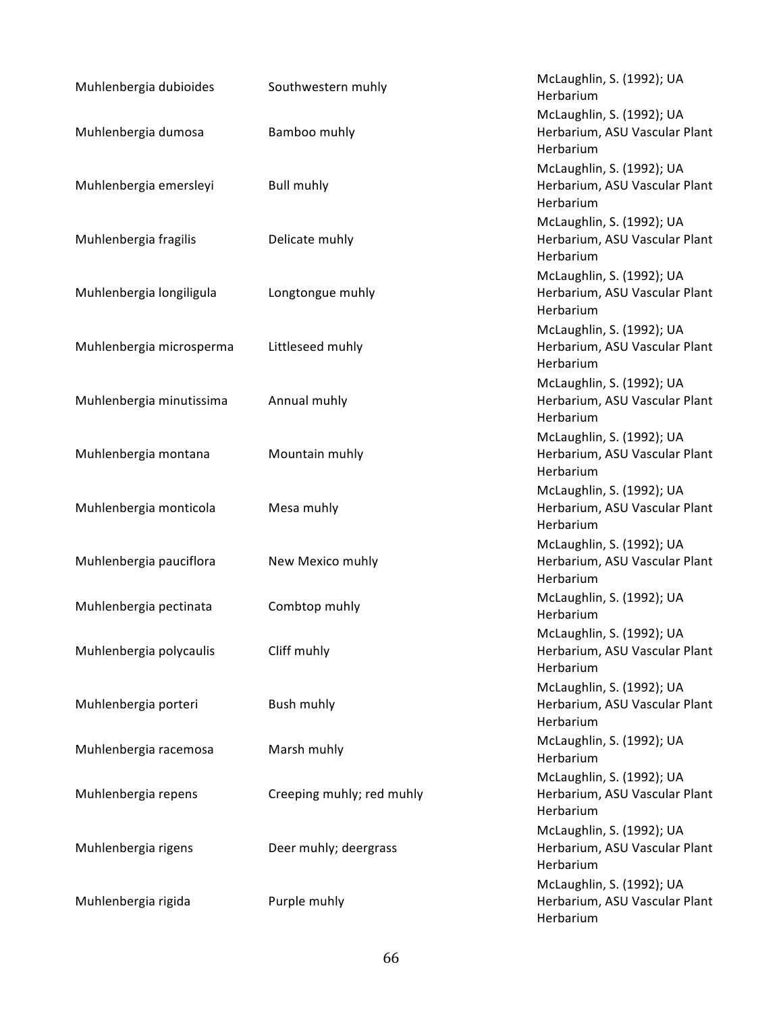| Muhlenbergia dubioides   | Southwestern muhly        | McLaughlin, S. (1992); UA<br>Herbarium     |
|--------------------------|---------------------------|--------------------------------------------|
|                          |                           | McLaughlin, S. (1992); UA                  |
| Muhlenbergia dumosa      | Bamboo muhly              | Herbarium, ASU Vascular Plant<br>Herbarium |
|                          |                           | McLaughlin, S. (1992); UA                  |
| Muhlenbergia emersleyi   | <b>Bull muhly</b>         | Herbarium, ASU Vascular Plant<br>Herbarium |
|                          |                           | McLaughlin, S. (1992); UA                  |
| Muhlenbergia fragilis    | Delicate muhly            | Herbarium, ASU Vascular Plant<br>Herbarium |
|                          |                           | McLaughlin, S. (1992); UA                  |
| Muhlenbergia longiligula | Longtongue muhly          | Herbarium, ASU Vascular Plant<br>Herbarium |
|                          |                           | McLaughlin, S. (1992); UA                  |
| Muhlenbergia microsperma | Littleseed muhly          | Herbarium, ASU Vascular Plant<br>Herbarium |
|                          |                           | McLaughlin, S. (1992); UA                  |
| Muhlenbergia minutissima | Annual muhly              | Herbarium, ASU Vascular Plant<br>Herbarium |
|                          |                           | McLaughlin, S. (1992); UA                  |
| Muhlenbergia montana     | Mountain muhly            | Herbarium, ASU Vascular Plant<br>Herbarium |
|                          |                           | McLaughlin, S. (1992); UA                  |
| Muhlenbergia monticola   | Mesa muhly                | Herbarium, ASU Vascular Plant<br>Herbarium |
|                          |                           | McLaughlin, S. (1992); UA                  |
| Muhlenbergia pauciflora  | New Mexico muhly          | Herbarium, ASU Vascular Plant<br>Herbarium |
| Muhlenbergia pectinata   | Combtop muhly             | McLaughlin, S. (1992); UA<br>Herbarium     |
|                          |                           | McLaughlin, S. (1992); UA                  |
| Muhlenbergia polycaulis  | Cliff muhly               | Herbarium, ASU Vascular Plant<br>Herbarium |
|                          |                           | McLaughlin, S. (1992); UA                  |
| Muhlenbergia porteri     | Bush muhly                | Herbarium, ASU Vascular Plant<br>Herbarium |
| Muhlenbergia racemosa    | Marsh muhly               | McLaughlin, S. (1992); UA<br>Herbarium     |
|                          |                           | McLaughlin, S. (1992); UA                  |
| Muhlenbergia repens      | Creeping muhly; red muhly | Herbarium, ASU Vascular Plant<br>Herbarium |
|                          |                           | McLaughlin, S. (1992); UA                  |
| Muhlenbergia rigens      | Deer muhly; deergrass     | Herbarium, ASU Vascular Plant<br>Herbarium |
|                          |                           | McLaughlin, S. (1992); UA                  |
| Muhlenbergia rigida      | Purple muhly              | Herbarium, ASU Vascular Plant<br>Herbarium |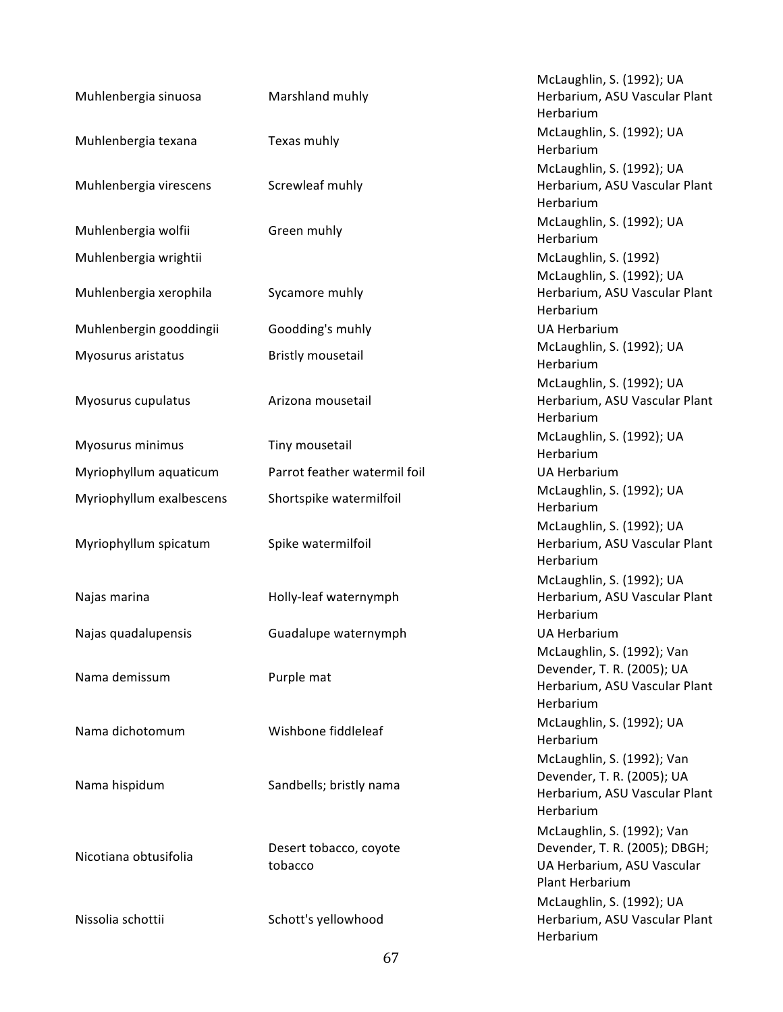| Muhlenbergia sinuosa     | Marshland muhly                   | McLaughlin, S. (1992); UA<br>Herbarium, ASU Vascular Plant<br>Herbarium                                      |
|--------------------------|-----------------------------------|--------------------------------------------------------------------------------------------------------------|
| Muhlenbergia texana      | Texas muhly                       | McLaughlin, S. (1992); UA<br>Herbarium                                                                       |
| Muhlenbergia virescens   | Screwleaf muhly                   | McLaughlin, S. (1992); UA<br>Herbarium, ASU Vascular Plant<br>Herbarium                                      |
| Muhlenbergia wolfii      | Green muhly                       | McLaughlin, S. (1992); UA<br>Herbarium                                                                       |
| Muhlenbergia wrightii    |                                   | McLaughlin, S. (1992)                                                                                        |
| Muhlenbergia xerophila   | Sycamore muhly                    | McLaughlin, S. (1992); UA<br>Herbarium, ASU Vascular Plant<br>Herbarium                                      |
| Muhlenbergin gooddingii  | Goodding's muhly                  | <b>UA Herbarium</b>                                                                                          |
| Myosurus aristatus       | <b>Bristly mousetail</b>          | McLaughlin, S. (1992); UA<br>Herbarium                                                                       |
| Myosurus cupulatus       | Arizona mousetail                 | McLaughlin, S. (1992); UA<br>Herbarium, ASU Vascular Plant<br>Herbarium                                      |
| Myosurus minimus         | Tiny mousetail                    | McLaughlin, S. (1992); UA<br>Herbarium                                                                       |
| Myriophyllum aquaticum   | Parrot feather watermil foil      | <b>UA Herbarium</b>                                                                                          |
| Myriophyllum exalbescens | Shortspike watermilfoil           | McLaughlin, S. (1992); UA<br>Herbarium                                                                       |
| Myriophyllum spicatum    | Spike watermilfoil                | McLaughlin, S. (1992); UA<br>Herbarium, ASU Vascular Plant<br>Herbarium                                      |
| Najas marina             | Holly-leaf waternymph             | McLaughlin, S. (1992); UA<br>Herbarium, ASU Vascular Plant<br>Herbarium                                      |
| Najas quadalupensis      | Guadalupe waternymph              | <b>UA Herbarium</b>                                                                                          |
| Nama demissum            | Purple mat                        | McLaughlin, S. (1992); Van<br>Devender, T. R. (2005); UA<br>Herbarium, ASU Vascular Plant<br>Herbarium       |
| Nama dichotomum          | Wishbone fiddleleaf               | McLaughlin, S. (1992); UA<br>Herbarium                                                                       |
| Nama hispidum            | Sandbells; bristly nama           | McLaughlin, S. (1992); Van<br>Devender, T. R. (2005); UA<br>Herbarium, ASU Vascular Plant<br>Herbarium       |
| Nicotiana obtusifolia    | Desert tobacco, coyote<br>tobacco | McLaughlin, S. (1992); Van<br>Devender, T. R. (2005); DBGH;<br>UA Herbarium, ASU Vascular<br>Plant Herbarium |
| Nissolia schottii        | Schott's yellowhood               | McLaughlin, S. (1992); UA<br>Herbarium, ASU Vascular Plant<br>Herbarium                                      |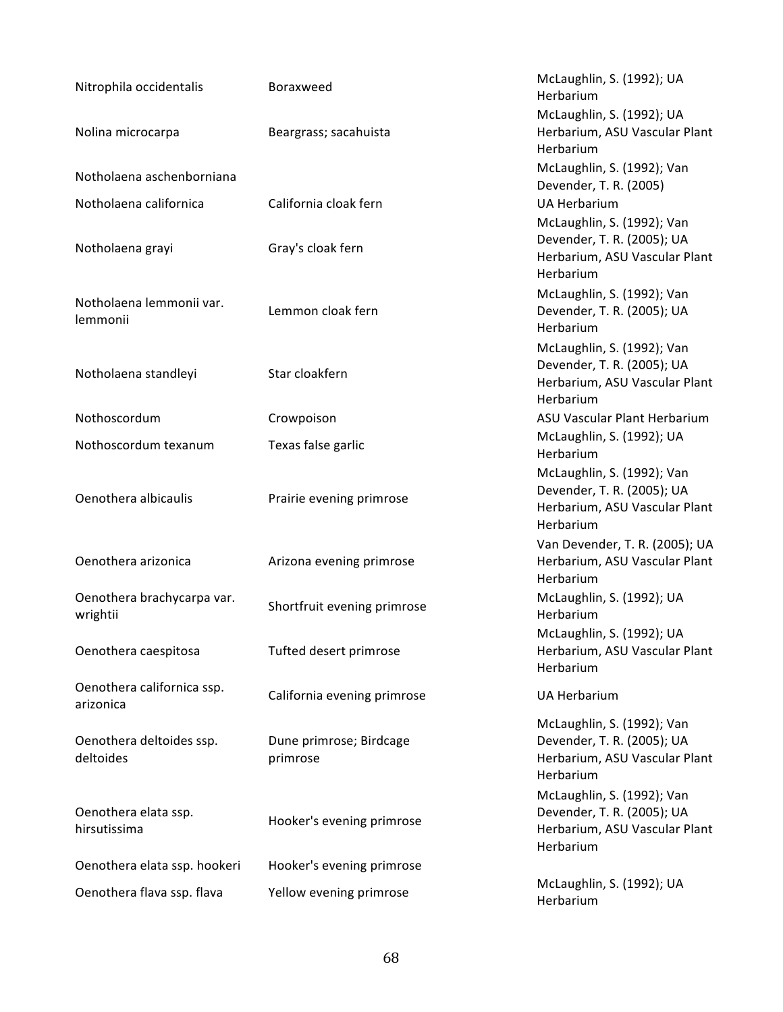| Nitrophila occidentalis                 | Boraxweed                           | McLaughlin, S. (1992); UA<br>Herbarium                                                                 |
|-----------------------------------------|-------------------------------------|--------------------------------------------------------------------------------------------------------|
| Nolina microcarpa                       | Beargrass; sacahuista               | McLaughlin, S. (1992); UA<br>Herbarium, ASU Vascular Plant<br>Herbarium                                |
| Notholaena aschenborniana               |                                     | McLaughlin, S. (1992); Van<br>Devender, T. R. (2005)                                                   |
| Notholaena californica                  | California cloak fern               | <b>UA Herbarium</b>                                                                                    |
| Notholaena grayi                        | Gray's cloak fern                   | McLaughlin, S. (1992); Van<br>Devender, T. R. (2005); UA<br>Herbarium, ASU Vascular Plant<br>Herbarium |
| Notholaena lemmonii var.<br>lemmonii    | Lemmon cloak fern                   | McLaughlin, S. (1992); Van<br>Devender, T. R. (2005); UA<br>Herbarium                                  |
| Notholaena standleyi                    | Star cloakfern                      | McLaughlin, S. (1992); Van<br>Devender, T. R. (2005); UA<br>Herbarium, ASU Vascular Plant<br>Herbarium |
| Nothoscordum                            | Crowpoison                          | ASU Vascular Plant Herbarium                                                                           |
| Nothoscordum texanum                    | Texas false garlic                  | McLaughlin, S. (1992); UA<br>Herbarium                                                                 |
| Oenothera albicaulis                    | Prairie evening primrose            | McLaughlin, S. (1992); Van<br>Devender, T. R. (2005); UA<br>Herbarium, ASU Vascular Plant<br>Herbarium |
| Oenothera arizonica                     | Arizona evening primrose            | Van Devender, T. R. (2005); UA<br>Herbarium, ASU Vascular Plant<br>Herbarium                           |
| Oenothera brachycarpa var.<br>wrightii  | Shortfruit evening primrose         | McLaughlin, S. (1992); UA<br>Herbarium                                                                 |
| Oenothera caespitosa                    | Tufted desert primrose              | McLaughlin, S. (1992); UA<br>Herbarium, ASU Vascular Plant<br>Herbarium                                |
| Oenothera californica ssp.<br>arizonica | California evening primrose         | <b>UA Herbarium</b>                                                                                    |
| Oenothera deltoides ssp.<br>deltoides   | Dune primrose; Birdcage<br>primrose | McLaughlin, S. (1992); Van<br>Devender, T. R. (2005); UA<br>Herbarium, ASU Vascular Plant<br>Herbarium |
| Oenothera elata ssp.<br>hirsutissima    | Hooker's evening primrose           | McLaughlin, S. (1992); Van<br>Devender, T. R. (2005); UA<br>Herbarium, ASU Vascular Plant<br>Herbarium |
| Oenothera elata ssp. hookeri            | Hooker's evening primrose           |                                                                                                        |
| Oenothera flava ssp. flava              | Yellow evening primrose             | McLaughlin, S. (1992); UA<br>Herbarium                                                                 |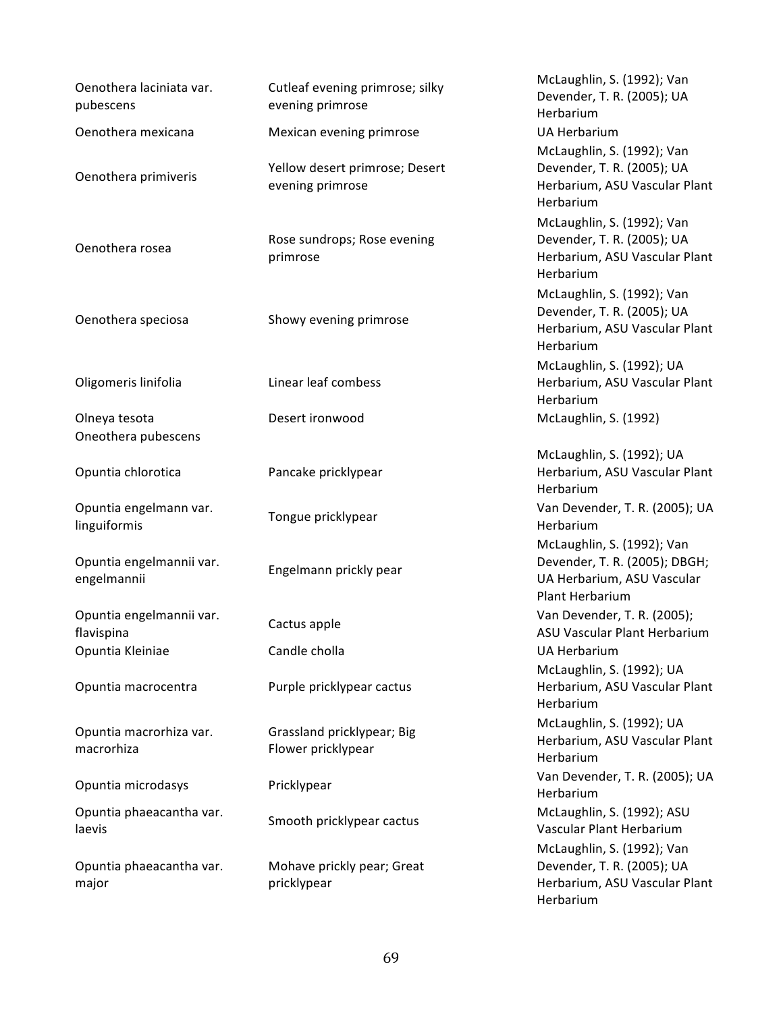| Oenothera laciniata var.<br>pubescens   | Cutleaf evening primrose; silky<br>evening primrose | McLaughlin, S. (1992); Van<br>Devender, T. R. (2005); UA<br>Herbarium                                        |
|-----------------------------------------|-----------------------------------------------------|--------------------------------------------------------------------------------------------------------------|
| Oenothera mexicana                      | Mexican evening primrose                            | <b>UA Herbarium</b>                                                                                          |
| Oenothera primiveris                    | Yellow desert primrose; Desert<br>evening primrose  | McLaughlin, S. (1992); Van<br>Devender, T. R. (2005); UA<br>Herbarium, ASU Vascular Plant<br>Herbarium       |
| Oenothera rosea                         | Rose sundrops; Rose evening<br>primrose             | McLaughlin, S. (1992); Van<br>Devender, T. R. (2005); UA<br>Herbarium, ASU Vascular Plant<br>Herbarium       |
| Oenothera speciosa                      | Showy evening primrose                              | McLaughlin, S. (1992); Van<br>Devender, T. R. (2005); UA<br>Herbarium, ASU Vascular Plant<br>Herbarium       |
| Oligomeris linifolia                    | Linear leaf combess                                 | McLaughlin, S. (1992); UA<br>Herbarium, ASU Vascular Plant<br>Herbarium                                      |
| Olneya tesota<br>Oneothera pubescens    | Desert ironwood                                     | McLaughlin, S. (1992)                                                                                        |
| Opuntia chlorotica                      | Pancake pricklypear                                 | McLaughlin, S. (1992); UA<br>Herbarium, ASU Vascular Plant<br>Herbarium                                      |
| Opuntia engelmann var.<br>linguiformis  | Tongue pricklypear                                  | Van Devender, T. R. (2005); UA<br>Herbarium                                                                  |
| Opuntia engelmannii var.<br>engelmannii | Engelmann prickly pear                              | McLaughlin, S. (1992); Van<br>Devender, T. R. (2005); DBGH;<br>UA Herbarium, ASU Vascular<br>Plant Herbarium |
| Opuntia engelmannii var.<br>flavispina  | Cactus apple                                        | Van Devender, T. R. (2005);<br>ASU Vascular Plant Herbarium                                                  |
| Opuntia Kleiniae                        | Candle cholla                                       | UA Herbarium                                                                                                 |
| Opuntia macrocentra                     | Purple pricklypear cactus                           | McLaughlin, S. (1992); UA<br>Herbarium, ASU Vascular Plant<br>Herbarium                                      |
| Opuntia macrorhiza var.<br>macrorhiza   | Grassland pricklypear; Big<br>Flower pricklypear    | McLaughlin, S. (1992); UA<br>Herbarium, ASU Vascular Plant<br>Herbarium                                      |
| Opuntia microdasys                      | Pricklypear                                         | Van Devender, T. R. (2005); UA<br>Herbarium                                                                  |
| Opuntia phaeacantha var.<br>laevis      | Smooth pricklypear cactus                           | McLaughlin, S. (1992); ASU<br>Vascular Plant Herbarium                                                       |
| Opuntia phaeacantha var.<br>major       | Mohave prickly pear; Great<br>pricklypear           | McLaughlin, S. (1992); Van<br>Devender, T. R. (2005); UA<br>Herbarium, ASU Vascular Plant<br>Herbarium       |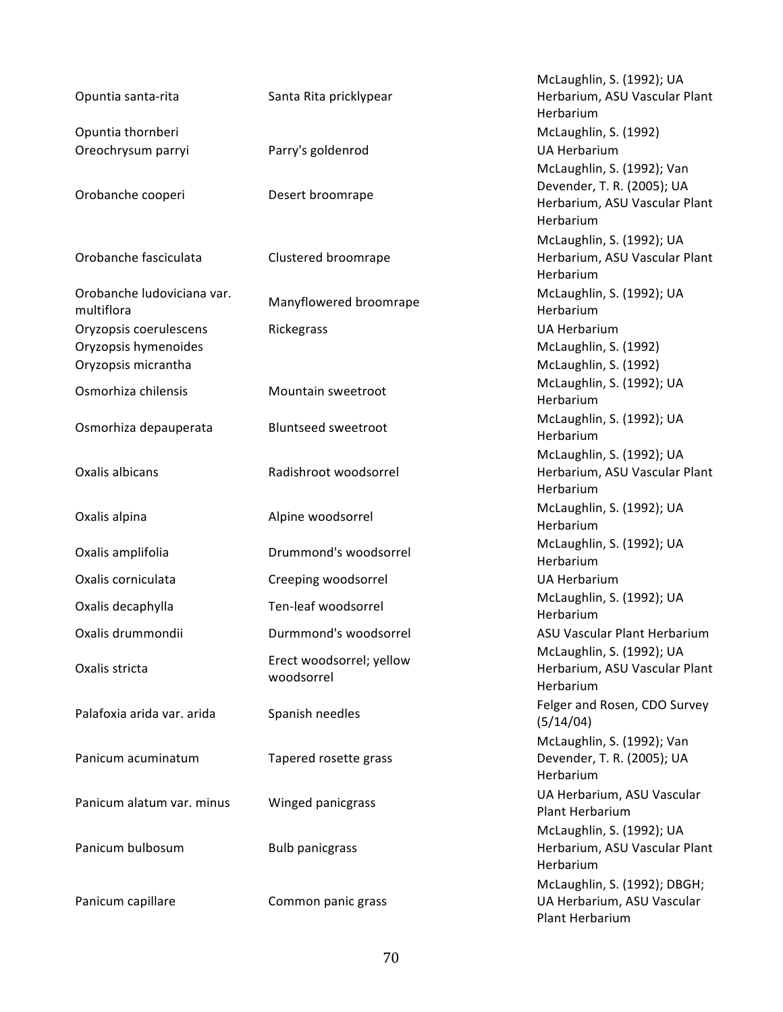| Opuntia santa-rita                                                    | Santa Rita pricklypear                 | McLaughlin, S. (1992); UA<br>Herbarium, ASU Vascular Plant<br>Herbarium                                |
|-----------------------------------------------------------------------|----------------------------------------|--------------------------------------------------------------------------------------------------------|
| Opuntia thornberi                                                     |                                        | McLaughlin, S. (1992)                                                                                  |
| Oreochrysum parryi                                                    | Parry's goldenrod                      | <b>UA Herbarium</b>                                                                                    |
| Orobanche cooperi                                                     | Desert broomrape                       | McLaughlin, S. (1992); Van<br>Devender, T. R. (2005); UA<br>Herbarium, ASU Vascular Plant<br>Herbarium |
|                                                                       |                                        | McLaughlin, S. (1992); UA                                                                              |
| Orobanche fasciculata                                                 | Clustered broomrape                    | Herbarium, ASU Vascular Plant<br>Herbarium                                                             |
| Orobanche ludoviciana var.<br>multiflora                              | Manyflowered broomrape                 | McLaughlin, S. (1992); UA<br>Herbarium                                                                 |
| Oryzopsis coerulescens<br>Oryzopsis hymenoides<br>Oryzopsis micrantha | Rickegrass                             | <b>UA Herbarium</b><br>McLaughlin, S. (1992)<br>McLaughlin, S. (1992)                                  |
| Osmorhiza chilensis                                                   | Mountain sweetroot                     | McLaughlin, S. (1992); UA<br>Herbarium                                                                 |
| Osmorhiza depauperata                                                 | <b>Bluntseed sweetroot</b>             | McLaughlin, S. (1992); UA<br>Herbarium                                                                 |
| Oxalis albicans                                                       | Radishroot woodsorrel                  | McLaughlin, S. (1992); UA<br>Herbarium, ASU Vascular Plant<br>Herbarium                                |
| Oxalis alpina                                                         | Alpine woodsorrel                      | McLaughlin, S. (1992); UA<br>Herbarium                                                                 |
| Oxalis amplifolia                                                     | Drummond's woodsorrel                  | McLaughlin, S. (1992); UA<br>Herbarium                                                                 |
| Oxalis corniculata                                                    | Creeping woodsorrel                    | <b>UA Herbarium</b>                                                                                    |
| Oxalis decaphylla                                                     | Ten-leaf woodsorrel                    | McLaughlin, S. (1992); UA<br>Herbarium                                                                 |
| Oxalis drummondii                                                     | Durmmond's woodsorrel                  | ASU Vascular Plant Herbarium                                                                           |
| Oxalis stricta                                                        | Erect woodsorrel; yellow<br>woodsorrel | McLaughlin, S. (1992); UA<br>Herbarium, ASU Vascular Plant<br>Herbarium                                |
| Palafoxia arida var. arida                                            | Spanish needles                        | Felger and Rosen, CDO Survey<br>(5/14/04)                                                              |
| Panicum acuminatum                                                    | Tapered rosette grass                  | McLaughlin, S. (1992); Van<br>Devender, T. R. (2005); UA<br>Herbarium                                  |
| Panicum alatum var. minus                                             | Winged panicgrass                      | UA Herbarium, ASU Vascular<br>Plant Herbarium                                                          |
| Panicum bulbosum                                                      | <b>Bulb panicgrass</b>                 | McLaughlin, S. (1992); UA<br>Herbarium, ASU Vascular Plant<br>Herbarium                                |
| Panicum capillare                                                     | Common panic grass                     | McLaughlin, S. (1992); DBGH;<br>UA Herbarium, ASU Vascular<br>Plant Herbarium                          |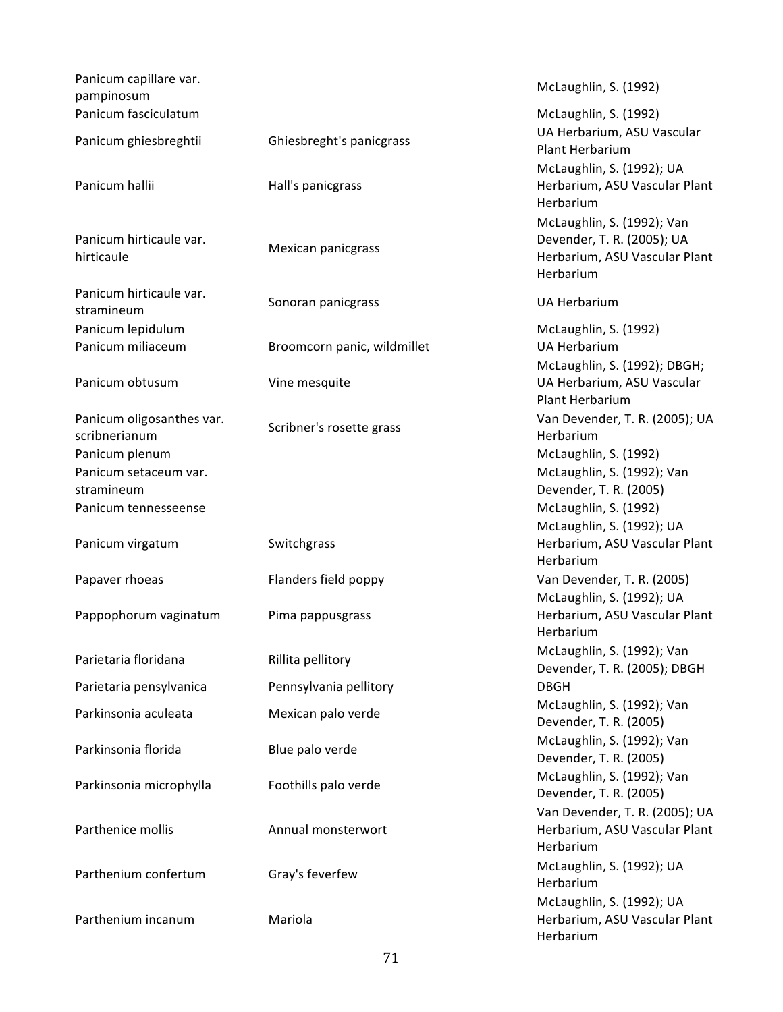| Panicum capillare var.<br>pampinosum       |                             | McLaughlin, S. (1992)                                                                                  |
|--------------------------------------------|-----------------------------|--------------------------------------------------------------------------------------------------------|
| Panicum fasciculatum                       |                             | McLaughlin, S. (1992)<br>UA Herbarium, ASU Vascular                                                    |
| Panicum ghiesbreghtii                      | Ghiesbreght's panicgrass    | Plant Herbarium<br>McLaughlin, S. (1992); UA                                                           |
| Panicum hallii                             | Hall's panicgrass           | Herbarium, ASU Vascular Plant<br>Herbarium                                                             |
| Panicum hirticaule var.<br>hirticaule      | Mexican panicgrass          | McLaughlin, S. (1992); Van<br>Devender, T. R. (2005); UA<br>Herbarium, ASU Vascular Plant<br>Herbarium |
| Panicum hirticaule var.<br>stramineum      | Sonoran panicgrass          | <b>UA Herbarium</b>                                                                                    |
| Panicum lepidulum                          |                             | McLaughlin, S. (1992)                                                                                  |
| Panicum miliaceum                          | Broomcorn panic, wildmillet | <b>UA Herbarium</b><br>McLaughlin, S. (1992); DBGH;                                                    |
| Panicum obtusum                            | Vine mesquite               | UA Herbarium, ASU Vascular<br><b>Plant Herbarium</b>                                                   |
| Panicum oligosanthes var.<br>scribnerianum | Scribner's rosette grass    | Van Devender, T. R. (2005); UA<br>Herbarium                                                            |
| Panicum plenum                             |                             | McLaughlin, S. (1992)                                                                                  |
| Panicum setaceum var.                      |                             | McLaughlin, S. (1992); Van                                                                             |
| stramineum                                 |                             | Devender, T. R. (2005)                                                                                 |
| Panicum tennesseense                       |                             | McLaughlin, S. (1992)                                                                                  |
| Panicum virgatum                           | Switchgrass                 | McLaughlin, S. (1992); UA<br>Herbarium, ASU Vascular Plant<br>Herbarium                                |
| Papaver rhoeas                             | Flanders field poppy        | Van Devender, T. R. (2005)<br>McLaughlin, S. (1992); UA                                                |
| Pappophorum vaginatum                      | Pima pappusgrass            | Herbarium, ASU Vascular Plant<br>Herbarium                                                             |
| Parietaria floridana                       | Rillita pellitory           | McLaughlin, S. (1992); Van<br>Devender, T. R. (2005); DBGH                                             |
| Parietaria pensylvanica                    | Pennsylvania pellitory      | <b>DBGH</b>                                                                                            |
| Parkinsonia aculeata                       | Mexican palo verde          | McLaughlin, S. (1992); Van<br>Devender, T. R. (2005)                                                   |
| Parkinsonia florida                        | Blue palo verde             | McLaughlin, S. (1992); Van<br>Devender, T. R. (2005)                                                   |
| Parkinsonia microphylla                    | Foothills palo verde        | McLaughlin, S. (1992); Van<br>Devender, T. R. (2005)                                                   |
| Parthenice mollis                          | Annual monsterwort          | Van Devender, T. R. (2005); UA<br>Herbarium, ASU Vascular Plant<br>Herbarium                           |
| Parthenium confertum                       | Gray's feverfew             | McLaughlin, S. (1992); UA<br>Herbarium                                                                 |
| Parthenium incanum                         | Mariola                     | McLaughlin, S. (1992); UA<br>Herbarium, ASU Vascular Plant<br>Herbarium                                |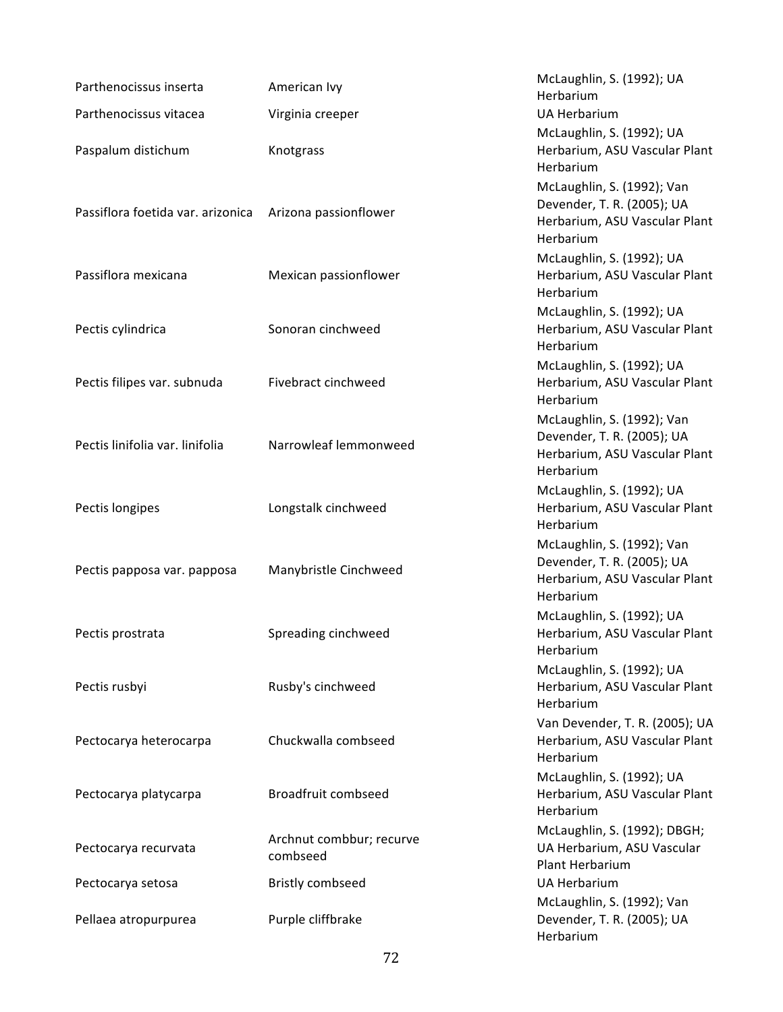| Parthenocissus inserta            | American Ivy                         | McLaughlin, S. (1992); UA<br>Herbarium                                                                 |
|-----------------------------------|--------------------------------------|--------------------------------------------------------------------------------------------------------|
| Parthenocissus vitacea            | Virginia creeper                     | <b>UA Herbarium</b>                                                                                    |
|                                   |                                      | McLaughlin, S. (1992); UA                                                                              |
| Paspalum distichum                | Knotgrass                            | Herbarium, ASU Vascular Plant<br>Herbarium                                                             |
| Passiflora foetida var. arizonica | Arizona passionflower                | McLaughlin, S. (1992); Van<br>Devender, T. R. (2005); UA<br>Herbarium, ASU Vascular Plant<br>Herbarium |
| Passiflora mexicana               | Mexican passionflower                | McLaughlin, S. (1992); UA<br>Herbarium, ASU Vascular Plant<br>Herbarium                                |
| Pectis cylindrica                 | Sonoran cinchweed                    | McLaughlin, S. (1992); UA<br>Herbarium, ASU Vascular Plant<br>Herbarium                                |
| Pectis filipes var. subnuda       | Fivebract cinchweed                  | McLaughlin, S. (1992); UA<br>Herbarium, ASU Vascular Plant<br>Herbarium                                |
| Pectis linifolia var. linifolia   | Narrowleaf lemmonweed                | McLaughlin, S. (1992); Van<br>Devender, T. R. (2005); UA<br>Herbarium, ASU Vascular Plant<br>Herbarium |
| Pectis longipes                   | Longstalk cinchweed                  | McLaughlin, S. (1992); UA<br>Herbarium, ASU Vascular Plant<br>Herbarium                                |
| Pectis papposa var. papposa       | Manybristle Cinchweed                | McLaughlin, S. (1992); Van<br>Devender, T. R. (2005); UA<br>Herbarium, ASU Vascular Plant<br>Herbarium |
| Pectis prostrata                  | Spreading cinchweed                  | McLaughlin, S. (1992); UA<br>Herbarium, ASU Vascular Plant<br>Herbarium                                |
| Pectis rusbyi                     | Rusby's cinchweed                    | McLaughlin, S. (1992); UA<br>Herbarium, ASU Vascular Plant<br>Herbarium                                |
| Pectocarya heterocarpa            | Chuckwalla combseed                  | Van Devender, T. R. (2005); UA<br>Herbarium, ASU Vascular Plant<br>Herbarium                           |
| Pectocarya platycarpa             | Broadfruit combseed                  | McLaughlin, S. (1992); UA<br>Herbarium, ASU Vascular Plant<br>Herbarium                                |
| Pectocarya recurvata              | Archnut combbur; recurve<br>combseed | McLaughlin, S. (1992); DBGH;<br>UA Herbarium, ASU Vascular<br>Plant Herbarium                          |
| Pectocarya setosa                 | <b>Bristly combseed</b>              | <b>UA Herbarium</b>                                                                                    |
| Pellaea atropurpurea              | Purple cliffbrake                    | McLaughlin, S. (1992); Van<br>Devender, T. R. (2005); UA<br>Herbarium                                  |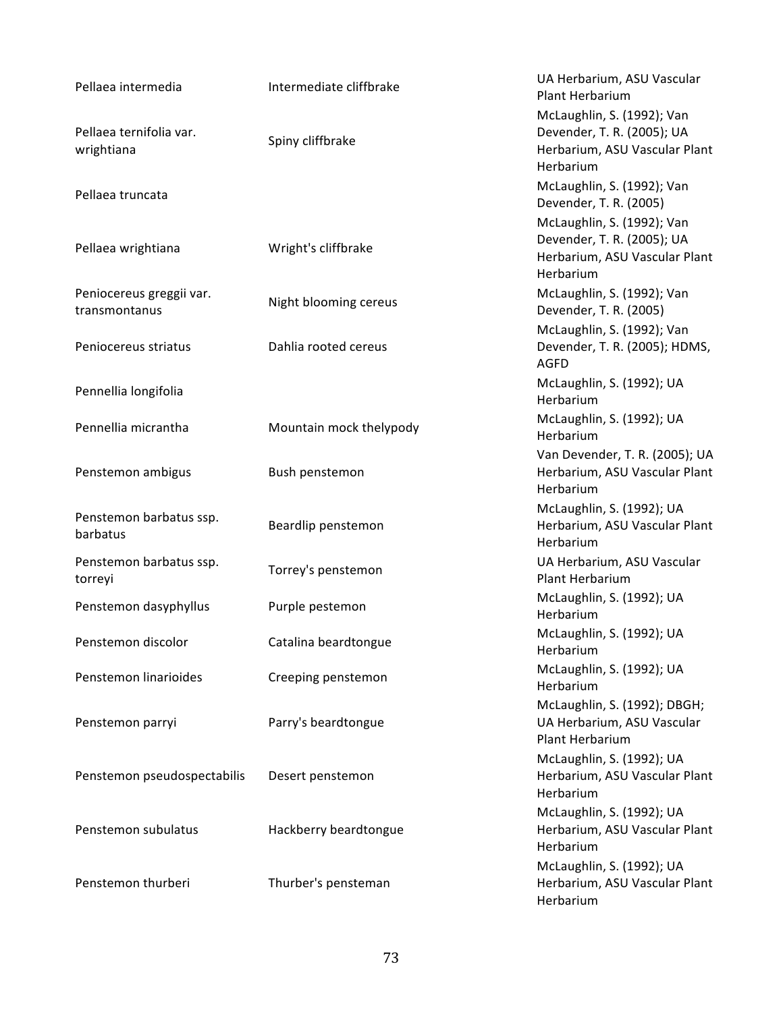| Pellaea intermedia                        | Intermediate cliffbrake | UA Herbarium, ASU Vascular<br><b>Plant Herbarium</b>                                                   |
|-------------------------------------------|-------------------------|--------------------------------------------------------------------------------------------------------|
| Pellaea ternifolia var.<br>wrightiana     | Spiny cliffbrake        | McLaughlin, S. (1992); Van<br>Devender, T. R. (2005); UA<br>Herbarium, ASU Vascular Plant<br>Herbarium |
| Pellaea truncata                          |                         | McLaughlin, S. (1992); Van<br>Devender, T. R. (2005)                                                   |
| Pellaea wrightiana                        | Wright's cliffbrake     | McLaughlin, S. (1992); Van<br>Devender, T. R. (2005); UA<br>Herbarium, ASU Vascular Plant<br>Herbarium |
| Peniocereus greggii var.<br>transmontanus | Night blooming cereus   | McLaughlin, S. (1992); Van<br>Devender, T. R. (2005)                                                   |
| Peniocereus striatus                      | Dahlia rooted cereus    | McLaughlin, S. (1992); Van<br>Devender, T. R. (2005); HDMS,<br><b>AGFD</b>                             |
| Pennellia longifolia                      |                         | McLaughlin, S. (1992); UA<br>Herbarium                                                                 |
| Pennellia micrantha                       | Mountain mock thelypody | McLaughlin, S. (1992); UA<br>Herbarium                                                                 |
| Penstemon ambigus                         | Bush penstemon          | Van Devender, T. R. (2005); UA<br>Herbarium, ASU Vascular Plant<br>Herbarium                           |
| Penstemon barbatus ssp.<br>barbatus       | Beardlip penstemon      | McLaughlin, S. (1992); UA<br>Herbarium, ASU Vascular Plant<br>Herbarium                                |
| Penstemon barbatus ssp.<br>torreyi        | Torrey's penstemon      | UA Herbarium, ASU Vascular<br>Plant Herbarium                                                          |
| Penstemon dasyphyllus                     | Purple pestemon         | McLaughlin, S. (1992); UA<br>Herbarium                                                                 |
| Penstemon discolor                        | Catalina beardtongue    | McLaughlin, S. (1992); UA<br>Herbarium                                                                 |
| Penstemon linarioides                     | Creeping penstemon      | McLaughlin, S. (1992); UA<br>Herbarium                                                                 |
| Penstemon parryi                          | Parry's beardtongue     | McLaughlin, S. (1992); DBGH;<br>UA Herbarium, ASU Vascular<br>Plant Herbarium                          |
| Penstemon pseudospectabilis               | Desert penstemon        | McLaughlin, S. (1992); UA<br>Herbarium, ASU Vascular Plant<br>Herbarium                                |
| Penstemon subulatus                       | Hackberry beardtongue   | McLaughlin, S. (1992); UA<br>Herbarium, ASU Vascular Plant<br>Herbarium                                |
| Penstemon thurberi                        | Thurber's pensteman     | McLaughlin, S. (1992); UA<br>Herbarium, ASU Vascular Plant<br>Herbarium                                |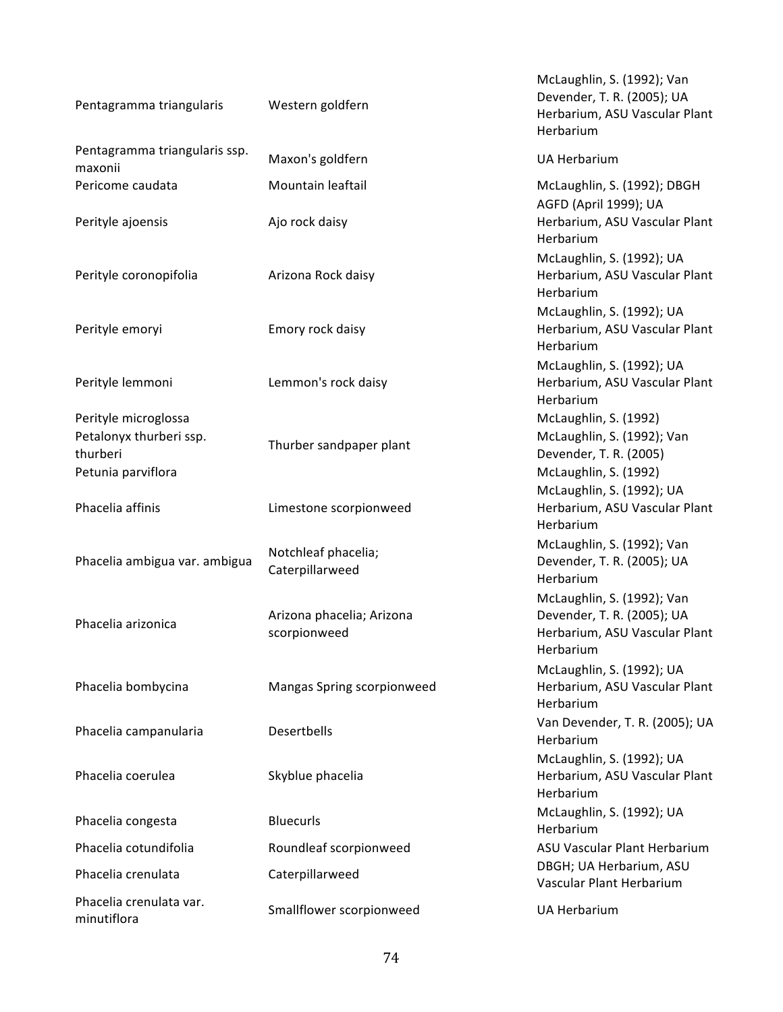| Pentagramma triangularis                                                          | Western goldfern                          | McLaughlin, S. (1992); Van<br>Devender, T. R. (2005); UA<br>Herbarium, ASU Vascular Plant<br>Herbarium |
|-----------------------------------------------------------------------------------|-------------------------------------------|--------------------------------------------------------------------------------------------------------|
| Pentagramma triangularis ssp.<br>maxonii                                          | Maxon's goldfern                          | <b>UA Herbarium</b>                                                                                    |
| Pericome caudata                                                                  | Mountain leaftail                         | McLaughlin, S. (1992); DBGH<br>AGFD (April 1999); UA                                                   |
| Perityle ajoensis                                                                 | Ajo rock daisy                            | Herbarium, ASU Vascular Plant<br>Herbarium                                                             |
| Perityle coronopifolia                                                            | Arizona Rock daisy                        | McLaughlin, S. (1992); UA<br>Herbarium, ASU Vascular Plant<br>Herbarium                                |
| Perityle emoryi                                                                   | Emory rock daisy                          | McLaughlin, S. (1992); UA<br>Herbarium, ASU Vascular Plant<br>Herbarium                                |
| Perityle lemmoni                                                                  | Lemmon's rock daisy                       | McLaughlin, S. (1992); UA<br>Herbarium, ASU Vascular Plant<br>Herbarium                                |
| Perityle microglossa<br>Petalonyx thurberi ssp.<br>thurberi<br>Petunia parviflora | Thurber sandpaper plant                   | McLaughlin, S. (1992)<br>McLaughlin, S. (1992); Van<br>Devender, T. R. (2005)<br>McLaughlin, S. (1992) |
| Phacelia affinis                                                                  | Limestone scorpionweed                    | McLaughlin, S. (1992); UA<br>Herbarium, ASU Vascular Plant<br>Herbarium                                |
| Phacelia ambigua var. ambigua                                                     | Notchleaf phacelia;<br>Caterpillarweed    | McLaughlin, S. (1992); Van<br>Devender, T. R. (2005); UA<br>Herbarium                                  |
| Phacelia arizonica                                                                | Arizona phacelia; Arizona<br>scorpionweed | McLaughlin, S. (1992); Van<br>Devender, T. R. (2005); UA<br>Herbarium, ASU Vascular Plant<br>Herbarium |
| Phacelia bombycina                                                                | Mangas Spring scorpionweed                | McLaughlin, S. (1992); UA<br>Herbarium, ASU Vascular Plant<br>Herbarium                                |
| Phacelia campanularia                                                             | Desertbells                               | Van Devender, T. R. (2005); UA<br>Herbarium                                                            |
| Phacelia coerulea                                                                 | Skyblue phacelia                          | McLaughlin, S. (1992); UA<br>Herbarium, ASU Vascular Plant<br>Herbarium                                |
| Phacelia congesta                                                                 | <b>Bluecurls</b>                          | McLaughlin, S. (1992); UA<br>Herbarium                                                                 |
| Phacelia cotundifolia                                                             | Roundleaf scorpionweed                    | ASU Vascular Plant Herbarium                                                                           |
| Phacelia crenulata                                                                | Caterpillarweed                           | DBGH; UA Herbarium, ASU<br>Vascular Plant Herbarium                                                    |
| Phacelia crenulata var.<br>minutiflora                                            | Smallflower scorpionweed                  | <b>UA Herbarium</b>                                                                                    |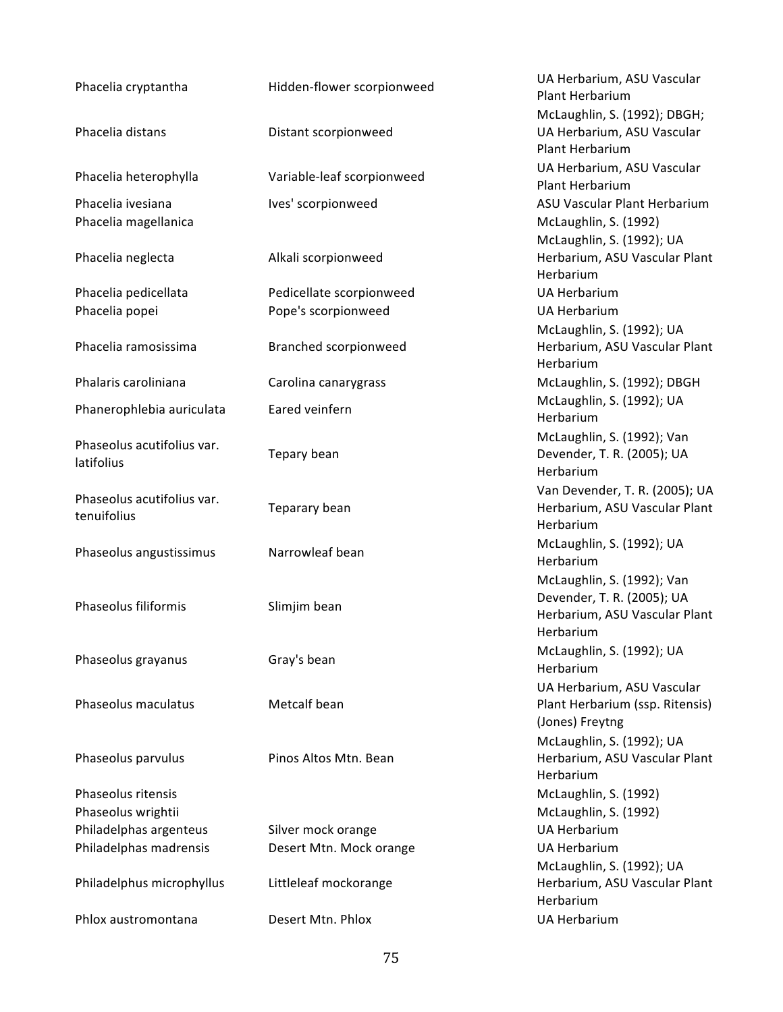| Phacelia cryptantha        | Hidden-flower scorpionweed | UA Herbarium, ASU Vascular<br>Plant Herbarium |
|----------------------------|----------------------------|-----------------------------------------------|
|                            |                            | McLaughlin, S. (1992); DBGH;                  |
| Phacelia distans           | Distant scorpionweed       | UA Herbarium, ASU Vascular                    |
|                            |                            | Plant Herbarium                               |
|                            |                            | UA Herbarium, ASU Vascular                    |
| Phacelia heterophylla      | Variable-leaf scorpionweed | Plant Herbarium                               |
| Phacelia ivesiana          | Ives' scorpionweed         | ASU Vascular Plant Herbarium                  |
| Phacelia magellanica       |                            | McLaughlin, S. (1992)                         |
|                            |                            | McLaughlin, S. (1992); UA                     |
| Phacelia neglecta          | Alkali scorpionweed        | Herbarium, ASU Vascular Plant                 |
|                            |                            | Herbarium                                     |
| Phacelia pedicellata       | Pedicellate scorpionweed   | <b>UA Herbarium</b>                           |
| Phacelia popei             | Pope's scorpionweed        | <b>UA Herbarium</b>                           |
|                            |                            | McLaughlin, S. (1992); UA                     |
| Phacelia ramosissima       | Branched scorpionweed      | Herbarium, ASU Vascular Plant                 |
|                            |                            | Herbarium                                     |
| Phalaris caroliniana       | Carolina canarygrass       | McLaughlin, S. (1992); DBGH                   |
|                            |                            | McLaughlin, S. (1992); UA                     |
| Phanerophlebia auriculata  | Eared veinfern             | Herbarium                                     |
|                            |                            | McLaughlin, S. (1992); Van                    |
| Phaseolus acutifolius var. | Tepary bean                | Devender, T. R. (2005); UA                    |
| latifolius                 |                            | Herbarium                                     |
|                            |                            | Van Devender, T. R. (2005); UA                |
| Phaseolus acutifolius var. | Teparary bean              | Herbarium, ASU Vascular Plant                 |
| tenuifolius                |                            | Herbarium                                     |
|                            |                            | McLaughlin, S. (1992); UA                     |
| Phaseolus angustissimus    | Narrowleaf bean            | Herbarium                                     |
|                            |                            | McLaughlin, S. (1992); Van                    |
|                            |                            | Devender, T. R. (2005); UA                    |
| Phaseolus filiformis       | Slimjim bean               | Herbarium, ASU Vascular Plant                 |
|                            |                            | Herbarium                                     |
|                            |                            | McLaughlin, S. (1992); UA                     |
| Phaseolus grayanus         | Gray's bean                | Herbarium                                     |
|                            |                            | UA Herbarium, ASU Vascular                    |
| Phaseolus maculatus        | Metcalf bean               | Plant Herbarium (ssp. Ritensis)               |
|                            |                            | (Jones) Freytng                               |
|                            |                            | McLaughlin, S. (1992); UA                     |
| Phaseolus parvulus         | Pinos Altos Mtn. Bean      | Herbarium, ASU Vascular Plant                 |
|                            |                            | Herbarium                                     |
| Phaseolus ritensis         |                            | McLaughlin, S. (1992)                         |
| Phaseolus wrightii         |                            | McLaughlin, S. (1992)                         |
| Philadelphas argenteus     | Silver mock orange         | <b>UA Herbarium</b>                           |
| Philadelphas madrensis     | Desert Mtn. Mock orange    | <b>UA Herbarium</b>                           |
|                            |                            | McLaughlin, S. (1992); UA                     |
| Philadelphus microphyllus  | Littleleaf mockorange      | Herbarium, ASU Vascular Plant                 |
|                            |                            | Herbarium                                     |
| Phlox austromontana        | Desert Mtn. Phlox          | <b>UA Herbarium</b>                           |
|                            |                            |                                               |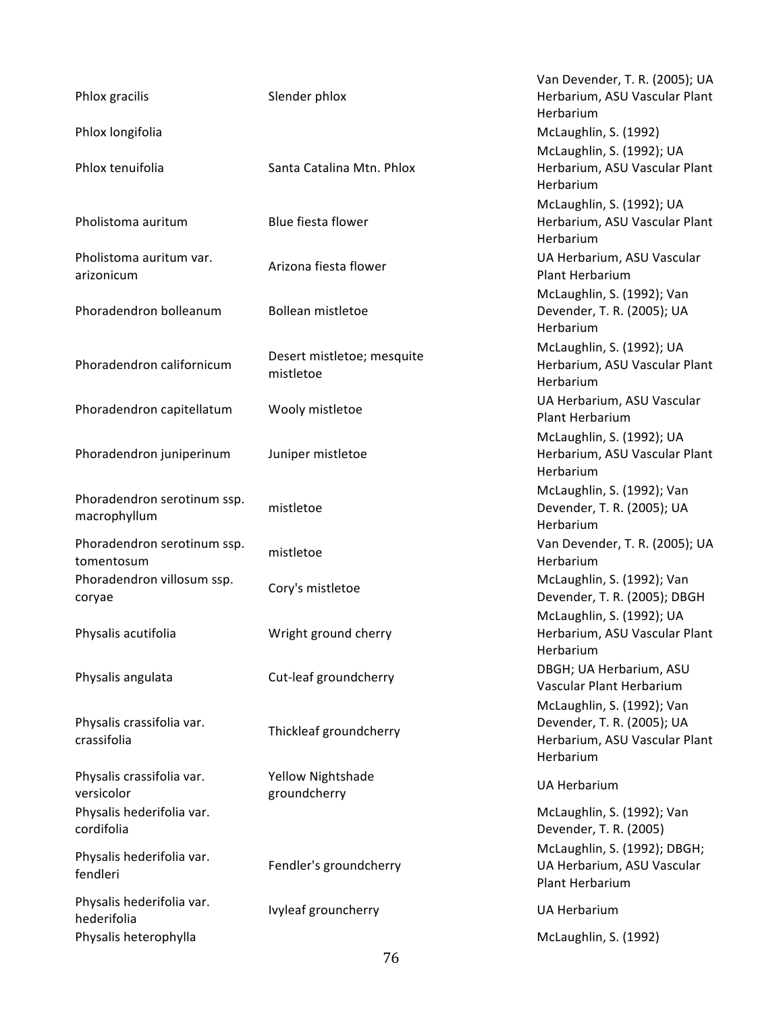| Phlox gracilis                              | Slender phlox                           | Van Devender, T. R. (2005); UA<br>Herbarium, ASU Vascular Plant<br>Herbarium                           |
|---------------------------------------------|-----------------------------------------|--------------------------------------------------------------------------------------------------------|
| Phlox longifolia                            |                                         | McLaughlin, S. (1992)                                                                                  |
| Phlox tenuifolia                            | Santa Catalina Mtn. Phlox               | McLaughlin, S. (1992); UA<br>Herbarium, ASU Vascular Plant<br>Herbarium                                |
| Pholistoma auritum                          | Blue fiesta flower                      | McLaughlin, S. (1992); UA<br>Herbarium, ASU Vascular Plant<br>Herbarium                                |
| Pholistoma auritum var.<br>arizonicum       | Arizona fiesta flower                   | UA Herbarium, ASU Vascular<br>Plant Herbarium                                                          |
| Phoradendron bolleanum                      | Bollean mistletoe                       | McLaughlin, S. (1992); Van<br>Devender, T. R. (2005); UA<br>Herbarium                                  |
| Phoradendron californicum                   | Desert mistletoe; mesquite<br>mistletoe | McLaughlin, S. (1992); UA<br>Herbarium, ASU Vascular Plant<br>Herbarium                                |
| Phoradendron capitellatum                   | Wooly mistletoe                         | UA Herbarium, ASU Vascular<br>Plant Herbarium                                                          |
| Phoradendron juniperinum                    | Juniper mistletoe                       | McLaughlin, S. (1992); UA<br>Herbarium, ASU Vascular Plant<br>Herbarium                                |
| Phoradendron serotinum ssp.<br>macrophyllum | mistletoe                               | McLaughlin, S. (1992); Van<br>Devender, T. R. (2005); UA<br>Herbarium                                  |
| Phoradendron serotinum ssp.<br>tomentosum   | mistletoe                               | Van Devender, T. R. (2005); UA<br>Herbarium                                                            |
| Phoradendron villosum ssp.<br>coryae        | Cory's mistletoe                        | McLaughlin, S. (1992); Van<br>Devender, T. R. (2005); DBGH                                             |
| Physalis acutifolia                         | Wright ground cherry                    | McLaughlin, S. (1992); UA<br>Herbarium, ASU Vascular Plant<br>Herbarium                                |
| Physalis angulata                           | Cut-leaf groundcherry                   | DBGH; UA Herbarium, ASU<br>Vascular Plant Herbarium                                                    |
| Physalis crassifolia var.<br>crassifolia    | Thickleaf groundcherry                  | McLaughlin, S. (1992); Van<br>Devender, T. R. (2005); UA<br>Herbarium, ASU Vascular Plant<br>Herbarium |
| Physalis crassifolia var.<br>versicolor     | Yellow Nightshade<br>groundcherry       | <b>UA Herbarium</b>                                                                                    |
| Physalis hederifolia var.<br>cordifolia     |                                         | McLaughlin, S. (1992); Van<br>Devender, T. R. (2005)                                                   |
| Physalis hederifolia var.<br>fendleri       | Fendler's groundcherry                  | McLaughlin, S. (1992); DBGH;<br>UA Herbarium, ASU Vascular<br>Plant Herbarium                          |
| Physalis hederifolia var.<br>hederifolia    | Ivyleaf grouncherry                     | <b>UA Herbarium</b>                                                                                    |
| Physalis heterophylla                       |                                         | McLaughlin, S. (1992)                                                                                  |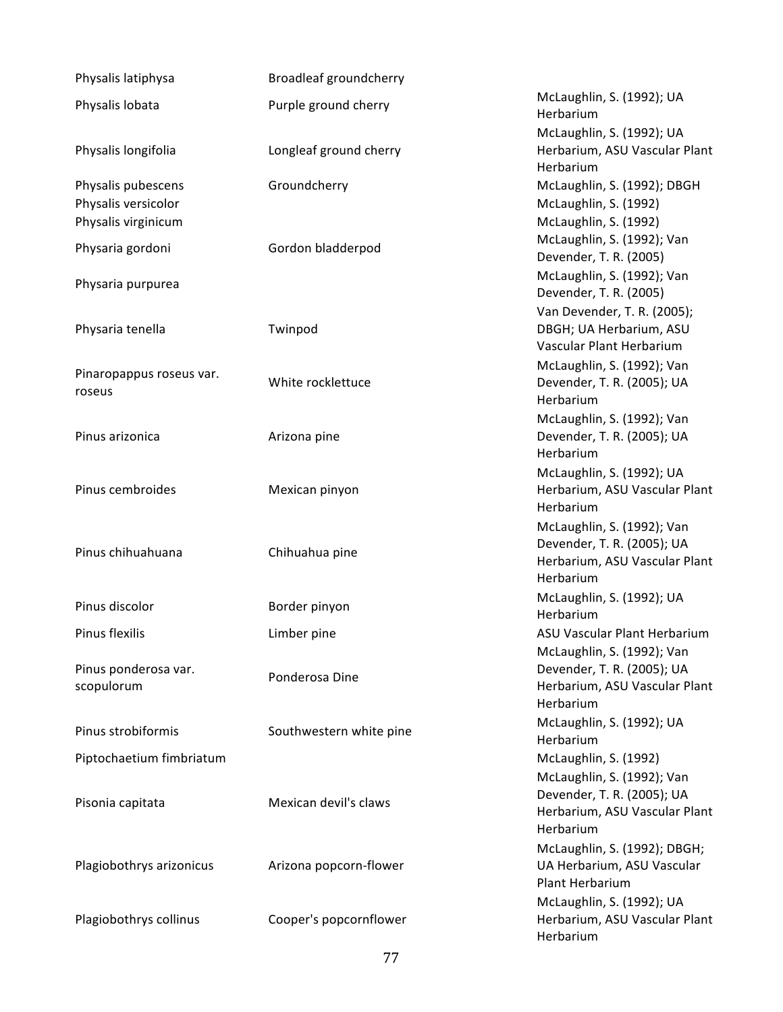| Physalis latiphysa                                               | Broadleaf groundcherry  |                                                                                                        |
|------------------------------------------------------------------|-------------------------|--------------------------------------------------------------------------------------------------------|
| Physalis lobata                                                  | Purple ground cherry    | McLaughlin, S. (1992); UA<br>Herbarium                                                                 |
| Physalis longifolia                                              | Longleaf ground cherry  | McLaughlin, S. (1992); UA<br>Herbarium, ASU Vascular Plant<br>Herbarium                                |
| Physalis pubescens<br>Physalis versicolor<br>Physalis virginicum | Groundcherry            | McLaughlin, S. (1992); DBGH<br>McLaughlin, S. (1992)<br>McLaughlin, S. (1992)                          |
| Physaria gordoni                                                 | Gordon bladderpod       | McLaughlin, S. (1992); Van<br>Devender, T. R. (2005)                                                   |
| Physaria purpurea                                                |                         | McLaughlin, S. (1992); Van<br>Devender, T. R. (2005)                                                   |
| Physaria tenella                                                 | Twinpod                 | Van Devender, T. R. (2005);<br>DBGH; UA Herbarium, ASU<br>Vascular Plant Herbarium                     |
| Pinaropappus roseus var.<br>roseus                               | White rocklettuce       | McLaughlin, S. (1992); Van<br>Devender, T. R. (2005); UA<br>Herbarium                                  |
| Pinus arizonica                                                  | Arizona pine            | McLaughlin, S. (1992); Van<br>Devender, T. R. (2005); UA<br>Herbarium                                  |
| Pinus cembroides                                                 | Mexican pinyon          | McLaughlin, S. (1992); UA<br>Herbarium, ASU Vascular Plant<br>Herbarium                                |
| Pinus chihuahuana                                                | Chihuahua pine          | McLaughlin, S. (1992); Van<br>Devender, T. R. (2005); UA<br>Herbarium, ASU Vascular Plant<br>Herbarium |
| Pinus discolor                                                   | Border pinyon           | McLaughlin, S. (1992); UA<br>Herbarium                                                                 |
| Pinus flexilis                                                   | Limber pine             | ASU Vascular Plant Herbarium                                                                           |
| Pinus ponderosa var.<br>scopulorum                               | Ponderosa Dine          | McLaughlin, S. (1992); Van<br>Devender, T. R. (2005); UA<br>Herbarium, ASU Vascular Plant<br>Herbarium |
| Pinus strobiformis                                               | Southwestern white pine | McLaughlin, S. (1992); UA<br>Herbarium                                                                 |
| Piptochaetium fimbriatum                                         |                         | McLaughlin, S. (1992)                                                                                  |
| Pisonia capitata                                                 | Mexican devil's claws   | McLaughlin, S. (1992); Van<br>Devender, T. R. (2005); UA<br>Herbarium, ASU Vascular Plant<br>Herbarium |
| Plagiobothrys arizonicus                                         | Arizona popcorn-flower  | McLaughlin, S. (1992); DBGH;<br>UA Herbarium, ASU Vascular<br>Plant Herbarium                          |
| Plagiobothrys collinus                                           | Cooper's popcornflower  | McLaughlin, S. (1992); UA<br>Herbarium, ASU Vascular Plant<br>Herbarium                                |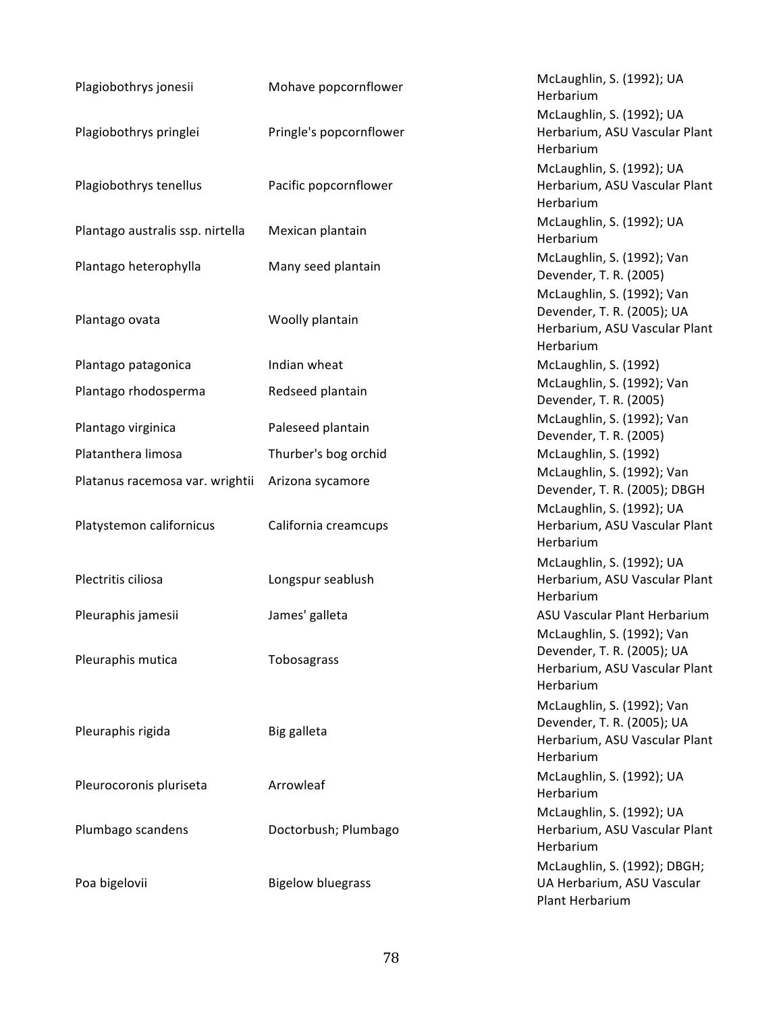| Plagiobothrys jonesii            | Mohave popcornflower     | McLaughlin, S. (1992); UA<br>Herbarium                                                                 |
|----------------------------------|--------------------------|--------------------------------------------------------------------------------------------------------|
| Plagiobothrys pringlei           | Pringle's popcornflower  | McLaughlin, S. (1992); UA<br>Herbarium, ASU Vascular Plant<br>Herbarium                                |
| Plagiobothrys tenellus           | Pacific popcornflower    | McLaughlin, S. (1992); UA<br>Herbarium, ASU Vascular Plant<br>Herbarium                                |
| Plantago australis ssp. nirtella | Mexican plantain         | McLaughlin, S. (1992); UA<br>Herbarium                                                                 |
| Plantago heterophylla            | Many seed plantain       | McLaughlin, S. (1992); Van<br>Devender, T. R. (2005)                                                   |
| Plantago ovata                   | Woolly plantain          | McLaughlin, S. (1992); Van<br>Devender, T. R. (2005); UA<br>Herbarium, ASU Vascular Plant<br>Herbarium |
| Plantago patagonica              | Indian wheat             | McLaughlin, S. (1992)                                                                                  |
| Plantago rhodosperma             | Redseed plantain         | McLaughlin, S. (1992); Van<br>Devender, T. R. (2005)                                                   |
| Plantago virginica               | Paleseed plantain        | McLaughlin, S. (1992); Van<br>Devender, T. R. (2005)                                                   |
| Platanthera limosa               | Thurber's bog orchid     | McLaughlin, S. (1992)                                                                                  |
| Platanus racemosa var. wrightii  | Arizona sycamore         | McLaughlin, S. (1992); Van<br>Devender, T. R. (2005); DBGH                                             |
| Platystemon californicus         | California creamcups     | McLaughlin, S. (1992); UA<br>Herbarium, ASU Vascular Plant<br>Herbarium                                |
| Plectritis ciliosa               | Longspur seablush        | McLaughlin, S. (1992); UA<br>Herbarium, ASU Vascular Plant<br>Herbarium                                |
| Pleuraphis jamesii               | James' galleta           | ASU Vascular Plant Herbarium                                                                           |
| Pleuraphis mutica                | Tobosagrass              | McLaughlin, S. (1992); Van<br>Devender, T. R. (2005); UA<br>Herbarium, ASU Vascular Plant<br>Herbarium |
| Pleuraphis rigida                | Big galleta              | McLaughlin, S. (1992); Van<br>Devender, T. R. (2005); UA<br>Herbarium, ASU Vascular Plant<br>Herbarium |
| Pleurocoronis pluriseta          | Arrowleaf                | McLaughlin, S. (1992); UA<br>Herbarium                                                                 |
| Plumbago scandens                | Doctorbush; Plumbago     | McLaughlin, S. (1992); UA<br>Herbarium, ASU Vascular Plant<br>Herbarium                                |
| Poa bigelovii                    | <b>Bigelow bluegrass</b> | McLaughlin, S. (1992); DBGH;<br>UA Herbarium, ASU Vascular<br>Plant Herbarium                          |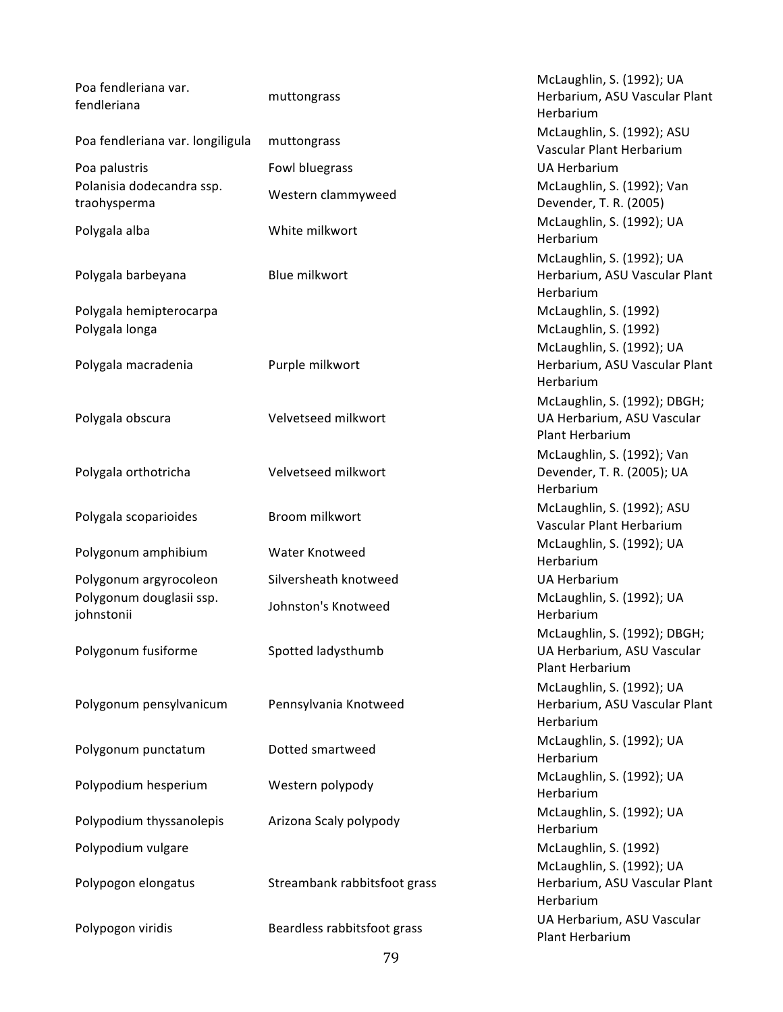| Poa fendleriana var.<br>fendleriana       | muttongrass                  | McLaughlin, S. (1992); UA<br>Herbarium, ASU Vascular Plant<br>Herbarium       |
|-------------------------------------------|------------------------------|-------------------------------------------------------------------------------|
| Poa fendleriana var. longiligula          | muttongrass                  | McLaughlin, S. (1992); ASU<br>Vascular Plant Herbarium                        |
| Poa palustris                             | Fowl bluegrass               | <b>UA Herbarium</b>                                                           |
| Polanisia dodecandra ssp.<br>traohysperma | Western clammyweed           | McLaughlin, S. (1992); Van<br>Devender, T. R. (2005)                          |
| Polygala alba                             | White milkwort               | McLaughlin, S. (1992); UA<br>Herbarium                                        |
| Polygala barbeyana                        | Blue milkwort                | McLaughlin, S. (1992); UA<br>Herbarium, ASU Vascular Plant<br>Herbarium       |
| Polygala hemipterocarpa<br>Polygala longa |                              | McLaughlin, S. (1992)<br>McLaughlin, S. (1992)                                |
| Polygala macradenia                       | Purple milkwort              | McLaughlin, S. (1992); UA<br>Herbarium, ASU Vascular Plant<br>Herbarium       |
| Polygala obscura                          | Velvetseed milkwort          | McLaughlin, S. (1992); DBGH;<br>UA Herbarium, ASU Vascular<br>Plant Herbarium |
| Polygala orthotricha                      | Velvetseed milkwort          | McLaughlin, S. (1992); Van<br>Devender, T. R. (2005); UA<br>Herbarium         |
| Polygala scoparioides                     | Broom milkwort               | McLaughlin, S. (1992); ASU<br>Vascular Plant Herbarium                        |
| Polygonum amphibium                       | Water Knotweed               | McLaughlin, S. (1992); UA<br>Herbarium                                        |
| Polygonum argyrocoleon                    | Silversheath knotweed        | <b>UA Herbarium</b>                                                           |
| Polygonum douglasii ssp.<br>johnstonii    | Johnston's Knotweed          | McLaughlin, S. (1992); UA<br>Herbarium                                        |
| Polygonum fusiforme                       | Spotted ladysthumb           | McLaughlin, S. (1992); DBGH;<br>UA Herbarium, ASU Vascular<br>Plant Herbarium |
| Polygonum pensylvanicum                   | Pennsylvania Knotweed        | McLaughlin, S. (1992); UA<br>Herbarium, ASU Vascular Plant<br>Herbarium       |
| Polygonum punctatum                       | Dotted smartweed             | McLaughlin, S. (1992); UA<br>Herbarium                                        |
| Polypodium hesperium                      | Western polypody             | McLaughlin, S. (1992); UA<br>Herbarium                                        |
| Polypodium thyssanolepis                  | Arizona Scaly polypody       | McLaughlin, S. (1992); UA<br>Herbarium                                        |
| Polypodium vulgare                        |                              | McLaughlin, S. (1992)<br>McLaughlin, S. (1992); UA                            |
| Polypogon elongatus                       | Streambank rabbitsfoot grass | Herbarium, ASU Vascular Plant<br>Herbarium                                    |
| Polypogon viridis                         | Beardless rabbitsfoot grass  | UA Herbarium, ASU Vascular<br>Plant Herbarium                                 |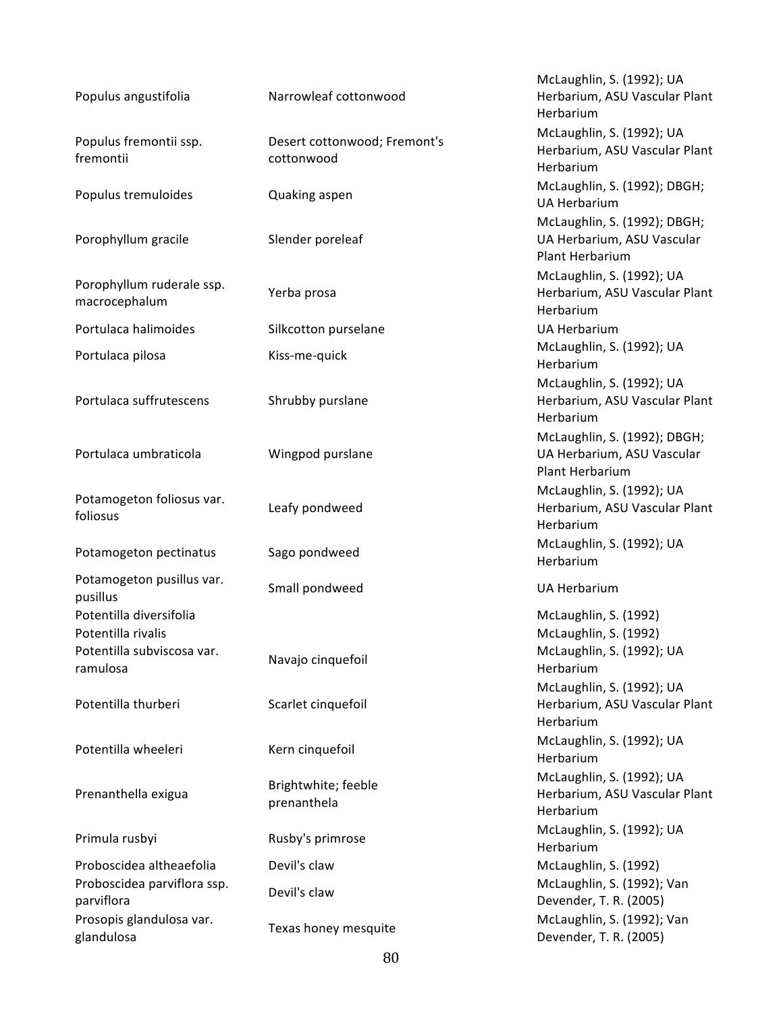| Populus angustifolia                          | Narrowleaf cottonwood                      | McLaughlin, S. (1992); UA<br>Herbarium, ASU Vascular Plant<br>Herbarium       |
|-----------------------------------------------|--------------------------------------------|-------------------------------------------------------------------------------|
| Populus fremontii ssp.<br>fremontii           | Desert cottonwood; Fremont's<br>cottonwood | McLaughlin, S. (1992); UA<br>Herbarium, ASU Vascular Plant<br>Herbarium       |
| Populus tremuloides                           | Quaking aspen                              | McLaughlin, S. (1992); DBGH;<br><b>UA Herbarium</b>                           |
| Porophyllum gracile                           | Slender poreleaf                           | McLaughlin, S. (1992); DBGH;<br>UA Herbarium, ASU Vascular<br>Plant Herbarium |
| Porophyllum ruderale ssp.<br>macrocephalum    | Yerba prosa                                | McLaughlin, S. (1992); UA<br>Herbarium, ASU Vascular Plant<br>Herbarium       |
| Portulaca halimoides                          | Silkcotton purselane                       | <b>UA Herbarium</b>                                                           |
| Portulaca pilosa                              | Kiss-me-quick                              | McLaughlin, S. (1992); UA<br>Herbarium                                        |
| Portulaca suffrutescens                       | Shrubby purslane                           | McLaughlin, S. (1992); UA<br>Herbarium, ASU Vascular Plant<br>Herbarium       |
| Portulaca umbraticola                         | Wingpod purslane                           | McLaughlin, S. (1992); DBGH;<br>UA Herbarium, ASU Vascular<br>Plant Herbarium |
| Potamogeton foliosus var.<br>foliosus         | Leafy pondweed                             | McLaughlin, S. (1992); UA<br>Herbarium, ASU Vascular Plant<br>Herbarium       |
| Potamogeton pectinatus                        | Sago pondweed                              | McLaughlin, S. (1992); UA<br>Herbarium                                        |
| Potamogeton pusillus var.<br>pusillus         | Small pondweed                             | <b>UA Herbarium</b>                                                           |
| Potentilla diversifolia<br>Potentilla rivalis |                                            | McLaughlin, S. (1992)<br>McLaughlin, S. (1992)                                |
| Potentilla subviscosa var.<br>ramulosa        | Navajo cinquefoil                          | McLaughlin, S. (1992); UA<br>Herbarium                                        |
| Potentilla thurberi                           | Scarlet cinquefoil                         | McLaughlin, S. (1992); UA<br>Herbarium, ASU Vascular Plant<br>Herbarium       |
| Potentilla wheeleri                           | Kern cinquefoil                            | McLaughlin, S. (1992); UA<br>Herbarium                                        |
| Prenanthella exigua                           | Brightwhite; feeble<br>prenanthela         | McLaughlin, S. (1992); UA<br>Herbarium, ASU Vascular Plant<br>Herbarium       |
| Primula rusbyi                                | Rusby's primrose                           | McLaughlin, S. (1992); UA<br>Herbarium                                        |
| Proboscidea altheaefolia                      | Devil's claw                               | McLaughlin, S. (1992)                                                         |
| Proboscidea parviflora ssp.<br>parviflora     | Devil's claw                               | McLaughlin, S. (1992); Van<br>Devender, T. R. (2005)                          |
| Prosopis glandulosa var.<br>glandulosa        | Texas honey mesquite                       | McLaughlin, S. (1992); Van<br>Devender, T. R. (2005)                          |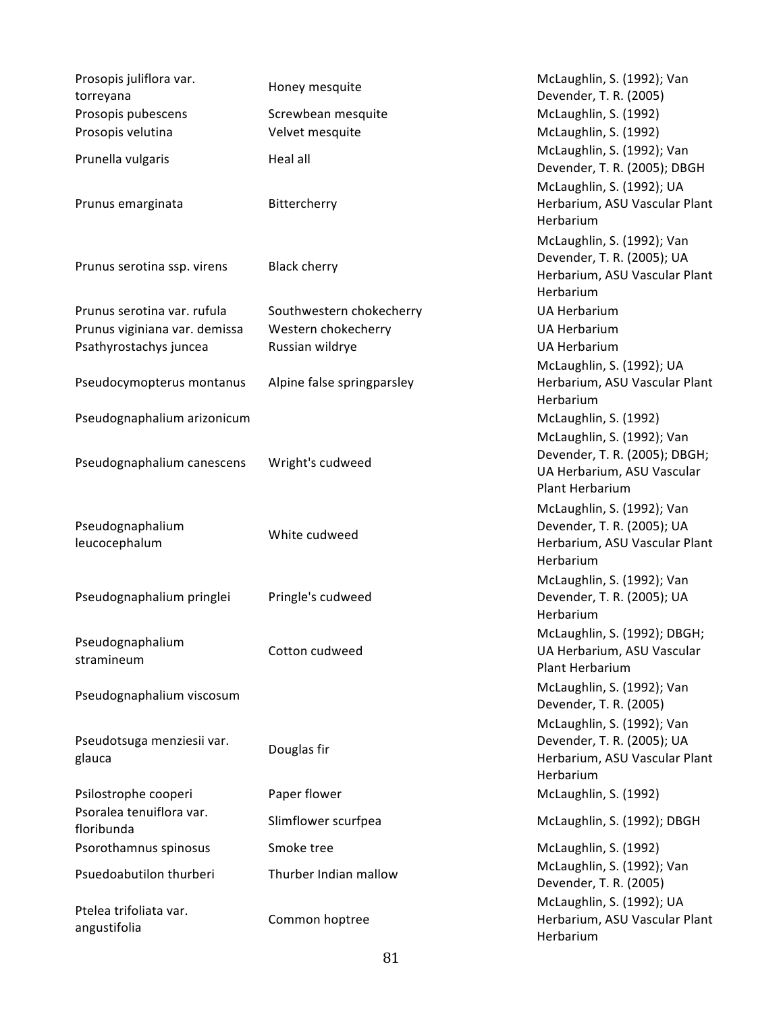| Prosopis juliflora var.<br>torreyana   | Honey mesquite             | McLaughlin, S. (1992); Van<br>Devender, T. R. (2005)                                                         |
|----------------------------------------|----------------------------|--------------------------------------------------------------------------------------------------------------|
| Prosopis pubescens                     | Screwbean mesquite         | McLaughlin, S. (1992)                                                                                        |
| Prosopis velutina                      | Velvet mesquite            | McLaughlin, S. (1992)                                                                                        |
| Prunella vulgaris                      | Heal all                   | McLaughlin, S. (1992); Van<br>Devender, T. R. (2005); DBGH                                                   |
| Prunus emarginata                      | Bittercherry               | McLaughlin, S. (1992); UA<br>Herbarium, ASU Vascular Plant<br>Herbarium                                      |
| Prunus serotina ssp. virens            | <b>Black cherry</b>        | McLaughlin, S. (1992); Van<br>Devender, T. R. (2005); UA<br>Herbarium, ASU Vascular Plant<br>Herbarium       |
| Prunus serotina var. rufula            | Southwestern chokecherry   | <b>UA Herbarium</b>                                                                                          |
| Prunus viginiana var. demissa          | Western chokecherry        | <b>UA Herbarium</b>                                                                                          |
| Psathyrostachys juncea                 | Russian wildrye            | <b>UA Herbarium</b>                                                                                          |
| Pseudocymopterus montanus              | Alpine false springparsley | McLaughlin, S. (1992); UA<br>Herbarium, ASU Vascular Plant<br>Herbarium                                      |
| Pseudognaphalium arizonicum            |                            | McLaughlin, S. (1992)                                                                                        |
| Pseudognaphalium canescens             | Wright's cudweed           | McLaughlin, S. (1992); Van<br>Devender, T. R. (2005); DBGH;<br>UA Herbarium, ASU Vascular<br>Plant Herbarium |
| Pseudognaphalium<br>leucocephalum      | White cudweed              | McLaughlin, S. (1992); Van<br>Devender, T. R. (2005); UA<br>Herbarium, ASU Vascular Plant<br>Herbarium       |
| Pseudognaphalium pringlei              | Pringle's cudweed          | McLaughlin, S. (1992); Van<br>Devender, T. R. (2005); UA<br>Herbarium                                        |
| Pseudognaphalium<br>stramineum         | Cotton cudweed             | McLaughlin, S. (1992); DBGH;<br>UA Herbarium, ASU Vascular<br>Plant Herbarium                                |
| Pseudognaphalium viscosum              |                            | McLaughlin, S. (1992); Van<br>Devender, T. R. (2005)                                                         |
| Pseudotsuga menziesii var.<br>glauca   | Douglas fir                | McLaughlin, S. (1992); Van<br>Devender, T. R. (2005); UA<br>Herbarium, ASU Vascular Plant<br>Herbarium       |
| Psilostrophe cooperi                   | Paper flower               | McLaughlin, S. (1992)                                                                                        |
| Psoralea tenuiflora var.<br>floribunda | Slimflower scurfpea        | McLaughlin, S. (1992); DBGH                                                                                  |
| Psorothamnus spinosus                  | Smoke tree                 | McLaughlin, S. (1992)                                                                                        |
| Psuedoabutilon thurberi                | Thurber Indian mallow      | McLaughlin, S. (1992); Van<br>Devender, T. R. (2005)                                                         |
| Ptelea trifoliata var.<br>angustifolia | Common hoptree             | McLaughlin, S. (1992); UA<br>Herbarium, ASU Vascular Plant<br>Herbarium                                      |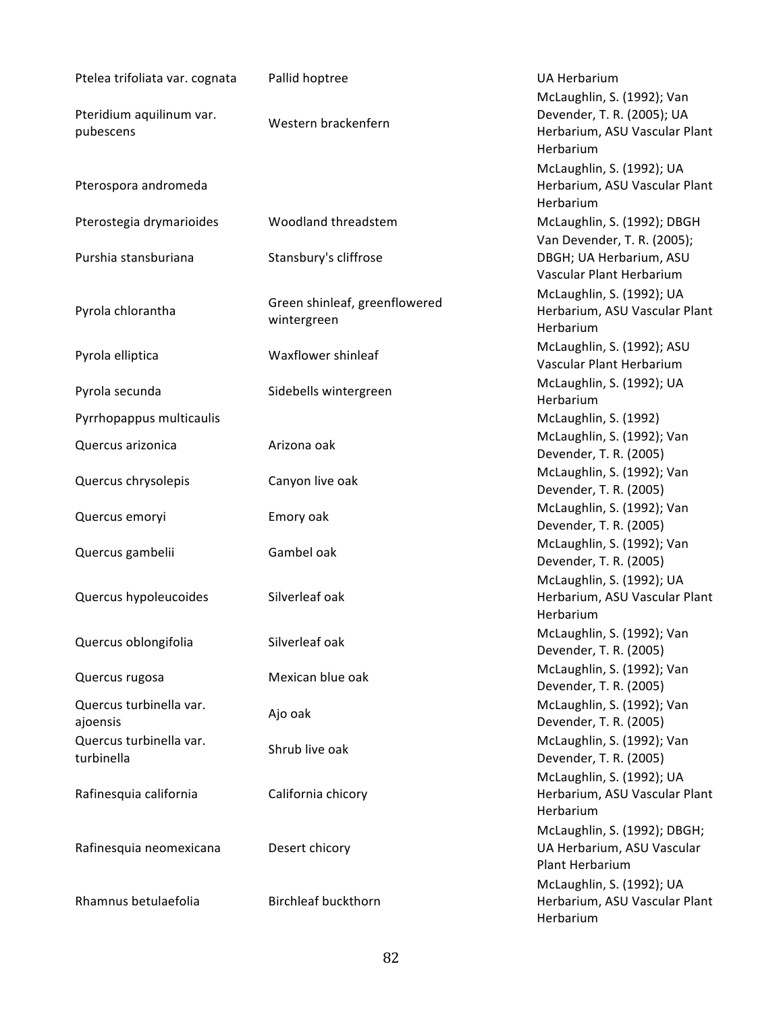| Ptelea trifoliata var. cognata        | Pallid hoptree                               | UA Herbarium<br>McLaughlin, S. (1992); Van                                    |
|---------------------------------------|----------------------------------------------|-------------------------------------------------------------------------------|
| Pteridium aquilinum var.<br>pubescens | Western brackenfern                          | Devender, T. R. (2005); UA<br>Herbarium, ASU Vascular Plant<br>Herbarium      |
| Pterospora andromeda                  |                                              | McLaughlin, S. (1992); UA<br>Herbarium, ASU Vascular Plant<br>Herbarium       |
| Pterostegia drymarioides              | Woodland threadstem                          | McLaughlin, S. (1992); DBGH<br>Van Devender, T. R. (2005);                    |
| Purshia stansburiana                  | Stansbury's cliffrose                        | DBGH; UA Herbarium, ASU<br>Vascular Plant Herbarium                           |
| Pyrola chlorantha                     | Green shinleaf, greenflowered<br>wintergreen | McLaughlin, S. (1992); UA<br>Herbarium, ASU Vascular Plant<br>Herbarium       |
| Pyrola elliptica                      | Waxflower shinleaf                           | McLaughlin, S. (1992); ASU<br>Vascular Plant Herbarium                        |
| Pyrola secunda                        | Sidebells wintergreen                        | McLaughlin, S. (1992); UA<br>Herbarium                                        |
| Pyrrhopappus multicaulis              |                                              | McLaughlin, S. (1992)                                                         |
| Quercus arizonica                     | Arizona oak                                  | McLaughlin, S. (1992); Van<br>Devender, T. R. (2005)                          |
| Quercus chrysolepis                   | Canyon live oak                              | McLaughlin, S. (1992); Van<br>Devender, T. R. (2005)                          |
| Quercus emoryi                        | Emory oak                                    | McLaughlin, S. (1992); Van<br>Devender, T. R. (2005)                          |
| Quercus gambelii                      | Gambel oak                                   | McLaughlin, S. (1992); Van<br>Devender, T. R. (2005)                          |
| Quercus hypoleucoides                 | Silverleaf oak                               | McLaughlin, S. (1992); UA<br>Herbarium, ASU Vascular Plant<br>Herbarium       |
| Quercus oblongifolia                  | Silverleaf oak                               | McLaughlin, S. (1992); Van<br>Devender, T. R. (2005)                          |
| Quercus rugosa                        | Mexican blue oak                             | McLaughlin, S. (1992); Van<br>Devender, T. R. (2005)                          |
| Quercus turbinella var.<br>ajoensis   | Ajo oak                                      | McLaughlin, S. (1992); Van<br>Devender, T. R. (2005)                          |
| Quercus turbinella var.<br>turbinella | Shrub live oak                               | McLaughlin, S. (1992); Van<br>Devender, T. R. (2005)                          |
| Rafinesquia california                | California chicory                           | McLaughlin, S. (1992); UA<br>Herbarium, ASU Vascular Plant<br>Herbarium       |
| Rafinesquia neomexicana               | Desert chicory                               | McLaughlin, S. (1992); DBGH;<br>UA Herbarium, ASU Vascular<br>Plant Herbarium |
| Rhamnus betulaefolia                  | <b>Birchleaf buckthorn</b>                   | McLaughlin, S. (1992); UA<br>Herbarium, ASU Vascular Plant<br>Herbarium       |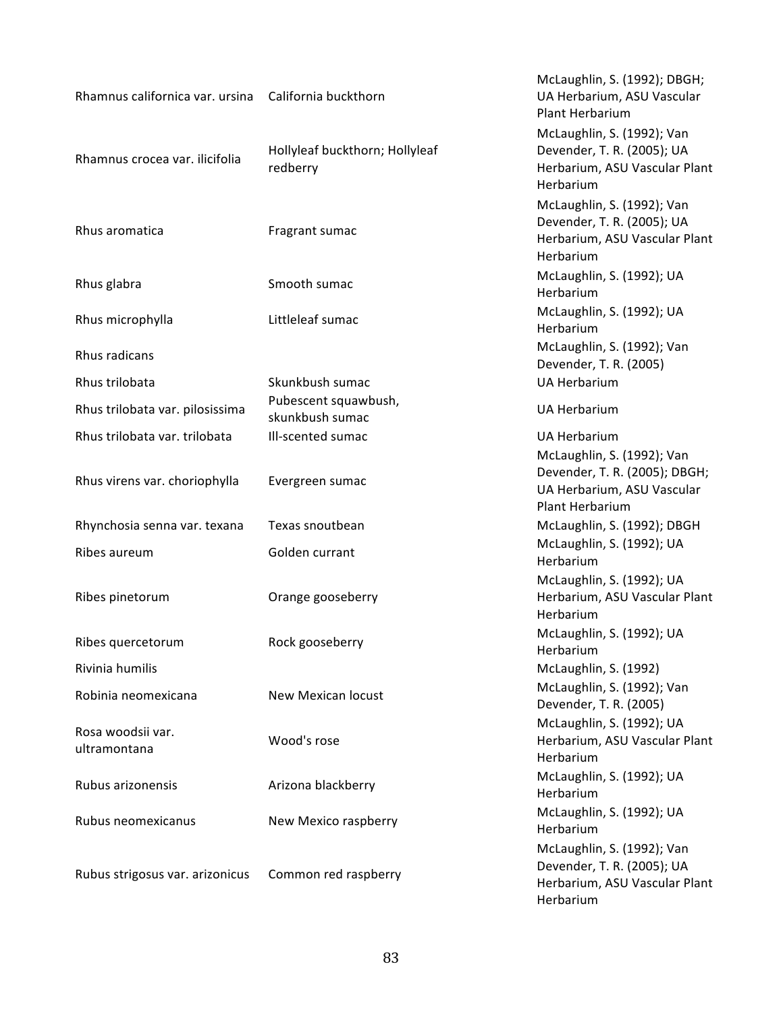| Rhamnus californica var. ursina   | California buckthorn                       | McLaughlin, S. (1992); DBGH;<br>UA Herbarium, ASU Vascular<br>Plant Herbarium                                |
|-----------------------------------|--------------------------------------------|--------------------------------------------------------------------------------------------------------------|
| Rhamnus crocea var. ilicifolia    | Hollyleaf buckthorn; Hollyleaf<br>redberry | McLaughlin, S. (1992); Van<br>Devender, T. R. (2005); UA<br>Herbarium, ASU Vascular Plant<br>Herbarium       |
| Rhus aromatica                    | Fragrant sumac                             | McLaughlin, S. (1992); Van<br>Devender, T. R. (2005); UA<br>Herbarium, ASU Vascular Plant<br>Herbarium       |
| Rhus glabra                       | Smooth sumac                               | McLaughlin, S. (1992); UA<br>Herbarium                                                                       |
| Rhus microphylla                  | Littleleaf sumac                           | McLaughlin, S. (1992); UA<br>Herbarium                                                                       |
| Rhus radicans                     |                                            | McLaughlin, S. (1992); Van<br>Devender, T. R. (2005)                                                         |
| Rhus trilobata                    | Skunkbush sumac                            | <b>UA Herbarium</b>                                                                                          |
| Rhus trilobata var. pilosissima   | Pubescent squawbush,<br>skunkbush sumac    | <b>UA Herbarium</b>                                                                                          |
| Rhus trilobata var. trilobata     | Ill-scented sumac                          | <b>UA Herbarium</b>                                                                                          |
| Rhus virens var. choriophylla     | Evergreen sumac                            | McLaughlin, S. (1992); Van<br>Devender, T. R. (2005); DBGH;<br>UA Herbarium, ASU Vascular<br>Plant Herbarium |
| Rhynchosia senna var. texana      | Texas snoutbean                            | McLaughlin, S. (1992); DBGH                                                                                  |
| Ribes aureum                      | Golden currant                             | McLaughlin, S. (1992); UA<br>Herbarium                                                                       |
| Ribes pinetorum                   | Orange gooseberry                          | McLaughlin, S. (1992); UA<br>Herbarium, ASU Vascular Plant<br>Herbarium                                      |
| Ribes quercetorum                 | Rock gooseberry                            | McLaughlin, S. (1992); UA<br>Herbarium                                                                       |
| Rivinia humilis                   |                                            | McLaughlin, S. (1992)                                                                                        |
| Robinia neomexicana               | New Mexican locust                         | McLaughlin, S. (1992); Van<br>Devender, T. R. (2005)                                                         |
| Rosa woodsii var.<br>ultramontana | Wood's rose                                | McLaughlin, S. (1992); UA<br>Herbarium, ASU Vascular Plant<br>Herbarium                                      |
| Rubus arizonensis                 | Arizona blackberry                         | McLaughlin, S. (1992); UA<br>Herbarium                                                                       |
| Rubus neomexicanus                | New Mexico raspberry                       | McLaughlin, S. (1992); UA<br>Herbarium                                                                       |
| Rubus strigosus var. arizonicus   | Common red raspberry                       | McLaughlin, S. (1992); Van<br>Devender, T. R. (2005); UA<br>Herbarium, ASU Vascular Plant<br>Herbarium       |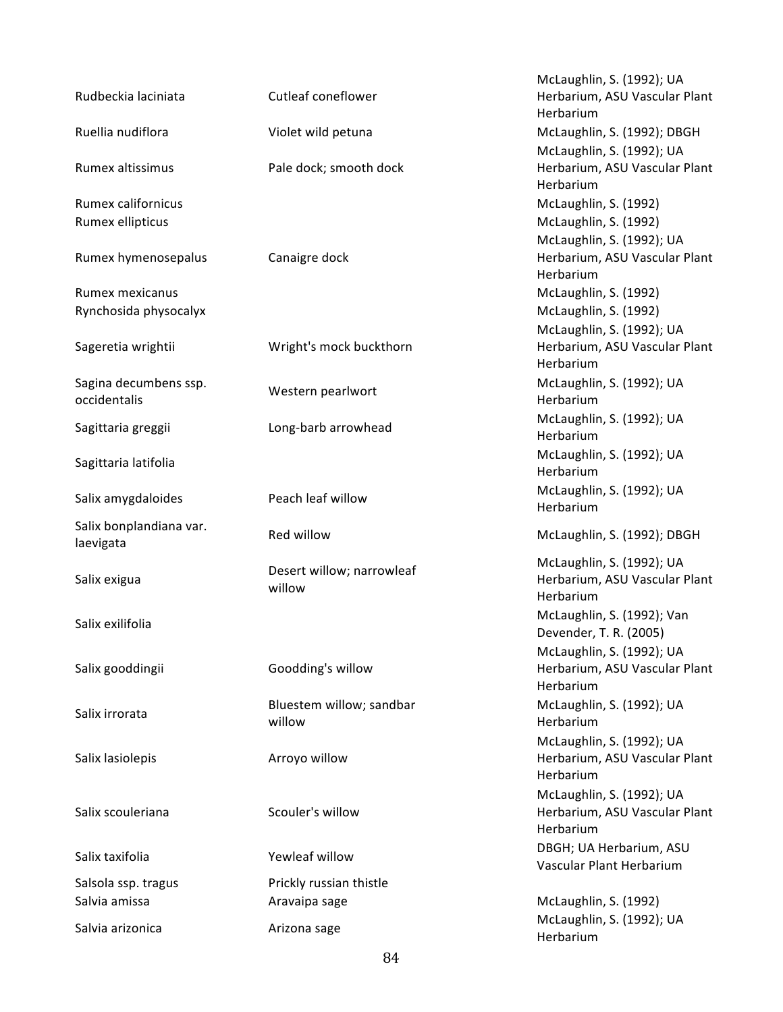| Rudbeckia laciniata                   | Cutleaf coneflower                  | McLaughlin, S. (1992); UA<br>Herbarium, ASU Vascular Plant<br>Herbarium |
|---------------------------------------|-------------------------------------|-------------------------------------------------------------------------|
| Ruellia nudiflora                     | Violet wild petuna                  | McLaughlin, S. (1992); DBGH                                             |
| Rumex altissimus                      | Pale dock; smooth dock              | McLaughlin, S. (1992); UA<br>Herbarium, ASU Vascular Plant<br>Herbarium |
| <b>Rumex californicus</b>             |                                     | McLaughlin, S. (1992)                                                   |
| Rumex ellipticus                      |                                     | McLaughlin, S. (1992)<br>McLaughlin, S. (1992); UA                      |
| Rumex hymenosepalus                   | Canaigre dock                       | Herbarium, ASU Vascular Plant<br>Herbarium                              |
| Rumex mexicanus                       |                                     | McLaughlin, S. (1992)                                                   |
| Rynchosida physocalyx                 |                                     | McLaughlin, S. (1992)<br>McLaughlin, S. (1992); UA                      |
| Sageretia wrightii                    | Wright's mock buckthorn             | Herbarium, ASU Vascular Plant<br>Herbarium                              |
| Sagina decumbens ssp.<br>occidentalis | Western pearlwort                   | McLaughlin, S. (1992); UA<br>Herbarium                                  |
| Sagittaria greggii                    | Long-barb arrowhead                 | McLaughlin, S. (1992); UA<br>Herbarium                                  |
| Sagittaria latifolia                  |                                     | McLaughlin, S. (1992); UA<br>Herbarium                                  |
| Salix amygdaloides                    | Peach leaf willow                   | McLaughlin, S. (1992); UA<br>Herbarium                                  |
| Salix bonplandiana var.<br>laevigata  | Red willow                          | McLaughlin, S. (1992); DBGH                                             |
| Salix exigua                          | Desert willow; narrowleaf<br>willow | McLaughlin, S. (1992); UA<br>Herbarium, ASU Vascular Plant<br>Herbarium |
| Salix exilifolia                      |                                     | McLaughlin, S. (1992); Van<br>Devender, T. R. (2005)                    |
| Salix gooddingii                      | Goodding's willow                   | McLaughlin, S. (1992); UA<br>Herbarium, ASU Vascular Plant<br>Herbarium |
| Salix irrorata                        | Bluestem willow; sandbar<br>willow  | McLaughlin, S. (1992); UA<br>Herbarium                                  |
| Salix lasiolepis                      | Arroyo willow                       | McLaughlin, S. (1992); UA<br>Herbarium, ASU Vascular Plant<br>Herbarium |
| Salix scouleriana                     | Scouler's willow                    | McLaughlin, S. (1992); UA<br>Herbarium, ASU Vascular Plant<br>Herbarium |
| Salix taxifolia                       | Yewleaf willow                      | DBGH; UA Herbarium, ASU<br>Vascular Plant Herbarium                     |
| Salsola ssp. tragus                   | Prickly russian thistle             |                                                                         |
| Salvia amissa                         | Aravaipa sage                       | McLaughlin, S. (1992)                                                   |
| Salvia arizonica                      | Arizona sage                        | McLaughlin, S. (1992); UA<br>Herbarium                                  |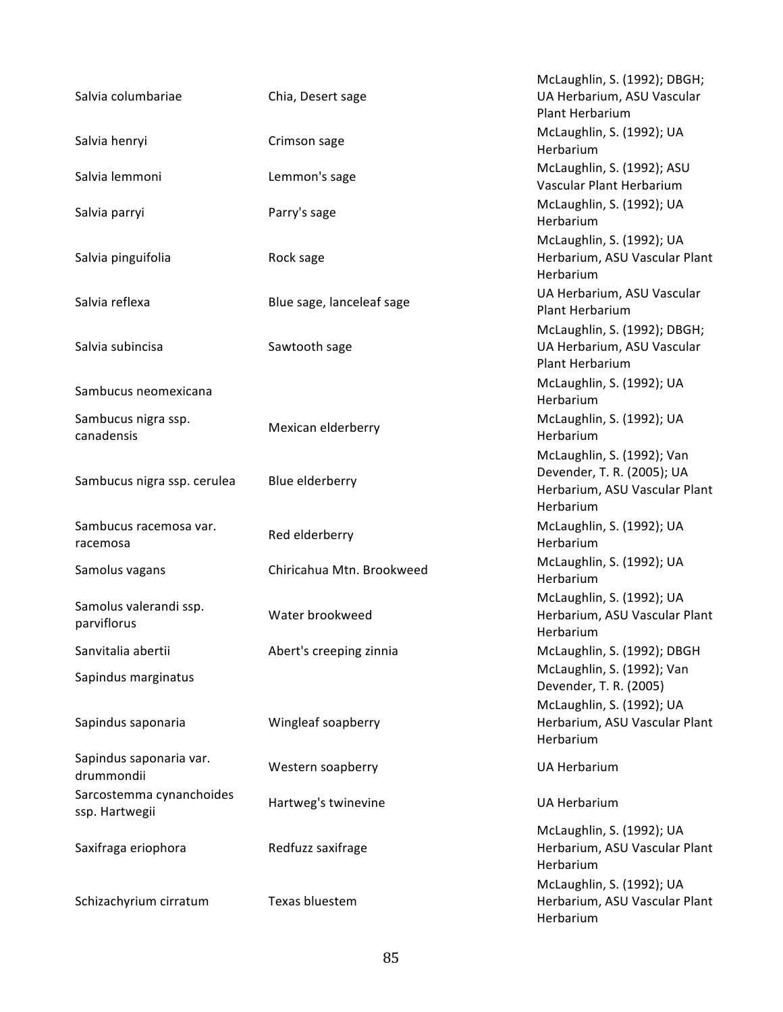| Salvia columbariae                         | Chia, Desert sage         | McLaughlin, S. (1992); DBGH;<br>UA Herbarium, ASU Vascular<br>Plant Herbarium                          |
|--------------------------------------------|---------------------------|--------------------------------------------------------------------------------------------------------|
| Salvia henryi                              | Crimson sage              | McLaughlin, S. (1992); UA<br>Herbarium                                                                 |
| Salvia lemmoni                             | Lemmon's sage             | McLaughlin, S. (1992); ASU<br>Vascular Plant Herbarium                                                 |
| Salvia parryi                              | Parry's sage              | McLaughlin, S. (1992); UA<br>Herbarium                                                                 |
| Salvia pinguifolia                         | Rock sage                 | McLaughlin, S. (1992); UA<br>Herbarium, ASU Vascular Plant<br>Herbarium                                |
| Salvia reflexa                             | Blue sage, lanceleaf sage | UA Herbarium, ASU Vascular<br>Plant Herbarium                                                          |
| Salvia subincisa                           | Sawtooth sage             | McLaughlin, S. (1992); DBGH;<br>UA Herbarium, ASU Vascular<br>Plant Herbarium                          |
| Sambucus neomexicana                       |                           | McLaughlin, S. (1992); UA<br>Herbarium                                                                 |
| Sambucus nigra ssp.<br>canadensis          | Mexican elderberry        | McLaughlin, S. (1992); UA<br>Herbarium                                                                 |
| Sambucus nigra ssp. cerulea                | Blue elderberry           | McLaughlin, S. (1992); Van<br>Devender, T. R. (2005); UA<br>Herbarium, ASU Vascular Plant<br>Herbarium |
| Sambucus racemosa var.<br>racemosa         | Red elderberry            | McLaughlin, S. (1992); UA<br>Herbarium                                                                 |
| Samolus vagans                             | Chiricahua Mtn. Brookweed | McLaughlin, S. (1992); UA<br>Herbarium                                                                 |
| Samolus valerandi ssp.<br>parviflorus      | Water brookweed           | McLaughlin, S. (1992); UA<br>Herbarium, ASU Vascular Plant<br>Herbarium                                |
| Sanvitalia abertii                         | Abert's creeping zinnia   | McLaughlin, S. (1992); DBGH                                                                            |
| Sapindus marginatus                        |                           | McLaughlin, S. (1992); Van<br>Devender, T. R. (2005)                                                   |
| Sapindus saponaria                         | Wingleaf soapberry        | McLaughlin, S. (1992); UA<br>Herbarium, ASU Vascular Plant<br>Herbarium                                |
| Sapindus saponaria var.<br>drummondii      | Western soapberry         | <b>UA Herbarium</b>                                                                                    |
| Sarcostemma cynanchoides<br>ssp. Hartwegii | Hartweg's twinevine       | <b>UA Herbarium</b>                                                                                    |
| Saxifraga eriophora                        | Redfuzz saxifrage         | McLaughlin, S. (1992); UA<br>Herbarium, ASU Vascular Plant<br>Herbarium                                |
| Schizachyrium cirratum                     | Texas bluestem            | McLaughlin, S. (1992); UA<br>Herbarium, ASU Vascular Plant<br>Herbarium                                |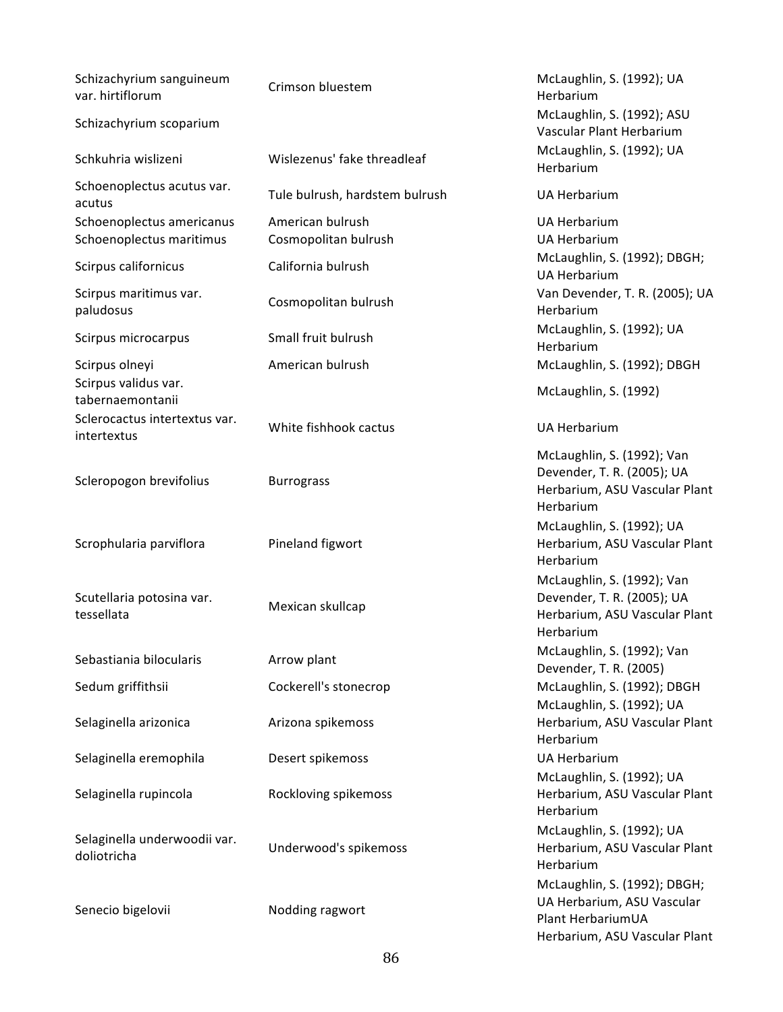| Schizachyrium sanguineum<br>var. hirtiflorum | Crimson bluestem               | McLaughlin, S. (1992); UA<br>Herbarium                                                                           |
|----------------------------------------------|--------------------------------|------------------------------------------------------------------------------------------------------------------|
| Schizachyrium scoparium                      |                                | McLaughlin, S. (1992); ASU<br>Vascular Plant Herbarium                                                           |
| Schkuhria wislizeni                          | Wislezenus' fake threadleaf    | McLaughlin, S. (1992); UA<br>Herbarium                                                                           |
| Schoenoplectus acutus var.<br>acutus         | Tule bulrush, hardstem bulrush | <b>UA Herbarium</b>                                                                                              |
| Schoenoplectus americanus                    | American bulrush               | <b>UA Herbarium</b>                                                                                              |
| Schoenoplectus maritimus                     | Cosmopolitan bulrush           | <b>UA Herbarium</b>                                                                                              |
| Scirpus californicus                         | California bulrush             | McLaughlin, S. (1992); DBGH;<br><b>UA Herbarium</b>                                                              |
| Scirpus maritimus var.<br>paludosus          | Cosmopolitan bulrush           | Van Devender, T. R. (2005); UA<br>Herbarium                                                                      |
| Scirpus microcarpus                          | Small fruit bulrush            | McLaughlin, S. (1992); UA<br>Herbarium                                                                           |
| Scirpus olneyi                               | American bulrush               | McLaughlin, S. (1992); DBGH                                                                                      |
| Scirpus validus var.<br>tabernaemontanii     |                                | McLaughlin, S. (1992)                                                                                            |
| Sclerocactus intertextus var.<br>intertextus | White fishhook cactus          | <b>UA Herbarium</b>                                                                                              |
| Scleropogon brevifolius                      | <b>Burrograss</b>              | McLaughlin, S. (1992); Van<br>Devender, T. R. (2005); UA<br>Herbarium, ASU Vascular Plant<br>Herbarium           |
| Scrophularia parviflora                      | Pineland figwort               | McLaughlin, S. (1992); UA<br>Herbarium, ASU Vascular Plant<br>Herbarium                                          |
| Scutellaria potosina var.<br>tessellata      | Mexican skullcap               | McLaughlin, S. (1992); Van<br>Devender, T. R. (2005); UA<br>Herbarium, ASU Vascular Plant<br>Herbarium           |
| Sebastiania bilocularis                      | Arrow plant                    | McLaughlin, S. (1992); Van<br>Devender, T. R. (2005)                                                             |
| Sedum griffithsii                            | Cockerell's stonecrop          | McLaughlin, S. (1992); DBGH                                                                                      |
| Selaginella arizonica                        | Arizona spikemoss              | McLaughlin, S. (1992); UA<br>Herbarium, ASU Vascular Plant<br>Herbarium                                          |
| Selaginella eremophila                       | Desert spikemoss               | <b>UA Herbarium</b>                                                                                              |
| Selaginella rupincola                        | Rockloving spikemoss           | McLaughlin, S. (1992); UA<br>Herbarium, ASU Vascular Plant<br>Herbarium                                          |
| Selaginella underwoodii var.<br>doliotricha  | Underwood's spikemoss          | McLaughlin, S. (1992); UA<br>Herbarium, ASU Vascular Plant<br>Herbarium                                          |
| Senecio bigelovii                            | Nodding ragwort                | McLaughlin, S. (1992); DBGH;<br>UA Herbarium, ASU Vascular<br>Plant HerbariumUA<br>Herbarium, ASU Vascular Plant |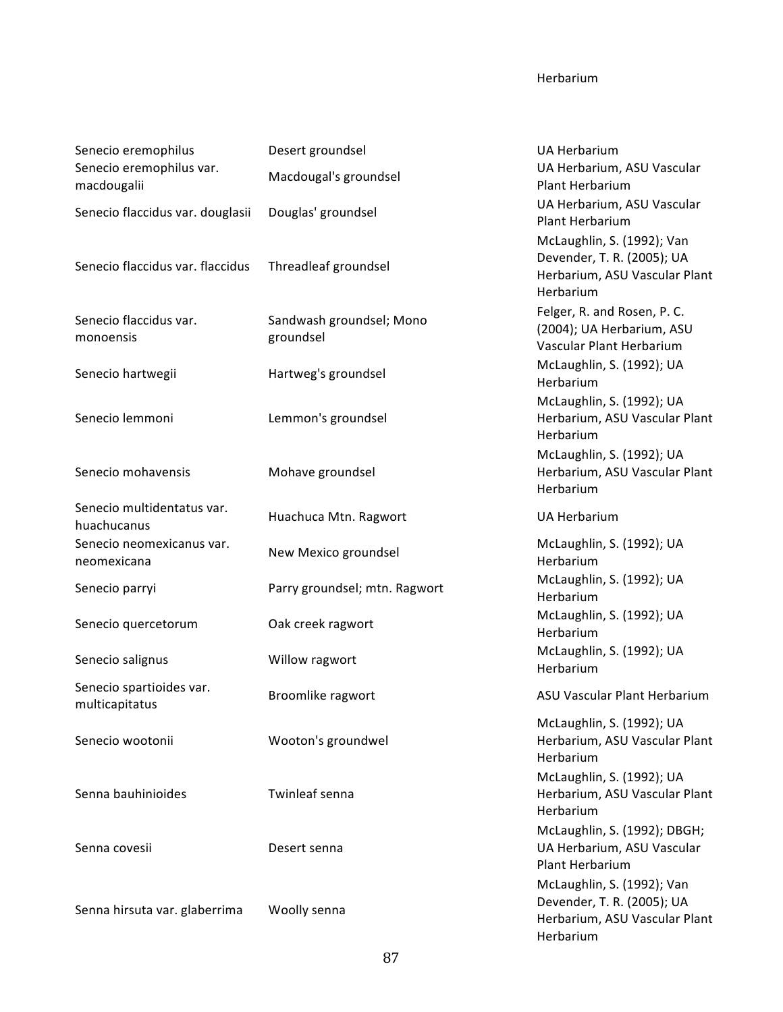## Herbarium

| Senecio eremophilus                        | Desert groundsel                      | <b>UA Herbarium</b>                                                                                    |
|--------------------------------------------|---------------------------------------|--------------------------------------------------------------------------------------------------------|
| Senecio eremophilus var.<br>macdougalii    | Macdougal's groundsel                 | UA Herbarium, ASU Vascular<br>Plant Herbarium                                                          |
| Senecio flaccidus var. douglasii           | Douglas' groundsel                    | UA Herbarium, ASU Vascular<br>Plant Herbarium                                                          |
| Senecio flaccidus var. flaccidus           | Threadleaf groundsel                  | McLaughlin, S. (1992); Van<br>Devender, T. R. (2005); UA<br>Herbarium, ASU Vascular Plant<br>Herbarium |
| Senecio flaccidus var.<br>monoensis        | Sandwash groundsel; Mono<br>groundsel | Felger, R. and Rosen, P. C.<br>(2004); UA Herbarium, ASU<br>Vascular Plant Herbarium                   |
| Senecio hartwegii                          | Hartweg's groundsel                   | McLaughlin, S. (1992); UA<br>Herbarium                                                                 |
| Senecio lemmoni                            | Lemmon's groundsel                    | McLaughlin, S. (1992); UA<br>Herbarium, ASU Vascular Plant<br>Herbarium                                |
| Senecio mohavensis                         | Mohave groundsel                      | McLaughlin, S. (1992); UA<br>Herbarium, ASU Vascular Plant<br>Herbarium                                |
| Senecio multidentatus var.<br>huachucanus  | Huachuca Mtn. Ragwort                 | <b>UA Herbarium</b>                                                                                    |
| Senecio neomexicanus var.<br>neomexicana   | New Mexico groundsel                  | McLaughlin, S. (1992); UA<br>Herbarium                                                                 |
| Senecio parryi                             | Parry groundsel; mtn. Ragwort         | McLaughlin, S. (1992); UA<br>Herbarium                                                                 |
| Senecio quercetorum                        | Oak creek ragwort                     | McLaughlin, S. (1992); UA<br>Herbarium                                                                 |
| Senecio salignus                           | Willow ragwort                        | McLaughlin, S. (1992); UA<br>Herbarium                                                                 |
| Senecio spartioides var.<br>multicapitatus | Broomlike ragwort                     | ASU Vascular Plant Herbarium                                                                           |
| Senecio wootonii                           | Wooton's groundwel                    | McLaughlin, S. (1992); UA<br>Herbarium, ASU Vascular Plant<br>Herbarium                                |
| Senna bauhinioides                         | Twinleaf senna                        | McLaughlin, S. (1992); UA<br>Herbarium, ASU Vascular Plant<br>Herbarium                                |
| Senna covesii                              | Desert senna                          | McLaughlin, S. (1992); DBGH;<br>UA Herbarium, ASU Vascular<br>Plant Herbarium                          |
| Senna hirsuta var. glaberrima              | Woolly senna                          | McLaughlin, S. (1992); Van<br>Devender, T. R. (2005); UA<br>Herbarium, ASU Vascular Plant<br>Herbarium |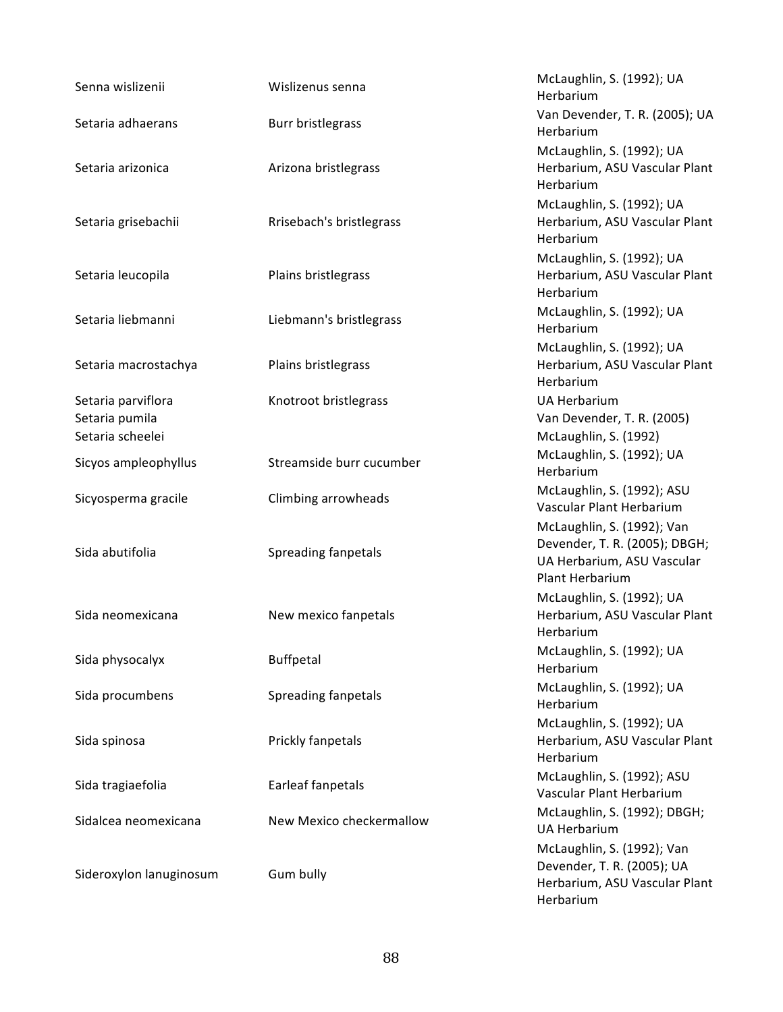| Senna wislizenii                                         | Wislizenus senna         | McLaughlin, S. (1992); UA<br>Herbarium                                                                       |
|----------------------------------------------------------|--------------------------|--------------------------------------------------------------------------------------------------------------|
| Setaria adhaerans                                        | Burr bristlegrass        | Van Devender, T. R. (2005); UA<br>Herbarium                                                                  |
| Setaria arizonica                                        | Arizona bristlegrass     | McLaughlin, S. (1992); UA<br>Herbarium, ASU Vascular Plant<br>Herbarium                                      |
| Setaria grisebachii                                      | Rrisebach's bristlegrass | McLaughlin, S. (1992); UA<br>Herbarium, ASU Vascular Plant<br>Herbarium                                      |
| Setaria leucopila                                        | Plains bristlegrass      | McLaughlin, S. (1992); UA<br>Herbarium, ASU Vascular Plant<br>Herbarium                                      |
| Setaria liebmanni                                        | Liebmann's bristlegrass  | McLaughlin, S. (1992); UA<br>Herbarium                                                                       |
| Setaria macrostachya                                     | Plains bristlegrass      | McLaughlin, S. (1992); UA<br>Herbarium, ASU Vascular Plant<br>Herbarium                                      |
| Setaria parviflora<br>Setaria pumila<br>Setaria scheelei | Knotroot bristlegrass    | <b>UA Herbarium</b><br>Van Devender, T. R. (2005)<br>McLaughlin, S. (1992)                                   |
| Sicyos ampleophyllus                                     | Streamside burr cucumber | McLaughlin, S. (1992); UA<br>Herbarium                                                                       |
| Sicyosperma gracile                                      | Climbing arrowheads      | McLaughlin, S. (1992); ASU<br>Vascular Plant Herbarium                                                       |
| Sida abutifolia                                          | Spreading fanpetals      | McLaughlin, S. (1992); Van<br>Devender, T. R. (2005); DBGH;<br>UA Herbarium, ASU Vascular<br>Plant Herbarium |
| Sida neomexicana                                         | New mexico fanpetals     | McLaughlin, S. (1992); UA<br>Herbarium, ASU Vascular Plant<br>Herbarium                                      |
| Sida physocalyx                                          | Buffpetal                | McLaughlin, S. (1992); UA<br>Herbarium                                                                       |
| Sida procumbens                                          | Spreading fanpetals      | McLaughlin, S. (1992); UA<br>Herbarium                                                                       |
| Sida spinosa                                             | Prickly fanpetals        | McLaughlin, S. (1992); UA<br>Herbarium, ASU Vascular Plant<br>Herbarium                                      |
| Sida tragiaefolia                                        | Earleaf fanpetals        | McLaughlin, S. (1992); ASU<br>Vascular Plant Herbarium                                                       |
| Sidalcea neomexicana                                     | New Mexico checkermallow | McLaughlin, S. (1992); DBGH;<br><b>UA Herbarium</b>                                                          |
| Sideroxylon lanuginosum                                  | Gum bully                | McLaughlin, S. (1992); Van<br>Devender, T. R. (2005); UA<br>Herbarium, ASU Vascular Plant<br>Herbarium       |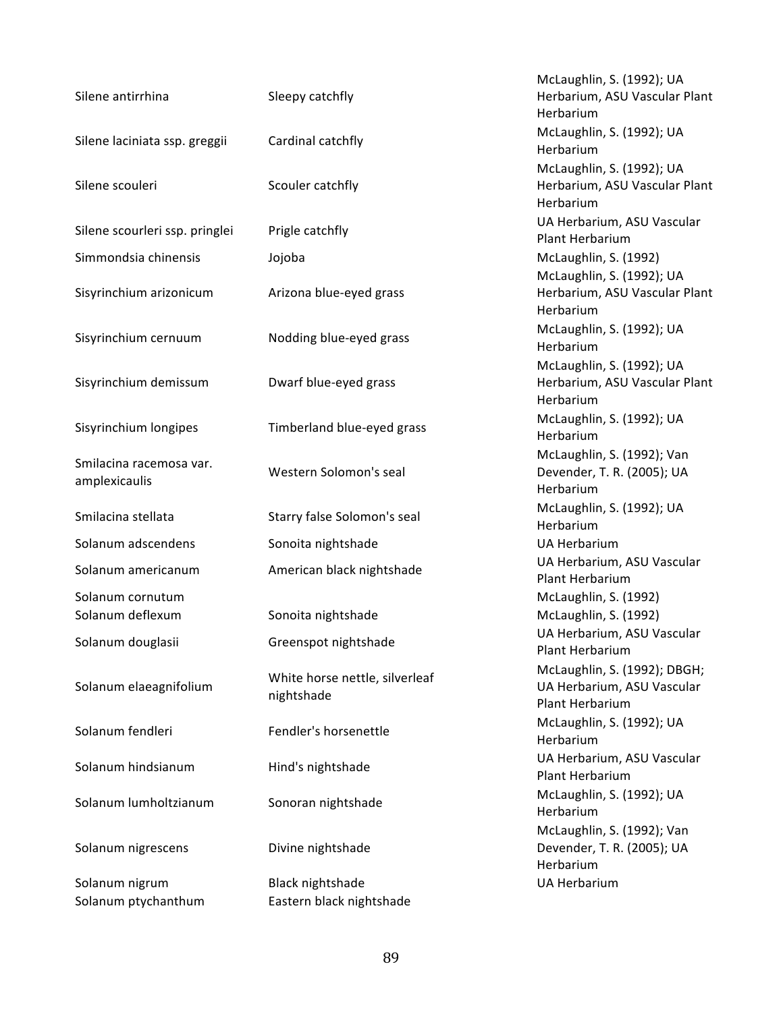| Silene antirrhina                        | Sleepy catchfly                              |
|------------------------------------------|----------------------------------------------|
| Silene laciniata ssp. greggii            | Cardinal catchfly                            |
| Silene scouleri                          | Scouler catchfly                             |
| Silene scourleri ssp. pringlei           | Prigle catchfly                              |
| Simmondsia chinensis                     | Jojoba                                       |
| Sisyrinchium arizonicum                  | Arizona blue-eyed grass                      |
| Sisyrinchium cernuum                     | Nodding blue-eyed grass                      |
| Sisyrinchium demissum                    | Dwarf blue-eyed grass                        |
| Sisyrinchium longipes                    | Timberland blue-eyed grass                   |
| Smilacina racemosa var.<br>amplexicaulis | Western Solomon's seal                       |
| Smilacina stellata                       | Starry false Solomon's seal                  |
| Solanum adscendens                       | Sonoita nightshade                           |
| Solanum americanum                       | American black nightshade                    |
| Solanum cornutum<br>Solanum deflexum     | Sonoita nightshade                           |
| Solanum douglasii                        | Greenspot nightshade                         |
| Solanum elaeagnifolium                   | White horse nettle, silverleaf<br>nightshade |
| Solanum fendleri                         | Fendler's horsenettle                        |
| Solanum hindsianum                       | Hind's nightshade                            |
| Solanum lumholtzianum                    | Sonoran nightshade                           |
| Solanum nigrescens                       | Divine nightshade                            |
| Solanum nigrum<br>Solanum ptychanthum    | Black nightshade<br>Eastern black nightshade |

McLaughlin, S. (1992); UA Herbarium, ASU Vascular Plant Herbarium McLaughlin, S. (1992); UA Herbarium McLaughlin, S. (1992); UA Herbarium, ASU Vascular Plant Herbarium UA Herbarium, ASU Vascular Plant Herbarium McLaughlin, S. (1992) McLaughlin, S. (1992); UA Herbarium, ASU Vascular Plant Herbarium Sishernum Notaughlin, S. (1992); UA Herbarium McLaughlin, S. (1992); UA Herbarium, ASU Vascular Plant Herbarium Sistem Sistem McLaughlin, S. (1992); UA<br>
McLaughlin, S. (1992); UA Herbarium McLaughlin, S. (1992); Van Devender, T. R. (2005); UA Herbarium seal McLaughlin, S. (1992); UA Herbarium UA Herbarium nade **Solanum Americanum** UA Herbarium, ASU Vascular Plant Herbarium McLaughlin, S. (1992) McLaughlin, S. (1992) UA Herbarium, ASU Vascular Plant Herbarium McLaughlin, S. (1992); DBGH; UA Herbarium, ASU Vascular Plant Herbarium McLaughlin, S. (1992); UA Herbarium UA Herbarium, ASU Vascular Plant Herbarium McLaughlin, S. (1992); UA Herbarium McLaughlin, S. (1992); Van Devender, T. R. (2005); UA Herbarium UA Herbarium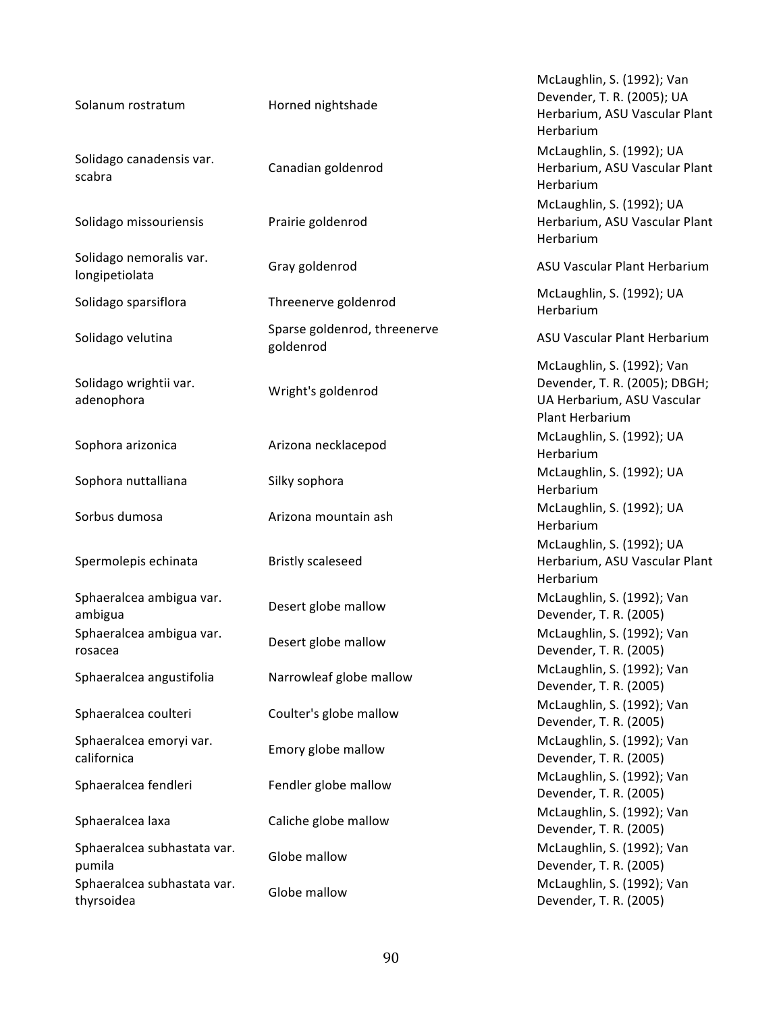| Solanum rostratum                         | Horned nightshade                         | McLaughlin, S. (1992); Van<br>Devender, T. R. (2005); UA<br>Herbarium, ASU Vascular Plant<br>Herbarium       |
|-------------------------------------------|-------------------------------------------|--------------------------------------------------------------------------------------------------------------|
| Solidago canadensis var.<br>scabra        | Canadian goldenrod                        | McLaughlin, S. (1992); UA<br>Herbarium, ASU Vascular Plant<br>Herbarium                                      |
| Solidago missouriensis                    | Prairie goldenrod                         | McLaughlin, S. (1992); UA<br>Herbarium, ASU Vascular Plant<br>Herbarium                                      |
| Solidago nemoralis var.<br>longipetiolata | Gray goldenrod                            | ASU Vascular Plant Herbarium                                                                                 |
| Solidago sparsiflora                      | Threenerve goldenrod                      | McLaughlin, S. (1992); UA<br>Herbarium                                                                       |
| Solidago velutina                         | Sparse goldenrod, threenerve<br>goldenrod | ASU Vascular Plant Herbarium                                                                                 |
| Solidago wrightii var.<br>adenophora      | Wright's goldenrod                        | McLaughlin, S. (1992); Van<br>Devender, T. R. (2005); DBGH;<br>UA Herbarium, ASU Vascular<br>Plant Herbarium |
| Sophora arizonica                         | Arizona necklacepod                       | McLaughlin, S. (1992); UA<br>Herbarium                                                                       |
| Sophora nuttalliana                       | Silky sophora                             | McLaughlin, S. (1992); UA<br>Herbarium                                                                       |
| Sorbus dumosa                             | Arizona mountain ash                      | McLaughlin, S. (1992); UA<br>Herbarium                                                                       |
| Spermolepis echinata                      | <b>Bristly scaleseed</b>                  | McLaughlin, S. (1992); UA<br>Herbarium, ASU Vascular Plant<br>Herbarium                                      |
| Sphaeralcea ambigua var.<br>ambigua       | Desert globe mallow                       | McLaughlin, S. (1992); Van<br>Devender, T. R. (2005)                                                         |
| Sphaeralcea ambigua var.<br>rosacea       | Desert globe mallow                       | McLaughlin, S. (1992); Van<br>Devender, T. R. (2005)                                                         |
| Sphaeralcea angustifolia                  | Narrowleaf globe mallow                   | McLaughlin, S. (1992); Van<br>Devender, T. R. (2005)                                                         |
| Sphaeralcea coulteri                      | Coulter's globe mallow                    | McLaughlin, S. (1992); Van<br>Devender, T. R. (2005)                                                         |
| Sphaeralcea emoryi var.<br>californica    | Emory globe mallow                        | McLaughlin, S. (1992); Van<br>Devender, T. R. (2005)                                                         |
| Sphaeralcea fendleri                      | Fendler globe mallow                      | McLaughlin, S. (1992); Van<br>Devender, T. R. (2005)                                                         |
| Sphaeralcea laxa                          | Caliche globe mallow                      | McLaughlin, S. (1992); Van<br>Devender, T. R. (2005)                                                         |
| Sphaeralcea subhastata var.<br>pumila     | Globe mallow                              | McLaughlin, S. (1992); Van<br>Devender, T. R. (2005)                                                         |
| Sphaeralcea subhastata var.<br>thyrsoidea | Globe mallow                              | McLaughlin, S. (1992); Van<br>Devender, T. R. (2005)                                                         |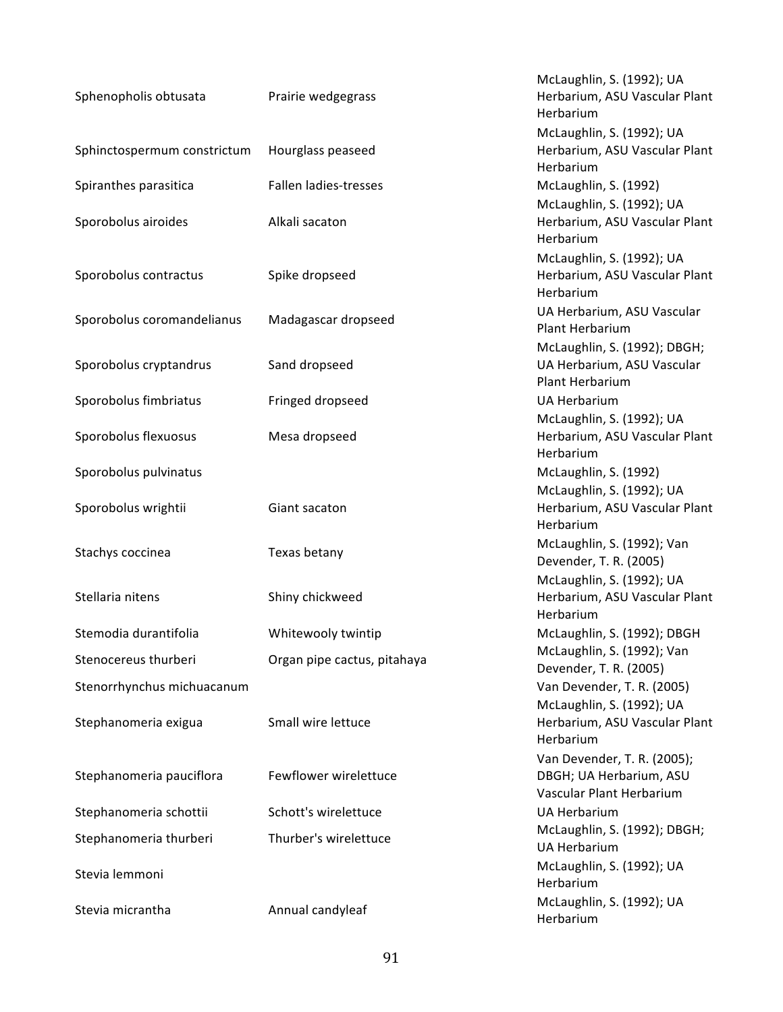| Sphenopholis obtusata       | Prairie wedgegrass          | McLaughlin, S. (1992); UA<br>Herbarium, ASU Vascular Plant<br>Herbarium            |
|-----------------------------|-----------------------------|------------------------------------------------------------------------------------|
| Sphinctospermum constrictum | Hourglass peaseed           | McLaughlin, S. (1992); UA<br>Herbarium, ASU Vascular Plant<br>Herbarium            |
| Spiranthes parasitica       | Fallen ladies-tresses       | McLaughlin, S. (1992)                                                              |
| Sporobolus airoides         | Alkali sacaton              | McLaughlin, S. (1992); UA<br>Herbarium, ASU Vascular Plant<br>Herbarium            |
| Sporobolus contractus       | Spike dropseed              | McLaughlin, S. (1992); UA<br>Herbarium, ASU Vascular Plant<br>Herbarium            |
| Sporobolus coromandelianus  | Madagascar dropseed         | UA Herbarium, ASU Vascular<br>Plant Herbarium                                      |
| Sporobolus cryptandrus      | Sand dropseed               | McLaughlin, S. (1992); DBGH;<br>UA Herbarium, ASU Vascular<br>Plant Herbarium      |
| Sporobolus fimbriatus       | Fringed dropseed            | <b>UA Herbarium</b>                                                                |
| Sporobolus flexuosus        | Mesa dropseed               | McLaughlin, S. (1992); UA<br>Herbarium, ASU Vascular Plant<br>Herbarium            |
| Sporobolus pulvinatus       |                             | McLaughlin, S. (1992)                                                              |
| Sporobolus wrightii         | Giant sacaton               | McLaughlin, S. (1992); UA<br>Herbarium, ASU Vascular Plant<br>Herbarium            |
| Stachys coccinea            | Texas betany                | McLaughlin, S. (1992); Van<br>Devender, T. R. (2005)                               |
| Stellaria nitens            | Shiny chickweed             | McLaughlin, S. (1992); UA<br>Herbarium, ASU Vascular Plant<br>Herbarium            |
| Stemodia durantifolia       | Whitewooly twintip          | McLaughlin, S. (1992); DBGH                                                        |
| Stenocereus thurberi        | Organ pipe cactus, pitahaya | McLaughlin, S. (1992); Van<br>Devender, T. R. (2005)                               |
| Stenorrhynchus michuacanum  |                             | Van Devender, T. R. (2005)                                                         |
| Stephanomeria exigua        | Small wire lettuce          | McLaughlin, S. (1992); UA<br>Herbarium, ASU Vascular Plant<br>Herbarium            |
| Stephanomeria pauciflora    | Fewflower wirelettuce       | Van Devender, T. R. (2005);<br>DBGH; UA Herbarium, ASU<br>Vascular Plant Herbarium |
| Stephanomeria schottii      | Schott's wirelettuce        | <b>UA Herbarium</b>                                                                |
| Stephanomeria thurberi      | Thurber's wirelettuce       | McLaughlin, S. (1992); DBGH;<br><b>UA Herbarium</b>                                |
| Stevia lemmoni              |                             | McLaughlin, S. (1992); UA<br>Herbarium                                             |
| Stevia micrantha            | Annual candyleaf            | McLaughlin, S. (1992); UA<br>Herbarium                                             |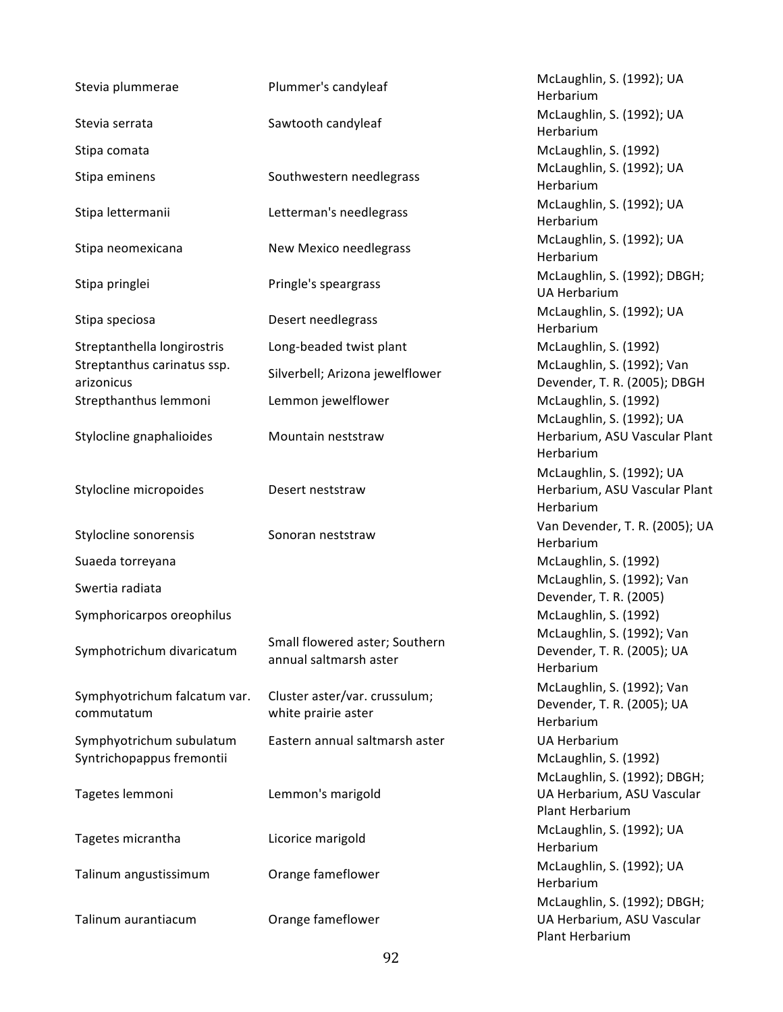| Stevia plummerae                                      | Plummer's candyleaf                                      | McLaughlin, S. (1992); UA<br>Herbarium                                        |
|-------------------------------------------------------|----------------------------------------------------------|-------------------------------------------------------------------------------|
| Stevia serrata                                        | Sawtooth candyleaf                                       | McLaughlin, S. (1992); UA<br>Herbarium                                        |
| Stipa comata                                          |                                                          | McLaughlin, S. (1992)                                                         |
| Stipa eminens                                         | Southwestern needlegrass                                 | McLaughlin, S. (1992); UA<br>Herbarium                                        |
| Stipa lettermanii                                     | Letterman's needlegrass                                  | McLaughlin, S. (1992); UA<br>Herbarium                                        |
| Stipa neomexicana                                     | New Mexico needlegrass                                   | McLaughlin, S. (1992); UA<br>Herbarium                                        |
| Stipa pringlei                                        | Pringle's speargrass                                     | McLaughlin, S. (1992); DBGH;<br><b>UA Herbarium</b>                           |
| Stipa speciosa                                        | Desert needlegrass                                       | McLaughlin, S. (1992); UA<br>Herbarium                                        |
| Streptanthella longirostris                           | Long-beaded twist plant                                  | McLaughlin, S. (1992)                                                         |
| Streptanthus carinatus ssp.<br>arizonicus             | Silverbell; Arizona jewelflower                          | McLaughlin, S. (1992); Van<br>Devender, T. R. (2005); DBGH                    |
| Strepthanthus lemmoni                                 | Lemmon jewelflower                                       | McLaughlin, S. (1992)                                                         |
| Stylocline gnaphalioides                              | Mountain neststraw                                       | McLaughlin, S. (1992); UA<br>Herbarium, ASU Vascular Plar<br>Herbarium        |
| Stylocline micropoides                                | Desert neststraw                                         | McLaughlin, S. (1992); UA<br>Herbarium, ASU Vascular Plar<br>Herbarium        |
| Stylocline sonorensis                                 | Sonoran neststraw                                        | Van Devender, T. R. (2005); U<br>Herbarium                                    |
| Suaeda torreyana                                      |                                                          | McLaughlin, S. (1992)                                                         |
| Swertia radiata                                       |                                                          | McLaughlin, S. (1992); Van<br>Devender, T. R. (2005)                          |
| Symphoricarpos oreophilus                             |                                                          | McLaughlin, S. (1992)                                                         |
| Symphotrichum divaricatum                             | Small flowered aster; Southern<br>annual saltmarsh aster | McLaughlin, S. (1992); Van<br>Devender, T. R. (2005); UA<br>Herbarium         |
| Symphyotrichum falcatum var.<br>commutatum            | Cluster aster/var. crussulum;<br>white prairie aster     | McLaughlin, S. (1992); Van<br>Devender, T. R. (2005); UA<br>Herbarium         |
| Symphyotrichum subulatum<br>Syntrichopappus fremontii | Eastern annual saltmarsh aster                           | <b>UA Herbarium</b><br>McLaughlin, S. (1992)                                  |
| Tagetes lemmoni                                       | Lemmon's marigold                                        | McLaughlin, S. (1992); DBGH;<br>UA Herbarium, ASU Vascular<br>Plant Herbarium |
| Tagetes micrantha                                     | Licorice marigold                                        | McLaughlin, S. (1992); UA<br>Herbarium                                        |
| Talinum angustissimum                                 | Orange fameflower                                        | McLaughlin, S. (1992); UA<br>Herbarium                                        |
| Talinum aurantiacum                                   | Orange fameflower                                        | McLaughlin, S. (1992); DBGH;<br>UA Herbarium, ASU Vascular                    |

McLaughlin, S. (1992); UA Herbarium McLaughlin, S. (1992); UA Herbarium McLaughlin, S. (1992) McLaughlin, S. (1992); UA Herbarium McLaughlin, S. (1992); UA Herbarium McLaughlin, S. (1992); UA Herbarium McLaughlin, S. (1992); DBGH; UA Herbarium McLaughlin, S. (1992); UA Herbarium McLaughlin, S. (1992) McLaughlin, S. (1992) McLaughlin, S. (1992); UA Herbarium, ASU Vascular Plant Herbarium McLaughlin, S. (1992); UA Herbarium, ASU Vascular Plant Herbarium Van Devender, T. R. (2005); UA Herbarium McLaughlin, S. (1992) McLaughlin, S. (1992); Van Devender, T. R. (2005) McLaughlin, S. (1992) McLaughlin, S. (1992); Van Devender, T. R. (2005); UA Herbarium McLaughlin, S. (1992); Van Devender, T. R. (2005); UA Herbarium UA Herbarium McLaughlin, S. (1992) McLaughlin, S. (1992); DBGH; UA Herbarium, ASU Vascular Plant Herbarium McLaughlin, S. (1992); UA Herbarium McLaughlin, S. (1992); UA Herbarium McLaughlin, S. (1992); DBGH; UA Herbarium, ASU Vascular Plant Herbarium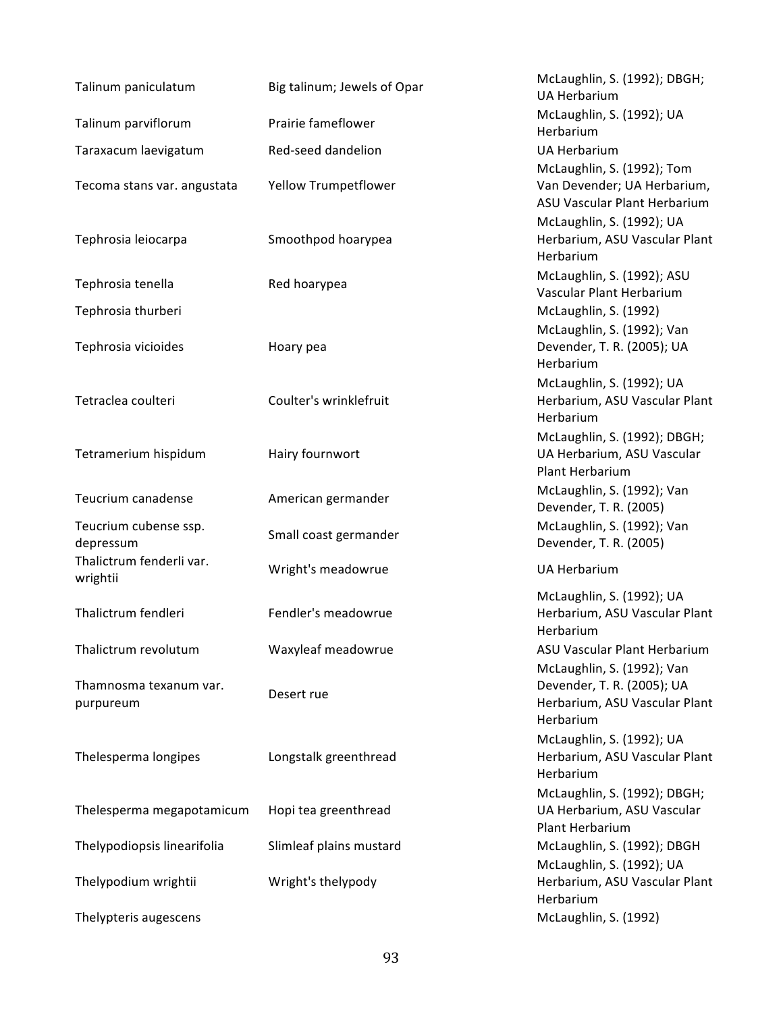| Talinum paniculatum         | Big talinum; Jewels of Opar | McLaughlin, S. (1992); DBGH;<br><b>UA Herbarium</b>        |
|-----------------------------|-----------------------------|------------------------------------------------------------|
| Talinum parviflorum         | Prairie fameflower          | McLaughlin, S. (1992); UA                                  |
|                             |                             | Herbarium                                                  |
| Taraxacum laevigatum        | Red-seed dandelion          | <b>UA Herbarium</b>                                        |
|                             |                             | McLaughlin, S. (1992); Tom                                 |
| Tecoma stans var. angustata | <b>Yellow Trumpetflower</b> | Van Devender; UA Herbarium,                                |
|                             |                             | ASU Vascular Plant Herbarium                               |
|                             |                             | McLaughlin, S. (1992); UA                                  |
| Tephrosia leiocarpa         | Smoothpod hoarypea          | Herbarium, ASU Vascular Plant                              |
|                             |                             | Herbarium                                                  |
|                             |                             | McLaughlin, S. (1992); ASU                                 |
| Tephrosia tenella           | Red hoarypea                | Vascular Plant Herbarium                                   |
| Tephrosia thurberi          |                             | McLaughlin, S. (1992)                                      |
|                             |                             | McLaughlin, S. (1992); Van                                 |
| Tephrosia vicioides         | Hoary pea                   | Devender, T. R. (2005); UA                                 |
|                             |                             | Herbarium                                                  |
|                             |                             | McLaughlin, S. (1992); UA                                  |
| Tetraclea coulteri          | Coulter's wrinklefruit      | Herbarium, ASU Vascular Plant                              |
|                             |                             | Herbarium                                                  |
|                             |                             | McLaughlin, S. (1992); DBGH;                               |
| Tetramerium hispidum        | Hairy fournwort             | UA Herbarium, ASU Vascular                                 |
|                             |                             | Plant Herbarium                                            |
|                             |                             | McLaughlin, S. (1992); Van                                 |
| Teucrium canadense          | American germander          | Devender, T. R. (2005)                                     |
| Teucrium cubense ssp.       |                             | McLaughlin, S. (1992); Van                                 |
| depressum                   | Small coast germander       | Devender, T. R. (2005)                                     |
| Thalictrum fenderli var.    |                             |                                                            |
| wrightii                    | Wright's meadowrue          | <b>UA Herbarium</b>                                        |
|                             |                             | McLaughlin, S. (1992); UA                                  |
| Thalictrum fendleri         | Fendler's meadowrue         | Herbarium, ASU Vascular Plant                              |
|                             |                             | Herbarium                                                  |
| Thalictrum revolutum        | Waxyleaf meadowrue          | ASU Vascular Plant Herbarium                               |
|                             |                             | McLaughlin, S. (1992); Van                                 |
| Thamnosma texanum var.      |                             | Devender, T. R. (2005); UA                                 |
| purpureum                   | Desert rue                  | Herbarium, ASU Vascular Plant                              |
|                             |                             | Herbarium                                                  |
|                             |                             | McLaughlin, S. (1992); UA                                  |
| Thelesperma longipes        | Longstalk greenthread       | Herbarium, ASU Vascular Plant                              |
|                             |                             | Herbarium                                                  |
|                             |                             |                                                            |
| Thelesperma megapotamicum   | Hopi tea greenthread        | McLaughlin, S. (1992); DBGH;<br>UA Herbarium, ASU Vascular |
|                             |                             | Plant Herbarium                                            |
| Thelypodiopsis linearifolia |                             |                                                            |
|                             | Slimleaf plains mustard     | McLaughlin, S. (1992); DBGH                                |
|                             |                             | McLaughlin, S. (1992); UA                                  |
| Thelypodium wrightii        | Wright's thelypody          | Herbarium, ASU Vascular Plant<br>Herbarium                 |
|                             |                             | McLaughlin, S. (1992)                                      |
| Thelypteris augescens       |                             |                                                            |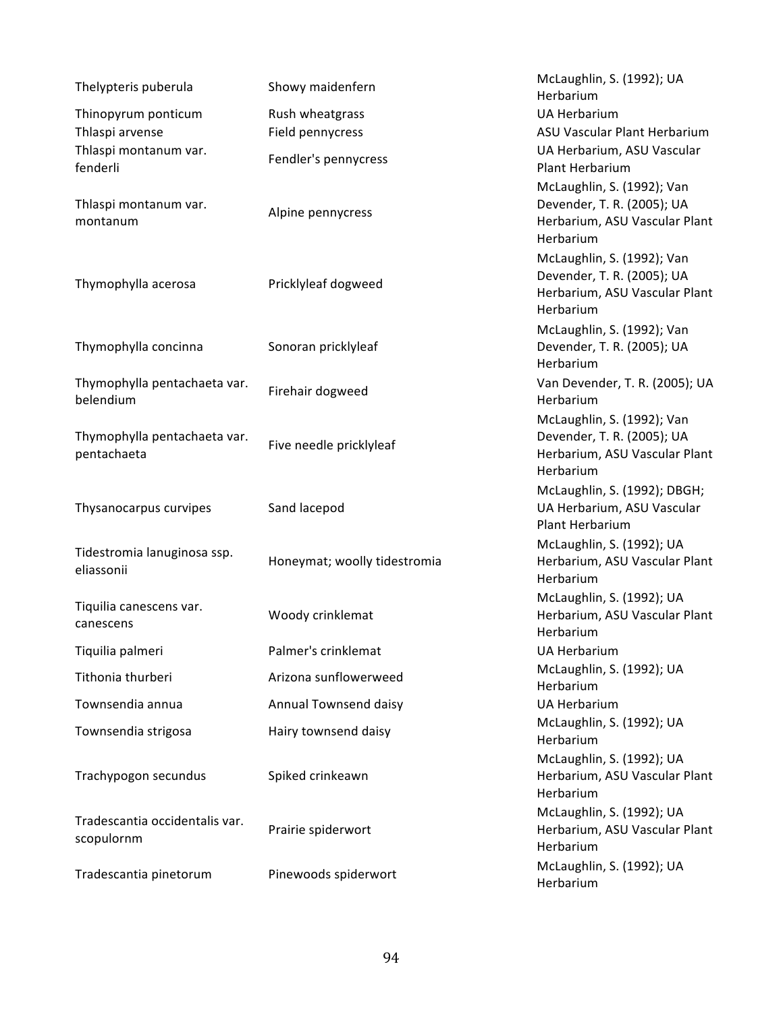| Thelypteris puberula                         | Showy maidenfern             | McLaughlin, S. (1992); UA<br>Herbarium                                                                 |
|----------------------------------------------|------------------------------|--------------------------------------------------------------------------------------------------------|
| Thinopyrum ponticum                          | Rush wheatgrass              | <b>UA Herbarium</b>                                                                                    |
| Thlaspi arvense                              | Field pennycress             | ASU Vascular Plant Herbarium                                                                           |
| Thlaspi montanum var.<br>fenderli            | Fendler's pennycress         | UA Herbarium, ASU Vascular<br>Plant Herbarium                                                          |
| Thlaspi montanum var.<br>montanum            | Alpine pennycress            | McLaughlin, S. (1992); Van<br>Devender, T. R. (2005); UA<br>Herbarium, ASU Vascular Plant<br>Herbarium |
| Thymophylla acerosa                          | Pricklyleaf dogweed          | McLaughlin, S. (1992); Van<br>Devender, T. R. (2005); UA<br>Herbarium, ASU Vascular Plant<br>Herbarium |
| Thymophylla concinna                         | Sonoran pricklyleaf          | McLaughlin, S. (1992); Van<br>Devender, T. R. (2005); UA<br>Herbarium                                  |
| Thymophylla pentachaeta var.<br>belendium    | Firehair dogweed             | Van Devender, T. R. (2005); UA<br>Herbarium                                                            |
| Thymophylla pentachaeta var.<br>pentachaeta  | Five needle pricklyleaf      | McLaughlin, S. (1992); Van<br>Devender, T. R. (2005); UA<br>Herbarium, ASU Vascular Plant<br>Herbarium |
| Thysanocarpus curvipes                       | Sand lacepod                 | McLaughlin, S. (1992); DBGH;<br>UA Herbarium, ASU Vascular<br>Plant Herbarium                          |
| Tidestromia lanuginosa ssp.<br>eliassonii    | Honeymat; woolly tidestromia | McLaughlin, S. (1992); UA<br>Herbarium, ASU Vascular Plant<br>Herbarium                                |
| Tiquilia canescens var.<br>canescens         | Woody crinklemat             | McLaughlin, S. (1992); UA<br>Herbarium, ASU Vascular Plant<br>Herbarium                                |
| Tiquilia palmeri                             | Palmer's crinklemat          | <b>UA Herbarium</b>                                                                                    |
| Tithonia thurberi                            | Arizona sunflowerweed        | McLaughlin, S. (1992); UA<br>Herbarium                                                                 |
| Townsendia annua                             | Annual Townsend daisy        | <b>UA Herbarium</b>                                                                                    |
| Townsendia strigosa                          | Hairy townsend daisy         | McLaughlin, S. (1992); UA<br>Herbarium                                                                 |
| Trachypogon secundus                         | Spiked crinkeawn             | McLaughlin, S. (1992); UA<br>Herbarium, ASU Vascular Plant<br>Herbarium                                |
| Tradescantia occidentalis var.<br>scopulornm | Prairie spiderwort           | McLaughlin, S. (1992); UA<br>Herbarium, ASU Vascular Plant<br>Herbarium                                |
| Tradescantia pinetorum                       | Pinewoods spiderwort         | McLaughlin, S. (1992); UA<br>Herbarium                                                                 |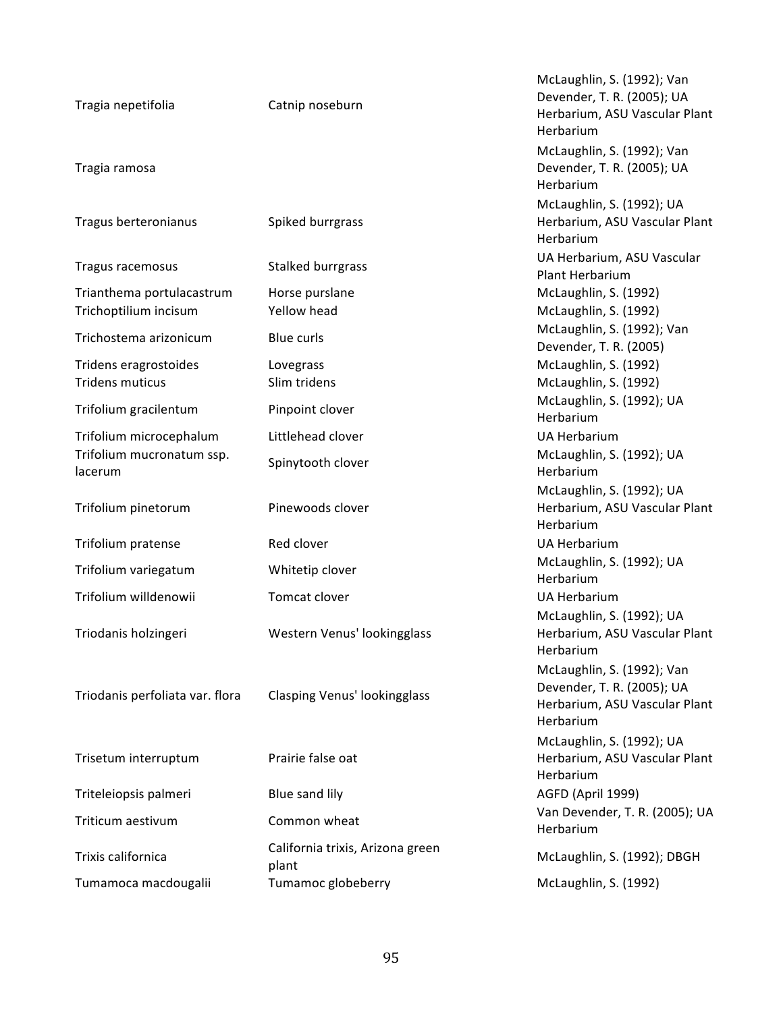| Tragia nepetifolia                                 | Catnip noseburn                           | McLaughlin, S. (1992); Van<br>Devender, T. R. (2005); UA<br>Herbarium, ASU Vascular Plant<br>Herbarium |
|----------------------------------------------------|-------------------------------------------|--------------------------------------------------------------------------------------------------------|
| Tragia ramosa                                      |                                           | McLaughlin, S. (1992); Van<br>Devender, T. R. (2005); UA<br>Herbarium                                  |
| Tragus berteronianus                               | Spiked burrgrass                          | McLaughlin, S. (1992); UA<br>Herbarium, ASU Vascular Plant<br>Herbarium                                |
| Tragus racemosus                                   | Stalked burrgrass                         | UA Herbarium, ASU Vascular<br>Plant Herbarium                                                          |
| Trianthema portulacastrum<br>Trichoptilium incisum | Horse purslane<br>Yellow head             | McLaughlin, S. (1992)<br>McLaughlin, S. (1992)                                                         |
| Trichostema arizonicum                             | Blue curls                                | McLaughlin, S. (1992); Van<br>Devender, T. R. (2005)                                                   |
| Tridens eragrostoides<br><b>Tridens muticus</b>    | Lovegrass<br>Slim tridens                 | McLaughlin, S. (1992)<br>McLaughlin, S. (1992)                                                         |
| Trifolium gracilentum                              | Pinpoint clover                           | McLaughlin, S. (1992); UA<br>Herbarium                                                                 |
| Trifolium microcephalum                            | Littlehead clover                         | <b>UA Herbarium</b>                                                                                    |
| Trifolium mucronatum ssp.<br>lacerum               | Spinytooth clover                         | McLaughlin, S. (1992); UA<br>Herbarium                                                                 |
| Trifolium pinetorum                                | Pinewoods clover                          | McLaughlin, S. (1992); UA<br>Herbarium, ASU Vascular Plant<br>Herbarium                                |
| Trifolium pratense                                 | Red clover                                | <b>UA Herbarium</b>                                                                                    |
| Trifolium variegatum                               | Whitetip clover                           | McLaughlin, S. (1992); UA<br>Herbarium                                                                 |
| Trifolium willdenowii                              | Tomcat clover                             | <b>UA Herbarium</b>                                                                                    |
| Triodanis holzingeri                               | Western Venus' lookingglass               | McLaughlin, S. (1992); UA<br>Herbarium, ASU Vascular Plant<br>Herbarium                                |
| Triodanis perfoliata var. flora                    | Clasping Venus' lookingglass              | McLaughlin, S. (1992); Van<br>Devender, T. R. (2005); UA<br>Herbarium, ASU Vascular Plant<br>Herbarium |
| Trisetum interruptum                               | Prairie false oat                         | McLaughlin, S. (1992); UA<br>Herbarium, ASU Vascular Plant<br>Herbarium                                |
| Triteleiopsis palmeri                              | Blue sand lily                            | AGFD (April 1999)                                                                                      |
| Triticum aestivum                                  | Common wheat                              | Van Devender, T. R. (2005); UA<br>Herbarium                                                            |
| Trixis californica                                 | California trixis, Arizona green<br>plant | McLaughlin, S. (1992); DBGH                                                                            |
| Tumamoca macdougalii                               | Tumamoc globeberry                        | McLaughlin, S. (1992)                                                                                  |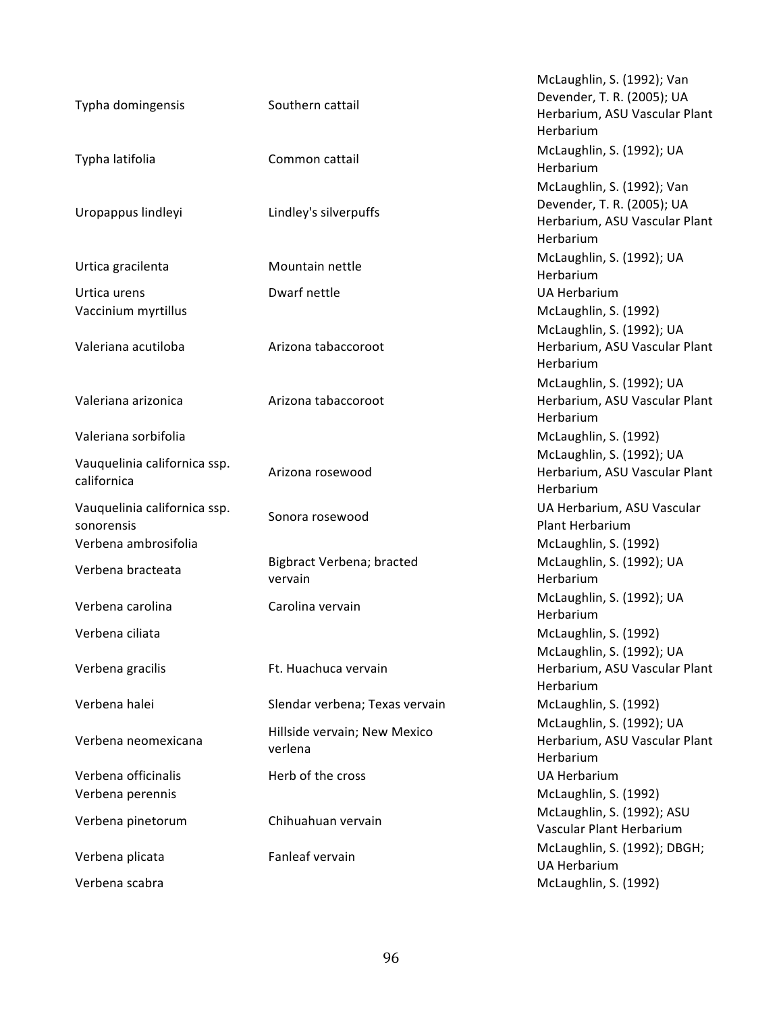| Typha domingensis                           | Southern cattail                        | McLaughlin, S. (1992); Van<br>Devender, T. R. (2005); UA<br>Herbarium, ASU Vascular Plant<br>Herbarium |
|---------------------------------------------|-----------------------------------------|--------------------------------------------------------------------------------------------------------|
| Typha latifolia                             | Common cattail                          | McLaughlin, S. (1992); UA<br>Herbarium                                                                 |
| Uropappus lindleyi                          | Lindley's silverpuffs                   | McLaughlin, S. (1992); Van<br>Devender, T. R. (2005); UA<br>Herbarium, ASU Vascular Plant<br>Herbarium |
| Urtica gracilenta                           | Mountain nettle                         | McLaughlin, S. (1992); UA<br>Herbarium                                                                 |
| Urtica urens<br>Vaccinium myrtillus         | Dwarf nettle                            | <b>UA Herbarium</b><br>McLaughlin, S. (1992)                                                           |
| Valeriana acutiloba                         | Arizona tabaccoroot                     | McLaughlin, S. (1992); UA<br>Herbarium, ASU Vascular Plant<br>Herbarium                                |
| Valeriana arizonica                         | Arizona tabaccoroot                     | McLaughlin, S. (1992); UA<br>Herbarium, ASU Vascular Plant<br>Herbarium                                |
| Valeriana sorbifolia                        |                                         | McLaughlin, S. (1992)                                                                                  |
| Vauquelinia californica ssp.<br>californica | Arizona rosewood                        | McLaughlin, S. (1992); UA<br>Herbarium, ASU Vascular Plant<br>Herbarium                                |
| Vauquelinia californica ssp.<br>sonorensis  | Sonora rosewood                         | UA Herbarium, ASU Vascular<br>Plant Herbarium                                                          |
| Verbena ambrosifolia                        |                                         | McLaughlin, S. (1992)                                                                                  |
| Verbena bracteata                           | Bigbract Verbena; bracted<br>vervain    | McLaughlin, S. (1992); UA<br>Herbarium                                                                 |
| Verbena carolina                            | Carolina vervain                        | McLaughlin, S. (1992); UA<br>Herbarium                                                                 |
| Verbena ciliata                             |                                         | McLaughlin, S. (1992)<br>McLaughlin, S. (1992); UA                                                     |
| Verbena gracilis                            | Ft. Huachuca vervain                    | Herbarium, ASU Vascular Plant<br>Herbarium                                                             |
| Verbena halei                               | Slendar verbena; Texas vervain          | McLaughlin, S. (1992)                                                                                  |
| Verbena neomexicana                         | Hillside vervain; New Mexico<br>verlena | McLaughlin, S. (1992); UA<br>Herbarium, ASU Vascular Plant<br>Herbarium                                |
| Verbena officinalis                         | Herb of the cross                       | <b>UA Herbarium</b>                                                                                    |
| Verbena perennis                            |                                         | McLaughlin, S. (1992)                                                                                  |
| Verbena pinetorum                           | Chihuahuan vervain                      | McLaughlin, S. (1992); ASU<br>Vascular Plant Herbarium                                                 |
| Verbena plicata                             | Fanleaf vervain                         | McLaughlin, S. (1992); DBGH;<br><b>UA Herbarium</b>                                                    |
| Verbena scabra                              |                                         | McLaughlin, S. (1992)                                                                                  |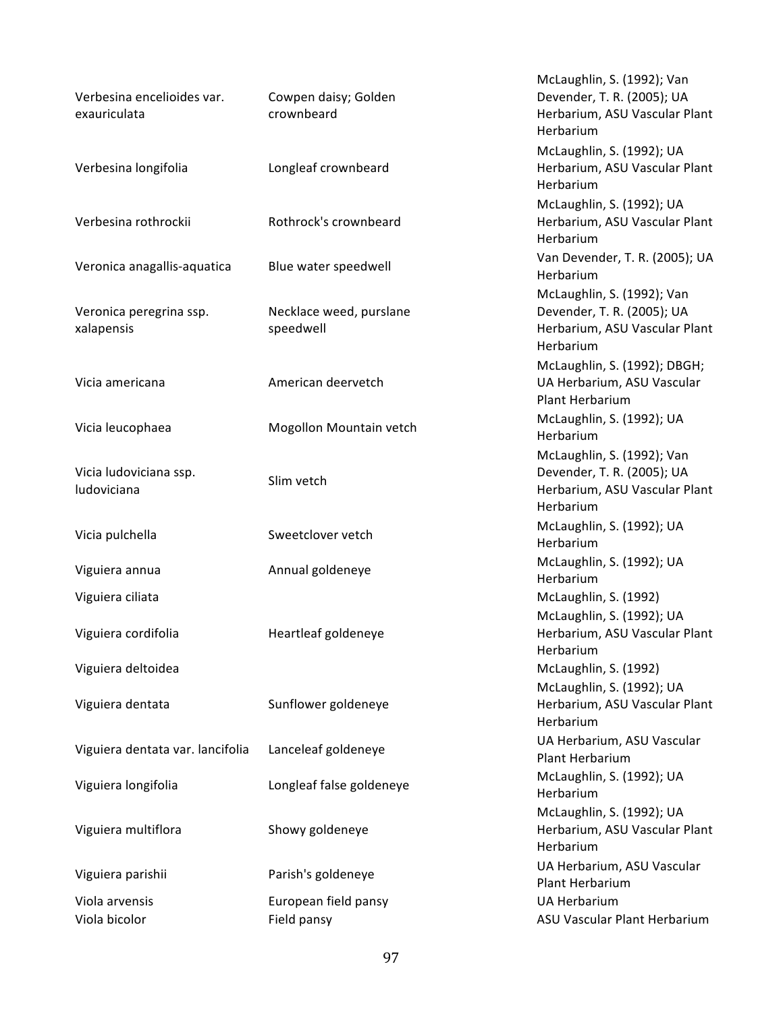| Verbesina encelioides var.            | Cowpen daisy; Golden                 | McLaughlin, S. (1992); Van<br>Devender, T. R. (2005); UA                                               |
|---------------------------------------|--------------------------------------|--------------------------------------------------------------------------------------------------------|
| exauriculata                          | crownbeard                           | Herbarium, ASU Vascular Plant<br>Herbarium                                                             |
| Verbesina longifolia                  | Longleaf crownbeard                  | McLaughlin, S. (1992); UA<br>Herbarium, ASU Vascular Plant<br>Herbarium                                |
| Verbesina rothrockii                  | Rothrock's crownbeard                | McLaughlin, S. (1992); UA<br>Herbarium, ASU Vascular Plant<br>Herbarium                                |
| Veronica anagallis-aquatica           | Blue water speedwell                 | Van Devender, T. R. (2005); UA<br>Herbarium                                                            |
| Veronica peregrina ssp.<br>xalapensis | Necklace weed, purslane<br>speedwell | McLaughlin, S. (1992); Van<br>Devender, T. R. (2005); UA<br>Herbarium, ASU Vascular Plant<br>Herbarium |
| Vicia americana                       | American deervetch                   | McLaughlin, S. (1992); DBGH;<br>UA Herbarium, ASU Vascular<br>Plant Herbarium                          |
| Vicia leucophaea                      | Mogollon Mountain vetch              | McLaughlin, S. (1992); UA<br>Herbarium                                                                 |
| Vicia ludoviciana ssp.<br>ludoviciana | Slim vetch                           | McLaughlin, S. (1992); Van<br>Devender, T. R. (2005); UA<br>Herbarium, ASU Vascular Plant<br>Herbarium |
| Vicia pulchella                       | Sweetclover vetch                    | McLaughlin, S. (1992); UA<br>Herbarium                                                                 |
| Viguiera annua                        | Annual goldeneye                     | McLaughlin, S. (1992); UA<br>Herbarium                                                                 |
| Viguiera ciliata                      |                                      | McLaughlin, S. (1992)<br>McLaughlin, S. (1992); UA                                                     |
| Viguiera cordifolia                   | Heartleaf goldeneye                  | Herbarium, ASU Vascular Plant<br>Herbarium                                                             |
| Viguiera deltoidea                    |                                      | McLaughlin, S. (1992)<br>McLaughlin, S. (1992); UA                                                     |
| Viguiera dentata                      | Sunflower goldeneye                  | Herbarium, ASU Vascular Plant<br>Herbarium                                                             |
| Viguiera dentata var. lancifolia      | Lanceleaf goldeneye                  | UA Herbarium, ASU Vascular<br>Plant Herbarium                                                          |
| Viguiera longifolia                   | Longleaf false goldeneye             | McLaughlin, S. (1992); UA<br>Herbarium                                                                 |
| Viguiera multiflora                   | Showy goldeneye                      | McLaughlin, S. (1992); UA<br>Herbarium, ASU Vascular Plant<br>Herbarium                                |
| Viguiera parishii                     | Parish's goldeneye                   | UA Herbarium, ASU Vascular<br>Plant Herbarium                                                          |
| Viola arvensis<br>Viola bicolor       | European field pansy<br>Field pansy  | <b>UA Herbarium</b><br>ASU Vascular Plant Herbarium                                                    |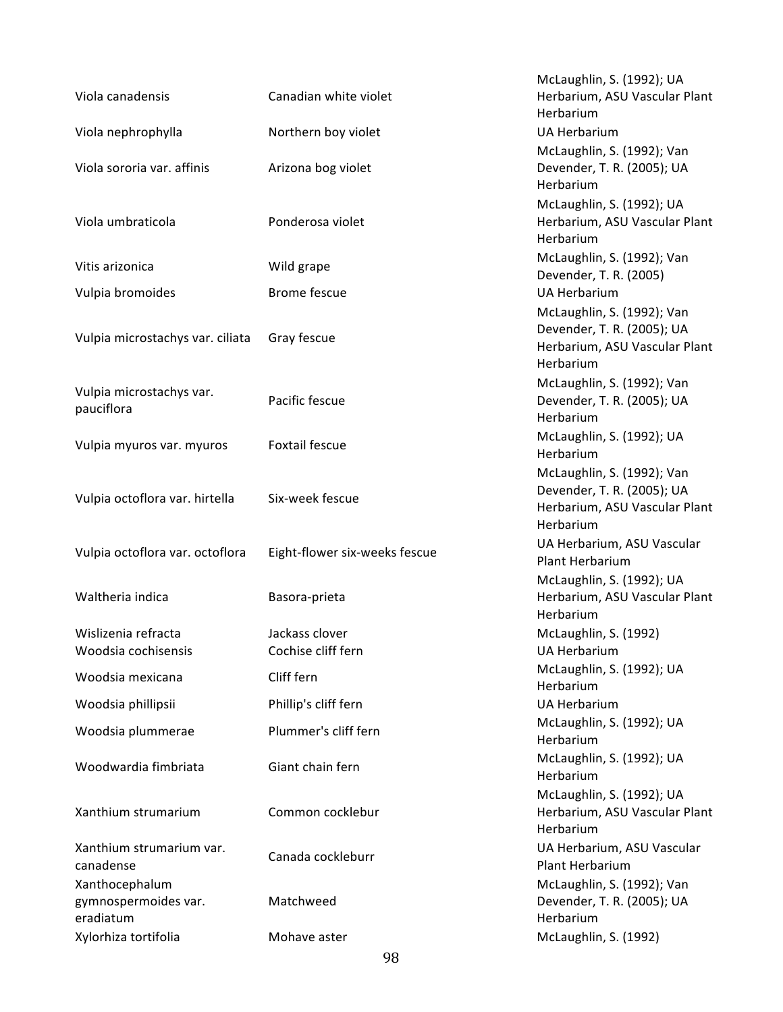| Viola canadensis                       | Canadian white violet         | McLaughlin, S. (1992); UA<br>Herbarium, ASU Vascular Plant<br>Herbarium                                |
|----------------------------------------|-------------------------------|--------------------------------------------------------------------------------------------------------|
| Viola nephrophylla                     | Northern boy violet           | <b>UA Herbarium</b>                                                                                    |
| Viola sororia var. affinis             | Arizona bog violet            | McLaughlin, S. (1992); Van<br>Devender, T. R. (2005); UA<br>Herbarium                                  |
| Viola umbraticola                      | Ponderosa violet              | McLaughlin, S. (1992); UA<br>Herbarium, ASU Vascular Plant<br>Herbarium                                |
| Vitis arizonica                        | Wild grape                    | McLaughlin, S. (1992); Van<br>Devender, T. R. (2005)                                                   |
| Vulpia bromoides                       | <b>Brome fescue</b>           | <b>UA Herbarium</b>                                                                                    |
| Vulpia microstachys var. ciliata       | Gray fescue                   | McLaughlin, S. (1992); Van<br>Devender, T. R. (2005); UA<br>Herbarium, ASU Vascular Plant<br>Herbarium |
| Vulpia microstachys var.<br>pauciflora | Pacific fescue                | McLaughlin, S. (1992); Van<br>Devender, T. R. (2005); UA<br>Herbarium                                  |
| Vulpia myuros var. myuros              | <b>Foxtail fescue</b>         | McLaughlin, S. (1992); UA<br>Herbarium                                                                 |
| Vulpia octoflora var. hirtella         | Six-week fescue               | McLaughlin, S. (1992); Van<br>Devender, T. R. (2005); UA<br>Herbarium, ASU Vascular Plant<br>Herbarium |
| Vulpia octoflora var. octoflora        | Eight-flower six-weeks fescue | UA Herbarium, ASU Vascular<br><b>Plant Herbarium</b>                                                   |
| Waltheria indica                       | Basora-prieta                 | McLaughlin, S. (1992); UA<br>Herbarium, ASU Vascular Plant<br>Herbarium                                |
| Wislizenia refracta                    | Jackass clover                | McLaughlin, S. (1992)                                                                                  |
| Woodsia cochisensis                    | Cochise cliff fern            | UA Herbarium                                                                                           |
| Woodsia mexicana                       | Cliff fern                    | McLaughlin, S. (1992); UA<br>Herbarium                                                                 |
| Woodsia phillipsii                     | Phillip's cliff fern          | <b>UA Herbarium</b>                                                                                    |
| Woodsia plummerae                      | Plummer's cliff fern          | McLaughlin, S. (1992); UA<br>Herbarium                                                                 |
| Woodwardia fimbriata                   | Giant chain fern              | McLaughlin, S. (1992); UA<br>Herbarium                                                                 |
| Xanthium strumarium                    | Common cocklebur              | McLaughlin, S. (1992); UA<br>Herbarium, ASU Vascular Plant<br>Herbarium                                |
| Xanthium strumarium var.<br>canadense  | Canada cockleburr             | UA Herbarium, ASU Vascular<br>Plant Herbarium                                                          |
| Xanthocephalum                         |                               | McLaughlin, S. (1992); Van                                                                             |
| gymnospermoides var.<br>eradiatum      | Matchweed                     | Devender, T. R. (2005); UA<br>Herbarium                                                                |
| Xylorhiza tortifolia                   | Mohave aster                  | McLaughlin, S. (1992)                                                                                  |